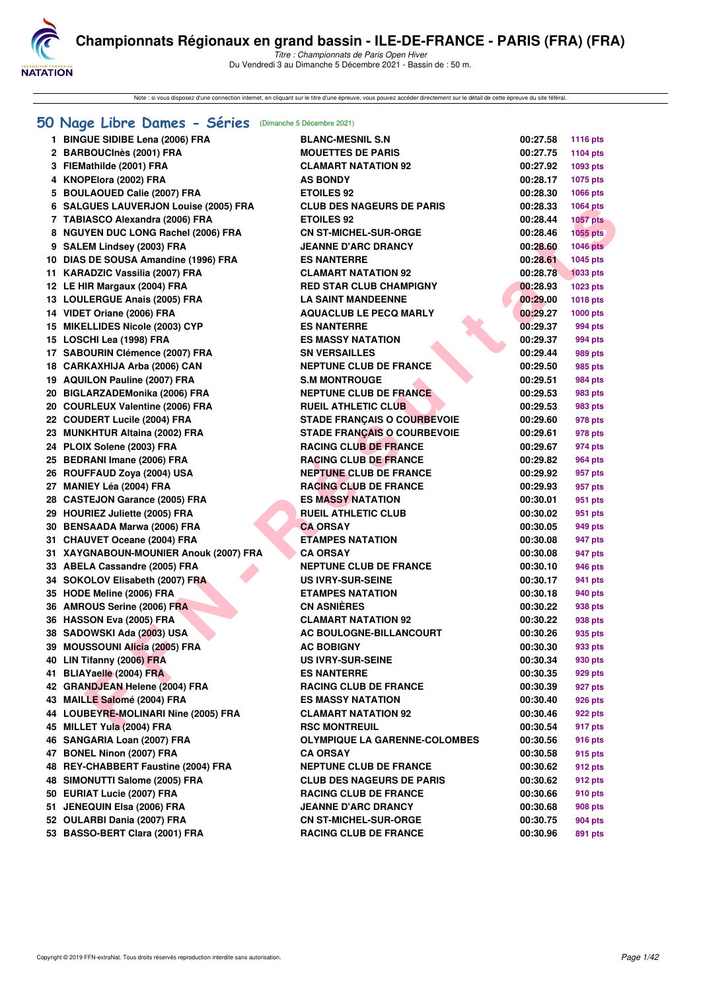

Note : si vous disposez d'une connection internet, en cliquant sur le titre d'une épreuve, vous pouvez accéder directement sur le détail de cette épreuve du site féféral.

## **[50 Nage Libre Dames - Séries](http://www.ffnatation.fr/webffn/resultats.php?idact=nat&go=epr&idcpt=73929&idepr=1)** (Dimanche 5 Décembre 2021)

| 1 BINGUE SIDIBE Lena (2006) FRA        | <b>BLANC-MESNIL S.N</b>              | 00:27.58 | <b>1116 pts</b> |
|----------------------------------------|--------------------------------------|----------|-----------------|
| 2 BARBOUCInès (2001) FRA               | <b>MOUETTES DE PARIS</b>             | 00:27.75 | 1104 pts        |
| 3 FIEMathilde (2001) FRA               | <b>CLAMART NATATION 92</b>           | 00:27.92 | 1093 pts        |
| 4 KNOPElora (2002) FRA                 | <b>AS BONDY</b>                      | 00:28.17 | 1075 pts        |
| 5 BOULAOUED Calie (2007) FRA           | <b>ETOILES 92</b>                    | 00:28.30 | 1066 pts        |
| 6 SALGUES LAUVERJON Louise (2005) FRA  | <b>CLUB DES NAGEURS DE PARIS</b>     | 00:28.33 | <b>1064 pts</b> |
| 7 TABIASCO Alexandra (2006) FRA        | <b>ETOILES 92</b>                    | 00:28.44 | 1057 pts        |
| 8 NGUYEN DUC LONG Rachel (2006) FRA    | <b>CN ST-MICHEL-SUR-ORGE</b>         | 00:28.46 | <b>1055 pts</b> |
| 9 SALEM Lindsey (2003) FRA             | <b>JEANNE D'ARC DRANCY</b>           | 00:28.60 | 1046 pts        |
| 10 DIAS DE SOUSA Amandine (1996) FRA   | <b>ES NANTERRE</b>                   | 00:28.61 | 1045 pts        |
| 11 KARADZIC Vassilia (2007) FRA        | <b>CLAMART NATATION 92</b>           | 00:28.78 | <b>1033 pts</b> |
| 12 LE HIR Margaux (2004) FRA           | <b>RED STAR CLUB CHAMPIGNY</b>       | 00:28.93 | 1023 pts        |
| 13 LOULERGUE Anais (2005) FRA          | <b>LA SAINT MANDEENNE</b>            | 00:29.00 | <b>1018 pts</b> |
| 14 VIDET Oriane (2006) FRA             | <b>AQUACLUB LE PECQ MARLY</b>        | 00:29.27 | <b>1000 pts</b> |
| 15 MIKELLIDES Nicole (2003) CYP        | <b>ES NANTERRE</b>                   | 00:29.37 | 994 pts         |
| 15 LOSCHI Lea (1998) FRA               | <b>ES MASSY NATATION</b>             | 00:29.37 | 994 pts         |
| 17 SABOURIN Clémence (2007) FRA        | <b>SN VERSAILLES</b>                 | 00:29.44 | 989 pts         |
| 18 CARKAXHIJA Arba (2006) CAN          | <b>NEPTUNE CLUB DE FRANCE</b>        | 00:29.50 | 985 pts         |
| 19 AQUILON Pauline (2007) FRA          | <b>S.M MONTROUGE</b>                 | 00:29.51 | <b>984 pts</b>  |
| 20 BIGLARZADEMonika (2006) FRA         | <b>NEPTUNE CLUB DE FRANCE</b>        | 00:29.53 | 983 pts         |
| 20 COURLEUX Valentine (2006) FRA       | <b>RUEIL ATHLETIC CLUB</b>           | 00:29.53 | 983 pts         |
| 22 COUDERT Lucile (2004) FRA           | <b>STADE FRANCAIS O COURBEVOIE</b>   | 00:29.60 | 978 pts         |
| 23 MUNKHTUR Altaina (2002) FRA         | <b>STADE FRANÇAIS O COURBEVOIE</b>   | 00:29.61 | 978 pts         |
| 24 PLOIX Solene (2003) FRA             | <b>RACING CLUB DE FRANCE</b>         | 00:29.67 | 974 pts         |
| 25 BEDRANI Imane (2006) FRA            | <b>RACING CLUB DE FRANCE</b>         | 00:29.82 | 964 pts         |
| 26 ROUFFAUD Zoya (2004) USA            | <b>NEPTUNE CLUB DE FRANCE</b>        | 00:29.92 | 957 pts         |
| 27 MANIEY Léa (2004) FRA               | <b>RACING CLUB DE FRANCE</b>         | 00:29.93 | 957 pts         |
| 28 CASTEJON Garance (2005) FRA         | <b>ES MASSY NATATION</b>             | 00:30.01 | 951 pts         |
| 29 HOURIEZ Juliette (2005) FRA         | <b>RUEIL ATHLETIC CLUB</b>           | 00:30.02 | 951 pts         |
| 30 BENSAADA Marwa (2006) FRA           | <b>CA ORSAY</b>                      | 00:30.05 | 949 pts         |
| 31 CHAUVET Oceane (2004) FRA           | <b>ETAMPES NATATION</b>              | 00:30.08 | 947 pts         |
| 31 XAYGNABOUN-MOUNIER Anouk (2007) FRA | <b>CA ORSAY</b>                      | 00:30.08 | 947 pts         |
| 33 ABELA Cassandre (2005) FRA          | <b>NEPTUNE CLUB DE FRANCE</b>        | 00:30.10 | 946 pts         |
| 34 SOKOLOV Elisabeth (2007) FRA        | <b>US IVRY-SUR-SEINE</b>             | 00:30.17 |                 |
|                                        | <b>ETAMPES NATATION</b>              |          | 941 pts         |
| 35 HODE Meline (2006) FRA              |                                      | 00:30.18 | 940 pts         |
| 36 AMROUS Serine (2006) FRA            | <b>CN ASNIÈRES</b>                   | 00:30.22 | 938 pts         |
| 36 HASSON Eva (2005) FRA               | <b>CLAMART NATATION 92</b>           | 00:30.22 | 938 pts         |
| 38 SADOWSKI Ada (2003) USA             | <b>AC BOULOGNE-BILLANCOURT</b>       | 00:30.26 | 935 pts         |
| 39 MOUSSOUNI Alicia (2005) FRA         | <b>AC BOBIGNY</b>                    | 00:30.30 | 933 pts         |
| 40 LIN Tifanny (2006) FRA              | <b>US IVRY-SUR-SEINE</b>             | 00:30.34 | 930 pts         |
| 41 BLIAYaelle (2004) FRA               | <b>ES NANTERRE</b>                   | 00:30.35 | 929 pts         |
| 42 GRANDJEAN Helene (2004) FRA         | <b>RACING CLUB DE FRANCE</b>         | 00:30.39 | 927 pts         |
| 43 MAILLE Salomé (2004) FRA            | <b>ES MASSY NATATION</b>             | 00:30.40 | 926 pts         |
| 44 LOUBEYRE-MOLINARI Nine (2005) FRA   | <b>CLAMART NATATION 92</b>           | 00:30.46 | 922 pts         |
| 45 MILLET Yula (2004) FRA              | <b>RSC MONTREUIL</b>                 | 00:30.54 | 917 pts         |
| 46 SANGARIA Loan (2007) FRA            | <b>OLYMPIQUE LA GARENNE-COLOMBES</b> | 00:30.56 | 916 pts         |
| 47 BONEL Ninon (2007) FRA              | <b>CA ORSAY</b>                      | 00:30.58 | 915 pts         |
| 48 REY-CHABBERT Faustine (2004) FRA    | <b>NEPTUNE CLUB DE FRANCE</b>        | 00:30.62 | 912 pts         |
| 48 SIMONUTTI Salome (2005) FRA         | <b>CLUB DES NAGEURS DE PARIS</b>     | 00:30.62 | 912 pts         |
| 50 EURIAT Lucie (2007) FRA             | <b>RACING CLUB DE FRANCE</b>         | 00:30.66 | 910 pts         |
| 51 JENEQUIN Elsa (2006) FRA            | <b>JEANNE D'ARC DRANCY</b>           | 00:30.68 | 908 pts         |
| 52 OULARBI Dania (2007) FRA            | <b>CN ST-MICHEL-SUR-ORGE</b>         | 00:30.75 | 904 pts         |
| 53 BASSO-BERT Clara (2001) FRA         | <b>RACING CLUB DE FRANCE</b>         | 00:30.96 | 891 pts         |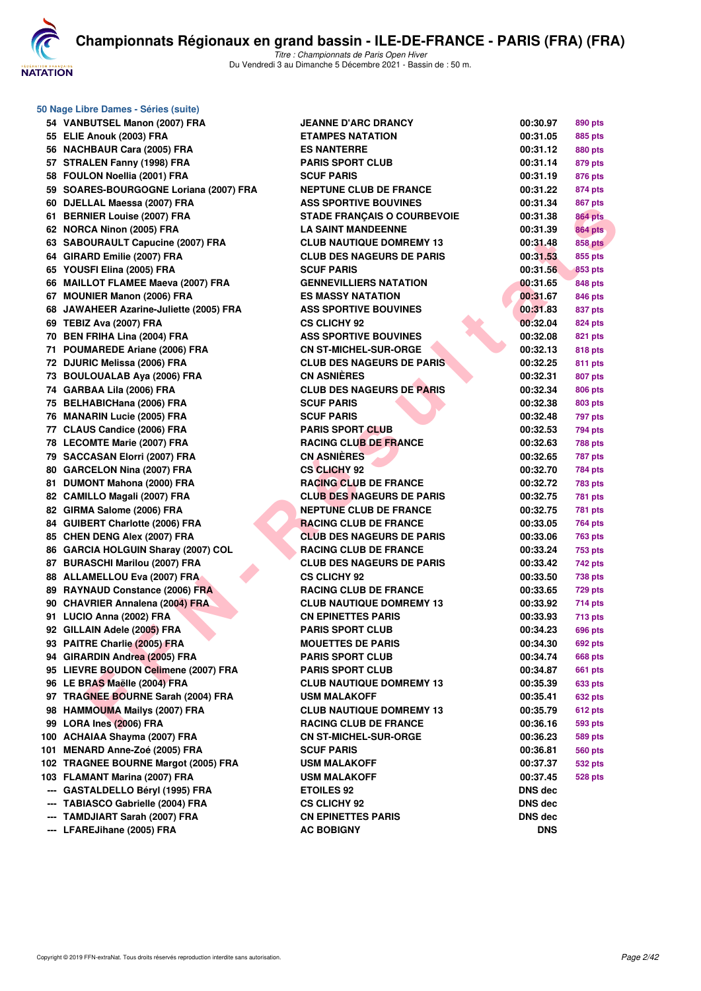

**50 Nage Libre Dames - Séries (suite)**

|     | 54 VANBUTSEL Manon (2007) FRA           | <b>JEANNE D'ARC DRANCY</b>         | 00:30.97   | 890 pts        |
|-----|-----------------------------------------|------------------------------------|------------|----------------|
|     | 55 ELIE Anouk (2003) FRA                | <b>ETAMPES NATATION</b>            | 00:31.05   | 885 pts        |
|     | 56 NACHBAUR Cara (2005) FRA             | <b>ES NANTERRE</b>                 | 00:31.12   | 880 pts        |
|     | 57 STRALEN Fanny (1998) FRA             | <b>PARIS SPORT CLUB</b>            | 00:31.14   | 879 pts        |
|     | 58 FOULON Noellia (2001) FRA            | <b>SCUF PARIS</b>                  | 00:31.19   | 876 pts        |
|     | 59 SOARES-BOURGOGNE Loriana (2007) FRA  | NEPTUNE CLUB DE FRANCE             | 00:31.22   | 874 pts        |
|     | 60 DJELLAL Maessa (2007) FRA            | <b>ASS SPORTIVE BOUVINES</b>       | 00:31.34   | 867 pts        |
|     | 61 BERNIER Louise (2007) FRA            | <b>STADE FRANÇAIS O COURBEVOIE</b> | 00:31.38   | <b>864 pts</b> |
|     | 62 NORCA Ninon (2005) FRA               | <b>LA SAINT MANDEENNE</b>          | 00:31.39   | <b>864 pts</b> |
|     | 63 SABOURAULT Capucine (2007) FRA       | <b>CLUB NAUTIQUE DOMREMY 13</b>    | 00:31.48   | <b>858 pts</b> |
|     | 64 GIRARD Emilie (2007) FRA             | <b>CLUB DES NAGEURS DE PARIS</b>   | 00:31.53   | 855 pts        |
|     | 65 YOUSFI Elina (2005) FRA              | <b>SCUF PARIS</b>                  | 00:31.56   | 853 pts        |
|     | 66 MAILLOT FLAMEE Maeva (2007) FRA      | <b>GENNEVILLIERS NATATION</b>      | 00:31.65   | 848 pts        |
|     | 67 MOUNIER Manon (2006) FRA             | ES MASSY NATATION                  | 00:31.67   | 846 pts        |
|     | 68 JAWAHEER Azarine-Juliette (2005) FRA | <b>ASS SPORTIVE BOUVINES</b>       | 00:31.83   | 837 pts        |
|     | 69 TEBIZ Ava (2007) FRA                 | <b>CS CLICHY 92</b>                | 00:32.04   | 824 pts        |
|     | 70 BEN FRIHA Lina (2004) FRA            | <b>ASS SPORTIVE BOUVINES</b>       | 00:32.08   | 821 pts        |
|     | 71 POUMAREDE Ariane (2006) FRA          | <b>CN ST-MICHEL-SUR-ORGE</b>       | 00:32.13   | 818 pts        |
|     | 72 DJURIC Melissa (2006) FRA            | <b>CLUB DES NAGEURS DE PARIS</b>   | 00:32.25   | 811 pts        |
|     | 73 BOULOUALAB Aya (2006) FRA            | <b>CN ASNIÈRES</b>                 | 00:32.31   | 807 pts        |
|     | 74 GARBAA Lila (2006) FRA               | <b>CLUB DES NAGEURS DE PARIS</b>   | 00:32.34   | 806 pts        |
|     | 75 BELHABICHana (2006) FRA              | <b>SCUF PARIS</b>                  | 00:32.38   | 803 pts        |
|     | 76 MANARIN Lucie (2005) FRA             | <b>SCUF PARIS</b>                  | 00:32.48   | 797 pts        |
|     | 77 CLAUS Candice (2006) FRA             | <b>PARIS SPORT CLUB</b>            | 00:32.53   | 794 pts        |
|     | 78 LECOMTE Marie (2007) FRA             | <b>RACING CLUB DE FRANCE</b>       | 00:32.63   | 788 pts        |
|     | 79 SACCASAN Elorri (2007) FRA           | <b>CN ASNIÈRES</b>                 | 00:32.65   | <b>787 pts</b> |
|     | 80 GARCELON Nina (2007) FRA             | <b>CS CLICHY 92</b>                | 00:32.70   | 784 pts        |
|     | 81 DUMONT Mahona (2000) FRA             | <b>RACING CLUB DE FRANCE</b>       | 00:32.72   | 783 pts        |
|     | 82 CAMILLO Magali (2007) FRA            | <b>CLUB DES NAGEURS DE PARIS</b>   | 00:32.75   | <b>781 pts</b> |
|     | 82 GIRMA Salome (2006) FRA              | <b>NEPTUNE CLUB DE FRANCE</b>      | 00:32.75   | 781 pts        |
|     | 84 GUIBERT Charlotte (2006) FRA         | <b>RACING CLUB DE FRANCE</b>       | 00:33.05   | 764 pts        |
|     | 85 CHEN DENG Alex (2007) FRA            | <b>CLUB DES NAGEURS DE PARIS</b>   | 00:33.06   | 763 pts        |
|     | 86 GARCIA HOLGUIN Sharay (2007) COL     | <b>RACING CLUB DE FRANCE</b>       | 00:33.24   | 753 pts        |
|     | 87 BURASCHI Marilou (2007) FRA          | <b>CLUB DES NAGEURS DE PARIS</b>   | 00:33.42   | 742 pts        |
|     | 88 ALLAMELLOU Eva (2007) FRA            | <b>CS CLICHY 92</b>                | 00:33.50   | 738 pts        |
|     | 89 RAYNAUD Constance (2006) FRA         | <b>RACING CLUB DE FRANCE</b>       | 00:33.65   | <b>729 pts</b> |
|     | 90 CHAVRIER Annalena (2004) FRA         | <b>CLUB NAUTIQUE DOMREMY 13</b>    | 00:33.92   | 714 pts        |
|     | 91 LUCIO Anna (2002) FRA                | <b>CN EPINETTES PARIS</b>          | 00:33.93   | <b>713 pts</b> |
|     | 92 GILLAIN Adele (2005) FRA             | <b>PARIS SPORT CLUB</b>            | 00:34.23   | 696 pts        |
|     | 93 PAITRE Charlie (2005) FRA            | <b>MOUETTES DE PARIS</b>           | 00:34.30   | <b>692 pts</b> |
|     | 94 GIRARDIN Andrea (2005) FRA           | <b>PARIS SPORT CLUB</b>            | 00:34.74   | 668 pts        |
|     | 95 LIEVRE BOUDON Celimene (2007) FRA    | <b>PARIS SPORT CLUB</b>            | 00:34.87   | 661 pts        |
|     | 96 LE BRAS Maëlle (2004) FRA            | <b>CLUB NAUTIQUE DOMREMY 13</b>    | 00:35.39   | 633 pts        |
|     | 97 TRAGNEE BOURNE Sarah (2004) FRA      | USM MALAKOFF                       | 00:35.41   | 632 pts        |
|     | 98 HAMMOUMA Mailys (2007) FRA           | <b>CLUB NAUTIQUE DOMREMY 13</b>    | 00:35.79   | 612 pts        |
|     | 99 LORA Ines (2006) FRA                 | <b>RACING CLUB DE FRANCE</b>       | 00:36.16   | 593 pts        |
|     | 100 ACHAIAA Shayma (2007) FRA           | <b>CN ST-MICHEL-SUR-ORGE</b>       | 00:36.23   | 589 pts        |
|     | 101 MENARD Anne-Zoé (2005) FRA          | <b>SCUF PARIS</b>                  | 00:36.81   | 560 pts        |
|     | 102 TRAGNEE BOURNE Margot (2005) FRA    | <b>USM MALAKOFF</b>                | 00:37.37   | 532 pts        |
|     | 103 FLAMANT Marina (2007) FRA           | USM MALAKOFF                       | 00:37.45   | <b>528 pts</b> |
|     | <b>GASTALDELLO Béryl (1995) FRA</b>     | <b>ETOILES 92</b>                  | DNS dec    |                |
| --- | <b>TABIASCO Gabrielle (2004) FRA</b>    | <b>CS CLICHY 92</b>                | DNS dec    |                |
|     | <b>TAMDJIART Sarah (2007) FRA</b>       | <b>CN EPINETTES PARIS</b>          | DNS dec    |                |
|     | --- LFAREJihane (2005) FRA              | AC BOBIGNY                         | <b>DNS</b> |                |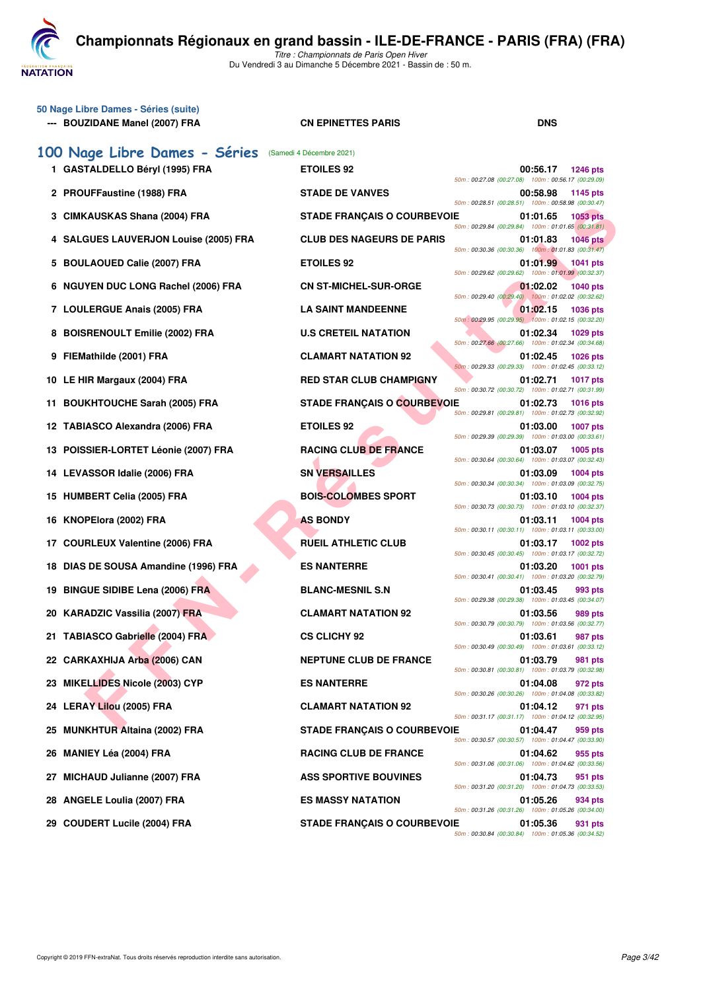

| 50 Nage Libre Dames - Séries (suite)<br>--- BOUZIDANE Manel (2007) FRA | <b>CN EPINETTES PARIS</b>          | <b>DNS</b>                                                                        |
|------------------------------------------------------------------------|------------------------------------|-----------------------------------------------------------------------------------|
| 100 Nage Libre Dames - Séries                                          | (Samedi 4 Décembre 2021)           |                                                                                   |
| 1 GASTALDELLO Béryl (1995) FRA                                         | <b>ETOILES 92</b>                  | 00:56.17<br><b>1246 pts</b><br>50m: 00:27.08 (00:27.08) 100m: 00:56.17 (00:29.09) |
| 2 PROUFFaustine (1988) FRA                                             | <b>STADE DE VANVES</b>             | 00:58.98<br>1145 pts<br>50m: 00:28.51 (00:28.51) 100m: 00:58.98 (00:30.47)        |
| CIMKAUSKAS Shana (2004) FRA<br>з                                       | <b>STADE FRANÇAIS O COURBEVOIE</b> | 01:01.65<br><b>1053 pts</b><br>50m: 00:29.84 (00:29.84) 100m: 01:01.65 (00:31.81) |
| <b>SALGUES LAUVERJON Louise (2005) FRA</b><br>4                        | <b>CLUB DES NAGEURS DE PARIS</b>   | 01:01.83<br><b>1046 pts</b><br>50m: 00:30.36 (00:30.36) 100m: 01:01.83 (00:31.47) |
| <b>BOULAOUED Calie (2007) FRA</b><br>5                                 | <b>ETOILES 92</b>                  | 01:01.99<br>1041 pts<br>50m: 00:29.62 (00:29.62) 100m: 01:01.99 (00:32.37)        |
| <b>NGUYEN DUC LONG Rachel (2006) FRA</b><br>6                          | <b>CN ST-MICHEL-SUR-ORGE</b>       | 01:02.02<br><b>1040 pts</b><br>50m: 00:29.40 (00:29.40) 100m: 01:02.02 (00:32.62) |
| 7 LOULERGUE Anais (2005) FRA                                           | <b>LA SAINT MANDEENNE</b>          | 01:02.15<br><b>1036 pts</b><br>50m: 00:29.95 (00:29.95) 100m: 01:02.15 (00:32.20) |
| <b>BOISRENOULT Emilie (2002) FRA</b><br>8                              | <b>U.S CRETEIL NATATION</b>        | 01:02.34<br>1029 pts<br>50m: 00:27.66 (00:27.66) 100m: 01:02.34 (00:34.68)        |
| FIEMathilde (2001) FRA<br>9                                            | <b>CLAMART NATATION 92</b>         | 01:02.45<br><b>1026 pts</b><br>50m: 00:29.33 (00:29.33) 100m: 01:02.45 (00:33.12) |
| 10 LE HIR Margaux (2004) FRA                                           | <b>RED STAR CLUB CHAMPIGNY</b>     | 01:02.71<br><b>1017 pts</b><br>50m: 00:30.72 (00:30.72) 100m: 01:02.71 (00:31.99) |
| <b>BOUKHTOUCHE Sarah (2005) FRA</b><br>11.                             | <b>STADE FRANÇAIS O COURBEVOIE</b> | 01:02.73<br><b>1016 pts</b><br>50m: 00:29.81 (00:29.81) 100m: 01:02.73 (00:32.92) |
| 12 TABIASCO Alexandra (2006) FRA                                       | <b>ETOILES 92</b>                  | 01:03.00<br><b>1007 pts</b><br>50m: 00:29.39 (00:29.39) 100m: 01:03.00 (00:33.61) |
| 13 POISSIER-LORTET Léonie (2007) FRA                                   | <b>RACING CLUB DE FRANCE</b>       | 01:03.07<br>1005 pts<br>50m: 00:30.64 (00:30.64) 100m: 01:03.07 (00:32.43)        |
| 14 LEVASSOR Idalie (2006) FRA                                          | <b>SN VERSAILLES</b>               | 01:03.09<br><b>1004 pts</b><br>50m: 00:30.34 (00:30.34) 100m: 01:03.09 (00:32.75) |
| 15 HUMBERT Celia (2005) FRA                                            | <b>BOIS-COLOMBES SPORT</b>         | 01:03.10<br>1004 pts<br>50m: 00:30.73 (00:30.73) 100m: 01:03.10 (00:32.37)        |
| KNOPElora (2002) FRA<br>16                                             | <b>AS BONDY</b>                    | 01:03.11<br><b>1004 pts</b><br>50m: 00:30.11 (00:30.11) 100m: 01:03.11 (00:33.00) |
| 17 COURLEUX Valentine (2006) FRA                                       | <b>RUEIL ATHLETIC CLUB</b>         | 01:03.17<br>1002 pts<br>50m: 00:30.45 (00:30.45) 100m: 01:03.17 (00:32.72)        |
| DIAS DE SOUSA Amandine (1996) FRA<br>18                                | <b>ES NANTERRE</b>                 | 01:03.20<br><b>1001 pts</b><br>50m: 00:30.41 (00:30.41) 100m: 01:03.20 (00:32.79) |
| 19 BINGUE SIDIBE Lena (2006) FRA                                       | <b>BLANC-MESNIL S.N</b>            | 01:03.45<br>993 pts<br>50m: 00:29.38 (00:29.38) 100m: 01:03.45 (00:34.07)         |
| 20 KARADZIC Vassilia (2007) FRA                                        | <b>CLAMART NATATION 92</b>         | 01:03.56<br>989 pts<br>50m: 00:30.79 (00:30.79) 100m: 01:03.56 (00:32.77)         |
| 21 TABIASCO Gabrielle (2004) FRA                                       | <b>CS CLICHY 92</b>                | 01:03.61<br>987 pts<br>50m: 00:30.49 (00:30.49) 100m: 01:03.61 (00:33.12)         |
| 22 CARKAXHIJA Arba (2006) CAN                                          | <b>NEPTUNE CLUB DE FRANCE</b>      | 01:03.79<br>981 pts<br>50m: 00:30.81 (00:30.81) 100m: 01:03.79 (00:32.98)         |
| 23 MIKELLIDES Nicole (2003) CYP                                        | <b>ES NANTERRE</b>                 | 01:04.08<br>972 pts<br>50m: 00:30.26 (00:30.26) 100m: 01:04.08 (00:33.82)         |
| 24 LERAY Lilou (2005) FRA                                              | <b>CLAMART NATATION 92</b>         | 01:04.12<br>971 pts<br>50m: 00:31.17 (00:31.17) 100m: 01:04.12 (00:32.95)         |
| <b>MUNKHTUR Altaina (2002) FRA</b><br>25                               | <b>STADE FRANÇAIS O COURBEVOIE</b> | 01:04.47<br>959 pts<br>50m: 00:30.57 (00:30.57) 100m: 01:04.47 (00:33.90)         |
| <b>MANIEY Léa (2004) FRA</b><br>26                                     | <b>RACING CLUB DE FRANCE</b>       | 01:04.62<br>955 pts<br>50m: 00:31.06 (00:31.06) 100m: 01:04.62 (00:33.56)         |
| <b>MICHAUD Julianne (2007) FRA</b><br>27                               | <b>ASS SPORTIVE BOUVINES</b>       | 01:04.73<br>951 pts<br>50m: 00:31.20 (00:31.20) 100m: 01:04.73 (00:33.53)         |
| <b>ANGELE Loulia (2007) FRA</b><br>28                                  | <b>ES MASSY NATATION</b>           | 01:05.26<br>934 pts<br>50m: 00:31.26 (00:31.26) 100m: 01:05.26 (00:34.00)         |
| <b>COUDERT Lucile (2004) FRA</b><br>29.                                | <b>STADE FRANÇAIS O COURBEVOIE</b> | 01:05.36<br>931 pts<br>50m: 00:30.84 (00:30.84) 100m: 01:05.36 (00:34.52)         |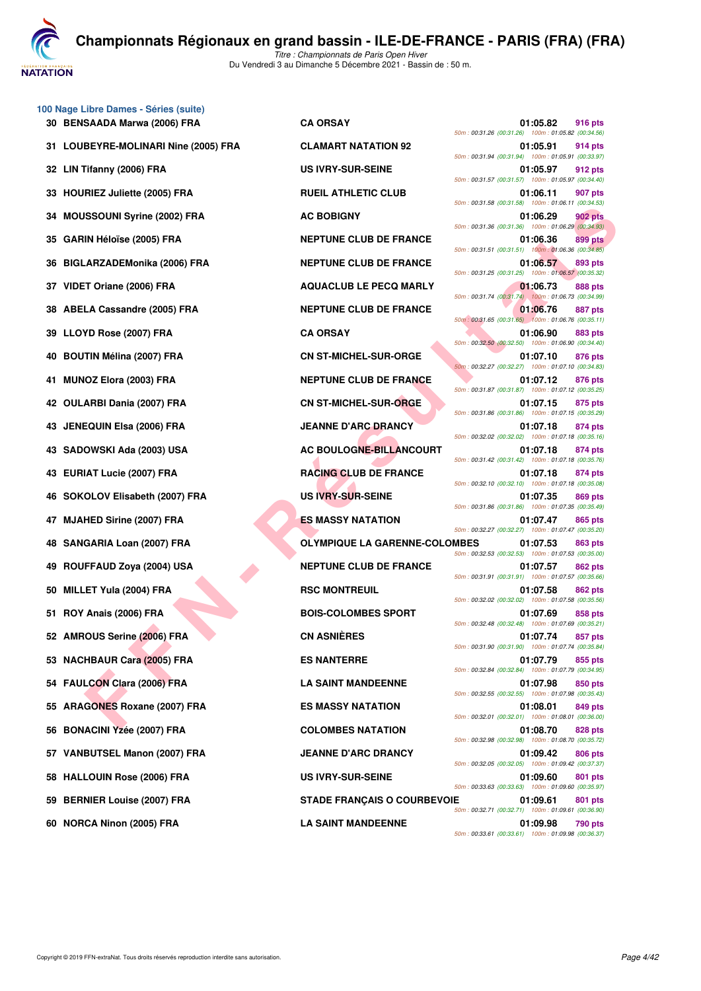

|     | 100 Nage Libre Dames - Séries (suite) |                                      |                                                                                                                                 |
|-----|---------------------------------------|--------------------------------------|---------------------------------------------------------------------------------------------------------------------------------|
|     | 30 BENSAADA Marwa (2006) FRA          | <b>CA ORSAY</b>                      | 01:05.82<br>916 pts<br>50m: 00:31.26 (00:31.26) 100m: 01:05.82 (00:34.56)                                                       |
|     | 31 LOUBEYRE-MOLINARI Nine (2005) FRA  | <b>CLAMART NATATION 92</b>           | 01:05.91<br>914 pts<br>50m: 00:31.94 (00:31.94) 100m: 01:05.91 (00:33.97)                                                       |
|     | 32 LIN Tifanny (2006) FRA             | US IVRY-SUR-SEINE                    | 01:05.97<br>912 pts<br>50m: 00:31.57 (00:31.57) 100m: 01:05.97 (00:34.40)                                                       |
|     | 33 HOURIEZ Juliette (2005) FRA        | <b>RUEIL ATHLETIC CLUB</b>           | 01:06.11<br>907 pts<br>50m: 00:31.58 (00:31.58) 100m: 01:06.11 (00:34.53)                                                       |
| 34  | <b>MOUSSOUNI Syrine (2002) FRA</b>    | <b>AC BOBIGNY</b>                    | 01:06.29<br><b>902 pts</b><br>50m: 00:31.36 (00:31.36) 100m: 01:06.29 (00:34.93)                                                |
| 35  | <b>GARIN Héloïse (2005) FRA</b>       | <b>NEPTUNE CLUB DE FRANCE</b>        | <b>899 pts</b><br>01:06.36<br>50m: 00:31.51 (00:31.51) 100m: 01:06.36 (00:34.85)                                                |
| 36  | BIGLARZADEMonika (2006) FRA           | <b>NEPTUNE CLUB DE FRANCE</b>        | 01:06.57<br>893 pts<br>50m: 00:31.25 (00:31.25) 100m: 01:06.57 (00:35.32)                                                       |
|     | 37 VIDET Oriane (2006) FRA            | <b>AQUACLUB LE PECQ MARLY</b>        | 01:06.73<br>888 pts<br>50m: 00:31.74 (00:31.74) 100m: 01:06.73 (00:34.99)                                                       |
|     | 38 ABELA Cassandre (2005) FRA         | <b>NEPTUNE CLUB DE FRANCE</b>        | 01:06.76<br>887 pts<br>50m: 00:31.65 (00:31.65) 100m: 01:06.76 (00:35.11)                                                       |
| 39  | LLOYD Rose (2007) FRA                 | <b>CA ORSAY</b>                      | 01:06.90<br>883 pts<br>50m: 00:32.50 (00:32.50) 100m: 01:06.90 (00:34.40)                                                       |
| 40  | <b>BOUTIN Mélina (2007) FRA</b>       | <b>CN ST-MICHEL-SUR-ORGE</b>         | 01:07.10<br>876 pts<br>50m: 00:32.27 (00:32.27) 100m: 01:07.10 (00:34.83)                                                       |
|     | MUNOZ Elora (2003) FRA                | NEPTUNE CLUB DE FRANCE               | 01:07.12<br>876 pts<br>50m: 00:31.87 (00:31.87) 100m: 01:07.12 (00:35.25)                                                       |
|     | 42 OULARBI Dania (2007) FRA           | <b>CN ST-MICHEL-SUR-ORGE</b>         | 01:07.15<br>875 pts<br>50m: 00:31.86 (00:31.86) 100m: 01:07.15 (00:35.29)                                                       |
| 43. | <b>JENEQUIN Elsa (2006) FRA</b>       | <b>JEANNE D'ARC DRANCY</b>           | 01:07.18<br>874 pts<br>50m: 00:32.02 (00:32.02) 100m: 01:07.18 (00:35.16)                                                       |
|     | 43 SADOWSKI Ada (2003) USA            | AC BOULOGNE-BILLANCOURT              | 01:07.18<br>874 pts<br>50m: 00:31.42 (00:31.42) 100m: 01:07.18 (00:35.76)                                                       |
|     | 43 EURIAT Lucie (2007) FRA            | <b>RACING CLUB DE FRANCE</b>         | 01:07.18<br>874 pts                                                                                                             |
| 46  | SOKOLOV Elisabeth (2007) FRA          | <b>US IVRY-SUR-SEINE</b>             | 50m: 00:32.10 (00:32.10) 100m: 01:07.18 (00:35.08)<br>01:07.35<br>869 pts                                                       |
| 47. | <b>MJAHED Sirine (2007) FRA</b>       | <b>ES MASSY NATATION</b>             | 50m: 00:31.86 (00:31.86) 100m: 01:07.35 (00:35.49)<br>01:07.47<br>865 pts                                                       |
| 48  | SANGARIA Loan (2007) FRA              | <b>OLYMPIQUE LA GARENNE-COLOMBES</b> | 50m: 00:32.27 (00:32.27) 100m: 01:07.47 (00:35.20)<br>01:07.53<br>863 pts                                                       |
| 49  | ROUFFAUD Zoya (2004) USA              | <b>NEPTUNE CLUB DE FRANCE</b>        | 50m: 00:32.53 (00:32.53) 100m: 01:07.53 (00:35.00)<br>01:07.57<br>862 pts<br>50m: 00:31.91 (00:31.91) 100m: 01:07.57 (00:35.66) |
| 50  | MILLET Yula (2004) FRA                | <b>RSC MONTREUIL</b>                 | 01:07.58<br>862 pts<br>50m: 00:32.02 (00:32.02) 100m: 01:07.58 (00:35.56)                                                       |
|     | 51 ROY Anais (2006) FRA               | <b>BOIS-COLOMBES SPORT</b>           | 01:07.69<br>858 pts                                                                                                             |
|     | 52 AMROUS Serine (2006) FRA           | <b>CN ASNIÈRES</b>                   | 50m: 00:32.48 (00:32.48) 100m: 01:07.69 (00:35.21)<br>01:07.74<br>857 pts                                                       |
|     | 53 NACHBAUR Cara (2005) FRA           | <b>ES NANTERRE</b>                   | 50m: 00:31.90 (00:31.90) 100m: 01:07.74 (00:35.84)<br>01:07.79<br>855 pts                                                       |
|     | 54 FAULCON Clara (2006) FRA           | <b>LA SAINT MANDEENNE</b>            | 50m: 00:32.84 (00:32.84) 100m: 01:07.79 (00:34.95)<br>01:07.98<br>850 pts                                                       |
|     | 55 ARAGONES Roxane (2007) FRA         | <b>ES MASSY NATATION</b>             | 50m: 00:32.55 (00:32.55) 100m: 01:07.98 (00:35.43)<br>01:08.01<br>849 pts                                                       |
| 56  | <b>BONACINI Yzée (2007) FRA</b>       | <b>COLOMBES NATATION</b>             | 50m: 00:32.01 (00:32.01) 100m: 01:08.01 (00:36.00)<br>01:08.70<br>828 pts                                                       |
|     | 57 VANBUTSEL Manon (2007) FRA         | <b>JEANNE D'ARC DRANCY</b>           | 50m: 00:32.98 (00:32.98) 100m: 01:08.70 (00:35.72)<br>01:09.42<br>806 pts                                                       |
|     | 58 HALLOUIN Rose (2006) FRA           | <b>US IVRY-SUR-SEINE</b>             | 50m: 00:32.05 (00:32.05) 100m: 01:09.42 (00:37.37)<br>01:09.60<br>801 pts                                                       |
| 59  | <b>BERNIER Louise (2007) FRA</b>      | <b>STADE FRANÇAIS O COURBEVOIE</b>   | 50m: 00:33.63 (00:33.63) 100m: 01:09.60 (00:35.97)<br>01:09.61<br>801 pts                                                       |
|     | 60 NORCA Ninon (2005) FRA             | <b>LA SAINT MANDEENNE</b>            | 50m: 00:32.71 (00:32.71) 100m: 01:09.61 (00:36.90)<br>01:09.98<br>790 pts                                                       |

| <b>CLAMART NATATION 92</b>      |
|---------------------------------|
| <b>US IVRY-SUR-SEINE</b>        |
| <b>RUEIL ATHLETIC CLUB</b>      |
| <b>AC BOBIGNY</b>               |
| <b>NEPTUNE CLUB DE FRANCE</b>   |
| <b>NEPTUNE CLUB DE FRANCE</b>   |
| <b>AQUACLUB LE PECQ MARLY</b>   |
| <b>NEPTUNE CLUB DE FRANCE</b>   |
| <b>CA ORSAY</b>                 |
| <b>CN ST-MICHEL-SUR-ORGE</b>    |
| <b>NEPTUNE CLUB DE FRANCE</b>   |
| <b>CN ST-MICHEL-SUR-ORGE</b>    |
| <b>JEANNE D'ARC DRANCY</b>      |
| <b>AC BOULOGNE-BILLANCOURT</b>  |
| <b>RACING CLUB DE FRANCE</b>    |
| <b>US IVRY-SUR-SEINE</b>        |
| <b>ES MASSY NATATION</b>        |
| <b>OLYMPIQUE LA GARENNE-CO</b>  |
| <b>NEPTUNE CLUB DE FRANCE</b>   |
| <b>RSC MONTREUIL</b>            |
| <b>BOIS-COLOMBES SPORT</b>      |
| <b>CN ASNIERES</b>              |
| <b>ES NANTERRE</b>              |
| <b>LA SAINT MANDEENNE</b>       |
| <b>ES MASSY NATATION</b>        |
| <b>COLOMBES NATATION</b>        |
| <b>JEANNE D'ARC DRANCY</b>      |
| US IVRY-SUR-SEINE               |
| <b>STADE FRANÇAIS O COURBEY</b> |
| I A SAINT MANDFFNNF             |

| 50m: 00:31.26 (00:31.26) 100m: 01:05.82 (00:34.56)                                                       | 01:05.82             | 916 pts                                                |
|----------------------------------------------------------------------------------------------------------|----------------------|--------------------------------------------------------|
| 50m: 00:31.94 (00:31.94)                                                                                 | 01:05.91             | 914 pts<br>100m: 01:05.91 (00:33.97)                   |
| 50m: 00:31.57 (00:31.57)                                                                                 | 01:05.97             | 912 pts<br>100m: 01:05.97 (00:34.40)                   |
| 50m: 00:31.58 (00:31.58)                                                                                 | 01:06.11             | 907 pts<br>100m: 01:06.11 (00:34.53)                   |
| 50m: 00:31.36 (00:31.36)                                                                                 | 01:06.29             | 902 pts<br>100m: 01:06.29 (00:34.93)                   |
| 50m: 00:31.51<br>(00:31.51)                                                                              | 01:06.36             | 899 pts<br>100m: 01:06.36 (00:34.85)                   |
| 50m: 00:31.25 (00:31.25)                                                                                 | 01:06.57             | 893 pts<br>100m: 01:06.57 (00:35.32)                   |
| 50m: 00:31.74 (00:31.74) 100m: 01:06.73 (00:34.99)                                                       | 01:06.73             | <b>888 pts</b>                                         |
| 50m: 00:31.65 (00:31.65)                                                                                 | 01:06.76             | 887 pts<br>100m: 01:06.76 (00:35.11)                   |
| 50m: 00:32.50 (00:32.50) 100m: 01:06.90 (00:34.40)                                                       | 01:06.90             | <b>883 pts</b>                                         |
| 50m: 00:32.27 (00:32.27)                                                                                 | 01:07.10             | <b>876 pts</b><br>100m: 01:07.10 (00:34.83)            |
| 50m: 00:31.87 (00:31.87)                                                                                 | 01:07.12             | 876 pts<br>100m: 01:07.12 (00:35.25)                   |
| 50m: 00:31.86 (00:31.86) 100m: 01:07.15 (00:35.29)                                                       | 01:07.15             | 875 pts                                                |
| 50m: 00:32.02 (00:32.02) 100m: 01:07.18 (00:35.16)                                                       | 01:07.18             | 874 pts                                                |
| 50m: 00:31.42 (00:31.42)                                                                                 | 01:07.18             | 874 pts<br>100m: 01:07.18 (00:35.76)                   |
| 50m: 00:32.10 (00:32.10)                                                                                 | 01:07.18             | 874 pts<br>100m: 01:07.18 (00:35.08)                   |
| 50m: 00:31.86 (00:31.86)                                                                                 | 01:07.35             | 869 pts<br>100m: 01:07.35 (00:35.49)                   |
| 50m: 00:32.27 (00:32.27)<br>MBES                                                                         | 01:07.47<br>01:07.53 | 865 pts<br>100m: 01:07.47 (00:35.20)<br><b>863 pts</b> |
| 50m: 00:32.53 (00:32.53)                                                                                 | 01:07.57             | 100m: 01:07.53 (00:35.00)<br>862 pts                   |
| 50m: 00:31.91 (00:31.91) 100m: 01:07.57 (00:35.66)                                                       | 01:07.58             | <b>862 pts</b>                                         |
| 50m: 00:32.02 (00:32.02)                                                                                 | 01:07.69             | 100m: 01:07.58 (00:35.56)<br><b>858 pts</b>            |
| 50m: 00:32.48 (00:32.48)                                                                                 | 01:07.74             | 100m: 01:07.69 (00:35.21)<br>857 pts                   |
| 50m: 00:31.90 (00:31.90) 100m: 01:07.74 (00:35.84)                                                       | 01:07.79             | 855 pts                                                |
| 50m: 00:32.84 (00:32.84) 100m: 01:07.79 (00:34.95)                                                       | 01:07.98             | 850 pts                                                |
| 50m: 00:32.55 (00:32.55)                                                                                 | 01:08.01             | 100m: 01:07.98 (00:35.43)<br>849 pts                   |
| $50m: 00:32.01$ (00:32.01) $100m: 01:08.01$ (00:36.00)                                                   | 01:08.70             | <b>828 pts</b>                                         |
| 50m: 00:32.98 (00:32.98) 100m: 01:08.70 (00:35.72)                                                       | 01:09.42             | 806 pts                                                |
| 50m: 00:32.05 (00:32.05) 100m: 01:09.42 (00:37.37)<br>50m: 00:33.63 (00:33.63) 100m: 01:09.60 (00:35.97) | 01:09.60             | 801 pts                                                |
| Е<br>50m: 00:32.71 (00:32.71) 100m: 01:09.61 (00:36.90)                                                  | 01:09.61             | 801 pts                                                |
| 50m: 00:33.61 (00:33.61) 100m: 01:09.98 (00:36.37)                                                       | 01:09.98             | 790 pts                                                |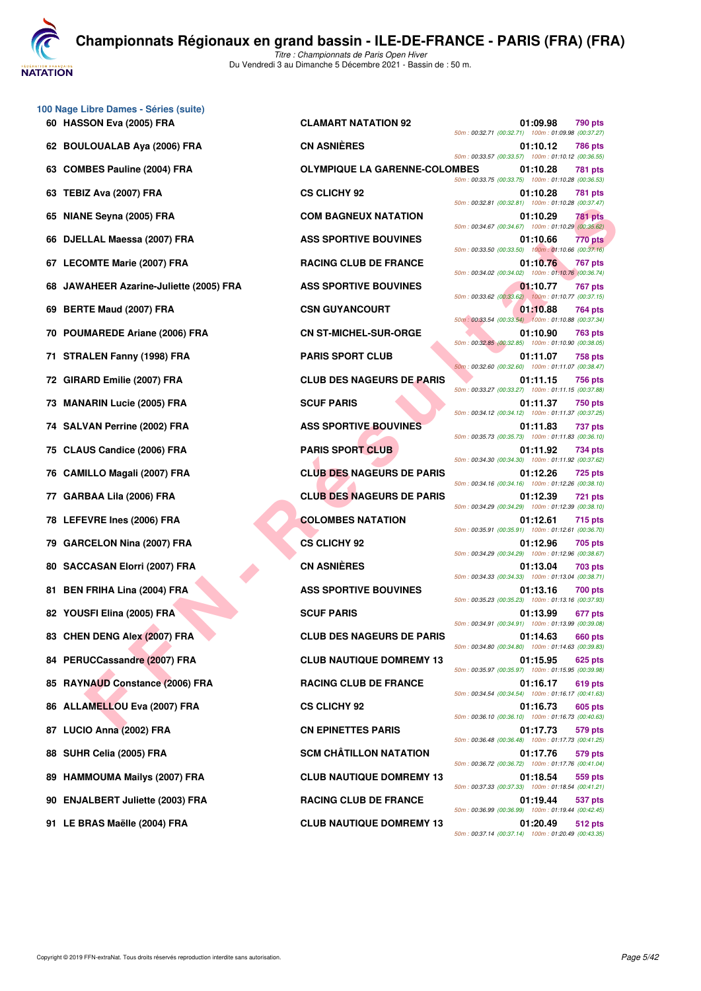**JATATION** 

**100 Nage Libre Dames - Séries (suite) 60 HASSON Eva (2005) FRA CLAMART NATATION 92 01:09.98 790 pts 62 BOULOUALAB Aya (2006) FRA CN ASNIÈRES 01:10.12 786 pts 63 COMBES Pauline (2004) FRA OLYMPIQUE LA GARENNE-COLOMBES 01:10.28 781 pts 63 TEBIZ Ava (2007) FRA CS CLICHY 92 01:10.28 781 pts 65 NIANE Seyna (2005) FRA COM BAGNEUX NATATION 01:10.29 781 pts 66 DJELLAL Maessa (2007) FRA ASS SPORTIVE BOUVINES 01:10.66 770 pts 67 LECOMTE Marie (2007) FRA RACING CLUB DE FRANCE 01:10.76 767 pts 68 JAWAHEER Azarine-Juliette (2005) FRA ASS SPORTIVE BOUVINES 01:10.77 767 pts 69 BERTE Maud (2007) FRA CSN GUYANCOURT 69 BERTE Maud (2007) FRA 70 POUMAREDE Ariane (2006) FRA CN ST-MICHEL-SUR-ORGE 01:10.90 763 pts 71 STRALEN Fanny (1998) FRA PARIS SPORT CLUB 01:11.07 758 pts 72 GIRARD Emilie (2007) FRA CLUB DES NAGEURS DE PARIS 01:11.15 756 pts 73 MANARIN Lucie (2005) FRA SCUF PARIS 01:11.37 750 pts 74 SALVAN Perrine (2002) FRA ASS SPORTIVE BOUVINES 01:11.83 737 pts 75 CLAUS Candice (2006) FRA PARIS SPORT CLUB 01:11.92 734 pts 76 CAMILLO Magali (2007) FRA CLUB DES NAGEURS DE PARIS 01:12.26 725 pts 77 GARBAA Lila (2006) FRA CLUB DES NAGEURS DE PARIS 01:12.39 721 pts 78 LEFEVRE Ines (2006) FRA COLOMBES NATATION 01:12.61 715 pts 79 GARCELON Nina (2007) FRA CS CLICHY 92 01:12.96 705 pts 80 SACCASAN Elorri (2007) FRA CN ASNIÈRES 01:13.04 703 pts 81 BEN FRIHA Lina (2004) FRA ASS SPORTIVE BOUVINES** 01:13.16 700 pts **82 YOUSFI Elina (2005) FRA SCUF PARIS CUF PARIS 01:13.99 677 pts** 83 CHEN DENG Alex (2007) FRA CLUB DES NAGEURS DE PARIS 01:14.63 660 pts **84 PERUCCassandre (2007) FRA CLUB NAUTIQUE DOMREMY 13 01:15.95 625 pts 85 RAYNAUD Constance (2006) FRA RACING CLUB DE FRANCE 01:16.17 619 pts 86 ALLAMELLOU Eva (2007) FRA CS CLICHY 92 01:16.73 605 pts 87 LUCIO Anna (2002) FRA CN EPINETTES PARIS 01:17.73 579 pts 88 SUHR Celia (2005) FRA SCM CHÂTILLON NATATION 01:17.76 579 pts 89 HAMMOUMA Mailys (2007) FRA CLUB NAUTIQUE DOMREMY 13 01:18.54 559 pts 90 ENJALBERT Juliette (2003) FRA RACING CLUB DE FRANCE 01:19.44 537 pts**

**F Seyna (2005) FRA**<br> **FALL Meets (2007) FRA**<br> **FALL Meets (2007) FRA**<br> **FALL Meets (2007) FRA**<br> **FALL MEE MATHEM (2007) FRA**<br> **FALL MEE MATHEM (2008) PRA<br>
<b>FALL MEE MATHEM (2008) FRA**<br> **FALL MEE MATHEM (2008) FRA**<br> **FALL 91 LE BRAS Maëlle (2004) FRA CLUB NAUTIQUE DOMREMY 13 01:20.49 512 pts**

*50m : 00:32.71 (00:32.71) 100m : 01:09.98 (00:37.27) 50m : 00:33.57 (00:33.57) 100m : 01:10.12 (00:36.55) 50m : 00:33.75 (00:33.75) 100m : 01:10.28 (00:36.53) 50m : 00:32.81 (00:32.81) 100m : 01:10.28 (00:37.47) 50m : 00:34.67 (00:34.67) 100m : 01:10.29 (00:35.62) 50m : 00:33.50 (00:33.50) 100m : 01:10.66 (00:37.16) 50m : 00:34.02 (00:34.02) 100m : 01:10.76 (00:36.74) 50m : 00:33.62 (00:33.62) 100m : 01:10.77 (00:37.15) 50m : 00:33.54 (00:33.54) 100m : 01:10.88 (00:37.34) 50m : 00:32.85 (00:32.85) 100m : 01:10.90 (00:38.05) 50m : 00:32.60 (00:32.60) 100m : 01:11.07 (00:38.47) 50m : 00:33.27 (00:33.27) 100m : 01:11.15 (00:37.88) 50m : 00:34.12 (00:34.12) 100m : 01:11.37 (00:37.25) 50m : 00:35.73 (00:35.73) 100m : 01:11.83 (00:36.10) 50m : 00:34.30 (00:34.30) 100m : 01:11.92 (00:37.62) 50m : 00:34.16 (00:34.16) 100m : 01:12.26 (00:38.10) 50m : 00:34.29 (00:34.29) 100m : 01:12.39 (00:38.10) 50m : 00:35.91 (00:35.91) 100m : 01:12.61 (00:36.70) 50m : 00:34.29 (00:34.29) 100m : 01:12.96 (00:38.67) 50m : 00:34.33 (00:34.33) 100m : 01:13.04 (00:38.71) 50m : 00:35.23 (00:35.23) 100m : 01:13.16 (00:37.93) 50m : 00:34.91 (00:34.91) 100m : 01:13.99 (00:39.08) 50m : 00:34.80 (00:34.80) 100m : 01:14.63 (00:39.83) 50m : 00:35.97 (00:35.97) 100m : 01:15.95 (00:39.98) 50m : 00:34.54 (00:34.54) 100m : 01:16.17 (00:41.63) 50m : 00:36.10 (00:36.10) 100m : 01:16.73 (00:40.63) 50m : 00:36.48 (00:36.48) 100m : 01:17.73 (00:41.25) 50m : 00:36.72 (00:36.72) 100m : 01:17.76 (00:41.04) 50m : 00:37.33 (00:37.33) 100m : 01:18.54 (00:41.21) 50m : 00:36.99 (00:36.99) 100m : 01:19.44 (00:42.45) 50m : 00:37.14 (00:37.14) 100m : 01:20.49 (00:43.35)*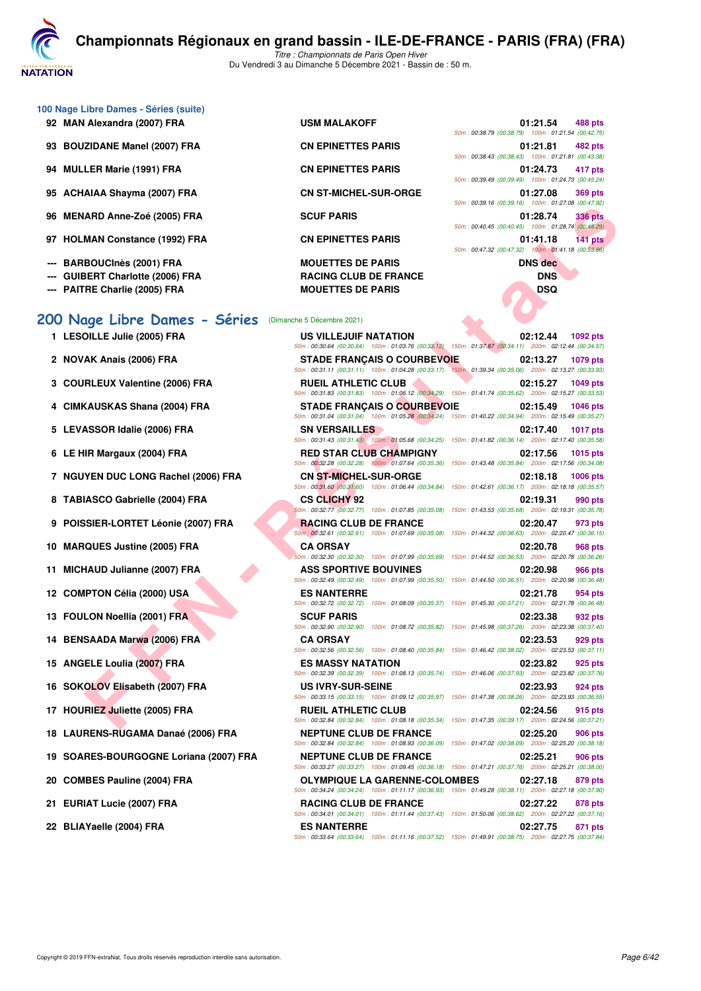

- *Titre : Championnats de Paris Open Hiver* Du Vendredi 3 au Dimanche 5 Décembre 2021 - Bassin de : 50 m.
- **100 Nage Libre Dames Séries (suite)**
	- 92 MAN Alexandra (2007) FRA USM MALAKOFF
	- 93 BOUZIDANE Manel (2007) FRA CN EPINETTES PARIS
	- 94 **MULLER Marie (1991) FRA CN EPINETTES PARIS**
	- 95 ACHAIAA Shayma (2007) FRA CN ST-MICHEL-SUR-ORGE
	- 96 MENARD Anne-Zoé (2005) FRA SCUF PARIS
	- 97 HOLMAN Constance (1992) FRA CN EPINETTES PARIS
	- **--- BARBOUCInès (2001) FRA MOUETTES DE PARIS DNS dec**
	-
	-

## **[200 Nage Libre Dames - Séries](http://www.ffnatation.fr/webffn/resultats.php?idact=nat&go=epr&idcpt=73929&idepr=3)** (Dimanche 5 Décembre 2021)

- **1 LESOILLE Julie (2005) FRA US V<br>**  $\frac{50m:00.3}{2}$
- 2 NOVAK Anais (2006) FRA<br>
STAD
- **3 COURLEUX Valentine (2006) FRA RUEI**<br>  $\frac{50m \cdot 00.3}{50m \cdot 00.3}$
- 4 CIMKAUSKAS Shana (2004) FRA STAD
- 5 LEVASSOR Idalie (2006) FRA SN V
- **6 LE HIR Margaux (2004) FRA RED**
- **7 NGUYEN DUC LONG Rachel (2006) FRA CNS**
- 8 TABIASCO Gabrielle (2004) FRA CS C
- **9 POISSIER-LORTET Léonie (2007) FRA RACI**
- **10 MARQUES Justine (2005) FRA CA ORSAY 02:40.78**
- 11 MICHAUD Julianne (2007) FRA ASS
- **12 COMPTON Célia (2000) USA ES N<br>
FOR 1003**
- **13 FOULON Noellia (2001) FRA SCUF SCUF 932 pts**
- **14 BENSAADA Marwa (2006) FRA CA O**<br>  $\frac{60m \cdot 0.93}{50m \cdot 0.933}$
- 15 ANGELE Loulia (2007) FRA **ESM**
- **16 SOKOLOV Elisabeth (2007) FRA US IV<br>**  $\frac{50m \cdot 0.03}{50m \cdot 0.03}$
- 17 HOURIEZ Juliette (2005) FRA RUEI
- **18 LAURENS-RUGAMA Danaé (2006) FRA NEPT**<br> *SOm : 00:3*
- 19 SOARES-BOURGOGNE Loriana (2007) FRA NEPT
- **20 COMBES Pauline (2004) FRA OLYM**<br> **COMBES Pauline (2004) FRA** OLYMPIQUE **SOM**: 00:3
- 21 EURIAT Lucie (2007) FRA RACI
- 22 BLIAYaelle (2004) FRA **ES N**

**--- GUIBERT Charlotte (2006) FRA RACING CLUB DE FRANCE DNS --- PAITRE Charlie (2005) FRA MOUETTES DE PARIS DSQ**

|  | 01:21.54 488 pts<br>50m: 00:38.79 (00:38.79) 100m: 01:21.54 (00:42.75) |  |
|--|------------------------------------------------------------------------|--|
|  | 01:21.81 482 pts<br>50m: 00:38.43 (00:38.43) 100m: 01:21.81 (00:43.38) |  |
|  | 01:24.73 417 pts<br>50m: 00:39.49 (00:39.49) 100m: 01:24.73 (00:45.24) |  |
|  | 01:27.08 369 pts<br>50m: 00:39.16 (00:39.16) 100m: 01:27.08 (00:47.92) |  |
|  | 01:28.74 336 pts<br>50m: 00:40.45 (00:40.45) 100m: 01:28.74 (00:48.29) |  |
|  | 01:41.18 141 pts<br>50m: 00:47.32 (00:47.32) 100m: 01:41.18 (00:53.86) |  |
|  | <b>BAIR JULY</b>                                                       |  |

|                                      |                                                                                    | $10011.00133.10$ (00.03.10) 100m. 01.27.00 (00.47.32)                                                                                 |
|--------------------------------------|------------------------------------------------------------------------------------|---------------------------------------------------------------------------------------------------------------------------------------|
| ARD Anne-Zoé (2005) FRA              | <b>SCUF PARIS</b>                                                                  | 01:28.74<br><b>336 pts</b><br>50m: 00:40.45 (00:40.45) 100m: 01:28.74 (00:48.29)                                                      |
| MAN Constance (1992) FRA             | <b>CN EPINETTES PARIS</b>                                                          | 01:41.18<br>141 pts<br>50m: 00:47.32 (00:47.32) 100m: 01:41.18 (00:53.86)                                                             |
| BOUCInès (2001) FRA                  | <b>MOUETTES DE PARIS</b>                                                           | <b>DNS</b> dec                                                                                                                        |
| <b>BERT Charlotte (2006) FRA</b>     | <b>RACING CLUB DE FRANCE</b>                                                       | <b>DNS</b>                                                                                                                            |
| RE Charlie (2005) FRA                | <b>MOUETTES DE PARIS</b>                                                           | <b>DSQ</b>                                                                                                                            |
| age Libre Dames - Séries             | (Dimanche 5 Décembre 2021)                                                         |                                                                                                                                       |
| <b>OILLE Julie (2005) FRA</b>        | US VILLEJUIF NATATION                                                              | 02:12.44<br>1092 pts<br>50m: 00:30.64 (00:30.64) 100m: 01:03.76 (00:33.12) 150m: 01:37.87 (00:34.11) 200m: 02:12.44 (00:34.57)        |
| AK Anais (2006) FRA                  | <b>STADE FRANÇAIS O COURBEVOIE</b>                                                 | 02:13.27<br>1079 pts<br>50m: 00:31.11 (00:31.11) 100m: 01:04.28 (00:33.17) 150m: 01:39.34 (00:35.06) 200m: 02:13.27 (00:33.93)        |
| RLEUX Valentine (2006) FRA           | <b>RUEIL ATHLETIC CLUB</b>                                                         | 02:15.27<br>1049 pts<br>50m: 00:31.83 (00:31.83) 100m: 01:06.12 (00:34.29) 150m: 01:41.74 (00:35.62) 200m: 02:15.27 (00:33.53)        |
| (AUSKAS Shana (2004) FRA             | <b>STADE FRANÇAIS O COURBEVOIE</b>                                                 | 02:15.49<br><b>1046 pts</b><br>50m: 00:31.04 (00:31.04) 100m: 01:05.28 (00:34.24) 150m: 01:40.22 (00:34.94) 200m: 02:15.49 (00:35.27) |
| <b>ASSOR Idalie (2006) FRA</b>       | <b>SN VERSAILLES</b>                                                               | 02:17.40<br><b>1017 pts</b><br>50m: 00:31.43 (00:31.43) 100m: 01:05.68 (00:34.25) 150m: 01:41.82 (00:36.14) 200m: 02:17.40 (00:35.58) |
| IR Margaux (2004) FRA                | <b>RED STAR CLUB CHAMPIGNY</b>                                                     | 02:17.56<br>1015 pts<br>50m: 00:32.28 (00:32.28) 100m: 01:07.64 (00:35.36) 150m: 01:43.48 (00:35.84) 200m: 02:17.56 (00:34.08)        |
| YEN DUC LONG Rachel (2006) FRA       | <b>CN ST-MICHEL-SUR-ORGE</b><br>50m: 00:31.60 (00:31.60) 100m: 01:06.44 (00:34.84) | 02:18.18<br><b>1006 pts</b><br>150m: 01:42.61 (00:36.17) 200m: 02:18.18 (00:35.57)                                                    |
| IASCO Gabrielle (2004) FRA           | <b>CS CLICHY 92</b><br>50m: 00:32.77 (00:32.77) 100m: 01:07.85 (00:35.08)          | 02:19.31<br>990 pts<br>150m: 01:43.53 (00:35.68) 200m: 02:19.31 (00:35.78)                                                            |
| <b>SIER-LORTET Léonie (2007) FRA</b> | <b>RACING CLUB DE FRANCE</b>                                                       | 02:20.47<br>973 pts<br>50m; 00:32.61 (00:32.61) 100m: 01:07.69 (00:35.08) 150m: 01:44.32 (00:36.63) 200m: 02:20.47 (00:36.15)         |
| <b>QUES Justine (2005) FRA</b>       | <b>CA ORSAY</b><br>50m: 00:32.30 (00:32.30) 100m: 01:07.99 (00:35.69)              | 02:20.78<br><b>968 pts</b><br>150m: 01:44.52 (00:36.53) 200m: 02:20.78 (00:36.26)                                                     |
| HAUD Julianne (2007) FRA             | <b>ASS SPORTIVE BOUVINES</b>                                                       | 02:20.98<br>966 pts<br>50m : 00:32.49 (00:32.49) 100m : 01:07.99 (00:35.50) 150m : 01:44.50 (00:36.51) 200m : 02:20.98 (00:36.48)     |
| IPTON Célia (2000) USA               | <b>ES NANTERRE</b>                                                                 | 02:21.78<br>954 pts<br>50m : 00:32.72 (00:32.72) 100m : 01:08.09 (00:35.37) 150m : 01:45.30 (00:37.21) 200m : 02:21.78 (00:36.48)     |
| LON Noellia (2001) FRA               | <b>SCUF PARIS</b>                                                                  | 02:23.38<br>932 pts<br>50m : 00:32.90 (00:32.90) 100m : 01:08.72 (00:35.82) 150m : 01:45.98 (00:37.26) 200m : 02:23.38 (00:37.40)     |
| SAADA Marwa (2006) FRA               | <b>CA ORSAY</b>                                                                    | 02:23.53<br>929 pts<br>50m: 00:32.56 (00:32.56) 100m: 01:08.40 (00:35.84) 150m: 01:46.42 (00:38.02) 200m: 02:23.53 (00:37.11)         |
| ELE Loulia (2007) FRA                | <b>ES MASSY NATATION</b>                                                           | 02:23.82<br>925 pts<br>50m: 00:32.39 (00:32.39) 100m: 01:08.13 (00:35.74) 150m: 01:46.06 (00:37.93) 200m: 02:23.82 (00:37.76)         |
| OLOV Elisabeth (2007) FRA            | <b>US IVRY-SUR-SEINE</b>                                                           | 02:23.93<br>924 pts<br>50m: 00:33.15 (00:33.15) 100m: 01:09.12 (00:35.97) 150m: 01:47.38 (00:38.26) 200m: 02:23.93 (00:36.55)         |
| RIEZ Juliette (2005) FRA             | <b>RUEIL ATHLETIC CLUB</b>                                                         | 02:24.56<br>915 pts<br>50m: 00:32.84 (00:32.84) 100m: 01:08.18 (00:35.34) 150m: 01:47.35 (00:39.17) 200m: 02:24.56 (00:37.21)         |
| RENS-RUGAMA Danaé (2006) FRA         | <b>NEPTUNE CLUB DE FRANCE</b>                                                      | 02:25.20<br>906 pts<br>50m: 00:32.84 (00:32.84) 100m: 01:08.93 (00:36.09) 150m: 01:47.02 (00:38.09) 200m: 02:25.20 (00:38.18)         |
| RES-BOURGOGNE Loriana (2007) FRA     | <b>NEPTUNE CLUB DE FRANCE</b>                                                      | 02:25.21<br>906 pts<br>50m: 00:33.27 (00:33.27) 100m: 01:09.45 (00:36.18) 150m: 01:47.21 (00:37.76) 200m: 02:25.21 (00:38.00)         |
| <b>IBES Pauline (2004) FRA</b>       | <b>OLYMPIQUE LA GARENNE-COLOMBES</b>                                               | 02:27.18<br>879 pts<br>50m: 00:34.24 (00:34.24) 100m: 01:11.17 (00:36.93) 150m: 01:49.28 (00:38.11) 200m: 02:27.18 (00:37.90)         |
| IAT Lucie (2007) FRA                 | <b>RACING CLUB DE FRANCE</b>                                                       | 02:27.22<br>878 pts<br>50m: 00:34.01 (00:34.01) 100m: 01:11.44 (00:37.43) 150m: 01:50.06 (00:38.62) 200m: 02:27.22 (00:37.16)         |
| Yaelle (2004) FRA                    | <b>ES NANTERRE</b>                                                                 | 02:27.75<br>871 pts<br>50m; 00:33.64 (00:33.64) 100m; 01:11.16 (00:37.52) 150m; 01:49.91 (00:38.75) 200m; 02:27.75 (00:37.84)         |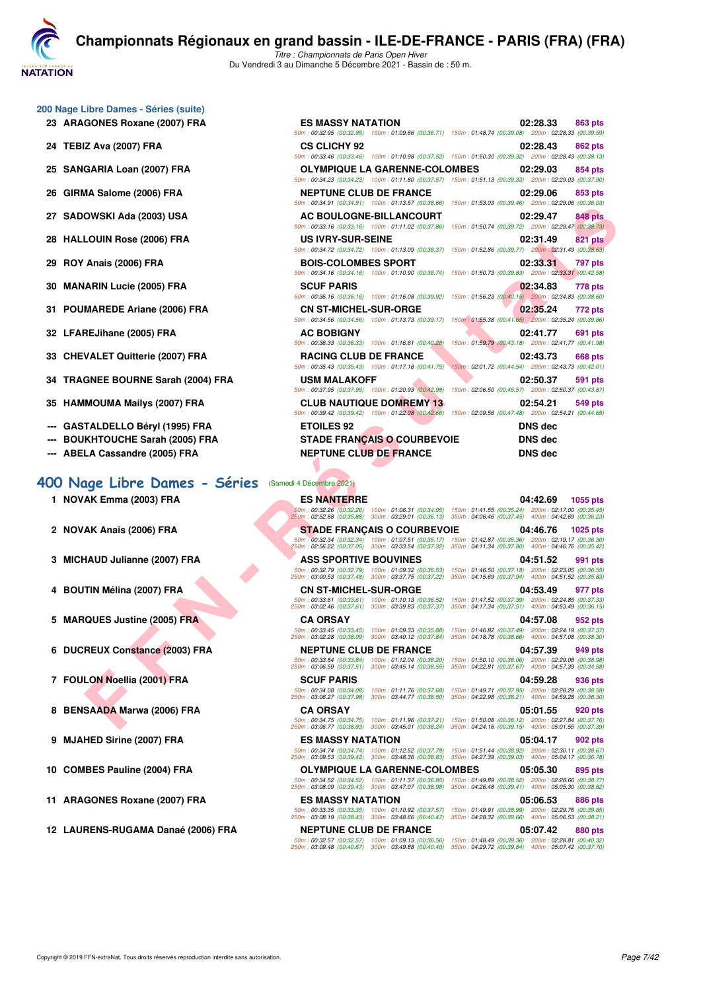**VATATION** 

**[C](http://www.ffnatation.fr/webffn/index.php)hampionnats Régionaux en grand bassin - ILE-DE-FRANCE - PARIS (FRA) (FRA)** *Titre : Championnats de Paris Open Hiver*

Du Vendredi 3 au Dimanche 5 Décembre 2021 - Bassin de : 50 m.

#### **200 Nage Libre Dames - Séries (suite)**

- 23 ARAGONES Roxane (2007) FRA
- **24 TEBIZ Ava (2007) FRA CS CLICHY 92 02:28.43 862 pts**
- 25 SANGARIA Loan (2007) FRA
- 26 GIRMA Salome (2006) FRA
- **27 SADOWSKI Ada (2003) USA**
- **28 HALLOUIN Rose (2006) FRA**
- **29 ROY Anais (2006) FRA BOIS-COLOMBES SPORT 02:33.31 797 pts**
- **30 MANARIN Lucie (2005) FRA**
- 31 POUMAREDE Ariane (2006) FRA
- **32 LFAREJihane (2005) FRA**
- 33 CHEVALET Quitterie (2007) FRA
- **34 TRAGNEE BOURNE Sarah (2004) FRA**
- 35 HAMMOUMA Mailys (2007) FRA
- --- GASTALDELLO Béryl (1995) FRA
- **--- BOUKHTOUCHE Sarah (2005) FRA**
- **--- ABELA Cassandre (2005) FRA**

#### **[400 Nage Libre Dames - Séries](http://www.ffnatation.fr/webffn/resultats.php?idact=nat&go=epr&idcpt=73929&idepr=4)** (Samedi 4 Décembre 2021)

- **1 NOVAK Emma (2003) FRA**
- 2 **NOVAK Anais (2006) FRA**
- **3 MICHAUD Julianne (2007) FRA**
- **4 BOUTIN Mélina (2007) FRA**
- **5 MARQUES Justine (2005) FRA**
- **6 DUCREUX Constance (2003) FRA**
- **7 FOULON Noellia (2001) FRA**
- **8 BENSAADA Marwa (2006) FRA**
- **9 MJAHED Sirine (2007) FRA**
- **10 COMBES Pauline (2004) FRA**
- 11 ARAGONES Roxane (2007) FRA
- 12 LAURENS-RUGAMA Danaé (2006) FRA

| ן טוווטן נסטווסט - טכוונסט שוווסן.                   |                                                                                                                                                                                                                                      |                                                                                                                       |
|------------------------------------------------------|--------------------------------------------------------------------------------------------------------------------------------------------------------------------------------------------------------------------------------------|-----------------------------------------------------------------------------------------------------------------------|
| GONES Roxane (2007) FRA                              | <b>ES MASSY NATATION</b>                                                                                                                                                                                                             | 02:28.33<br>863 pts                                                                                                   |
|                                                      | 50m: 00:32.95 (00:32.95) 100m: 01:09.66 (00:36.71) 150m: 01:48.74 (00:39.08) 200m: 02:28.33 (00:39.59)                                                                                                                               |                                                                                                                       |
| IZ Ava (2007) FRA                                    | <b>CS CLICHY 92</b><br>50m: 00:33.46 (00:33.46) 100m: 01:10.98 (00:37.52) 150m: 01:50.30 (00:39.32) 200m: 02:28.43 (00:38.13)                                                                                                        | 02:28.43<br>862 pts                                                                                                   |
| GARIA Loan (2007) FRA                                | <b>OLYMPIQUE LA GARENNE-COLOMBES</b><br>50m: 00:34.23 (00:34.23) 100m: 01:11.80 (00:37.57) 150m: 01:51.13 (00:39.33) 200m: 02:29.03 (00:37.90)                                                                                       | 02:29.03<br>854 pts                                                                                                   |
| <b>1A Salome (2006) FRA</b>                          | <b>NEPTUNE CLUB DE FRANCE</b><br>50m: 00:34.91 (00:34.91) 100m: 01:13.57 (00:38.66)                                                                                                                                                  | 02:29.06<br>853 pts<br>150m: 01:53.03 (00:39.46) 200m: 02:29.06 (00:36.03)                                            |
| OWSKI Ada (2003) USA                                 | AC BOULOGNE-BILLANCOURT                                                                                                                                                                                                              | 02:29.47<br>848 pts                                                                                                   |
| <b>LOUIN Rose (2006) FRA</b>                         | 50m: 00:33.16 (00:33.16) 100m: 01:11.02 (00:37.86)<br><b>US IVRY-SUR-SEINE</b>                                                                                                                                                       | 150m: 01:50.74 (00:39.72) 200m: 02:29.47 (00:38.73)<br>02:31.49<br><b>821 pts</b>                                     |
| <b>Anais (2006) FRA</b>                              | 50m: 00:34.72 (00:34.72) 100m: 01:13.09 (00:38.37)<br><b>BOIS-COLOMBES SPORT</b>                                                                                                                                                     | 150m: 01:52.86 (00:39.77) 200m: 02:31.49 (00:38.63)<br>02:33.31<br>797 pts                                            |
| ARIN Lucie (2005) FRA                                | 50m: 00:34.16 (00:34.16) 100m: 01:10.90 (00:36.74) 150m: 01:50.73 (00:39.83) 200m: 02:33.31 (00:42.58)<br><b>SCUF PARIS</b>                                                                                                          | 02:34.83<br>778 pts                                                                                                   |
| <b>MAREDE Ariane (2006) FRA</b>                      | 50m: 00:36.16 (00:36.16) 100m: 01:16.08 (00:39.92) 150m: 01:56.23 (00:40.15) 200m: 02:34.83 (00:38.60)<br><b>CN ST-MICHEL-SUR-ORGE</b>                                                                                               | 02:35.24<br>772 pts                                                                                                   |
| REJihane (2005) FRA                                  | 50m: 00:34.56 (00:34.56) 100m: 01:13.73 (00:39.17) 150m: 01:55.38 (00:41.65) 200m: 02:35.24 (00:39.86)<br><b>AC BOBIGNY</b>                                                                                                          | 02:41.77<br>691 pts                                                                                                   |
| VALET Quitterie (2007) FRA                           | 50m: 00:36.33 (00:36.33) 100m: 01:16.61 (00:40.28)<br><b>RACING CLUB DE FRANCE</b>                                                                                                                                                   | 150m: 01:59.79 (00:43.18) 200m: 02:41.77 (00:41.98)<br>02:43.73<br>668 pts                                            |
| GNEE BOURNE Sarah (2004) FRA                         | 50m: 00:35.43 (00:35.43) 100m: 01:17.18 (00:41.75)<br><b>USM MALAKOFF</b>                                                                                                                                                            | 150m: 02:01.72 (00:44.54) 200m: 02:43.73 (00:42.01)<br>02:50.37<br>591 pts                                            |
| IMOUMA Mailys (2007) FRA                             | 50m: 00:37.95 (00:37.95) 100m: 01:20.93 (00:42.98)<br><b>CLUB NAUTIQUE DOMREMY 13</b>                                                                                                                                                | 150m: 02:06.50 (00:45.57) 200m: 02:50.37 (00:43.87)<br>02:54.21<br>549 pts                                            |
| TALDELLO Béryl (1995) FRA                            | 50m : 00:39.42 (00:39.42) 100m : 01:22.08 (00:42.66) 150m : 02:09.56 (00:47.48) 200m : 02:54.21 (00:44.65)<br><b>ETOILES 92</b>                                                                                                      | <b>DNS</b> dec                                                                                                        |
|                                                      |                                                                                                                                                                                                                                      |                                                                                                                       |
| KHTOUCHE Sarah (2005) FRA<br>LA Cassandre (2005) FRA | <b>STADE FRANÇAIS O COURBEVOIE</b><br><b>NEPTUNE CLUB DE FRANCE</b>                                                                                                                                                                  | <b>DNS dec</b><br><b>DNS dec</b>                                                                                      |
|                                                      |                                                                                                                                                                                                                                      |                                                                                                                       |
| age Libre Dames - Séries                             | (Samedi 4 Décembre 2021)                                                                                                                                                                                                             |                                                                                                                       |
| AK Emma (2003) FRA                                   | <b>ES NANTERRE</b>                                                                                                                                                                                                                   | 04:42.69<br>1055 pts                                                                                                  |
|                                                      | 50m: 00:32.26 (00:32.26) 100m: 01:06.31 (00:34.05) 150m: 01:41.55 (00:35.24) 200m: 02:17.00 (00:35.45)<br>250m: 02:52.88 (00:35.88) 300m: 03:29.01 (00:36.13) 350m: 04:06.46 (00:37.45) 400m: 04:42.69 (00:36.23)                    |                                                                                                                       |
| AK Anais (2006) FRA                                  | <b>STADE FRANÇAIS O COURBEVOIE</b><br>50m : 00:32.34 (00:32.34) 100m : 01:07.51 (00:35.17) 150m : 01:42.87 (00:35.36) 200m : 02:19.17 (00:36.30)                                                                                     | 04:46.76<br>1025 pts                                                                                                  |
| HAUD Julianne (2007) FRA                             | 250m: 02:56.22 (00:37.05) 300m: 03:33.54 (00:37.32)<br><b>ASS SPORTIVE BOUVINES</b>                                                                                                                                                  | 350m: 04:11.34 (00:37.80) 400m: 04:46.76 (00:35.42)<br>04:51.52<br>991 pts                                            |
|                                                      | 50m: 00:32.79 (00:32.79) 100m: 01:09.32 (00:36.53) 150m: 01:46.50 (00:37.18) 200m: 02:23.05 (00:36.55)<br>250m: 03:00.53 (00:37.48) 300m: 03:37.75 (00:37.22) 350m: 04:15.69 (00:37.94) 400m: 04:51.52 (00:35.83)                    |                                                                                                                       |
| TIN Mélina (2007) FRA                                | <b>CN ST-MICHEL-SUR-ORGE</b><br>50m: 00:33.61 (00:33.61) 100m: 01:10.13 (00:36.52) 150m: 01:47.52 (00:37.39) 200m: 02:24.85 (00:37.33)                                                                                               | 04:53.49<br>977 pts                                                                                                   |
|                                                      | 250m: 03:02.46 (00:37.61) 300m: 03:39.83 (00:37.37) 350m: 04:17.34 (00:37.51) 400m: 04:53.49 (00:36.15)                                                                                                                              |                                                                                                                       |
| QUES Justine (2005) FRA                              | <b>CA ORSAY</b><br>50m: 00:33.45 (00:33.45) 100m: 01:09.33 (00:35.88) 150m: 01:46.82 (00:37.49) 200m: 02:24.19 (00:37.37)<br>250m: 03:02.28 (00:38.09) 300m: 03:40.12 (00:37.84) 350m: 04:18.78 (00:38.66) 400m: 04:57.08 (00:38.30) | 04:57.08<br>952 pts                                                                                                   |
| REUX Constance (2003) FRA                            | <b>NEPTUNE CLUB DE FRANCE</b><br>50m: 00:33.84 (00:33.84)<br>100m: 01:12.04 (00:38.20)                                                                                                                                               | 04:57.39<br>949 pts<br>150m: 01:50.10 (00:38.06) 200m: 02:29.08 (00:38.98)                                            |
| LON Noellia (2001) FRA                               | 250m: 03:06.59 (00:37.51)<br>300m: 03:45.14 (00:38.55)<br><b>SCUF PARIS</b>                                                                                                                                                          | 350m: 04:22.81 (00:37.67) 400m: 04:57.39 (00:34.58)<br>04:59.28                                                       |
|                                                      | 50m: 00:34.08 (00:34.08)<br>100m: 01:11.76 (00:37.68)<br>250m: 03:06.27 (00:37.98)<br>300m: 03:44.77 (00:38.50)                                                                                                                      | 936 pts<br>150m: 01:49.71 (00:37.95) 200m: 02:28.29 (00:38.58)<br>350m: 04:22.98 (00:38.21) 400m: 04:59.28 (00:36.30) |
| SAADA Marwa (2006) FRA                               | <b>CA ORSAY</b>                                                                                                                                                                                                                      | 05:01.55<br>920 pts                                                                                                   |
|                                                      | 50m: 00:34.75 (00:34.75) 100m: 01:11.96 (00:37.21) 150m: 01:50.08 (00:38.12) 200m: 02:27.84 (00:37.76)<br>250m: 03:06.77 (00:38.93) 300m: 03:45.01 (00:38.24) 350m: 04:24.16 (00:39.15) 400m: 05:01.55 (00:37.39)                    |                                                                                                                       |

| <b>ES NANTERRE</b>                                    |                                                        |                                                                                                            | 04:42.69                                               | 1055 pts |
|-------------------------------------------------------|--------------------------------------------------------|------------------------------------------------------------------------------------------------------------|--------------------------------------------------------|----------|
| 50m: 00:32.26 (00:32.26)<br>250m: 02:52.88 (00:35.88) | 100m: 01:06.31 (00:34.05)<br>300m: 03:29.01 (00:36.13) | 150m: 01:41.55 (00:35.24)<br>350m: 04:06.46 (00:37.45)                                                     | 200m: 02:17.00 (00:35.45)<br>400m: 04:42.69 (00:36.23) |          |
|                                                       | <b>STADE FRANCAIS O COURBEVOIE</b>                     |                                                                                                            | 04:46.76                                               | 1025 pts |
| 50m: 00:32.34 (00:32.34)<br>250m: 02:56.22 (00:37.05) | 100m: 01:07.51 (00:35.17)<br>300m: 03:33.54 (00:37.32) | 150m: 01:42.87 (00:35.36)<br>350m: 04:11.34 (00:37.80)                                                     | 200m: 02:19.17 (00:36.30)<br>400m: 04:46.76 (00:35.42) |          |
| <b>ASS SPORTIVE BOUVINES</b>                          |                                                        |                                                                                                            | 04:51.52                                               | 991 pts  |
| 50m: 00:32.79 (00:32.79)<br>250m: 03:00.53 (00:37.48) | 100m: 01:09.32 (00:36.53)<br>300m: 03:37.75 (00:37.22) | 150m: 01:46.50 (00:37.18)<br>350m: 04:15.69 (00:37.94) 400m: 04:51.52 (00:35.83)                           | 200m: 02:23.05 (00:36.55)                              |          |
| <b>CN ST-MICHEL-SUR-ORGE</b>                          |                                                        |                                                                                                            | 04:53.49                                               | 977 pts  |
| 50m: 00:33.61 (00:33.61)<br>250m: 03:02.46 (00:37.61) | 100m: 01:10.13 (00:36.52)<br>300m: 03:39.83 (00:37.37) | 150m: 01:47.52 (00:37.39) 200m: 02:24.85 (00:37.33)<br>350m: 04:17.34 (00:37.51) 400m: 04:53.49 (00:36.15) |                                                        |          |
| <b>CA ORSAY</b>                                       |                                                        |                                                                                                            | 04:57.08                                               | 952 pts  |
| 50m: 00:33.45 (00:33.45)<br>250m: 03:02.28 (00:38.09) | 100m: 01:09.33 (00:35.88)<br>300m: 03:40.12 (00:37.84) | 150m: 01:46.82 (00:37.49) 200m: 02:24.19 (00:37.37)<br>350m: 04:18.78 (00:38.66)                           | 400m: 04:57.08 (00:38.30)                              |          |
| <b>NEPTUNE CLUB DE FRANCE</b>                         |                                                        |                                                                                                            | 04:57.39                                               | 949 pts  |
| 50m: 00:33.84 (00:33.84)<br>250m: 03:06.59 (00:37.51) | 100m: 01:12.04 (00:38.20)<br>300m: 03:45.14 (00:38.55) | 150m: 01:50.10 (00:38.06)<br>350m: 04:22.81 (00:37.67) 400m: 04:57.39 (00:34.58)                           | 200m: 02:29.08 (00:38.98)                              |          |
|                                                       |                                                        |                                                                                                            |                                                        |          |
| <b>SCUF PARIS</b>                                     |                                                        |                                                                                                            | 04:59.28                                               | 936 pts  |
| 50m: 00:34.08 (00:34.08)<br>250m: 03:06.27 (00:37.98) | 100m: 01:11.76 (00:37.68)<br>300m: 03:44.77 (00:38.50) | 150m: 01:49.71 (00:37.95)<br>350m: 04:22.98 (00:38.21) 400m: 04:59.28 (00:36.30)                           | 200m: 02:28.29 (00:38.58)                              |          |
| <b>CA ORSAY</b>                                       |                                                        |                                                                                                            | 05:01.55                                               | 920 pts  |
| 50m: 00:34.75 (00:34.75)<br>250m: 03:06.77 (00:38.93) | 100m: 01:11.96 (00:37.21)<br>300m: 03:45.01 (00:38.24) | 150m: 01:50.08 (00:38.12) 200m: 02:27.84 (00:37.76)<br>350m: 04:24.16 (00:39.15) 400m: 05:01.55 (00:37.39) |                                                        |          |
| <b>ES MASSY NATATION</b>                              |                                                        |                                                                                                            | 05:04.17                                               | 902 pts  |
| 50m: 00:34.74 (00:34.74)<br>250m: 03:09.53 (00:39.42) | 100m: 01:12.52 (00:37.78)<br>300m: 03:48.36 (00:38.83) | 150m: 01:51.44 (00:38.92) 200m: 02:30.11 (00:38.67)<br>350m: 04:27.39 (00:39.03) 400m: 05:04.17 (00:36.78) |                                                        |          |
|                                                       | <b>OLYMPIQUE LA GARENNE-COLOMBES</b>                   |                                                                                                            | 05:05.30                                               | 895 pts  |
| 50m: 00:34.52 (00:34.52)<br>250m: 03:08.09 (00:39.43) | 100m: 01:11.37 (00:36.85)<br>300m: 03:47.07 (00:38.98) | 150m: 01:49.89 (00:38.52)<br>350m: 04:26.48 (00:39.41) 400m: 05:05.30 (00:38.82)                           | 200m: 02:28.66 (00:38.77)                              |          |
| <b>ES MASSY NATATION</b>                              |                                                        |                                                                                                            | 05:06.53                                               | 886 pts  |
| 50m: 00:33.35 (00:33.35)<br>250m: 03:08.19 (00:38.43) | 100m: 01:10.92 (00:37.57)<br>300m: 03:48.66 (00:40.47) | 150m: 01:49.91 (00:38.99) 200m: 02:29.76 (00:39.85)<br>350m: 04:28.32 (00:39.66) 400m: 05:06.53 (00:38.21) |                                                        |          |
| <b>NEPTUNE CLUB DE FRANCE</b>                         |                                                        |                                                                                                            | 05:07.42                                               | 880 pts  |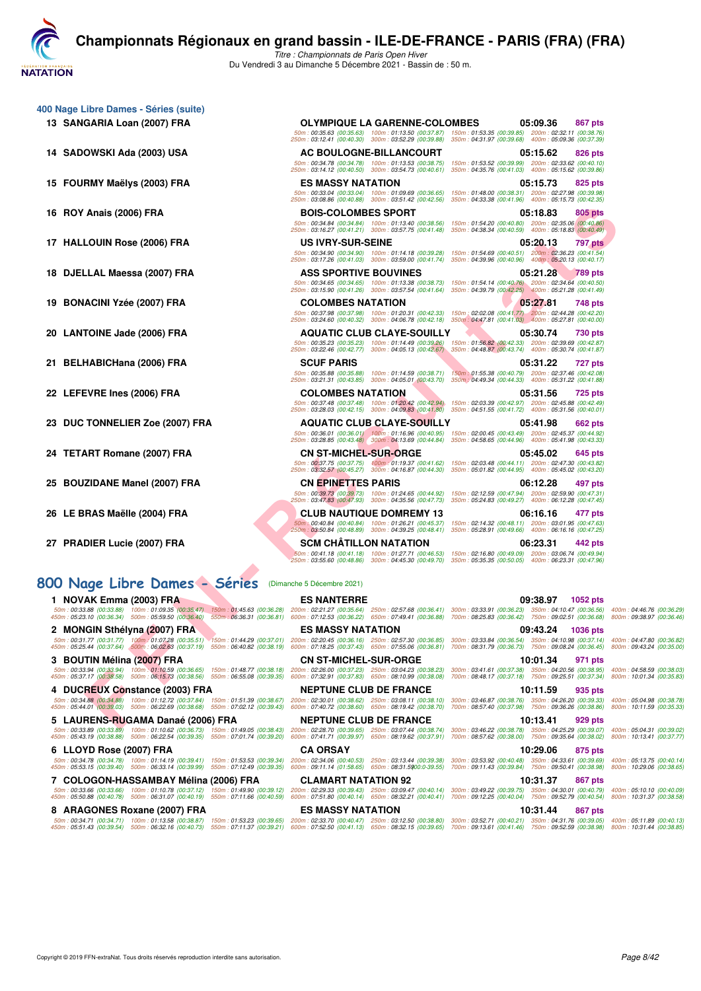

*Titre : Championnats de Paris Open Hiver* Du Vendredi 3 au Dimanche 5 Décembre 2021 - Bassin de : 50 m.

- **400 Nage Libre Dames Séries (suite)**
	- **13 SANGARIA Loan (2007) FRA OLYMPIQUE LA GARENNE-COLOMBES 05:09.36 867 pts**
	- **14 SADOWSKI Ada (2003) USA AC BOULOGNE-BILLANCOURT 05:15.62 826 pts**
	-
	-
	-
	-
	-
	-
	-
	-
	-
	-
	-
	-
	-

#### **[800 Nage Libre Dames - Séries](http://www.ffnatation.fr/webffn/resultats.php?idact=nat&go=epr&idcpt=73929&idepr=5)** (Dimanche 5 Décembre 2021)

Anal (2006) FRA - R É S COLOMBES NATION (2007) FRA - R É S COLORBAT DE LA TRENCE DE LA TRENCE DE LA TRENCE DE LA TRENCE DE LA TRENCE DE LA TRENCE DE LA TRENCE DE LA TRENCE DE LA TRENCE DE LA TRENCE DE LA TRENCE DE LA TRENC **15 FOURMY Maëlys (2003) FRA ES MASSY NATATION 05:15.73 825 pts** 50m : 00:33.04 (00:33.04) = 100m : 01:09.69 (00:36.65) = 150m : 01:48.00 (00:38.31) = 200m : 02:27.98 (00:39.98)<br>250m : 03:08.86 (00:40.88) = 300m : 03:51.42 (00:42.56) = 350m : 04:33.38 (00:41.96) = 400m : 05:15.73 (00:42 **16 ROY Anais (2006) FRA BOIS-COLOMBES SPORT 05:18.83 805 pts** 50m : 00:34.84 (00:34.84) = 100m : 01:13.40 (00:38.56) = 150m : 01:54.20 (00:40.80) = 200m : 02:35.06 (00:40.86<br>250m : 03:16.27 (00:41.21) = 300m : 03:57.75 (00:41.48) = 350m : 04:38.34 (00:40.59) = 400m : 05:18.83 (00:40. **17 HALLOUIN Rose (2006) FRA US IVRY-SUR-SEINE 05:20.13 797 pts** 50m : 00:34.90 (00:34.90) = 100m : 01:14.18 (00:39.28) = 150m : 01:54.69 (00:40.51) = 200m : 02:36.23 (00:41.54)<br>250m : 03:17.26 (00:41.03) = 300m : 03:59.00 (00:41.74) = 350m : 04:39.96 (00:40.96) = 400m : 05:20.13 (00:40 **18 DJELLAL Maessa (2007) FRA ASS SPORTIVE BOUVINES 05:21.28 789 pts** 50m : 00:34.65 (00:34.65) 100m : 01:13.38 (00:38.73) 150m : 01:54.14 (00:40.76) 200m : 02:34.64 (00:40.50)<br>250m : 03:15.90 (00:41.26) 300m : 03:57.54 (00:41.64) 350m : 04:39.79 (00:42.25) 400m : 05:21.28 **19 BONACINI Yzée (2007) FRA COLOMBES NATATION 05:27.81 748 pts** 50m : 00:37.98 (00:37.98) = 100m : 01:20.31 (00:42.33) = 150m : 02:02.08 (00:41,77) = 200m : 02:44.28 (00:42.20)<br>250m : 03:24.60 (00:40.32) = 300m : 04:06.78 (00:42.18) = 350m : 04:47.81 (00:41.03) = 400m : 05:27.81 (00:40 **20 LANTOINE Jade (2006) FRA AQUATIC CLUB CLAYE-SOUILLY 15:30.74 15:30.74 730 pts** 50m : 00:35.23 (00:35.23) = 100m : 01:14.49 (00:39.26) = 150m : 01:56,82 (00:42.33) = 200m : 02:39.69 (00:42.87<br>250m : 03:22.46 (00:42.77) = 300m : 04:05.13 (00:42.67) = 350m : 04:48.87 (00:43.74) = 400m : 05:30.74 (00:41. **21 BELHABICHana (2006) FRA SCUF PARIS 05:31.22 727 pts** 50m : 00:35.88 (00:35.88) = 100m : 01:14.59 (00:38.71) = 150m : 01:55.38 (00:40.79) = 200m : 02:37.46 (00:42.08)<br>250m : 03:21.31 (00:43.85) = 300m : 04:05.01 (00:43.70) = 350m ; 04:49.34 (00:44.33) = 400m : 05:31.22 (00:41 **22 LEFEVRE Ines (2006) FRA COLOMBES NATATION 05:31.56 725 pts** 50m : 00:37.48 (00:37.48) = 100m : 01:20.42 (00:42.94) = 150m : 02:03.39 (00:42.97) = 200m : 02:45.88 (00:42.49)<br>250m : 03:28.03 (00:42.15) = 300m : 04:09.83 (00:41.80) = 350m : 04:51.55 (00:41.72) = 400m : 05:31.56 (00:40 **23 DUC TONNELIER Zoe (2007) FRA AQUATIC CLUB CLAYE-SOUILLY 05:41.98 662 pts** 50m : 00:36.01 (00:36.01) = 100m : 01:16.96 (00:40.95) = 150m : 02:00.45 (00:43.49) = 200m : 02:45.37 (00:44.92)<br>250m : 03:28.85 (00:43.48) = 300m : 04:13.69 (00:44.84) = 350m : 04:58.65 (00:44.96) = 400m : 05:41.98 (00:43 **24 TETART Romane (2007) FRA CN ST-MICHEL-SUR-ORGE 05:45.02 645 pts 25 BOUZIDANE Manel (2007) FRA CN EPINETTES PARIS 06:12.28 497 pts 26 LE BRAS Maëlle (2004) FRA CLUB NAUTIQUE DOMREMY 13 06:16.16 477 pts**

| 24 TETART Romane (2007) FRA   | <b>CN ST-MICHEL-SUR-ORGE</b>                                                                                                                                                                                    | 05:45.02                                                                      | 645 pts |
|-------------------------------|-----------------------------------------------------------------------------------------------------------------------------------------------------------------------------------------------------------------|-------------------------------------------------------------------------------|---------|
|                               | 50m: 00:37.75 (00:37.75)<br>250m: 03:32.57 (00:45.27) 300m: 04:16.87 (00:44.30) 350m: 05:01.82 (00:44.95) 400m: 05:45.02 (00:43.20)                                                                             | 100m: 01:19.37 (00:41.62) 150m: 02:03.48 (00:44.11) 200m: 02:47.30 (00:43.82) |         |
| 25 BOUZIDANE Manel (2007) FRA | <b>CN EPINETTES PARIS</b>                                                                                                                                                                                       | 06:12.28                                                                      | 497 pts |
|                               | 50m: 00:39.73 (00:39.73)<br>.250m: 03:47.83 (00:47.93) 300m: 04:35.56 (00:47.73) 350m: 05:24.83 (00:49.27) 400m: 06:12.28 (00:47.45)                                                                            | 100m: 01:24.65 (00:44.92) 150m: 02:12.59 (00:47.94) 200m: 02:59.90 (00:47.31) |         |
| 26 LE BRAS Maëlle (2004) FRA  | <b>CLUB NAUTIQUE DOMREMY 13</b>                                                                                                                                                                                 | 06:16.16                                                                      | 477 pts |
|                               | 50m: 00:40.84 (00:40.84) 100m: 01:26.21 (00:45.37) 150m: 02:14.32 (00:48.11) 200m: 03:01.95 (00:47.63<br>250m: 03:50.84 (00:48.89) 300m: 04:39.25 (00:48.41) 350m: 05:28.91 (00:49.66) 400m: 06:16.16 (00:47.25 |                                                                               |         |
| 27 PRADIER Lucie (2007) FRA   | <b>SCM CHÂTILLON NATATION</b>                                                                                                                                                                                   | 06:23.31                                                                      | 442 pts |
|                               | 50m: 00:41.18 (00:41.18) 100m: 01:27.71 (00:46.53) 150m: 02:16.80 (00:49.09) 200m: 03:06.74 (00:49.94)<br>250m: 03:55.60 (00:48.86) 300m: 04:45.30 (00:49.70)                                                   | 350m: 05:35.35 (00:50.05) 400m: 06:23.31 (00:47.96)                           |         |

50m : 00:35.63 (00:35.63) = 100m : 01:13.50 (00:37.87) = 150m : 01:53.35 (00:39.85) = 200m : 02:32.11 (00:38.76)<br>250m : 03:12.41 (00:40.30) = 300m : 03:52.29 (00:39.88) = 350m : 04:31.97 (00:39.68) = 400m : 05:09.36 (00:37

50m : 00:34.78 (00:34.78) = 100m : 01:13.53 (00:38.75) = 150m : 01:53.52 (00:39.99) = 200m : 02:33.62 (00:40.10)<br>250m : 03:14.12 (00:40.50) = 300m : 03:54.73 (00:40.61) = 350m : 04:35.76 (00:41.03) = 400m : 05:15.62 (00:39

| 1 NOVAK Emma (2003) FRA                                                                                                                                       |                                                        | <b>ES NANTERRE</b>                                     |                                                                                                                                                                                                                                                                        | 09:38.97          | 1052 pts |                                                                                                                                                                |
|---------------------------------------------------------------------------------------------------------------------------------------------------------------|--------------------------------------------------------|--------------------------------------------------------|------------------------------------------------------------------------------------------------------------------------------------------------------------------------------------------------------------------------------------------------------------------------|-------------------|----------|----------------------------------------------------------------------------------------------------------------------------------------------------------------|
| 50m: 00:33.88 (00:33.88) 100m: 01:09.35 (00:35.47)<br>450m: 05:23.10 (00:36.34) 500m: 05:59.50 (00:36.40)                                                     | 150m: 01:45.63 (00:36.28)<br>550m: 06:36.31 (00:36.81) | 600m: 07:12.53 (00:36.22)                              | 200m: 02:21.27 (00:35.64) 250m: 02:57.68 (00:36.41) 300m: 03:33.91 (00:36.23) 350m: 04:10.47 (00:36.56) 400m: 04:46.76 (00:36.29)<br>650m : 07:49.41 (00:36.88)                                                                                                        |                   |          | 700m: 08:25.83 (00:36.42) 750m: 09:02.51 (00:36.68) 800m: 09:38.97 (00:36.46)                                                                                  |
| 2 MONGIN Sthélyna (2007) FRA                                                                                                                                  |                                                        | <b>ES MASSY NATATION</b>                               |                                                                                                                                                                                                                                                                        | 09:43.24 1036 pts |          |                                                                                                                                                                |
| 50m: 00:31.77 (00:31.77) 100m: 01:07.28 (00:35.51)<br>450m: 05:25.44 (00:37.64) 500m: 06:02.63 (00:37.19)                                                     | 150m: 01:44.29 (00:37.01)<br>550m: 06:40.82 (00:38.19) |                                                        | 200m: 02:20.45 (00:36.16) 250m: 02:57.30 (00:36.85) 300m: 03:33.84 (00:36.54) 350m: 04:10.98 (00:37.14) 400m: 04:47.80 (00:36.82)<br>600m: 07:18.25 (00:37.43) 650m: 07:55.06 (00:36.81)                                                                               |                   |          | 700m: 08:31.79 (00:36.73) 750m: 09:08.24 (00:36.45) 800m: 09:43.24 (00:35.00)                                                                                  |
| 3 BOUTIN Mélina (2007) FRA                                                                                                                                    |                                                        | <b>CN ST-MICHEL-SUR-ORGE</b>                           |                                                                                                                                                                                                                                                                        | 10:01.34          | 971 pts  |                                                                                                                                                                |
| 50m: 00:33.94 (00:33.94) 100m: 01:10.59 (00:36.65)<br>450m: 05:37.17 (00:38.58) 500m: 06:15.73 (00:38.56)                                                     | 150m: 01:48.77 (00:38.18)<br>550m: 06:55.08 (00:39.35) |                                                        | 200m: 02:26.00 (00:37.23) 250m: 03:04.23 (00:38.23)<br>600m: 07:32.91 (00:37.83) 650m: 08:10.99 (00:38.08)                                                                                                                                                             |                   |          | 300m: 03:41.61 (00:37.38) 350m: 04:20.56 (00:38.95) 400m: 04:58.59 (00:38.03)<br>700m: 08:48.17 (00:37.18) 750m: 09:25.51 (00:37.34) 800m: 10:01.34 (00:35.83) |
| 4 DUCREUX Constance (2003) FRA                                                                                                                                |                                                        | <b>NEPTUNE CLUB DE FRANCE</b>                          |                                                                                                                                                                                                                                                                        | 10:11.59          | 935 pts  |                                                                                                                                                                |
| 50m: 00:34.88 (00:34.88) 100m: 01:12.72 (00:37.84) 150m: 01:51.39 (00:38.67)<br>450m: 05:44.01 (00:39.03) 500m: 06:22.69 (00:38.68) 550m: 07:02.12 (00:39.43) |                                                        |                                                        | 200m: 02:30.01 (00:38.62) 250m: 03:08.11 (00:38.10)<br>600m: 07:40.72 (00:38.60) 650m: 08:19.42 (00:38.70)                                                                                                                                                             |                   |          | 300m: 03:46.87 (00:38.76) 350m: 04:26.20 (00:39.33) 400m: 05:04.98 (00:38.78)<br>700m: 08:57.40 (00:37.98) 750m: 09:36.26 (00:38.86) 800m: 10:11.59 (00:35.33) |
|                                                                                                                                                               |                                                        |                                                        |                                                                                                                                                                                                                                                                        |                   |          |                                                                                                                                                                |
| 5 LAURENS-RUGAMA Danaé (2006) FRA                                                                                                                             |                                                        | <b>NEPTUNE CLUB DE FRANCE</b>                          |                                                                                                                                                                                                                                                                        | 10:13.41          | 929 pts  |                                                                                                                                                                |
| 50m: 00:33.89 (00:33.89) 100m: 01:10.62 (00:36.73) 150m: 01:49.05 (00:38.43)<br>450m: 05:43.19 (00:38.88) 500m: 06:22.54 (00:39.35) 550m: 07:01.74 (00:39.20) |                                                        | 200m: 02:28.70 (00:39.65)<br>600m: 07:41.71 (00:39.97) | 250m : 03:07.44 (00:38.74)<br>650m: 08:19.62 (00:37.91)                                                                                                                                                                                                                |                   |          | 300m: 03:46.22 (00:38.78) 350m: 04:25.29 (00:39.07) 400m: 05:04.31 (00:39.02)<br>700m: 08:57.62 (00:38.00) 750m: 09:35.64 (00:38.02) 800m: 10:13.41 (00:37.77) |
| 6 LLOYD Rose (2007) FRA                                                                                                                                       |                                                        | <b>CA ORSAY</b>                                        |                                                                                                                                                                                                                                                                        | 10:29.06          | 875 pts  |                                                                                                                                                                |
| 50m; 00:34.78 (00:34.78) 100m; 01:14.19 (00:39.41) 150m; 01:53.53 (00:39.34)<br>450m: 05:53.15 (00:39.40) 500m: 06:33.14 (00:39.99)                           | 550m: 07:12.49 (00:39.35)                              | 200m: 02:34.06 (00:40.53)<br>600m: 09:11.14 (01:58.65) | 250m: 03:13.44 (00:39.38) 300m: 03:53.92 (00:40.48) 350m: 04:33.61 (00:39.69)<br>650m : 08:31.5900:0-39.55)                                                                                                                                                            |                   |          | 400m: 05:13.75 (00:40.14)<br>700m:09:11.43 (00:39.84) 750m:09:50.41 (00:38.98) 800m:10:29.06 (00:38.65)                                                        |
| 7 COLOGON-HASSAMBAY Mélina (2006) FRA                                                                                                                         |                                                        | <b>CLAMART NATATION 92</b>                             |                                                                                                                                                                                                                                                                        | 10:31.37          | 867 pts  |                                                                                                                                                                |
| 50m; 00:33.66 (00:33.66) 100m; 01:10.78 (00:37.12) 150m; 01:49.90 (00:39.12)<br>450m: 05:50.88 (00:40.78) 500m: 06:31.07 (00:40.19) 550m: 07:11.66 (00:40.59) |                                                        |                                                        | 200m: 02:29.33 (00:39.43) 250m: 03:09.47 (00:40.14) 300m: 03:49.22 (00:39.75) 350m: 04:30.01 (00:40.79) 400m: 05:10.10 (00:40.09)<br>600m: 07:51.80 (00:40.14) 650m: 08:32.21 (00:40.41) 700m: 09:12.25 (00:40.04) 750m: 09:52.79 (00:40.54) 800m: 10:31.37 (00:38.58) |                   |          |                                                                                                                                                                |
| 8 ARAGONES Roxane (2007) FRA                                                                                                                                  |                                                        | <b>ES MASSY NATATION</b>                               |                                                                                                                                                                                                                                                                        | 10:31.44          | 867 pts  |                                                                                                                                                                |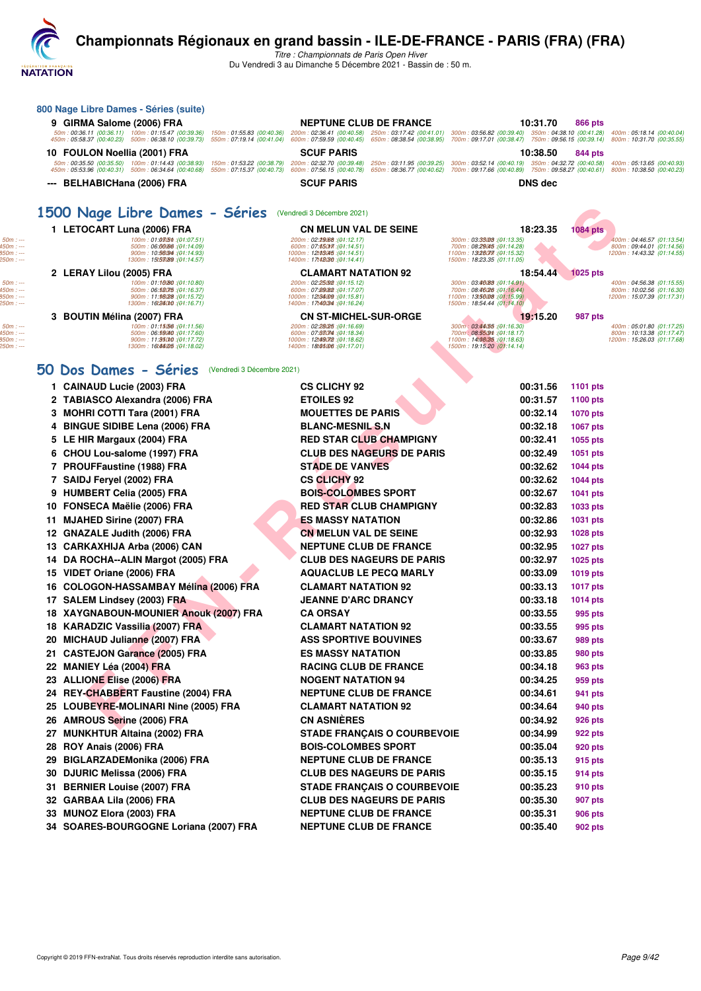*Titre : Championnats de Paris Open Hiver* Du Vendredi 3 au Dimanche 5 Décembre 2021 - Bassin de : 50 m.

| 9 GIRMA Salome (2006) FRA                                                                                                                                           | <b>NEPTUNE CLUB DE FRANCE</b>                                                                                                                                  | 10:31.70                                                                                                                            | 866 pts                                                                           |
|---------------------------------------------------------------------------------------------------------------------------------------------------------------------|----------------------------------------------------------------------------------------------------------------------------------------------------------------|-------------------------------------------------------------------------------------------------------------------------------------|-----------------------------------------------------------------------------------|
| 50m: 00:36.11 (00:36.11) 100m: 01:15.47 (00:39.36)<br>450m: 05:58.37 (00:40.23) 500m: 06:38.10 (00:39.73)                                                           | 150m: 01:55.83 (00:40.36) 200m: 02:36.41 (00:40.58) 250m: 03:17.42 (00:41.01)<br>550m: 07:19.14 (00:41.04) 600m: 07:59.59 (00:40.45) 650m: 08:38.54 (00:38.95) | 300m: 03:56.82 (00:39.40) 350m: 04:38.10 (00:41.28)<br>700m: 09:17.01 (00:38.47) 750m: 09:56.15 (00:39.14)                          | 400m: 05:18.14 (00:40.04)<br>800m: 10:31.70 (00:35.55                             |
| 10 FOULON Noellia (2001) FRA                                                                                                                                        | <b>SCUF PARIS</b>                                                                                                                                              | 10:38.50                                                                                                                            | 844 pts                                                                           |
| 50m: 00:35.50 (00:35.50) 100m: 01:14.43 (00:38.93)<br>150m: 01:53.22 (00:38.79)<br>450m: 05:53.96 (00:40.31) 500m: 06:34.64 (00:40.68)<br>550m: 07:15.37 (00:40.73) | 200m: 02:32.70 (00:39.48)<br>250m: 03:11.95 (00:39.25)<br>600m: 07:56.15 (00:40.78)<br>650m: 08:36.77 (00:40.62)                                               | 300m: 03:52.14 (00:40.19) 350m: 04:32.72 (00:40.58)<br>700m: 09:17.66 (00:40.89) 750m: 09:58.27 (00:40.61) 800m: 10:38.50 (00:40.23 | 400m: 05:13.65 (00:40.93                                                          |
| --- BELHABICHana (2006) FRA                                                                                                                                         | <b>SCUF PARIS</b>                                                                                                                                              | <b>DNS dec</b>                                                                                                                      |                                                                                   |
|                                                                                                                                                                     |                                                                                                                                                                |                                                                                                                                     |                                                                                   |
| 1500 Nage Libre Dames - Séries (Vendredi 3 Décembre 2021)                                                                                                           |                                                                                                                                                                |                                                                                                                                     |                                                                                   |
| 1 LETOCART Luna (2006) FRA                                                                                                                                          | <b>CN MELUN VAL DE SEINE</b>                                                                                                                                   | 18:23.35                                                                                                                            | 1084 pts                                                                          |
| 100m: 01:03(5th: (01:07.51)<br>500m: 06.00006 : (01:14.09)<br>900m: 10:58094 : (01:14.93)<br>1300m: 15t53089 : (04:14.57)                                           | 200m: 02:29088 : (01:12.17)<br>600m: 07:650m7: (01:14.51)<br>(01:14.51): 12t03045 : (01:14.51<br>1400m: 17t48030 : (01:14.41)                                  | 300m: 03:35008 : (01:13.35)<br>700m: 08:29045 : (01:14.28)<br>1100m: 13:28077 : (01:15.32)<br>1500m: 18:23.35 (01:11.05)            | 400m: 04:46.57 (01:13.54<br>800m: 09:44.01 (01:14.56<br>1200m: 14:43.32 (01:14.55 |
| 2 LERAY Lilou (2005) FRA                                                                                                                                            | <b>CLAMART NATATION 92</b>                                                                                                                                     | 18:54.44                                                                                                                            | <b>1025 pts</b>                                                                   |
| 100m: 01:10080 : (01:10.80)<br>500m: 06:58075 :(01:16.37)                                                                                                           | 200m: 02:25092 : (01:15.12)<br>600m: 07:89(82 : (01:17.07)                                                                                                     | 300m: 03:46088 : (01:14.91)<br>700m: 08:46(26 : (01:16.44)                                                                          | 400m: 04:56.38 (01:15.55<br>800m: 10:02.56 (01:16.30                              |
| 900m: 11:98028 : (01:15.72)<br>1300m: 16t240f0 : (01:16.71)                                                                                                         | 1000m: 12t96009:(01:15.81)<br>1400m: 17t46034 : (01:16.24)                                                                                                     | 1100m: 13:56008 : (01:15.99)<br>1500m: 18:54.44 (01:14.10)                                                                          | 1200m: 15:07.39 (01:17.31                                                         |
| 3 BOUTIN Mélina (2007) FRA                                                                                                                                          | <b>CN ST-MICHEL-SUR-ORGE</b>                                                                                                                                   | 19:15.20                                                                                                                            | 987 pts                                                                           |
| 100m: 01:15056 : (01:11.56)<br>500m: 06:59040 : (01:17.60)                                                                                                          | 200m: 02:28025 : (01:16.69)<br>600m: 07:83074 : (01:18.34)                                                                                                     | 300m: 03:44(55 : (01:16.30)<br>700m: 08:5509m: (01:18.17)                                                                           | 400m: 05:01.80 (01:17.25)<br>800m: 10:13.38 (01:17.47                             |
| 900m: 11:95010 :(01:17.72)<br>1300m: 16t4405 : (01:18.02)                                                                                                           | 1000m: 12t49072 :(01:18.62)<br>1400m: 18t05006 : (01:17.01)                                                                                                    | 1100m: 14:08/35 : (01:18.63)<br>1500m: 19:15.20 (01:14.14)                                                                          | 1200m: 15:26.03 (01:17.68                                                         |
| 50 Dos Dames - Séries (Vendredi 3 Décembre 2021)                                                                                                                    |                                                                                                                                                                |                                                                                                                                     |                                                                                   |
| 1 CAINAUD Lucie (2003) FRA                                                                                                                                          | <b>CS CLICHY 92</b>                                                                                                                                            | 00:31.56                                                                                                                            | <b>1101 pts</b>                                                                   |
| 2 TABIASCO Alexandra (2006) FRA                                                                                                                                     | <b>ETOILES 92</b>                                                                                                                                              | 00:31.57                                                                                                                            | 1100 pts                                                                          |
| 3 MOHRI COTTI Tara (2001) FRA                                                                                                                                       | <b>MOUETTES DE PARIS</b>                                                                                                                                       | 00:32.14                                                                                                                            | <b>1070 pts</b>                                                                   |
| <b>BINGUE SIDIBE Lena (2006) FRA</b><br>4                                                                                                                           | <b>BLANC-MESNIL S.N</b>                                                                                                                                        | 00:32.18                                                                                                                            | <b>1067 pts</b>                                                                   |
| 5 LE HIR Margaux (2004) FRA                                                                                                                                         | <b>RED STAR CLUB CHAMPIGNY</b>                                                                                                                                 | 00:32.41                                                                                                                            | 1055 pts                                                                          |
| 6 CHOU Lou-salome (1997) FRA                                                                                                                                        | <b>CLUB DES NAGEURS DE PARIS</b>                                                                                                                               | 00:32.49                                                                                                                            | 1051 pts                                                                          |
| 7 PROUFFaustine (1988) FRA                                                                                                                                          | <b>STADE DE VANVES</b>                                                                                                                                         | 00:32.62                                                                                                                            | <b>1044 pts</b>                                                                   |
| 7 SAIDJ Feryel (2002) FRA                                                                                                                                           | <b>CS CLICHY 92</b>                                                                                                                                            | 00:32.62                                                                                                                            | <b>1044 pts</b>                                                                   |
| 9 HUMBERT Celia (2005) FRA                                                                                                                                          | <b>BOIS-COLOMBES SPORT</b>                                                                                                                                     | 00:32.67                                                                                                                            | <b>1041 pts</b>                                                                   |
| 10 FONSECA Maëlie (2006) FRA                                                                                                                                        | <b>RED STAR CLUB CHAMPIGNY</b>                                                                                                                                 | 00:32.83                                                                                                                            | 1033 pts                                                                          |
| <b>MJAHED Sirine (2007) FRA</b><br>11.                                                                                                                              | <b>ES MASSY NATATION</b>                                                                                                                                       | 00:32.86                                                                                                                            | 1031 pts                                                                          |
| 12 GNAZALE Judith (2006) FRA                                                                                                                                        | <b>CN MELUN VAL DE SEINE</b>                                                                                                                                   | 00:32.93                                                                                                                            | 1028 pts                                                                          |
| CARKAXHIJA Arba (2006) CAN<br>13                                                                                                                                    | <b>NEPTUNE CLUB DE FRANCE</b>                                                                                                                                  | 00:32.95                                                                                                                            | <b>1027 pts</b>                                                                   |
| 14 DA ROCHA--ALIN Margot (2005) FRA                                                                                                                                 | <b>CLUB DES NAGEURS DE PARIS</b>                                                                                                                               | 00:32.97                                                                                                                            | 1025 pts                                                                          |
| 15 VIDET Oriane (2006) FRA                                                                                                                                          | <b>AQUACLUB LE PECQ MARLY</b>                                                                                                                                  | 00:33.09                                                                                                                            | 1019 pts                                                                          |
| COLOGON-HASSAMBAY Mélina (2006) FRA<br>16                                                                                                                           | <b>CLAMART NATATION 92</b>                                                                                                                                     | 00:33.13                                                                                                                            | <b>1017 pts</b>                                                                   |
| 17 SALEM Lindsey (2003) FRA                                                                                                                                         | <b>JEANNE D'ARC DRANCY</b>                                                                                                                                     | 00:33.18                                                                                                                            | 1014 pts                                                                          |
| 18 XAYGNABOUN-MOUNIER Anouk (2007) FRA                                                                                                                              | <b>CA ORSAY</b>                                                                                                                                                | 00:33.55                                                                                                                            | 995 pts                                                                           |
| 18 KARADZIC Vassilia (2007) FRA                                                                                                                                     | <b>CLAMART NATATION 92</b>                                                                                                                                     | 00:33.55                                                                                                                            | 995 pts                                                                           |
| 20<br><b>MICHAUD Julianne (2007) FRA</b>                                                                                                                            | <b>ASS SPORTIVE BOUVINES</b>                                                                                                                                   | 00:33.67                                                                                                                            | 989 pts                                                                           |
| 21 CASTEJON Garance (2005) FRA                                                                                                                                      | <b>ES MASSY NATATION</b>                                                                                                                                       | 00:33.85                                                                                                                            | 980 pts                                                                           |
| 22 MANIEY Léa (2004) FRA                                                                                                                                            | <b>RACING CLUB DE FRANCE</b>                                                                                                                                   | 00:34.18                                                                                                                            | 963 pts                                                                           |
| 23 ALLIONE Elise (2006) FRA                                                                                                                                         | <b>NOGENT NATATION 94</b>                                                                                                                                      | 00:34.25                                                                                                                            | 959 pts                                                                           |
| 24 REY-CHABBERT Faustine (2004) FRA                                                                                                                                 | <b>NEPTUNE CLUB DE FRANCE</b>                                                                                                                                  | 00:34.61                                                                                                                            | 941 pts                                                                           |
| 25 LOUBEYRE-MOLINARI Nine (2005) FRA                                                                                                                                | <b>CLAMART NATATION 92</b>                                                                                                                                     | 00:34.64                                                                                                                            | 940 pts                                                                           |
| 26 AMROUS Serine (2006) FRA                                                                                                                                         | <b>CN ASNIÈRES</b>                                                                                                                                             | 00:34.92                                                                                                                            | 926 pts                                                                           |
| 27 MUNKHTUR Altaina (2002) FRA                                                                                                                                      | <b>STADE FRANÇAIS O COURBEVOIE</b>                                                                                                                             | 00:34.99                                                                                                                            | 922 pts                                                                           |
| 28 ROY Anais (2006) FRA                                                                                                                                             | <b>BOIS-COLOMBES SPORT</b>                                                                                                                                     | 00:35.04                                                                                                                            | 920 pts                                                                           |
| 29 BIGLARZADEMonika (2006) FRA                                                                                                                                      | <b>NEPTUNE CLUB DE FRANCE</b>                                                                                                                                  | 00:35.13                                                                                                                            | 915 pts                                                                           |
| 30 DJURIC Melissa (2006) FRA                                                                                                                                        | <b>CLUB DES NAGEURS DE PARIS</b>                                                                                                                               | 00:35.15                                                                                                                            | 914 pts                                                                           |
| 31 BERNIER Louise (2007) FRA                                                                                                                                        | <b>STADE FRANÇAIS O COURBEVOIE</b>                                                                                                                             | 00:35.23                                                                                                                            | 910 pts                                                                           |
| 32 GARBAA Lila (2006) FRA                                                                                                                                           | <b>CLUB DES NAGEURS DE PARIS</b>                                                                                                                               | 00:35.30                                                                                                                            | 907 pts                                                                           |
| 33 MUNOZ Elora (2003) FRA                                                                                                                                           | <b>NEPTUNE CLUB DE FRANCE</b>                                                                                                                                  | 00:35.31                                                                                                                            | 906 pts                                                                           |
| 34 SOARES-BOURGOGNE Loriana (2007) FRA                                                                                                                              | <b>NEPTUNE CLUB DE FRANCE</b>                                                                                                                                  | 00:35.40                                                                                                                            | 902 pts                                                                           |

**800 Nage Libre Dames - Séries (suite)**

**NATATION**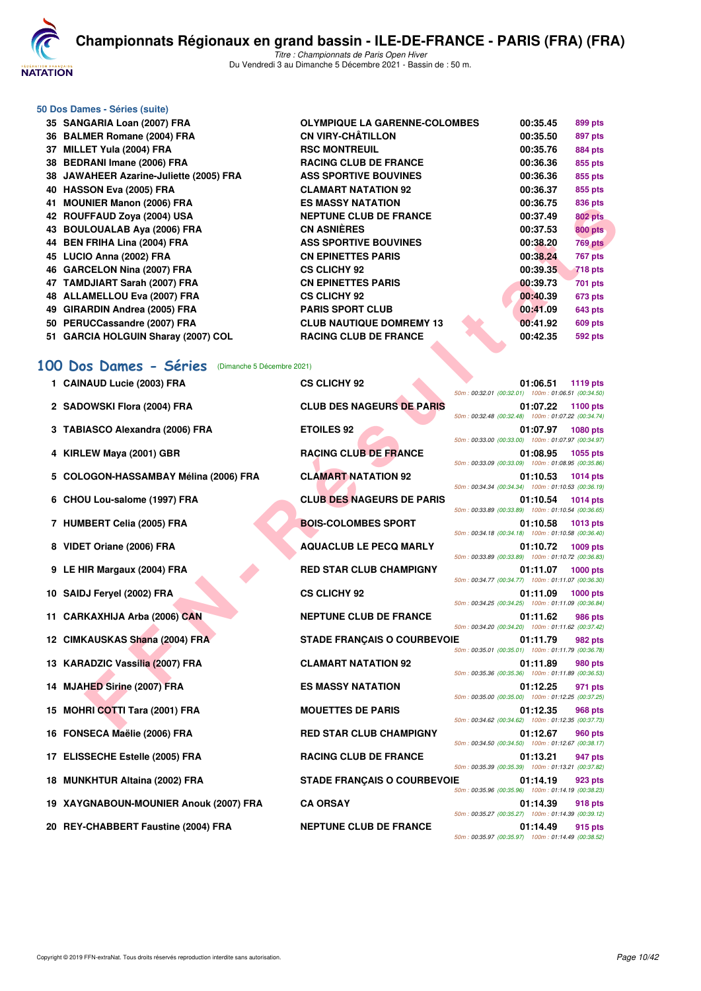

*Titre : Championnats de Paris Open Hiver* Du Vendredi 3 au Dimanche 5 Décembre 2021 - Bassin de : 50 m.

# **50 Dos Dames - Séries (suite)**

|    | 35 SANGARIA Loan (2007) FRA             |
|----|-----------------------------------------|
|    | 36 BALMER Romane (2004) FRA             |
|    | 37 MILLET Yula (2004) FRA               |
|    | 38 BEDRANI Imane (2006) FRA             |
|    | 38 JAWAHEER Azarine-Juliette (2005) FRA |
|    | 40 HASSON Eva (2005) FRA                |
| 41 | <b>MOUNIER Manon (2006) FRA</b>         |
|    | 42 ROUFFAUD Zova (2004) USA             |
|    | 43 BOULOUALAB Aya (2006) FRA            |
|    | 44 BEN FRIHA Lina (2004) FRA            |
|    | 45 LUCIO Anna (2002) FRA                |
|    | 46 GARCELON Nina (2007) FRA             |
|    | 47 TAMDJIART Sarah (2007) FRA           |
|    | 48 ALLAMELLOU Eva (2007) FRA            |
|    | 49 GIRARDIN Andrea (2005) FRA           |
|    | 50 PERUCCassandre (2007) FRA            |
|    | 51 GARCIA HOLGUIN Sharay (2007) COL     |

| 36 BALMER Romane (2004) FRA             | <b>CN VIRY-CHÂTILLON</b>        | 00:35.50 | 897 pts        |
|-----------------------------------------|---------------------------------|----------|----------------|
| 37 MILLET Yula (2004) FRA               | <b>RSC MONTREUIL</b>            | 00:35.76 | <b>884 pts</b> |
| 38 BEDRANI Imane (2006) FRA             | <b>RACING CLUB DE FRANCE</b>    | 00:36.36 | 855 pts        |
| 38 JAWAHEER Azarine-Juliette (2005) FRA | <b>ASS SPORTIVE BOUVINES</b>    | 00:36.36 | 855 pts        |
| 40 HASSON Eva (2005) FRA                | <b>CLAMART NATATION 92</b>      | 00:36.37 | 855 pts        |
| 41 MOUNIER Manon (2006) FRA             | <b>ES MASSY NATATION</b>        | 00:36.75 | 836 pts        |
| 42 ROUFFAUD Zova (2004) USA             | <b>NEPTUNE CLUB DE FRANCE</b>   | 00:37.49 | <b>802 pts</b> |
| 43 BOULOUALAB Aya (2006) FRA            | <b>CN ASNIÈRES</b>              | 00:37.53 | <b>800 pts</b> |
| 44 BEN FRIHA Lina (2004) FRA            | <b>ASS SPORTIVE BOUVINES</b>    | 00:38.20 | <b>769 pts</b> |
| 45 LUCIO Anna (2002) FRA                | <b>CN EPINETTES PARIS</b>       | 00:38.24 | <b>767 pts</b> |
| 46 GARCELON Nina (2007) FRA             | <b>CS CLICHY 92</b>             | 00:39.35 | <b>718 pts</b> |
| 47 TAMDJIART Sarah (2007) FRA           | <b>CN EPINETTES PARIS</b>       | 00:39.73 | 701 pts        |
| 48 ALLAMELLOU Eva (2007) FRA            | <b>CS CLICHY 92</b>             | 00:40.39 | 673 pts        |
| 49 GIRARDIN Andrea (2005) FRA           | <b>PARIS SPORT CLUB</b>         | 00:41.09 | <b>643 pts</b> |
| 50 PERUCCassandre (2007) FRA            | <b>CLUB NAUTIQUE DOMREMY 13</b> | 00:41.92 | 609 pts        |
| 51 GARCIA HOLGUIN Sharay (2007) COL     | <b>RACING CLUB DE FRANCE</b>    | 00:42.35 | <b>592 pts</b> |

**OLYMPIQUE LA GARENNE-COLOMBES** 00:35.45 899 pts

## **[100 Dos Dames - Séries](http://www.ffnatation.fr/webffn/resultats.php?idact=nat&go=epr&idcpt=73929&idepr=12)** (Dimanche 5 Décembre 2021)

| <b>HI MUUNILA MAHUH (4000) FRA</b>                  | ווטוו מומאו וטטמושו טם             | 00.JU. <i>i</i> J<br>oou pis                                                      |  |
|-----------------------------------------------------|------------------------------------|-----------------------------------------------------------------------------------|--|
| 42 ROUFFAUD Zoya (2004) USA                         | <b>NEPTUNE CLUB DE FRANCE</b>      | 00:37.49<br><b>802 pts</b>                                                        |  |
| 43 BOULOUALAB Aya (2006) FRA                        | <b>CN ASNIERES</b>                 | 00:37.53<br><b>800 pts</b>                                                        |  |
| 44 BEN FRIHA Lina (2004) FRA                        | <b>ASS SPORTIVE BOUVINES</b>       | 00:38.20<br><b>769 pts</b>                                                        |  |
| 45 LUCIO Anna (2002) FRA                            | <b>CN EPINETTES PARIS</b>          | 00:38.24<br><b>767 pts</b>                                                        |  |
| 46 GARCELON Nina (2007) FRA                         | <b>CS CLICHY 92</b>                | 00:39.35<br><b>718 pts</b>                                                        |  |
| 47 TAMDJIART Sarah (2007) FRA                       | <b>CN EPINETTES PARIS</b>          | 00:39.73<br>701 pts                                                               |  |
| 48 ALLAMELLOU Eva (2007) FRA                        | <b>CS CLICHY 92</b>                | 00:40.39<br><b>673 pts</b>                                                        |  |
| 49 GIRARDIN Andrea (2005) FRA                       | <b>PARIS SPORT CLUB</b>            | 00:41.09<br><b>643 pts</b>                                                        |  |
| 50 PERUCCassandre (2007) FRA                        | <b>CLUB NAUTIQUE DOMREMY 13</b>    | 00:41.92<br><b>609 pts</b>                                                        |  |
| 51 GARCIA HOLGUIN Sharay (2007) COL                 | <b>RACING CLUB DE FRANCE</b>       | 00:42.35<br>592 pts                                                               |  |
|                                                     |                                    |                                                                                   |  |
| 00 Dos Dames - Séries<br>(Dimanche 5 Décembre 2021) |                                    |                                                                                   |  |
| 1 CAINAUD Lucie (2003) FRA                          | <b>CS CLICHY 92</b>                | 01:06.51<br>1119 pts                                                              |  |
|                                                     |                                    | 50m: 00:32.01 (00:32.01) 100m: 01:06.51 (00:34.50)                                |  |
| 2 SADOWSKI Flora (2004) FRA                         | <b>CLUB DES NAGEURS DE PARIS</b>   | 01:07.22<br>1100 pts                                                              |  |
|                                                     |                                    | 50m: 00:32.48 (00:32.48) 100m: 01:07.22 (00:34.74)                                |  |
| 3 TABIASCO Alexandra (2006) FRA                     | <b>ETOILES 92</b>                  | 01:07.97 1080 pts<br>50m: 00:33.00 (00:33.00) 100m: 01:07.97 (00:34.97)           |  |
| 4 KIRLEW Maya (2001) GBR                            | <b>RACING CLUB DE FRANCE</b>       | 01:08.95<br>1055 pts                                                              |  |
|                                                     |                                    | 50m: 00:33.09 (00:33.09) 100m: 01:08.95 (00:35.86)                                |  |
| 5 COLOGON-HASSAMBAY Mélina (2006) FRA               | <b>CLAMART NATATION 92</b>         | 01:10.53<br>1014 pts                                                              |  |
|                                                     |                                    | 50m: 00:34.34 (00:34.34) 100m: 01:10.53 (00:36.19)                                |  |
| 6 CHOU Lou-salome (1997) FRA                        | <b>CLUB DES NAGEURS DE PARIS</b>   | $01:10.54$ 1014 pts                                                               |  |
|                                                     |                                    | 50m: 00:33.89 (00:33.89) 100m: 01:10.54 (00:36.65)                                |  |
| 7 HUMBERT Celia (2005) FRA                          | <b>BOIS-COLOMBES SPORT</b>         | 01:10.58<br>1013 pts<br>50m: 00:34.18 (00:34.18) 100m: 01:10.58 (00:36.40)        |  |
| 8 VIDET Oriane (2006) FRA                           | <b>AQUACLUB LE PECQ MARLY</b>      | 01:10.72<br>1009 pts                                                              |  |
|                                                     |                                    | 50m: 00:33.89 (00:33.89) 100m: 01:10.72 (00:36.83)                                |  |
| 9 LE HIR Margaux (2004) FRA                         | <b>RED STAR CLUB CHAMPIGNY</b>     | 01:11.07<br><b>1000 pts</b>                                                       |  |
|                                                     |                                    | 50m: 00:34.77 (00:34.77) 100m: 01:11.07 (00:36.30)                                |  |
| 10 SAIDJ Feryel (2002) FRA                          | <b>CS CLICHY 92</b>                | 01:11.09<br><b>1000 pts</b><br>50m: 00:34.25 (00:34.25) 100m: 01:11.09 (00:36.84) |  |
| 11 CARKAXHIJA Arba (2006) CAN                       | <b>NEPTUNE CLUB DE FRANCE</b>      | 01:11.62<br><b>986 pts</b>                                                        |  |
|                                                     |                                    | 50m: 00:34.20 (00:34.20) 100m: 01:11.62 (00:37.42)                                |  |
| 12 CIMKAUSKAS Shana (2004) FRA                      | <b>STADE FRANÇAIS O COURBEVOIE</b> | 01:11.79<br>982 pts                                                               |  |
|                                                     |                                    | 50m: 00:35.01 (00:35.01) 100m: 01:11.79 (00:36.78)                                |  |
| 13 KARADZIC Vassilia (2007) FRA                     | <b>CLAMART NATATION 92</b>         | 01:11.89<br><b>980 pts</b>                                                        |  |
|                                                     |                                    | 50m: 00:35.36 (00:35.36) 100m: 01:11.89 (00:36.53)                                |  |
| 14 MJAHED Sirine (2007) FRA                         | <b>ES MASSY NATATION</b>           | 01:12.25<br>971 pts<br>50m: 00:35.00 (00:35.00) 100m: 01:12.25 (00:37.25)         |  |
| 15 MOHRI COTTI Tara (2001) FRA                      | <b>MOUETTES DE PARIS</b>           | 01:12.35<br>968 pts                                                               |  |
|                                                     |                                    | 50m: 00:34.62 (00:34.62) 100m: 01:12.35 (00:37.73)                                |  |
| 16 FONSECA Maëlie (2006) FRA                        | <b>RED STAR CLUB CHAMPIGNY</b>     | 01:12.67<br><b>960 pts</b>                                                        |  |
|                                                     |                                    | 50m: 00:34.50 (00:34.50) 100m: 01:12.67 (00:38.17)                                |  |
| 17 ELISSECHE Estelle (2005) FRA                     | <b>RACING CLUB DE FRANCE</b>       | 01:13.21<br>947 pts                                                               |  |
|                                                     |                                    | 50m: 00:35.39 (00:35.39) 100m: 01:13.21 (00:37.82)                                |  |
| 18 MUNKHTUR Altaina (2002) FRA                      | <b>STADE FRANÇAIS O COURBEVOIE</b> | 01:14.19<br>923 pts<br>50m: 00:35.96 (00:35.96) 100m: 01:14.19 (00:38.23)         |  |
| 19 XAYGNABOUN-MOUNIER Anouk (2007) FRA              | <b>CA ORSAY</b>                    | 01:14.39<br>918 pts                                                               |  |
|                                                     |                                    | 50m: 00:35.27 (00:35.27) 100m: 01:14.39 (00:39.12)                                |  |
| 20 REY-CHABBERT Faustine (2004) FRA                 | <b>NEPTUNE CLUB DE FRANCE</b>      | 01:14.49<br>915 pts                                                               |  |

| <b>CS CLICHY 92</b>                | 01:06.51 1119 pts<br>50m: 00:32.01 (00:32.01) 100m: 01:06.51 (00:34.50)           |
|------------------------------------|-----------------------------------------------------------------------------------|
| <b>CLUB DES NAGEURS DE PARIS</b>   | 01:07.22 1100 pts                                                                 |
| <b>ETOILES 92</b>                  | 50m: 00:32.48 (00:32.48) 100m: 01:07.22 (00:34.74)<br>01:07.97 1080 pts           |
|                                    | 50m: 00:33.00 (00:33.00) 100m: 01:07.97 (00:34.97)                                |
| <b>RACING CLUB DE FRANCE</b>       | 01:08.95 1055 pts<br>50m: 00:33.09 (00:33.09) 100m: 01:08.95 (00:35.86)           |
| <b>CLAMART NATATION 92</b>         | 01:10.53 1014 pts<br>50m: 00:34.34 (00:34.34) 100m: 01:10.53 (00:36.19)           |
| <b>CLUB DES NAGEURS DE PARIS</b>   | 01:10.54<br><b>1014 pts</b>                                                       |
|                                    | 50m: 00:33.89 (00:33.89) 100m: 01:10.54 (00:36.65)                                |
| <b>BOIS-COLOMBES SPORT</b>         | 01:10.58<br><b>1013 pts</b><br>50m: 00:34.18 (00:34.18) 100m: 01:10.58 (00:36.40) |
| <b>AQUACLUB LE PECQ MARLY</b>      | 01:10.72 1009 pts                                                                 |
|                                    | 50m: 00:33.89 (00:33.89) 100m: 01:10.72 (00:36.83)                                |
| <b>RED STAR CLUB CHAMPIGNY</b>     | 01:11.07 1000 pts<br>50m: 00:34.77 (00:34.77) 100m: 01:11.07 (00:36.30)           |
| <b>CS CLICHY 92</b>                | 01:11.09<br><b>1000 pts</b>                                                       |
|                                    | 50m: 00:34.25 (00:34.25) 100m: 01:11.09 (00:36.84)                                |
| <b>NEPTUNE CLUB DE FRANCE</b>      | 01:11.62<br><b>986 pts</b><br>50m: 00:34.20 (00:34.20) 100m: 01:11.62 (00:37.42)  |
| <b>STADE FRANÇAIS O COURBEVOIE</b> | 01:11.79<br>982 pts                                                               |
|                                    | 50m: 00:35.01 (00:35.01) 100m: 01:11.79 (00:36.78)                                |
| <b>CLAMART NATATION 92</b>         | 01:11.89<br><b>980 pts</b>                                                        |
|                                    |                                                                                   |
|                                    | 50m: 00:35.36 (00:35.36) 100m: 01:11.89 (00:36.53)                                |
| <b>ES MASSY NATATION</b>           | 01:12.25<br>971 pts                                                               |
|                                    | 50m: 00:35.00 (00:35.00) 100m: 01:12.25 (00:37.25)                                |
| <b>MOUETTES DE PARIS</b>           | 01:12.35<br><b>968 pts</b>                                                        |
| <b>RED STAR CLUB CHAMPIGNY</b>     | 50m: 00:34.62 (00:34.62) 100m: 01:12.35 (00:37.73)<br><b>960 pts</b><br>01:12.67  |
|                                    | 50m: 00:34.50 (00:34.50) 100m: 01:12.67 (00:38.17)                                |
| <b>RACING CLUB DE FRANCE</b>       | 01:13.21<br>947 pts                                                               |
|                                    | 50m: 00:35.39 (00:35.39) 100m: 01:13.21 (00:37.82)                                |
| <b>STADE FRANÇAIS O COURBEVOIE</b> | 01:14.19<br>923 pts<br>50m: 00:35.96 (00:35.96) 100m: 01:14.19 (00:38.23)         |
| <b>CA ORSAY</b>                    | 01:14.39<br><b>918 pts</b>                                                        |
|                                    | 50m: 00:35.27 (00:35.27) 100m: 01:14.39 (00:39.12)                                |
| <b>NEPTUNE CLUB DE FRANCE</b>      | 01:14.49<br>915 pts<br>50m: 00:35.97 (00:35.97) 100m: 01:14.49 (00:38.52)         |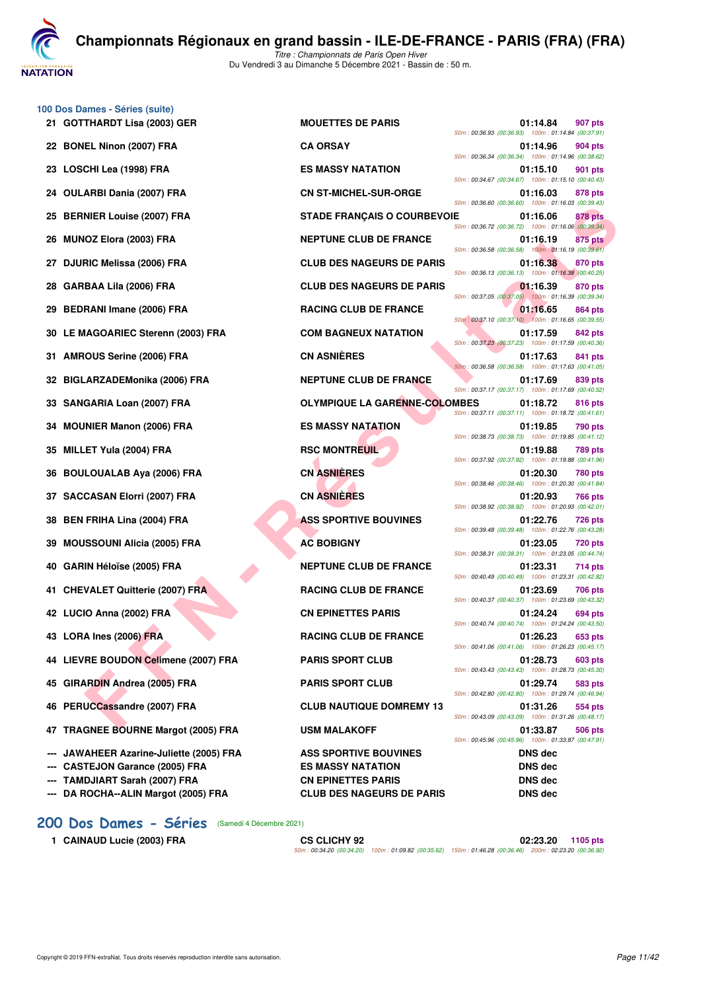**NATATION** 

**[C](http://www.ffnatation.fr/webffn/index.php)hampionnats Régionaux en grand bassin - ILE-DE-FRANCE - PARIS (FRA) (FRA)**

*Titre : Championnats de Paris Open Hiver* Du Vendredi 3 au Dimanche 5 Décembre 2021 - Bassin de : 50 m.

| 100 Dos Dames - Séries (suite)<br>21 GOTTHARDT Lisa (2003) GER                    | <b>MOUETTES DE PARIS</b>                                 | 01:14.84<br>907 pts<br>50m: 00:36.93 (00:36.93) 100m: 01:14.84 (00:37.91) |
|-----------------------------------------------------------------------------------|----------------------------------------------------------|---------------------------------------------------------------------------|
| 22 BONEL Ninon (2007) FRA                                                         | <b>CA ORSAY</b>                                          | 01:14.96<br>904 pts<br>50m: 00:36.34 (00:36.34) 100m: 01:14.96 (00:38.62) |
| 23 LOSCHI Lea (1998) FRA                                                          | <b>ES MASSY NATATION</b>                                 | 01:15.10<br>901 pts<br>50m: 00:34.67 (00:34.67) 100m: 01:15.10 (00:40.43) |
| <b>OULARBI Dania (2007) FRA</b><br>24                                             | <b>CN ST-MICHEL-SUR-ORGE</b>                             | 01:16.03<br>878 pts<br>50m: 00:36.60 (00:36.60) 100m: 01:16.03 (00:39.43) |
| <b>BERNIER Louise (2007) FRA</b><br>25                                            | <b>STADE FRANÇAIS O COURBEVOIE</b>                       | 01:16.06<br>878 pts<br>50m: 00:36.72 (00:36.72) 100m: 01:16.06 (00:39.34) |
| <b>MUNOZ Elora (2003) FRA</b><br>26                                               | <b>NEPTUNE CLUB DE FRANCE</b>                            | 01:16.19<br>875 pts<br>50m: 00:36.58 (00:36.58) 100m: 01:16.19 (00:39.61) |
| <b>DJURIC Melissa (2006) FRA</b><br>27                                            | <b>CLUB DES NAGEURS DE PARIS</b>                         | 01:16.38<br>870 pts<br>50m: 00:36.13 (00:36.13) 100m: 01:16.38 (00:40.25) |
| GARBAA Lila (2006) FRA<br>28                                                      | <b>CLUB DES NAGEURS DE PARIS</b>                         | 01:16.39<br>870 pts<br>50m: 00:37.05 (00:37.05) 100m: 01:16.39 (00:39.34) |
| <b>BEDRANI Imane (2006) FRA</b><br>29                                             | <b>RACING CLUB DE FRANCE</b>                             | 01:16.65<br>864 pts<br>50m: 00:37.10 (00:37.10) 100m: 01:16.65 (00:39.55) |
| 30 LE MAGOARIEC Sterenn (2003) FRA                                                | <b>COM BAGNEUX NATATION</b>                              | 01:17.59<br>842 pts<br>50m: 00:37.23 (00:37.23) 100m: 01:17.59 (00:40.36) |
| <b>AMROUS Serine (2006) FRA</b><br>31                                             | <b>CN ASNIÈRES</b>                                       | 01:17.63<br>841 pts<br>50m: 00:36.58 (00:36.58) 100m: 01:17.63 (00:41.05) |
| BIGLARZADEMonika (2006) FRA<br>32                                                 | <b>NEPTUNE CLUB DE FRANCE</b>                            | 01:17.69<br>839 pts<br>50m: 00:37.17 (00:37.17) 100m: 01:17.69 (00:40.52) |
| SANGARIA Loan (2007) FRA<br>33                                                    | <b>OLYMPIQUE LA GARENNE-COLOMBES</b>                     | 01:18.72<br>816 pts<br>50m: 00:37.11 (00:37.11) 100m: 01:18.72 (00:41.61) |
| <b>MOUNIER Manon (2006) FRA</b><br>34                                             | <b>ES MASSY NATATION</b>                                 | 01:19.85<br>790 pts<br>50m: 00:38.73 (00:38.73) 100m: 01:19.85 (00:41.12) |
| MILLET Yula (2004) FRA<br>35                                                      | <b>RSC MONTREUIL</b>                                     | 01:19.88<br>789 pts<br>50m: 00:37.92 (00:37.92) 100m: 01:19.88 (00:41.96) |
| <b>BOULOUALAB Aya (2006) FRA</b><br>36                                            | <b>CN ASNIERES</b>                                       | 01:20.30<br>780 pts<br>50m: 00:38.46 (00:38.46) 100m: 01:20.30 (00:41.84) |
| <b>SACCASAN Elorri (2007) FRA</b><br>37                                           | <b>CN ASNIÈRES</b>                                       | 01:20.93<br>766 pts<br>50m: 00:38.92 (00:38.92) 100m: 01:20.93 (00:42.01) |
| <b>BEN FRIHA Lina (2004) FRA</b><br>38                                            | <b>ASS SPORTIVE BOUVINES</b>                             | 01:22.76<br>726 pts<br>50m: 00:39.48 (00:39.48) 100m: 01:22.76 (00:43.28) |
| <b>MOUSSOUNI Alicia (2005) FRA</b><br>39                                          | <b>AC BOBIGNY</b>                                        | 01:23.05<br>720 pts<br>50m: 00:38.31 (00:38.31) 100m: 01:23.05 (00:44.74) |
| <b>GARIN Héloïse (2005) FRA</b><br>40                                             | <b>NEPTUNE CLUB DE FRANCE</b>                            | 01:23.31<br>714 pts<br>50m: 00:40.49 (00:40.49) 100m: 01:23.31 (00:42.82) |
| <b>CHEVALET Quitterie (2007) FRA</b><br>41                                        | <b>RACING CLUB DE FRANCE</b>                             | 01:23.69<br>706 pts<br>50m: 00:40.37 (00:40.37) 100m: 01:23.69 (00:43.32) |
| 42 LUCIO Anna (2002) FRA                                                          | <b>CN EPINETTES PARIS</b>                                | 01:24.24<br>694 pts<br>50m: 00:40.74 (00:40.74) 100m: 01:24.24 (00:43.50) |
| 43 LORA Ines (2006) FRA                                                           | <b>RACING CLUB DE FRANCE</b>                             | 01:26.23<br>653 pts<br>50m: 00:41.06 (00:41.06) 100m: 01:26.23 (00:45.17) |
| 44 LIEVRE BOUDON Celimene (2007) FRA                                              | <b>PARIS SPORT CLUB</b>                                  | 01:28.73<br>603 pts<br>50m: 00:43.43 (00:43.43) 100m: 01:28.73 (00:45.30) |
| 45 GIRARDIN Andrea (2005) FRA                                                     | <b>PARIS SPORT CLUB</b>                                  | 01:29.74<br>583 pts<br>50m: 00:42.80 (00:42.80) 100m: 01:29.74 (00:46.94) |
| 46 PERUCCassandre (2007) FRA                                                      | <b>CLUB NAUTIQUE DOMREMY 13</b>                          | 01:31.26<br>554 pts<br>50m: 00:43.09 (00:43.09) 100m: 01:31.26 (00:48.17) |
| 47 TRAGNEE BOURNE Margot (2005) FRA                                               | <b>USM MALAKOFF</b>                                      | 01:33.87<br>506 pts<br>50m: 00:45.96 (00:45.96) 100m: 01:33.87 (00:47.91) |
| JAWAHEER Azarine-Juliette (2005) FRA<br>---<br><b>CASTEJON Garance (2005) FRA</b> | <b>ASS SPORTIVE BOUVINES</b><br><b>ES MASSY NATATION</b> | <b>DNS dec</b><br><b>DNS dec</b>                                          |
| <b>TAMDJIART Sarah (2007) FRA</b>                                                 | <b>CN EPINETTES PARIS</b>                                | <b>DNS dec</b>                                                            |
| DA ROCHA--ALIN Margot (2005) FRA                                                  | <b>CLUB DES NAGEURS DE PARIS</b>                         | <b>DNS dec</b>                                                            |

**1 CAINAUD Lucie (2003) FRA CS CLICHY 92 02:23.20 1105 pts** *50m : 00:34.20 (00:34.20) 100m : 01:09.82 (00:35.62) 150m : 01:46.28 (00:36.46) 200m : 02:23.20 (00:36.92)*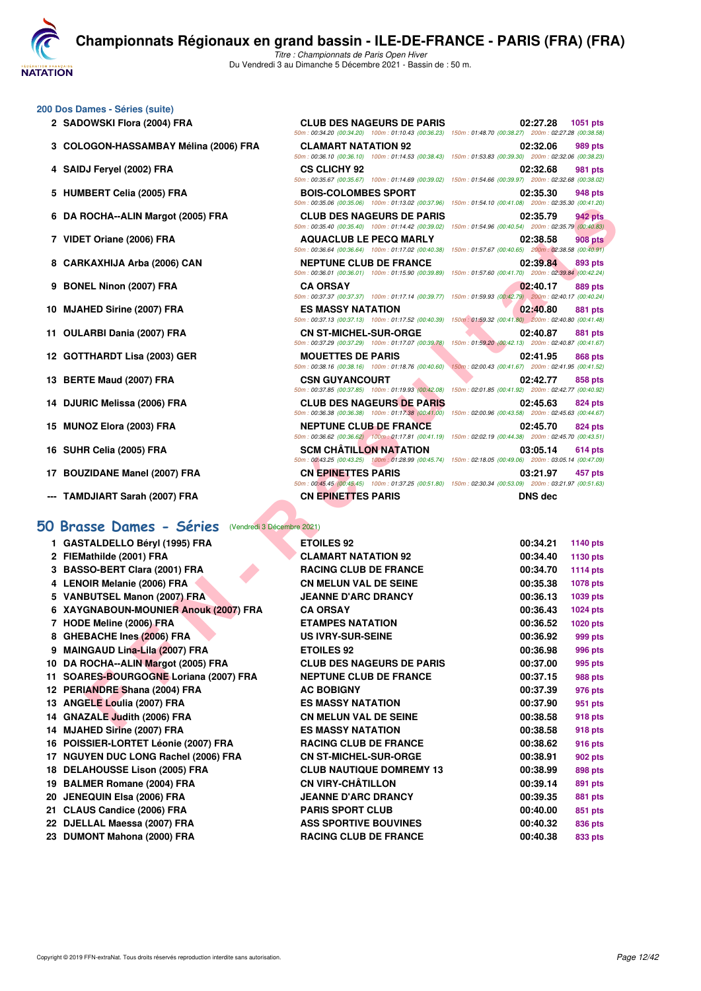**NATATION** 

*Titre : Championnats de Paris Open Hiver* Du Vendredi 3 au Dimanche 5 Décembre 2021 - Bassin de : 50 m.

**200 Dos Dames - Séries (suite)**

- 
- **3 COLOGON-HASSAMBAY Mélina (2006) FRA CLAMART NATATION 92 02:32.06 989 pts**
- 
- 
- 
- 
- 
- 
- 
- 
- 
- 
- 
- 
- 
- 
- **--- TAMDJIART Sarah (2007) FRA CN EPINETTES PARIS DNS dec**

#### **[50 Brasse Dames - Séries](http://www.ffnatation.fr/webffn/resultats.php?idact=nat&go=epr&idcpt=73929&idepr=21)** (Vendredi 3 Décembre 2021)

| 2 SADOWSKI Flora (2004) FRA           | <b>CLUB DES NAGEURS DE PARIS</b> | 02:27.28<br>1051 pts<br>50m: 00:34.20 (00:34.20) 100m: 01:10.43 (00:36.23) 150m: 01:48.70 (00:38.27) 200m: 02:27.28 (00:38.58)       |
|---------------------------------------|----------------------------------|--------------------------------------------------------------------------------------------------------------------------------------|
| 3 COLOGON-HASSAMBAY Mélina (2006) FRA | <b>CLAMART NATATION 92</b>       | 02:32.06<br>989 pts<br>50m: 00:36.10 (00:36.10) 100m: 01:14.53 (00:38.43) 150m: 01:53.83 (00:39.30) 200m: 02:32.06 (00:38.23)        |
| 4 SAIDJ Feryel (2002) FRA             | <b>CS CLICHY 92</b>              | 02:32.68<br><b>981 pts</b><br>50m: 00:35.67 (00:35.67) 100m: 01:14.69 (00:39.02) 150m: 01:54.66 (00:39.97) 200m: 02:32.68 (00:38.02) |
| 5 HUMBERT Celia (2005) FRA            | <b>BOIS-COLOMBES SPORT</b>       | 02:35.30<br><b>948 pts</b><br>50m: 00:35.06 (00:35.06) 100m: 01:13.02 (00:37.96) 150m: 01:54.10 (00:41.08) 200m: 02:35.30 (00:41.20) |
| 6 DA ROCHA--ALIN Margot (2005) FRA    | <b>CLUB DES NAGEURS DE PARIS</b> | <b>942 pts</b><br>02:35.79<br>50m: 00:35.40 (00:35.40) 100m: 01:14.42 (00:39.02) 150m: 01:54.96 (00:40.54) 200m: 02:35.79 (00:40.83) |
| 7 VIDET Oriane (2006) FRA             | <b>AQUACLUB LE PECQ MARLY</b>    | 02:38.58<br><b>908 pts</b><br>50m: 00:36.64 (00:36.64) 100m: 01:17.02 (00:40.38) 150m: 01:57.67 (00:40.65) 200m: 02:38.58 (00:40.91) |
| 8 CARKAXHIJA Arba (2006) CAN          | <b>NEPTUNE CLUB DE FRANCE</b>    | 02:39.84<br>893 pts<br>50m: 00:36.01 (00:36.01) 100m: 01:15.90 (00:39.89) 150m: 01:57.60 (00:41.70) 200m: 02:39.84 (00:42.24)        |
| 9 BONEL Ninon (2007) FRA              | <b>CA ORSAY</b>                  | 02:40.17<br>889 pts<br>50m: 00:37.37 (00:37.37) 100m: 01:17.14 (00:39.77) 150m: 01:59.93 (00:42.79) 200m: 02:40.17 (00:40.24)        |
| 10 MJAHED Sirine (2007) FRA           | <b>ES MASSY NATATION</b>         | 02:40.80<br>881 pts<br>50m: 00:37.13 (00:37.13) 100m: 01:17.52 (00:40.39) 150m: 01:59.32 (00:41.80) 200m: 02:40.80 (00:41.48)        |
| 11 OULARBI Dania (2007) FRA           | <b>CN ST-MICHEL-SUR-ORGE</b>     | 02:40.87<br><b>881 pts</b><br>50m: 00:37.29 (00:37.29) 100m: 01:17.07 (00:39.78) 150m: 01:59.20 (00:42.13) 200m: 02:40.87 (00:41.67) |
| 12 GOTTHARDT Lisa (2003) GER          | <b>MOUETTES DE PARIS</b>         | 02:41.95<br><b>868 pts</b><br>50m: 00:38.16 (00:38.16) 100m: 01:18.76 (00:40.60) 150m: 02:00.43 (00:41.67) 200m: 02:41.95 (00:41.52) |
| 13 BERTE Maud (2007) FRA              | <b>CSN GUYANCOURT</b>            | 02:42.77<br>858 pts<br>50m: 00:37.85 (00:37.85) 100m: 01:19.93 (00:42.08) 150m: 02:01.85 (00:41.92) 200m: 02:42.77 (00:40.92)        |
| 14 DJURIC Melissa (2006) FRA          | <b>CLUB DES NAGEURS DE PARIS</b> | 02:45.63<br><b>824 pts</b><br>50m: 00:36.38 (00:36.38) 100m: 01:17.38 (00:41.00) 150m: 02:00.96 (00:43.58) 200m: 02:45.63 (00:44.67) |
| 15 MUNOZ Elora (2003) FRA             | <b>NEPTUNE CLUB DE FRANCE</b>    | 02:45.70<br><b>824 pts</b><br>50m: 00:36.62 (00:36.62) 100m: 01:17.81 (00:41.19) 150m: 02:02.19 (00:44.38) 200m: 02:45.70 (00:43.51) |
| 16 SUHR Celia (2005) FRA              | <b>SCM CHÂTILLON NATATION</b>    | 03:05.14<br><b>614 pts</b><br>50m: 00:43.25 (00:43.25) 100m: 01:28.99 (00:45.74) 150m: 02:18.05 (00:49.06) 200m: 03:05.14 (00:47.09) |

|                                                    |                                                                                    | ,001.1207 00.00.00 00.14.100 00.14.100 00.14.100 00.97.30 00.07.30 00.07.30 00.07.30 00.07.30 00.31.20                                                                                                                                          |
|----------------------------------------------------|------------------------------------------------------------------------------------|-------------------------------------------------------------------------------------------------------------------------------------------------------------------------------------------------------------------------------------------------|
| 6 DA ROCHA--ALIN Margot (2005) FRA                 | <b>CLUB DES NAGEURS DE PARIS</b>                                                   | 02:35.79<br>942 pts<br>50m : 00:35.40 (00:35.40) 100m : 01:14.42 (00:39.02) 150m : 01:54.96 (00:40.54) 200m : 02:35.79 (00:40.83)                                                                                                               |
| 7 VIDET Oriane (2006) FRA                          | <b>AQUACLUB LE PECQ MARLY</b>                                                      | 02:38.58<br>908 pts<br>50m: 00:36.64 (00:36.64) 100m: 01:17.02 (00:40.38) 150m: 01:57.67 (00:40.65) 200m: 02:38.58 (00:40.91)                                                                                                                   |
| 8 CARKAXHIJA Arba (2006) CAN                       | <b>NEPTUNE CLUB DE FRANCE</b>                                                      | 02:39.84<br>893 pts<br>50m: 00:36.01 (00:36.01) 100m: 01:15.90 (00:39.89) 150m: 01:57.60 (00:41.70) 200m: 02:39.84 (00:42.24)                                                                                                                   |
| 9 BONEL Ninon (2007) FRA                           | <b>CA ORSAY</b>                                                                    | 02:40.17<br>889 pts                                                                                                                                                                                                                             |
| 10 MJAHED Sirine (2007) FRA                        | <b>ES MASSY NATATION</b>                                                           | 50m : 00:37.37 (00:37.37) 100m : 01:17.14 (00:39.77) 150m : 01:59.93 (00:42.79) 200m : 02:40.17 (00:40.24)<br>02:40.80<br>881 pts<br>50m : 00:37.13 (00:37.13) 100m : 01:17.52 (00:40.39) 150m : 01:59.32 (00:41.80) 200m : 02:40.80 (00:41.48) |
| 11 OULARBI Dania (2007) FRA                        | <b>CN ST-MICHEL-SUR-ORGE</b><br>50m: 00:37.29 (00:37.29) 100m: 01:17.07 (00:39.78) | 02:40.87<br>881 pts<br>150m: 01:59.20 (00:42.13) 200m: 02:40.87 (00:41.67)                                                                                                                                                                      |
| 12 GOTTHARDT Lisa (2003) GER                       | <b>MOUETTES DE PARIS</b><br>50m: 00:38.16 (00:38.16) 100m: 01:18.76 (00:40.60)     | 02:41.95<br>868 pts<br>150m: 02:00.43 (00:41.67) 200m: 02:41.95 (00:41.52)                                                                                                                                                                      |
| 13 BERTE Maud (2007) FRA                           | <b>CSN GUYANCOURT</b>                                                              | 02:42.77<br>858 pts<br>50m : 00:37.85 (00:37.85) 100m : 01:19.93 (00:42.08) 150m : 02:01.85 (00:41.92) 200m : 02:42.77 (00:40.92)                                                                                                               |
| 14 DJURIC Melissa (2006) FRA                       | <b>CLUB DES NAGEURS DE PARIS</b>                                                   | 02:45.63<br>824 pts<br>50m: 00:36.38 (00:36.38) 100m: 01:17.38 (00:41.00) 150m: 02:00.96 (00:43.58) 200m: 02:45.63 (00:44.67)                                                                                                                   |
| 15 MUNOZ Elora (2003) FRA                          | <b>NEPTUNE CLUB DE FRANCE</b>                                                      | 02:45.70<br>824 pts<br>$50m: 00:36.62 (00:36.62) 100m: 01:17.81 (00:41.19) 150m: 02:02.19 (00:44.38) 200m: 02:45.70 (00:43.51)$                                                                                                                 |
| 16 SUHR Celia (2005) FRA                           | <b>SCM CHATILLON NATATION</b>                                                      | 03:05.14<br>614 pts<br>50m : 00:43.25 (00:43.25) 100m : 01:28.99 (00:45.74) 150m : 02:18.05 (00:49.06) 200m : 03:05.14 (00:47.09)                                                                                                               |
| 17 BOUZIDANE Manel (2007) FRA                      | <b>CN EPINETTES PARIS</b>                                                          | 03:21.97<br>457 pts<br>50m: 00:45.45 (00:45.45) 100m: 01:37.25 (00:51.80) 150m: 02:30.34 (00:53.09) 200m: 03:21.97 (00:51.63)                                                                                                                   |
| --- TAMDJIART Sarah (2007) FRA                     | <b>CN EPINETTES PARIS</b>                                                          | <b>DNS</b> dec                                                                                                                                                                                                                                  |
| O Brasse Dames - Séries (Vendredi 3 Décembre 2021) |                                                                                    |                                                                                                                                                                                                                                                 |
| 1 GASTALDELLO Béryl (1995) FRA                     | <b>ETOILES 92</b>                                                                  | 00:34.21<br>1140 pts                                                                                                                                                                                                                            |
| 2 FIEMathilde (2001) FRA                           | <b>CLAMART NATATION 92</b>                                                         | 00:34.40<br>1130 pts                                                                                                                                                                                                                            |
| 3 BASSO-BERT Clara (2001) FRA                      | <b>RACING CLUB DE FRANCE</b>                                                       | 00:34.70<br><b>1114 pts</b>                                                                                                                                                                                                                     |
| 4 LENOIR Melanie (2006) FRA                        | <b>CN MELUN VAL DE SEINE</b>                                                       | 00:35.38<br>1078 pts                                                                                                                                                                                                                            |
| 5 VANBUTSEL Manon (2007) FRA                       | <b>JEANNE D'ARC DRANCY</b>                                                         | 00:36.13<br>1039 pts                                                                                                                                                                                                                            |
| 6 XAYGNABOUN-MOUNIER Anouk (2007) FRA              | <b>CA ORSAY</b>                                                                    | 00:36.43<br><b>1024 pts</b>                                                                                                                                                                                                                     |
| 7 HODE Meline (2006) FRA                           | <b>ETAMPES NATATION</b>                                                            | 00:36.52<br>1020 pts                                                                                                                                                                                                                            |
| 8 GHEBACHE Ines (2006) FRA                         | <b>US IVRY-SUR-SEINE</b>                                                           | 00:36.92<br>999 pts                                                                                                                                                                                                                             |
| 9 MAINGAUD Lina-Lila (2007) FRA                    | <b>ETOILES 92</b>                                                                  | 00:36.98<br>996 pts                                                                                                                                                                                                                             |
| 10 DA ROCHA--ALIN Margot (2005) FRA                | <b>CLUB DES NAGEURS DE PARIS</b>                                                   | 00:37.00<br>995 pts                                                                                                                                                                                                                             |
| 11 SOARES-BOURGOGNE Loriana (2007) FRA             | <b>NEPTUNE CLUB DE FRANCE</b>                                                      | 00:37.15<br>988 pts                                                                                                                                                                                                                             |
| 12 PERIANDRE Shana (2004) FRA                      | <b>AC BOBIGNY</b>                                                                  | 00:37.39<br>976 pts                                                                                                                                                                                                                             |
| 13 ANGELE Loulia (2007) FRA                        | <b>ES MASSY NATATION</b>                                                           | 00:37.90<br>951 pts                                                                                                                                                                                                                             |
| 14 GNAZALE Judith (2006) FRA                       | <b>CN MELUN VAL DE SEINE</b>                                                       | 00:38.58<br>918 pts                                                                                                                                                                                                                             |
| 14 MJAHED Sirine (2007) FRA                        | <b>ES MASSY NATATION</b>                                                           | 00:38.58<br>918 pts                                                                                                                                                                                                                             |
| 16 POISSIER-LORTET Léonie (2007) FRA               | <b>RACING CLUB DE FRANCE</b>                                                       | 00:38.62<br><b>916 pts</b>                                                                                                                                                                                                                      |
| 17 NGUYEN DUC LONG Rachel (2006) FRA               | <b>CN ST-MICHEL-SUR-ORGE</b>                                                       | 00:38.91<br><b>902 pts</b>                                                                                                                                                                                                                      |
| 18 DELAHOUSSE Lison (2005) FRA                     | <b>CLUB NAUTIQUE DOMREMY 13</b>                                                    | 00:38.99<br>898 pts                                                                                                                                                                                                                             |
| 19 BALMER Romane (2004) FRA                        | <b>CN VIRY-CHÂTILLON</b>                                                           | 00:39.14<br>891 pts                                                                                                                                                                                                                             |
| 20 JENEQUIN Elsa (2006) FRA                        | <b>JEANNE D'ARC DRANCY</b>                                                         | 00:39.35<br>881 pts                                                                                                                                                                                                                             |
| 21 CLAUS Candice (2006) FRA                        | <b>PARIS SPORT CLUB</b>                                                            | 00:40.00<br>851 pts                                                                                                                                                                                                                             |
| 22 DJELLAL Maessa (2007) FRA                       | <b>ASS SPORTIVE BOUVINES</b>                                                       | 00:40.32<br>836 pts                                                                                                                                                                                                                             |
| 23 DUMONT Mahona (2000) FRA                        | <b>RACING CLUB DE FRANCE</b>                                                       | 00:40.38<br>833 pts                                                                                                                                                                                                                             |
|                                                    |                                                                                    |                                                                                                                                                                                                                                                 |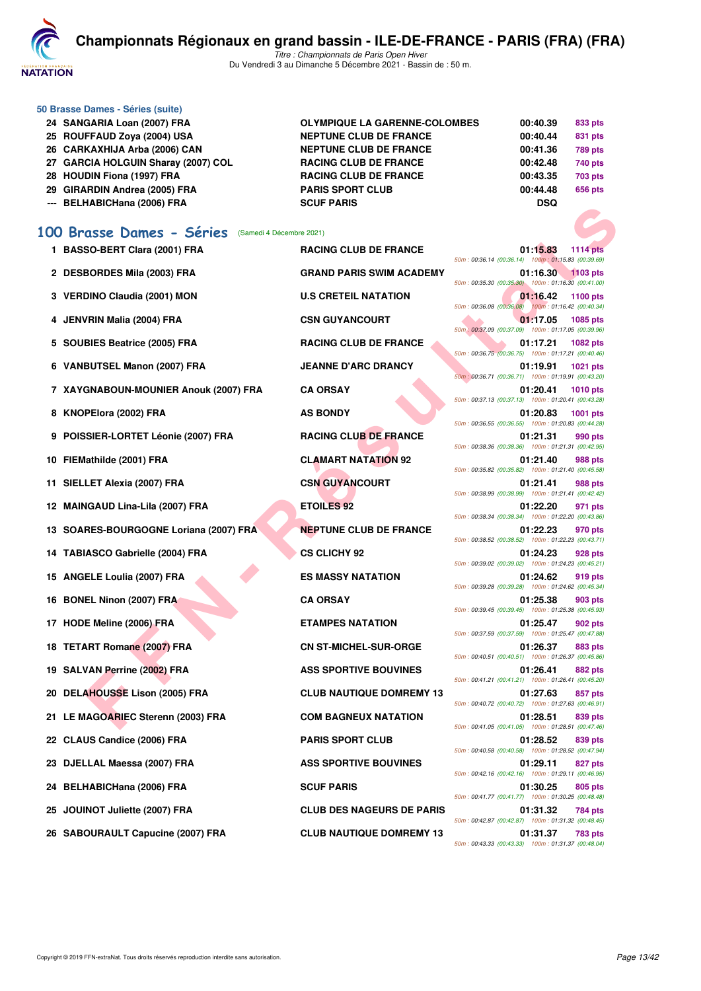

*Titre : Championnats de Paris Open Hiver* Du Vendredi 3 au Dimanche 5 Décembre 2021 - Bassin de : 50 m.

| 24 SANGARIA Loan (2007) FRA         | <b>OLYMPIQUE LA GARENNE-COLOMBES</b> | 00:40.39   | 833 pts        |
|-------------------------------------|--------------------------------------|------------|----------------|
| 25 ROUFFAUD Zoya (2004) USA         | <b>NEPTUNE CLUB DE FRANCE</b>        | 00:40.44   | 831 pts        |
| 26 CARKAXHIJA Arba (2006) CAN       | <b>NEPTUNE CLUB DE FRANCE</b>        | 00:41.36   | <b>789 pts</b> |
| 27 GARCIA HOLGUIN Sharay (2007) COL | <b>RACING CLUB DE FRANCE</b>         | 00:42.48   | 740 pts        |
| 28 HOUDIN Fiona (1997) FRA          | <b>RACING CLUB DE FRANCE</b>         | 00:43.35   | <b>703 pts</b> |
| 29 GIRARDIN Andrea (2005) FRA       | <b>PARIS SPORT CLUB</b>              | 00:44.48   | 656 pts        |
| --- BELHABICHana (2006) FRA         | <b>SCUF PARIS</b>                    | <b>DSQ</b> |                |
|                                     |                                      |            |                |

## **[100 Brasse Dames - Séries](http://www.ffnatation.fr/webffn/resultats.php?idact=nat&go=epr&idcpt=73929&idepr=22)** (Samedi 4 Décembre 2021)

| 1 BASSO-BERT Clara (2001) FRA |  |  |
|-------------------------------|--|--|
|                               |  |  |

- 
- 

**50 Brasse Dames - Séries (suite)**

- 
- 
- **7 XAYGNABOUN-MOUNIER Anouk (2007) FRA CA ORSAY 01:20.41 1010 pts**
- 
- **9 POISSIER-LORTET Léonie (2007) FRA RACING CLUB DE FRANCE 01:21.31 990 pts**
- 
- 
- 
- **13 SOARES-BOURGOGNE Loriana (2007) FRA NEPTUNE CLUB DE FRANCE 01:22.23 970 pts**
- **14 TABIASCO Gabrielle (2004) FRA CS CLICHY 92 01:24.23 928 pts**
- 
- 
- 
- 
- 
- 
- **21 LE MAGOARIEC Sterenn (2003) FRA COM BAGNEUX NATATION 01:28.51 839 pts**
- 
- 
- 
- 
- **26 SABOURAULT Capucine (2007) FRA CLUB NAUTIQUE DOMREMY 13 01:31.37 783 pts**

**FACE DRIVER AND THE ART FORMATION CAUSE THE RANCE DRIVER AND PARTS INTO THE SET AND FRAME CUB DE FRANCE CONDENS IN A SECRET UNIT OF THE ART FORMATION CAUSE THE RANCE CONDENS IN A SECRET UNIT OF THE ART FORMATION CAUSE OF 1114 BASSONIC BERTH CLUB DE FRANCE 01:15.83** *50m : 00:36.14 (00:36.14) 100m : 01:15.83 (00:39.69)* **2 DESBORDES Mila (2003) FRA GRAND PARIS SWIM ACADEMY 01:16.30 1103 pts** *50m : 00:35.30 (00:35.30) 100m : 01:16.30 (00:41.00)* **3 VERDINO Claudia (2001) MON U.S CRETEIL NATATION** 50m : 00:36.08 (00:46.08) 100m : 01:16.42 (00:40.34) *50m : 00:36.08 (00:36.08) 100m : 01:16.42 (00:40.34)* **4 JENVRIN Malia (2004) FRA CSN GUYANCOURT 01:17.05 1085 pts** *50m : 00:37.09 (00:37.09) 100m : 01:17.05 (00:39.96)* **5 SOUBIES Beatrice (2005) FRA RACING CLUB DE FRANCE 01:17.21 1082 pts** *50m : 00:36.75 (00:36.75) 100m : 01:17.21 (00:40.46)* **6 VANBUTSEL Manon (2007) FRA JEANNE D'ARC DRANCY 01:19.91 1021 pts** *50m : 00:36.71 (00:36.71) 100m : 01:19.91 (00:43.20) 50m : 00:37.13 (00:37.13) 100m : 01:20.41 (00:43.28)* **8 KNOPElora (2002) FRA 48 BONDY 48 AS BONDY 01:20.83** 1001 pts *50m : 00:36.55 (00:36.55) 100m : 01:20.83 (00:44.28) 50m : 00:38.36 (00:38.36) 100m : 01:21.31 (00:42.95)* **10 FIEMathilde (2001) FRA CLAMART NATATION 92 01:21.40 988 pts** *50m : 00:35.82 (00:35.82) 100m : 01:21.40 (00:45.58)* **11 SIELLET Alexia (2007) FRA CSN GUYANCOURT 01:21.41 988 pts** *50m : 00:38.99 (00:38.99) 100m : 01:21.41 (00:42.42)* **12 MAINGAUD Lina-Lila (2007) FRA ETOILES 92 01:22.20 971 pts** *50m : 00:38.34 (00:38.34) 100m : 01:22.20 (00:43.86) 50m : 00:38.52 (00:38.52) 100m : 01:22.23 (00:43.71) 50m : 00:39.02 (00:39.02) 100m : 01:24.23 (00:45.21)* **15 ANGELE Loulia (2007) FRA ES MASSY NATATION 01:24.62 919 pts** *50m : 00:39.28 (00:39.28) 100m : 01:24.62 (00:45.34)* **16 BONEL Ninon (2007) FRA CA ORSAY 01:25.38 903 pts** *50m : 00:39.45 (00:39.45) 100m : 01:25.38 (00:45.93)* **17 HODE Meline (2006) FRA ETAMPES NATATION 01:25.47 902 pts** *50m : 00:37.59 (00:37.59) 100m : 01:25.47 (00:47.88)* **18 TETART Romane (2007) FRA CN ST-MICHEL-SUR-ORGE 01:26.37 883 pts** *50m : 00:40.51 (00:40.51) 100m : 01:26.37 (00:45.86)* 19 SALVAN Perrine (2002) FRA **ASS SPORTIVE BOUVINES** 01:26.41 882 pts *50m : 00:41.21 (00:41.21) 100m : 01:26.41 (00:45.20)* **20 DELAHOUSSE Lison (2005) FRA CLUB NAUTIQUE DOMREMY 13 01:27.63 857 pts** *50m : 00:40.72 (00:40.72) 100m : 01:27.63 (00:46.91) 50m : 00:41.05 (00:41.05) 100m : 01:28.51 (00:47.46)* **22 CLAUS Candice (2006) FRA PARIS SPORT CLUB 01:28.52 839 pts** *50m : 00:40.58 (00:40.58) 100m : 01:28.52 (00:47.94)* **23 DJELLAL Maessa (2007) FRA ASS SPORTIVE BOUVINES 01:29.11 827 pts** *50m : 00:42.16 (00:42.16) 100m : 01:29.11 (00:46.95)* **24 BELHABICHana (2006) FRA SCUF PARIS 01:30.25 805 pts** *50m : 00:41.77 (00:41.77) 100m : 01:30.25 (00:48.48)* **25 JOUINOT Juliette (2007) FRA CLUB DES NAGEURS DE PARIS 01:31.32 784 pts** *50m : 00:42.87 (00:42.87) 100m : 01:31.32 (00:48.45)*

*50m : 00:43.33 (00:43.33) 100m : 01:31.37 (00:48.04)*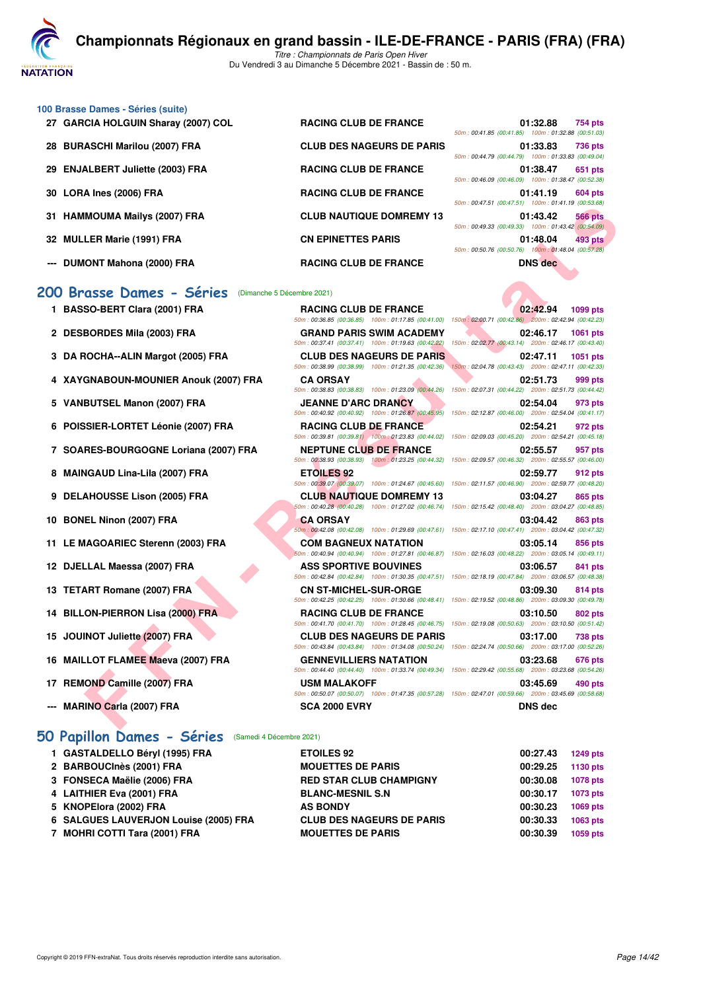**VATATION** 

*Titre : Championnats de Paris Open Hiver* Du Vendredi 3 au Dimanche 5 Décembre 2021 - Bassin de : 50 m.

- **100 Brasse Dames Séries (suite)**
	- **27 GARCIA HOLGUIN Sharay (2007) COL RACING CLUB DE FRANCE 01:32.88 754 pts**
	-
	-
	-
	-
	-
	-

#### **[200 Brasse Dames - Séries](http://www.ffnatation.fr/webffn/resultats.php?idact=nat&go=epr&idcpt=73929&idepr=23)** (Dimanche 5 Décembre 2021)

- 
- 
- 
- 
- 
- 
- **7 SOARES-BOURGOGNE Loriana (2007) FRA NEPTUNE CLUB DE FRANCE 02:55.57 957 pts**
- 
- 
- 
- 11 LE MAGOARIEC Sterenn (2003) FRA
- 12 DJELLAL Maessa (2007) FRA
- **13 TETART Romane (2007) FRA**
- **14 BILLON-PIERRON Lisa (2000) FRA**
- **15 JOUINOT Juliette (2007) FRA**
- **16 MAILLOT FLAMEE Maeva (2007) FRA**
- **17 REMOND Camille (2007) FRA**
- **--- MARINO Carla (2007) FRA**

#### **[50 Papillon Dames - Séries](http://www.ffnatation.fr/webffn/resultats.php?idact=nat&go=epr&idcpt=73929&idepr=31)** (Samedi 4 Décembre 2021)

| 1 GASTALDELLO Béryl (1995) FRA        | <b>ETOILES 92</b>                | 00:27.43 | 1249 pts |
|---------------------------------------|----------------------------------|----------|----------|
| 2 BARBOUCInès (2001) FRA              | <b>MOUETTES DE PARIS</b>         | 00:29.25 | 1130 pts |
| 3 FONSECA Maëlie (2006) FRA           | <b>RED STAR CLUB CHAMPIGNY</b>   | 00:30.08 | 1078 pts |
| 4 LAITHIER Eva (2001) FRA             | <b>BLANC-MESNIL S.N</b>          | 00:30.17 | 1073 pts |
| 5 KNOPElora (2002) FRA                | <b>AS BONDY</b>                  | 00:30.23 | 1069 pts |
| 6 SALGUES LAUVERJON Louise (2005) FRA | <b>CLUB DES NAGEURS DE PARIS</b> | 00:30.33 | 1063 pts |
| 7 MOHRI COTTI Tara (2001) FRA         | <b>MOUETTES DE PARIS</b>         | 00:30.39 | 1059 pts |

| 27 GARCIA HOLGUIN Sharay (2007) COL | <b>RACING CLUB DE FRANCE</b>     | 01:32.88<br>754 pts                                |
|-------------------------------------|----------------------------------|----------------------------------------------------|
|                                     |                                  | 50m: 00:41.85 (00:41.85) 100m: 01:32.88 (00:51.03) |
| 28 BURASCHI Marilou (2007) FRA      | <b>CLUB DES NAGEURS DE PARIS</b> | 01:33.83<br><b>736 pts</b>                         |
|                                     |                                  | 50m: 00:44.79 (00:44.79) 100m: 01:33.83 (00:49.04) |
| 29 ENJALBERT Juliette (2003) FRA    | <b>RACING CLUB DE FRANCE</b>     | 01:38.47<br>651 pts                                |
|                                     |                                  | 50m: 00:46.09 (00:46.09) 100m: 01:38.47 (00:52.38) |
| 30 LORA Ines (2006) FRA             | <b>RACING CLUB DE FRANCE</b>     | 01:41.19<br>604 pts                                |
|                                     |                                  | 50m: 00:47.51 (00:47.51) 100m: 01:41.19 (00:53.68) |
| 31 HAMMOUMA Mailys (2007) FRA       | <b>CLUB NAUTIQUE DOMREMY 13</b>  | <b>566 pts</b><br>01:43.42                         |
|                                     |                                  | 50m: 00:49.33 (00:49.33) 100m: 01:43.42 (00:54.09) |
| 32 MULLER Marie (1991) FRA          | <b>CN EPINETTES PARIS</b>        | 01:48.04<br>493 pts                                |
|                                     |                                  | 50m: 00:50.76 (00:50.76) 100m: 01:48.04 (00:57.28) |
| --- DUMONT Mahona (2000) FRA        | <b>RACING CLUB DE FRANCE</b>     | <b>DNS</b> dec                                     |
|                                     |                                  |                                                    |

| 31 HAMMOUMA Mailys (2007) FRA         | <b>CLUB NAUTIQUE DOMREMY 13</b>  | $10011.00147.31$ (00.47.31) 100111.01.41.13 (00.33.00)<br>01:43.42<br><b>566 pts</b><br>50m: 00:49.33 (00:49.33) 100m: 01:43.42 (00:54.09)                                                                                                                                                                                                                                                                                                                                                                                                                                                                                                                                                                                                                                                                                                                                                                                                                                                                                                                                                                                                                                                                                                                                                                                                                                                                                                                                           |
|---------------------------------------|----------------------------------|--------------------------------------------------------------------------------------------------------------------------------------------------------------------------------------------------------------------------------------------------------------------------------------------------------------------------------------------------------------------------------------------------------------------------------------------------------------------------------------------------------------------------------------------------------------------------------------------------------------------------------------------------------------------------------------------------------------------------------------------------------------------------------------------------------------------------------------------------------------------------------------------------------------------------------------------------------------------------------------------------------------------------------------------------------------------------------------------------------------------------------------------------------------------------------------------------------------------------------------------------------------------------------------------------------------------------------------------------------------------------------------------------------------------------------------------------------------------------------------|
| 32 MULLER Marie (1991) FRA            | <b>CN EPINETTES PARIS</b>        | 01:48.04<br>493 pts<br>50m: 00:50.76 (00:50.76) 100m: 01:48.04 (00:57.28)                                                                                                                                                                                                                                                                                                                                                                                                                                                                                                                                                                                                                                                                                                                                                                                                                                                                                                                                                                                                                                                                                                                                                                                                                                                                                                                                                                                                            |
| --- DUMONT Mahona (2000) FRA          | <b>RACING CLUB DE FRANCE</b>     | <b>DNS</b> dec                                                                                                                                                                                                                                                                                                                                                                                                                                                                                                                                                                                                                                                                                                                                                                                                                                                                                                                                                                                                                                                                                                                                                                                                                                                                                                                                                                                                                                                                       |
| 00 Brasse Dames - Séries              |                                  |                                                                                                                                                                                                                                                                                                                                                                                                                                                                                                                                                                                                                                                                                                                                                                                                                                                                                                                                                                                                                                                                                                                                                                                                                                                                                                                                                                                                                                                                                      |
| 1 BASSO-BERT Clara (2001) FRA         | <b>RACING CLUB DE FRANCE</b>     | 02:42.94<br><b>1099 pts</b>                                                                                                                                                                                                                                                                                                                                                                                                                                                                                                                                                                                                                                                                                                                                                                                                                                                                                                                                                                                                                                                                                                                                                                                                                                                                                                                                                                                                                                                          |
| 2 DESBORDES Mila (2003) FRA           | <b>GRAND PARIS SWIM ACADEMY</b>  | 02:46.17<br><b>1061 pts</b><br>150m: 02:02.77 (00:43.14) 200m: 02:46.17 (00:43.40)                                                                                                                                                                                                                                                                                                                                                                                                                                                                                                                                                                                                                                                                                                                                                                                                                                                                                                                                                                                                                                                                                                                                                                                                                                                                                                                                                                                                   |
| 3 DA ROCHA--ALIN Margot (2005) FRA    | <b>CLUB DES NAGEURS DE PARIS</b> | 02:47.11<br>1051 pts<br>150m: 02:04.78 (00:43.43) 200m: 02:47.11 (00:42.33)                                                                                                                                                                                                                                                                                                                                                                                                                                                                                                                                                                                                                                                                                                                                                                                                                                                                                                                                                                                                                                                                                                                                                                                                                                                                                                                                                                                                          |
| 4 XAYGNABOUN-MOUNIER Anouk (2007) FRA | <b>CA ORSAY</b>                  | 02:51.73<br>999 pts<br>150m: 02:07.31 (00:44.22) 200m: 02:51.73 (00:44.42)                                                                                                                                                                                                                                                                                                                                                                                                                                                                                                                                                                                                                                                                                                                                                                                                                                                                                                                                                                                                                                                                                                                                                                                                                                                                                                                                                                                                           |
| 5 VANBUTSEL Manon (2007) FRA          | <b>JEANNE D'ARC DRANCY</b>       | 02:54.04<br>973 pts<br>150m: 02:12.87 (00:46.00) 200m: 02:54.04 (00:41.17)                                                                                                                                                                                                                                                                                                                                                                                                                                                                                                                                                                                                                                                                                                                                                                                                                                                                                                                                                                                                                                                                                                                                                                                                                                                                                                                                                                                                           |
| 6 POISSIER-LORTET Léonie (2007) FRA   | <b>RACING CLUB DE FRANCE</b>     | 02:54.21<br>972 pts<br>150m: 02:09.03 (00:45.20) 200m: 02:54.21 (00:45.18)                                                                                                                                                                                                                                                                                                                                                                                                                                                                                                                                                                                                                                                                                                                                                                                                                                                                                                                                                                                                                                                                                                                                                                                                                                                                                                                                                                                                           |
| 7 SOARES-BOURGOGNE Loriana (2007) FRA | <b>NEPTUNE CLUB DE FRANCE</b>    | 02:55.57<br>957 pts                                                                                                                                                                                                                                                                                                                                                                                                                                                                                                                                                                                                                                                                                                                                                                                                                                                                                                                                                                                                                                                                                                                                                                                                                                                                                                                                                                                                                                                                  |
| 8 MAINGAUD Lina-Lila (2007) FRA       | <b>ETOILES 92</b>                | 02:59.77<br>912 pts<br>150m: 02:11.57 (00:46.90) 200m: 02:59.77 (00:48.20)                                                                                                                                                                                                                                                                                                                                                                                                                                                                                                                                                                                                                                                                                                                                                                                                                                                                                                                                                                                                                                                                                                                                                                                                                                                                                                                                                                                                           |
| 9 DELAHOUSSE Lison (2005) FRA         | <b>CLUB NAUTIQUE DOMREMY 13</b>  | 03:04.27<br>865 pts<br>150m: 02:15.42 (00:48.40) 200m: 03:04.27 (00:48.85)                                                                                                                                                                                                                                                                                                                                                                                                                                                                                                                                                                                                                                                                                                                                                                                                                                                                                                                                                                                                                                                                                                                                                                                                                                                                                                                                                                                                           |
| 10 BONEL Ninon (2007) FRA             | <b>CA ORSAY</b>                  | 03:04.42<br>863 pts                                                                                                                                                                                                                                                                                                                                                                                                                                                                                                                                                                                                                                                                                                                                                                                                                                                                                                                                                                                                                                                                                                                                                                                                                                                                                                                                                                                                                                                                  |
| 11 LE MAGOARIEC Sterenn (2003) FRA    | <b>COM BAGNEUX NATATION</b>      | 03:05.14<br>856 pts                                                                                                                                                                                                                                                                                                                                                                                                                                                                                                                                                                                                                                                                                                                                                                                                                                                                                                                                                                                                                                                                                                                                                                                                                                                                                                                                                                                                                                                                  |
| 12 DJELLAL Maessa (2007) FRA          | <b>ASS SPORTIVE BOUVINES</b>     | 03:06.57<br>841 pts                                                                                                                                                                                                                                                                                                                                                                                                                                                                                                                                                                                                                                                                                                                                                                                                                                                                                                                                                                                                                                                                                                                                                                                                                                                                                                                                                                                                                                                                  |
| 13 TETART Romane (2007) FRA           | <b>CN ST-MICHEL-SUR-ORGE</b>     | 03:09.30<br>814 pts                                                                                                                                                                                                                                                                                                                                                                                                                                                                                                                                                                                                                                                                                                                                                                                                                                                                                                                                                                                                                                                                                                                                                                                                                                                                                                                                                                                                                                                                  |
| 14 BILLON-PIERRON Lisa (2000) FRA     | <b>RACING CLUB DE FRANCE</b>     | 03:10.50<br>802 pts                                                                                                                                                                                                                                                                                                                                                                                                                                                                                                                                                                                                                                                                                                                                                                                                                                                                                                                                                                                                                                                                                                                                                                                                                                                                                                                                                                                                                                                                  |
| 15 JOUINOT Juliette (2007) FRA        | <b>CLUB DES NAGEURS DE PARIS</b> | 03:17.00<br>738 pts                                                                                                                                                                                                                                                                                                                                                                                                                                                                                                                                                                                                                                                                                                                                                                                                                                                                                                                                                                                                                                                                                                                                                                                                                                                                                                                                                                                                                                                                  |
| 16 MAILLOT FLAMEE Maeva (2007) FRA    | <b>GENNEVILLIERS NATATION</b>    | 150m: 02:24.74 (00:50.66) 200m: 03:17.00 (00:52.26)<br>03:23.68<br><b>676 pts</b>                                                                                                                                                                                                                                                                                                                                                                                                                                                                                                                                                                                                                                                                                                                                                                                                                                                                                                                                                                                                                                                                                                                                                                                                                                                                                                                                                                                                    |
| 17 REMOND Camille (2007) FRA          | <b>USM MALAKOFF</b>              | 03:45.69<br>490 pts                                                                                                                                                                                                                                                                                                                                                                                                                                                                                                                                                                                                                                                                                                                                                                                                                                                                                                                                                                                                                                                                                                                                                                                                                                                                                                                                                                                                                                                                  |
| --- MARINO Carla (2007) FRA           | <b>SCA 2000 EVRY</b>             | <b>DNS dec</b>                                                                                                                                                                                                                                                                                                                                                                                                                                                                                                                                                                                                                                                                                                                                                                                                                                                                                                                                                                                                                                                                                                                                                                                                                                                                                                                                                                                                                                                                       |
|                                       |                                  | (Dimanche 5 Décembre 2021)<br>50m: 00:36.85 (00:36.85) 100m: 01:17.85 (00:41.00) 150m: 02:00.71 (00:42.86) 200m: 02:42.94 (00:42.23)<br>50m: 00:37.41 (00:37.41) 100m: 01:19.63 (00:42.22)<br>50m: 00:38.99 (00:38.99) 100m: 01:21.35 (00:42.36)<br>50m: 00:38.83 (00:38.83) 100m: 01:23.09 (00:44.26)<br>50m: 00:40.92 (00:40.92) 100m: 01:26.87 (00:45.95)<br>50m: 00:39.81 (00:39.81) 100m: 01:23.83 (00:44.02)<br>50m: 00:38.93 (00:38.93) 100m: 01:23.25 (00:44.32) 150m: 02:09.57 (00:46.32) 200m: 02:55.57 (00:46.00)<br>50m: 00:39.07 (00:39.07) 100m: 01:24.67 (00:45.60)<br>50m: 00:40.28 (00:40.28) 100m: 01:27.02 (00:46.74)<br>50m: 00:42.08 (00:42.08) 100m: 01:29.69 (00:47.61) 150m: 02:17.10 (00:47.41) 200m: 03:04.42 (00:47.32)<br>50m: 00:40.94 (00:40.94) 100m: 01:27.81 (00:46.87) 150m: 02:16.03 (00:48.22) 200m: 03:05.14 (00:49.11)<br>50m: 00:42.84 (00:42.84) 100m: 01:30.35 (00:47.51) 150m: 02:18.19 (00:47.84) 200m: 03:06.57 (00:48.38)<br>50m : 00:42.25 (00:42.25) 100m : 01:30.66 (00:48.41) 150m : 02:19.52 (00:48.86) 200m : 03:09.30 (00:49.78)<br>50m : 00:41.70 (00:41.70) 100m : 01:28.45 (00:46.75) 150m : 02:19.08 (00:50.63) 200m : 03:10.50 (00:51.42)<br>50m: 00:43.84 (00:43.84) 100m: 01:34.08 (00:50.24)<br>50m : 00:44.40 (00:44.40) 100m : 01:33.74 (00:49.34) 150m : 02:29.42 (00:55.68) 200m : 03:23.68 (00:54.26)<br>50m : 00:50.07 (00:50.07) 100m : 01:47.35 (00:57.28) 150m : 02:47.01 (00:59.66) 200m : 03:45.69 (00:58.68) |

|  | : 02:17.10 (00:47.41) 200m: 03:04.42 (00:47.32) |  |
|--|-------------------------------------------------|--|
|  | 03:05.14 856 pts                                |  |
|  | : 02:16.03 (00:48.22) 200m: 03:05.14 (00:49.11) |  |
|  | 03:06.57 841 pts                                |  |
|  | : 02:18.19 (00:47.84) 200m: 03:06.57 (00:48.38) |  |
|  | 03:09.30 814 pts                                |  |
|  | : 02:19.52 (00:48.86) 200m: 03:09.30 (00:49.78) |  |
|  | 03:10.50 802 pts                                |  |
|  | : 02:19.08 (00:50.63) 200m: 03:10.50 (00:51.42) |  |
|  | 03:17.00 738 pts                                |  |
|  | : 02:24.74 (00:50.66) 200m: 03:17.00 (00:52.26) |  |
|  | 03:23.68 676 pts                                |  |
|  | : 02:29.42 (00:55.68) 200m: 03:23.68 (00:54.26) |  |
|  | 03:45.69 490 pts                                |  |
|  | : 02:47.01 (00:59.66) 200m: 03:45.69 (00:58.68) |  |
|  | <b>DNS dec</b>                                  |  |

| 00:27.43 | <b>1249 pts</b> |
|----------|-----------------|
| 00:29.25 | 1130 pts        |
| 00:30.08 | <b>1078 pts</b> |
| 00:30.17 | <b>1073 pts</b> |
| 00:30.23 | <b>1069 pts</b> |
| 00:30.33 | 1063 pts        |
| 00:30.39 | 1059 pts        |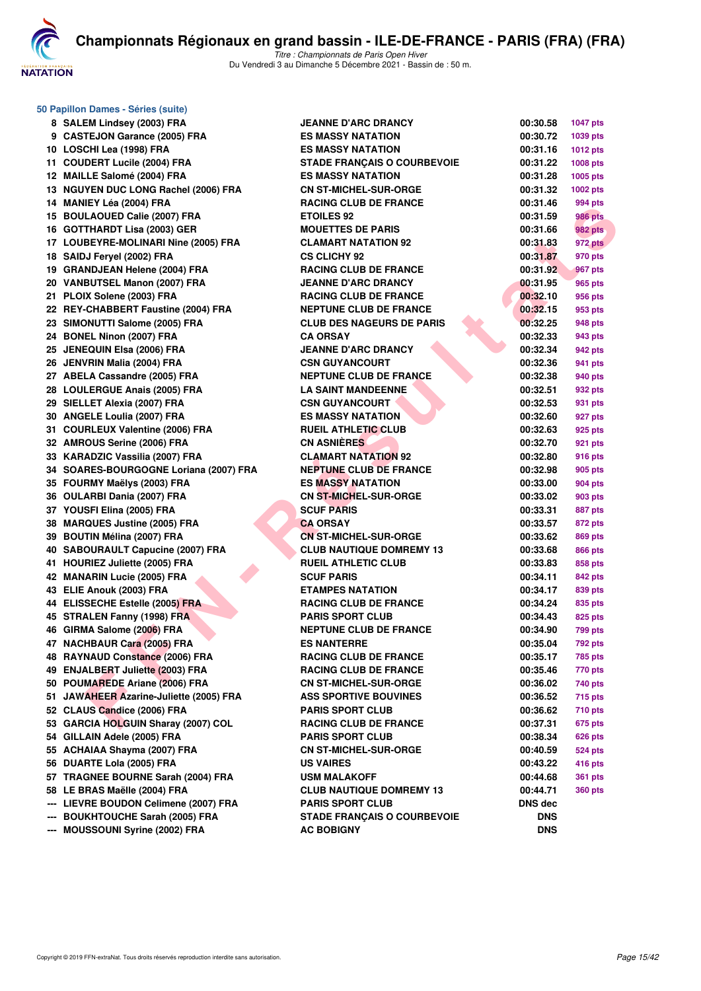

| 50 Papillon Dames - Séries (suite)      |                                    |                |                 |
|-----------------------------------------|------------------------------------|----------------|-----------------|
| 8 SALEM Lindsey (2003) FRA              | <b>JEANNE D'ARC DRANCY</b>         | 00:30.58       | <b>1047 pts</b> |
| 9 CASTEJON Garance (2005) FRA           | <b>ES MASSY NATATION</b>           | 00:30.72       | 1039 pts        |
| 10 LOSCHI Lea (1998) FRA                | <b>ES MASSY NATATION</b>           | 00:31.16       | <b>1012 pts</b> |
| 11 COUDERT Lucile (2004) FRA            | <b>STADE FRANÇAIS O COURBEVOIE</b> | 00:31.22       | 1008 pts        |
| 12 MAILLE Salomé (2004) FRA             | <b>ES MASSY NATATION</b>           | 00:31.28       | 1005 pts        |
| 13 NGUYEN DUC LONG Rachel (2006) FRA    | <b>CN ST-MICHEL-SUR-ORGE</b>       | 00:31.32       | 1002 pts        |
| 14 MANIEY Léa (2004) FRA                | <b>RACING CLUB DE FRANCE</b>       | 00:31.46       | 994 pts         |
| 15 BOULAOUED Calie (2007) FRA           | <b>ETOILES 92</b>                  | 00:31.59       | 986 pts         |
| 16 GOTTHARDT Lisa (2003) GER            | <b>MOUETTES DE PARIS</b>           | 00:31.66       | <b>982 pts</b>  |
| 17 LOUBEYRE-MOLINARI Nine (2005) FRA    | <b>CLAMART NATATION 92</b>         | 00:31.83       | 972 pts         |
| 18 SAIDJ Feryel (2002) FRA              | <b>CS CLICHY 92</b>                | 00:31.87       | 970 pts         |
| 19 GRANDJEAN Helene (2004) FRA          | <b>RACING CLUB DE FRANCE</b>       | 00:31.92       | 967 pts         |
| 20 VANBUTSEL Manon (2007) FRA           | <b>JEANNE D'ARC DRANCY</b>         | 00:31.95       | 965 pts         |
| 21 PLOIX Solene (2003) FRA              | <b>RACING CLUB DE FRANCE</b>       | 00:32.10       | 956 pts         |
| 22 REY-CHABBERT Faustine (2004) FRA     | <b>NEPTUNE CLUB DE FRANCE</b>      | 00:32.15       | 953 pts         |
| 23 SIMONUTTI Salome (2005) FRA          | <b>CLUB DES NAGEURS DE PARIS</b>   | 00:32.25       | 948 pts         |
| 24 BONEL Ninon (2007) FRA               | <b>CA ORSAY</b>                    | 00:32.33       | 943 pts         |
| 25 JENEQUIN Elsa (2006) FRA             | <b>JEANNE D'ARC DRANCY</b>         | 00:32.34       | 942 pts         |
| 26 JENVRIN Malia (2004) FRA             | <b>CSN GUYANCOURT</b>              | 00:32.36       | 941 pts         |
| 27 ABELA Cassandre (2005) FRA           | <b>NEPTUNE CLUB DE FRANCE</b>      | 00:32.38       | 940 pts         |
| 28 LOULERGUE Anais (2005) FRA           | <b>LA SAINT MANDEENNE</b>          | 00:32.51       | 932 pts         |
| 29 SIELLET Alexia (2007) FRA            | <b>CSN GUYANCOURT</b>              | 00:32.53       | 931 pts         |
| 30 ANGELE Loulia (2007) FRA             | <b>ES MASSY NATATION</b>           | 00:32.60       | 927 pts         |
| 31 COURLEUX Valentine (2006) FRA        | <b>RUEIL ATHLETIC CLUB</b>         | 00:32.63       | 925 pts         |
| 32 AMROUS Serine (2006) FRA             | <b>CN ASNIÈRES</b>                 | 00:32.70       | 921 pts         |
| 33 KARADZIC Vassilia (2007) FRA         | <b>CLAMART NATATION 92</b>         | 00:32.80       | 916 pts         |
| 34 SOARES-BOURGOGNE Loriana (2007) FRA  | <b>NEPTUNE CLUB DE FRANCE</b>      | 00:32.98       | 905 pts         |
| 35 FOURMY Maëlys (2003) FRA             | <b>ES MASSY NATATION</b>           | 00:33.00       | 904 pts         |
| 36 OULARBI Dania (2007) FRA             | <b>CN ST-MICHEL-SUR-ORGE</b>       | 00:33.02       | 903 pts         |
| 37 YOUSFI Elina (2005) FRA              | <b>SCUF PARIS</b>                  | 00:33.31       | 887 pts         |
| 38 MARQUES Justine (2005) FRA           | <b>CA ORSAY</b>                    | 00:33.57       | 872 pts         |
| 39 BOUTIN Mélina (2007) FRA             | <b>CN ST-MICHEL-SUR-ORGE</b>       | 00:33.62       | 869 pts         |
| 40 SABOURAULT Capucine (2007) FRA       | <b>CLUB NAUTIQUE DOMREMY 13</b>    | 00:33.68       | <b>866 pts</b>  |
| 41 HOURIEZ Juliette (2005) FRA          | <b>RUEIL ATHLETIC CLUB</b>         | 00:33.83       | 858 pts         |
| 42 MANARIN Lucie (2005) FRA             | <b>SCUF PARIS</b>                  | 00:34.11       | 842 pts         |
| 43 ELIE Anouk (2003) FRA                | <b>ETAMPES NATATION</b>            | 00:34.17       | 839 pts         |
| 44 ELISSECHE Estelle (2005) FRA         | <b>RACING CLUB DE FRANCE</b>       | 00:34.24       | 835 pts         |
| 45 STRALEN Fanny (1998) FRA             | <b>PARIS SPORT CLUB</b>            | 00:34.43       | 825 pts         |
| 46 GIRMA Salome (2006) FRA              | <b>NEPTUNE CLUB DE FRANCE</b>      | 00:34.90       | 799 pts         |
| 47 NACHBAUR Cara (2005) FRA             | <b>ES NANTERRE</b>                 | 00:35.04       | <b>792 pts</b>  |
| 48 RAYNAUD Constance (2006) FRA         | <b>RACING CLUB DE FRANCE</b>       | 00:35.17       | 785 pts         |
| 49 ENJALBERT Juliette (2003) FRA        | <b>RACING CLUB DE FRANCE</b>       | 00:35.46       | 770 pts         |
| 50 POUMAREDE Ariane (2006) FRA          | <b>CN ST-MICHEL-SUR-ORGE</b>       | 00:36.02       | 740 pts         |
| 51 JAWAHEER Azarine-Juliette (2005) FRA | <b>ASS SPORTIVE BOUVINES</b>       | 00:36.52       | <b>715 pts</b>  |
| 52 CLAUS Candice (2006) FRA             | <b>PARIS SPORT CLUB</b>            | 00:36.62       | <b>710 pts</b>  |
| 53 GARCIA HOLGUIN Sharay (2007) COL     | <b>RACING CLUB DE FRANCE</b>       | 00:37.31       | 675 pts         |
| 54 GILLAIN Adele (2005) FRA             | <b>PARIS SPORT CLUB</b>            | 00:38.34       | 626 pts         |
| 55 ACHAIAA Shayma (2007) FRA            | <b>CN ST-MICHEL-SUR-ORGE</b>       | 00:40.59       | 524 pts         |
| 56 DUARTE Lola (2005) FRA               | <b>US VAIRES</b>                   | 00:43.22       | 416 pts         |
| 57 TRAGNEE BOURNE Sarah (2004) FRA      | USM MALAKOFF                       | 00:44.68       | <b>361 pts</b>  |
| 58 LE BRAS Maëlle (2004) FRA            | <b>CLUB NAUTIQUE DOMREMY 13</b>    | 00:44.71       | <b>360 pts</b>  |
| --- LIEVRE BOUDON Celimene (2007) FRA   | <b>PARIS SPORT CLUB</b>            | <b>DNS</b> dec |                 |
| --- BOUKHTOUCHE Sarah (2005) FRA        | <b>STADE FRANÇAIS O COURBEVOIE</b> | <b>DNS</b>     |                 |
| --- MOUSSOUNI Syrine (2002) FRA         | <b>AC BOBIGNY</b>                  | <b>DNS</b>     |                 |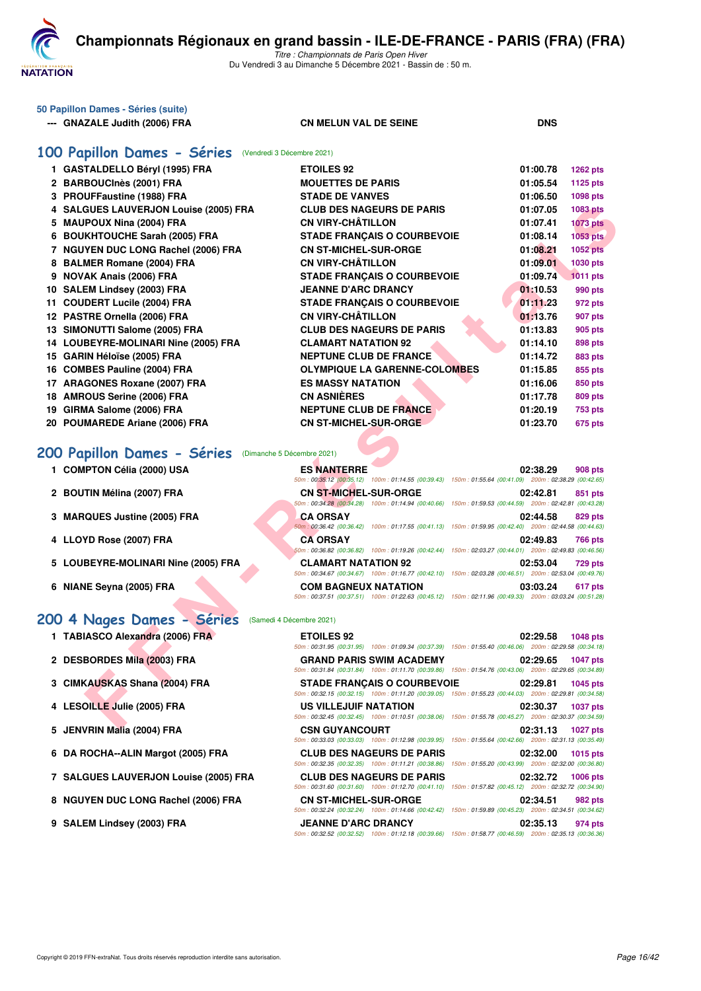

| 50 Papillon Dames - Séries (suite) |                              |            |
|------------------------------------|------------------------------|------------|
| --- GNAZALE Judith (2006) FRA      | <b>CN MELUN VAL DE SEINE</b> | <b>DNS</b> |

## **[100 Papillon Dames - Séries](http://www.ffnatation.fr/webffn/resultats.php?idact=nat&go=epr&idcpt=73929&idepr=32)** (Vendredi 3 Décembre 2021)

| 1 GASTALDELLO Béryl (1995) FRA                         | <b>ETOILES 92</b>                                                                                                                            | 01:00.78 | 1262 pts        |
|--------------------------------------------------------|----------------------------------------------------------------------------------------------------------------------------------------------|----------|-----------------|
| 2 BARBOUCInès (2001) FRA                               | <b>MOUETTES DE PARIS</b>                                                                                                                     | 01:05.54 | 1125 pts        |
| 3 PROUFFaustine (1988) FRA                             | <b>STADE DE VANVES</b>                                                                                                                       | 01:06.50 | 1098 pts        |
| 4 SALGUES LAUVERJON Louise (2005) FRA                  | <b>CLUB DES NAGEURS DE PARIS</b>                                                                                                             | 01:07.05 | 1083 pts        |
| 5 MAUPOUX Nina (2004) FRA                              | <b>CN VIRY-CHÂTILLON</b>                                                                                                                     | 01:07.41 | <b>1073 pts</b> |
| 6 BOUKHTOUCHE Sarah (2005) FRA                         | <b>STADE FRANCAIS O COURBEVOIE</b>                                                                                                           | 01:08.14 | 1053 pts        |
| 7 NGUYEN DUC LONG Rachel (2006) FRA                    | <b>CN ST-MICHEL-SUR-ORGE</b>                                                                                                                 | 01:08.21 | <b>1052 pts</b> |
| 8 BALMER Romane (2004) FRA                             | <b>CN VIRY-CHÂTILLON</b>                                                                                                                     | 01:09.01 | 1030 pts        |
| 9 NOVAK Anais (2006) FRA                               | <b>STADE FRANÇAIS O COURBEVOIE</b>                                                                                                           | 01:09.74 | <b>1011 pts</b> |
| 10 SALEM Lindsey (2003) FRA                            | <b>JEANNE D'ARC DRANCY</b>                                                                                                                   | 01:10.53 | 990 pts         |
| 11 COUDERT Lucile (2004) FRA                           | <b>STADE FRANÇAIS O COURBEVOIE</b>                                                                                                           | 01:11.23 | 972 pts         |
| 12 PASTRE Ornella (2006) FRA                           | <b>CN VIRY-CHATILLON</b>                                                                                                                     | 01:13.76 | 907 pts         |
| 13 SIMONUTTI Salome (2005) FRA                         | <b>CLUB DES NAGEURS DE PARIS</b>                                                                                                             | 01:13.83 | 905 pts         |
| 14 LOUBEYRE-MOLINARI Nine (2005) FRA                   | <b>CLAMART NATATION 92</b>                                                                                                                   | 01:14.10 | 898 pts         |
| 15 GARIN Héloïse (2005) FRA                            | <b>NEPTUNE CLUB DE FRANCE</b>                                                                                                                | 01:14.72 | 883 pts         |
| 16 COMBES Pauline (2004) FRA                           | <b>OLYMPIQUE LA GARENNE-COLOMBES</b>                                                                                                         | 01:15.85 | 855 pts         |
| 17 ARAGONES Roxane (2007) FRA                          | <b>ES MASSY NATATION</b>                                                                                                                     | 01:16.06 | 850 pts         |
| 18 AMROUS Serine (2006) FRA                            | <b>CN ASNIÈRES</b>                                                                                                                           | 01:17.78 | <b>809 pts</b>  |
| 19 GIRMA Salome (2006) FRA                             | <b>NEPTUNE CLUB DE FRANCE</b>                                                                                                                | 01:20.19 | <b>753 pts</b>  |
| 20 POUMAREDE Ariane (2006) FRA                         | <b>CN ST-MICHEL-SUR-ORGE</b>                                                                                                                 | 01:23.70 | 675 pts         |
| 200 Papillon Dames - Séries (Dimanche 5 Décembre 2021) |                                                                                                                                              |          |                 |
| 1 COMPTON Célia (2000) USA                             | <b>ES NANTERRE</b><br>50m: 00:35.12 (00:35.12) 100m: 01:14.55 (00:39.43) 150m: 01:55.64 (00:41.09) 200m: 02:38.29 (00:42.65)                 | 02:38.29 | 908 pts         |
| 2 BOUTIN Mélina (2007) FRA                             | <b>CN ST-MICHEL-SUR-ORGE</b><br>50m: 00:34.28 (00:34.28) 100m: 01:14.94 (00:40.66) 150m: 01:59.53 (00:44.59) 200m: 02:42.81 (00:43.28)       | 02:42.81 | 851 pts         |
| 3 MARQUES Justine (2005) FRA                           | <b>CA ORSAY</b><br>50m : 00:36.42 (00:36.42) 100m : 01:17.55 (00:41.13) 150m : 01:59.95 (00:42.40) 200m : 02:44.58 (00:44.63)                | 02:44.58 | 829 pts         |
| 4 LLOYD Rose (2007) FRA                                | <b>CA ORSAY</b><br>50m: 00:36.82 (00:36.82) 100m: 01:19.26 (00:42.44) 150m: 02:03.27 (00:44.01) 200m: 02:49.83 (00:46.56)                    | 02:49.83 | <b>766 pts</b>  |
| 5 LOUBEYRE-MOLINARI Nine (2005) FRA                    | <b>CLAMART NATATION 92</b><br>50m: 00:34.67 (00:34.67) 100m: 01:16.77 (00:42.10) 150m: 02:03.28 (00:46.51) 200m: 02:53.04 (00:49.76)         | 02:53.04 | <b>729 pts</b>  |
| 6 NIANE Seyna (2005) FRA                               | <b>COM BAGNEUX NATATION</b><br>50m: 00:37.51 (00:37.51) 100m: 01:22.63 (00:45.12) 150m: 02:11.96 (00:49.33) 200m: 03:03.24 (00:51.28)        | 03:03.24 | 617 pts         |
| 200 4 Nages Dames - Séries<br>(Samedi 4 Décembre 2021) |                                                                                                                                              |          |                 |
| 1 TABIASCO Alexandra (2006) FRA                        | <b>ETOILES 92</b><br>50m : 00:31.95 (00:31.95) 100m : 01:09.34 (00:37.39) 150m : 01:55.40 (00:46.06) 200m : 02:29.58 (00:34.18)              | 02:29.58 | 1048 pts        |
| 2 DESBORDES Mila (2003) FRA                            | <b>GRAND PARIS SWIM ACADEMY</b><br>50m: 00:31.84 (00:31.84) 100m: 01:11.70 (00:39.86) 150m: 01:54.76 (00:43.06) 200m: 02:29.65 (00:34.89)    | 02:29.65 | <b>1047 pts</b> |
| 3 CIMKAUSKAS Shana (2004) FRA                          | <b>STADE FRANÇAIS O COURBEVOIE</b><br>50m: 00:32.15 (00:32.15) 100m: 01:11.20 (00:39.05) 150m: 01:55.23 (00:44.03) 200m: 02:29.81 (00:34.58) | 02:29.81 | 1045 pts        |
| 4 LESOILLE Julie (2005) FRA                            | US VILLEJUIF NATATION<br>50m: 00:32.45 (00:32.45) 100m: 01:10.51 (00:38.06) 150m: 01:55.78 (00:45.27) 200m: 02:30.37 (00:34.59)              | 02:30.37 | <b>1037 pts</b> |
| $E = \text{IFINIDINIRLE} (000A) FDA$                   | CON CUVANOOUDT                                                                                                                               | 00.01.10 | $4007 - 1$      |

# **[200 Papillon Dames - Séries](http://www.ffnatation.fr/webffn/resultats.php?idact=nat&go=epr&idcpt=73929&idepr=33)** (Dimanche 5 Décembre 2021)

| 1 COMPTON Célia (2000) USA          | <b>ES NANTERRE</b>           | 02:38.29<br><b>908 pts</b>                                                                             |
|-------------------------------------|------------------------------|--------------------------------------------------------------------------------------------------------|
|                                     | 50m: 00:35.12 (00:35.12)     | 100m: 01:14.55 (00:39.43) 150m: 01:55.64 (00:41.09) 200m: 02:38.29 (00:42.65)                          |
| 2 BOUTIN Mélina (2007) FRA          | <b>CN ST-MICHEL-SUR-ORGE</b> | 02:42.81<br>851 pts                                                                                    |
|                                     | 50m: 00:34.28 (00:34.28)     | 100m: 01:14.94 (00:40.66) 150m: 01:59.53 (00:44.59) 200m: 02:42.81 (00:43.28)                          |
| 3 MARQUES Justine (2005) FRA        | <b>CA ORSAY</b>              | 02:44.58<br>829 pts                                                                                    |
|                                     | 50m: 00:36.42 (00:36.42)     | 100m: 01:17.55 (00:41.13) 150m: 01:59.95 (00:42.40) 200m: 02:44.58 (00:44.63)                          |
| 4 LLOYD Rose (2007) FRA             | <b>CA ORSAY</b>              | 02:49.83<br><b>766 pts</b>                                                                             |
|                                     | 50m: 00:36.82 (00:36.82)     | 100m: 01:19.26 (00:42.44) 150m: 02:03.27 (00:44.01) 200m: 02:49.83 (00:46.56)                          |
| 5 LOUBEYRE-MOLINARI Nine (2005) FRA | <b>CLAMART NATATION 92</b>   | 02:53.04<br><b>729 pts</b>                                                                             |
|                                     | 50m: 00:34.67 (00:34.67)     | 100m: 01:16.77 (00:42.10) 150m: 02:03.28 (00:46.51) 200m: 02:53.04 (00:49.76)                          |
| 6 NIANE Seyna (2005) FRA            | <b>COM BAGNEUX NATATION</b>  | 03:03.24<br>617 pts                                                                                    |
|                                     |                              | 50m: 00:37.51 (00:37.51) 100m: 01:22.63 (00:45.12) 150m: 02:11.96 (00:49.33) 200m: 03:03.24 (00:51.28) |

## [200 4 Nages Dames - Séries](http://www.ffnatation.fr/webffn/resultats.php?idact=nat&go=epr&idcpt=73929&idepr=41) (Samedi 4 Décembre 2021)

- **1 TABIASCO Alexandra (2006) FRA ETOILES 92 02:29.58 1048 pts**
- **2 DESBORDES Mila (2003) FRA GRAND PARIS SWIM ACADEMY 02:29.65 1047 pts**
- **3 CIMKAUSKAS Shana (2004) FRA STADE FRANÇAIS O COURBEVOIE 02:29.81 1045 pts**
- **4 LESOILLE Julie (2005) FRA US VILLEJUIF NATATION 02:30.37 1037 pts**
- **5 JENVRIN Malia (2004) FRA CSN GUYANCOURT 02:31.13 1027 pts**
- **6 DA ROCHA--ALIN Margot (2005) FRA CLUB DES NAGEURS DE PARIS 02:32.00 1015 pts**
- 
- 
- 

| 7 SALGUES LAUVERJON Louise (2005) FRA |                              | <b>CLUB DES NAGEURS DE PARIS</b>                                                                       | 02:32.72 | <b>1006 pts</b> |
|---------------------------------------|------------------------------|--------------------------------------------------------------------------------------------------------|----------|-----------------|
|                                       |                              | 50m: 00:31.60 (00:31.60) 100m: 01:12.70 (00:41.10) 150m: 01:57.82 (00:45.12) 200m: 02:32.72 (00:34.90) |          |                 |
| 8 NGUYEN DUC LONG Rachel (2006) FRA   | <b>CN ST-MICHEL-SUR-ORGE</b> |                                                                                                        | 02:34.51 | 982 pts         |
|                                       |                              | 50m: 00:32.24 (00:32.24) 100m: 01:14.66 (00:42.42) 150m: 01:59.89 (00:45.23) 200m: 02:34.51 (00:34.62) |          |                 |
| 9 SALEM Lindsey (2003) FRA            | <b>JEANNE D'ARC DRANCY</b>   |                                                                                                        | 02:35.13 | 974 pts         |
|                                       |                              | 50m: 00:32.52 (00:32.52) 100m: 01:12.18 (00:39.66) 150m: 01:58.77 (00:46.59) 200m: 02:35.13 (00:36.36) |          |                 |
|                                       |                              |                                                                                                        |          |                 |
|                                       |                              |                                                                                                        |          |                 |
|                                       |                              |                                                                                                        |          |                 |
|                                       |                              |                                                                                                        |          |                 |

*50m : 00:33.03 (00:33.03) 100m : 01:12.98 (00:39.95) 150m : 01:55.64 (00:42.66) 200m : 02:31.13 (00:35.49)*

*50m : 00:32.35 (00:32.35) 100m : 01:11.21 (00:38.86) 150m : 01:55.20 (00:43.99) 200m : 02:32.00 (00:36.80)*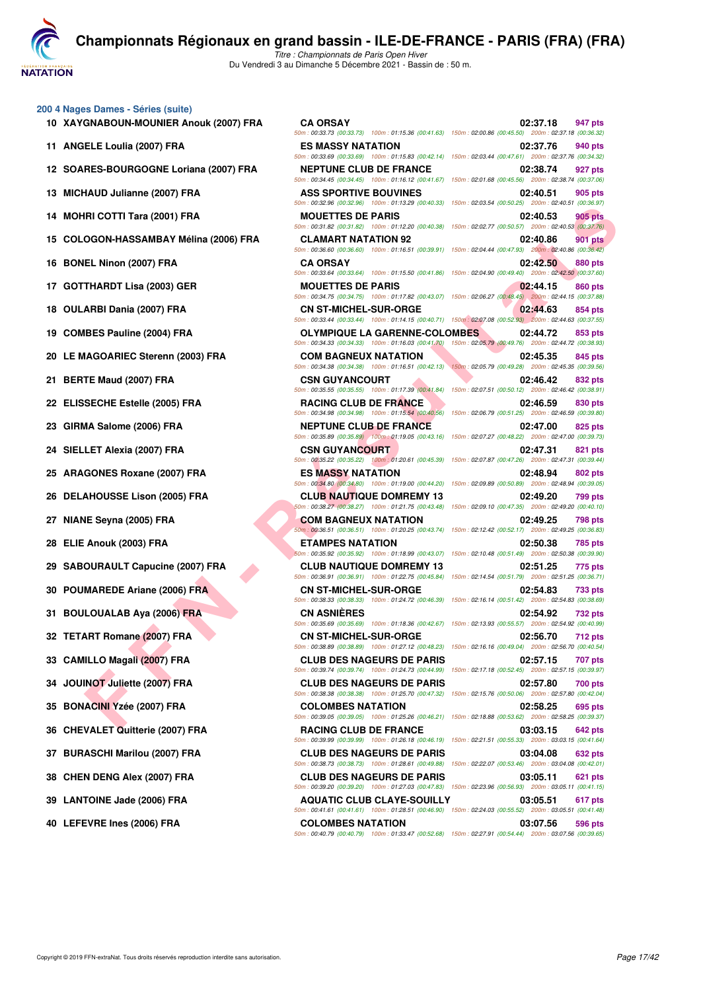**NATATION** 

**[C](http://www.ffnatation.fr/webffn/index.php)hampionnats Régionaux en grand bassin - ILE-DE-FRANCE - PARIS (FRA) (FRA)**

*Titre : Championnats de Paris Open Hiver* Du Vendredi 3 au Dimanche 5 Décembre 2021 - Bassin de : 50 m.

#### **200 4 Nages Dames - Séries (suite)**

- 
- 
- 
- 
- 
- 
- 
- 
- 
- 
- 
- 
- 
- 
- 
- 
- 
- 
- 
- 
- 
- 
- 
- 
- 
- 
- 
- 
- 
- 
- 

| 00 4 Nages Dames - Séries (suite)<br>10 XAYGNABOUN-MOUNIER Anouk (2007) FRA | <b>CA ORSAY</b>                                                                                                                                                                                                                                             | 02:37.18<br>947 pts                                                               |
|-----------------------------------------------------------------------------|-------------------------------------------------------------------------------------------------------------------------------------------------------------------------------------------------------------------------------------------------------------|-----------------------------------------------------------------------------------|
| 11 ANGELE Loulia (2007) FRA                                                 | 50m : 00:33.73 (00:33.73) 100m : 01:15.36 (00:41.63) 150m : 02:00.86 (00:45.50) 200m : 02:37.18 (00:36.32)<br><b>ES MASSY NATATION</b>                                                                                                                      | 02:37.76<br>940 pts                                                               |
| 12 SOARES-BOURGOGNE Loriana (2007) FRA                                      | 50m: 00:33.69 (00:33.69) 100m: 01:15.83 (00:42.14) 150m: 02:03.44 (00:47.61) 200m: 02:37.76 (00:34.32)<br><b>NEPTUNE CLUB DE FRANCE</b>                                                                                                                     | 02:38.74<br>927 pts                                                               |
| 13 MICHAUD Julianne (2007) FRA                                              | 50m : 00:34.45 (00:34.45) 100m : 01:16.12 (00:41.67) 150m : 02:01.68 (00:45.56) 200m : 02:38.74 (00:37.06)<br><b>ASS SPORTIVE BOUVINES</b>                                                                                                                  | 02:40.51<br>905 pts                                                               |
| 14 MOHRI COTTI Tara (2001) FRA                                              | 50m: 00:32.96 (00:32.96) 100m: 01:13.29 (00:40.33) 150m: 02:03.54 (00:50.25) 200m: 02:40.51 (00:36.97)<br><b>MOUETTES DE PARIS</b><br>50m : 00:31.82 (00:31.82) 100m : 01:12.20 (00:40.38) 150m : 02:02.77 (00:50.57) 200m : 02:40.53 (00:37.76)            | 905 pts<br>02:40.53                                                               |
| 15 COLOGON-HASSAMBAY Mélina (2006) FRA                                      | <b>CLAMART NATATION 92</b><br>50m : 00:36.60 (00:36.60) 100m : 01:16.51 (00:39.91) 150m : 02:04.44 (00:47.93) 200m : 02:40.86 (00:36.42)                                                                                                                    | 02:40.86<br>901 pts                                                               |
| 16 BONEL Ninon (2007) FRA                                                   | <b>CA ORSAY</b><br>50m : 00:33.64 (00:33.64) 100m : 01:15.50 (00:41.86) 150m : 02:04.90 (00:49.40) 200m : 02:42.50 (00:37.60)                                                                                                                               | 02:42.50<br>880 pts                                                               |
| 17 GOTTHARDT Lisa (2003) GER                                                | <b>MOUETTES DE PARIS</b><br>50m: 00:34.75 (00:34.75) 100m: 01:17.82 (00:43.07) 150m: 02:06.27 (00:48.45) 200m: 02:44.15 (00:37.88)                                                                                                                          | 02:44.15<br>860 pts                                                               |
| 18 OULARBI Dania (2007) FRA                                                 | <b>CN ST-MICHEL-SUR-ORGE</b><br>50m : 00:33.44 (00:33.44) 100m : 01:14.15 (00:40.71) 150m : 02:07.08 (00:52.93) 200m : 02:44.63 (00:37.55)                                                                                                                  | 02:44.63<br>854 pts                                                               |
| 19 COMBES Pauline (2004) FRA                                                | <b>OLYMPIQUE LA GARENNE-COLOMBES</b><br>50m: 00:34.33 (00:34.33) 100m: 01:16.03 (00:41.70) 150m: 02:05.79 (00:49.76) 200m: 02:44.72 (00:38.93)                                                                                                              | 02:44.72<br>853 pts                                                               |
| 20 LE MAGOARIEC Sterenn (2003) FRA                                          | <b>COM BAGNEUX NATATION</b><br>50m: 00:34.38 (00:34.38) 100m: 01:16.51 (00:42.13) 150m: 02:05.79 (00:49.28) 200m: 02:45.35 (00:39.56)                                                                                                                       | 02:45.35<br>845 pts                                                               |
| 21 BERTE Maud (2007) FRA                                                    | <b>CSN GUYANCOURT</b><br>50m: 00:35.55 (00:35.55) 100m: 01:17.39 (00:41.84) 150m: 02:07.51 (00:50.12) 200m: 02:46.42 (00:38.91)                                                                                                                             | 02:46.42<br>832 pts                                                               |
| 22 ELISSECHE Estelle (2005) FRA                                             | <b>RACING CLUB DE FRANCE</b><br>50m : 00:34.98 (00:34.98) 100m : 01:15.54 (00:40.56) 150m : 02:06.79 (00:51.25) 200m : 02:46.59 (00:39.80)                                                                                                                  | 02:46.59<br>830 pts                                                               |
| 23 GIRMA Salome (2006) FRA                                                  | <b>NEPTUNE CLUB DE FRANCE</b><br>50m: 00:35.89 (00:35.89) 100m: 01:19.05 (00:43.16) 150m: 02:07.27 (00:48.22) 200m: 02:47.00 (00:39.73)                                                                                                                     | 02:47.00<br>825 pts                                                               |
| 24 SIELLET Alexia (2007) FRA                                                | <b>CSN GUYANCOURT</b>                                                                                                                                                                                                                                       | 02:47.31<br>821 pts                                                               |
| 25 ARAGONES Roxane (2007) FRA                                               | 50m : 00:35.22 (00:35.22) 100m : 01:20.61 (00:45.39) 150m : 02:07.87 (00:47.26) 200m : 02:47.31 (00:39.44)<br>ES MASSY NATATION                                                                                                                             | 02:48.94<br>802 pts                                                               |
| 26 DELAHOUSSE Lison (2005) FRA                                              | 50m : 00:34.80 (00:34.80) 100m : 01:19.00 (00:44.20) 150m : 02:09.89 (00:50.89) 200m : 02:48.94 (00:39.05)<br><b>CLUB NAUTIQUE DOMREMY 13</b><br>50m : 00:38.27 (00:38.27) 100m : 01:21.75 (00:43.48) 150m : 02:09.10 (00:47.35) 200m : 02:49.20 (00:40.10) | 02:49.20<br>799 pts                                                               |
| 27 NIANE Seyna (2005) FRA                                                   | <b>COM BAGNEUX NATATION</b><br>50m: 00:36.51 (00:36.51) 100m: 01:20.25 (00:43.74) 150m: 02:12.42 (00:52.17) 200m: 02:49.25 (00:36.83)                                                                                                                       | 02:49.25<br>798 pts                                                               |
| 28 ELIE Anouk (2003) FRA                                                    | ETAMPES NATATION<br>50m: 00:35.92 (00:35.92) 100m: 01:18.99 (00:43.07) 150m: 02:10.48 (00:51.49) 200m: 02:50.38 (00:39.90)                                                                                                                                  | 02:50.38<br>785 pts                                                               |
| 29 SABOURAULT Capucine (2007) FRA                                           | <b>CLUB NAUTIQUE DOMREMY 13</b><br>50m: 00:36.91 (00:36.91) 100m: 01:22.75 (00:45.84) 150m: 02:14.54 (00:51.79) 200m: 02:51.25 (00:36.71)                                                                                                                   | 02:51.25<br>775 pts                                                               |
| 30 POUMAREDE Ariane (2006) FRA                                              | <b>CN ST-MICHEL-SUR-ORGE</b><br>50m: 00:38.33 (00:38.33) 100m: 01:24.72 (00:46.39) 150m: 02:16.14 (00:51.42) 200m: 02:54.83 (00:38.69)                                                                                                                      | 02:54.83<br><b>733 pts</b>                                                        |
| 31 BOULOUALAB Aya (2006) FRA                                                | <b>CN ASNIERES</b><br>50m : 00:35.69 (00:35.69) 100m : 01:18.36 (00:42.67) 150m : 02:13.93 (00:55.57) 200m : 02:54.92 (00:40.99)                                                                                                                            | 02:54.92<br><b>732 pts</b>                                                        |
| 32 TETART Romane (2007) FRA                                                 | <b>CN ST-MICHEL-SUR-ORGE</b><br>50m : 00:38.89 (00:38.89) 100m : 01:27.12 (00:48.23) 150m : 02:16.16 (00:49.04) 200m : 02:56.70 (00:40.54)                                                                                                                  | 02:56.70<br>712 pts                                                               |
| 33 CAMILLO Magali (2007) FRA                                                | <b>CLUB DES NAGEURS DE PARIS</b><br>50m: 00:39.74 (00:39.74) 100m: 01:24.73 (00:44.99)                                                                                                                                                                      | 02:57.15<br>707 pts<br>150m: 02:17.18 (00:52.45) 200m: 02:57.15 (00:39.97)        |
| 34 JOUINOT Juliette (2007) FRA                                              | <b>CLUB DES NAGEURS DE PARIS</b>                                                                                                                                                                                                                            | 02:57.80<br><b>700 pts</b>                                                        |
| 35 BONACINI Yzée (2007) FRA                                                 | 50m : 00:38.38 (00:38.38) 100m : 01:25.70 (00:47.32) 150m : 02:15.76 (00:50.06) 200m : 02:57.80 (00:42.04)<br><b>COLOMBES NATATION</b>                                                                                                                      | 02:58.25<br>695 pts                                                               |
| 36 CHEVALET Quitterie (2007) FRA                                            | 50m: 00:39.05 (00:39.05) 100m: 01:25.26 (00:46.21) 150m: 02:18.88 (00:53.62) 200m: 02:58.25 (00:39.37)<br><b>RACING CLUB DE FRANCE</b>                                                                                                                      | 03:03.15<br>642 pts                                                               |
| 37 BURASCHI Marilou (2007) FRA                                              | 50m: 00:39.99 (00:39.99) 100m: 01:26.18 (00:46.19) 150m: 02:21.51 (00:55.33) 200m: 03:03.15 (00:41.64)<br><b>CLUB DES NAGEURS DE PARIS</b>                                                                                                                  | 03:04.08<br>632 pts                                                               |
| 38 CHEN DENG Alex (2007) FRA                                                | 50m: 00:38.73 (00:38.73) 100m: 01:28.61 (00:49.88)<br><b>CLUB DES NAGEURS DE PARIS</b>                                                                                                                                                                      | 150m: 02:22.07 (00:53.46) 200m: 03:04.08 (00:42.01)<br>03:05.11<br><b>621 pts</b> |
| 39 LANTOINE Jade (2006) FRA                                                 | 50m: 00:39.20 (00:39.20) 100m: 01:27.03 (00:47.83) 150m: 02:23.96 (00:56.93) 200m: 03:05.11 (00:41.15)<br><b>AQUATIC CLUB CLAYE-SOUILLY</b>                                                                                                                 | 03:05.51<br>617 pts                                                               |
| 40 LEFEVRE Ines (2006) FRA                                                  | 50m: 00:41.61 (00:41.61) 100m: 01:28.51 (00:46.90) 150m: 02:24.03 (00:55.52) 200m: 03:05.51 (00:41.48)<br><b>COLOMBES NATATION</b>                                                                                                                          | 03:07.56<br>596 pts                                                               |
|                                                                             | 50m; 00:40.79 (00:40.79) 100m; 01:33.47 (00:52.68) 150m; 02:27.91 (00:54.44) 200m; 03:07.56 (00:39.65)                                                                                                                                                      |                                                                                   |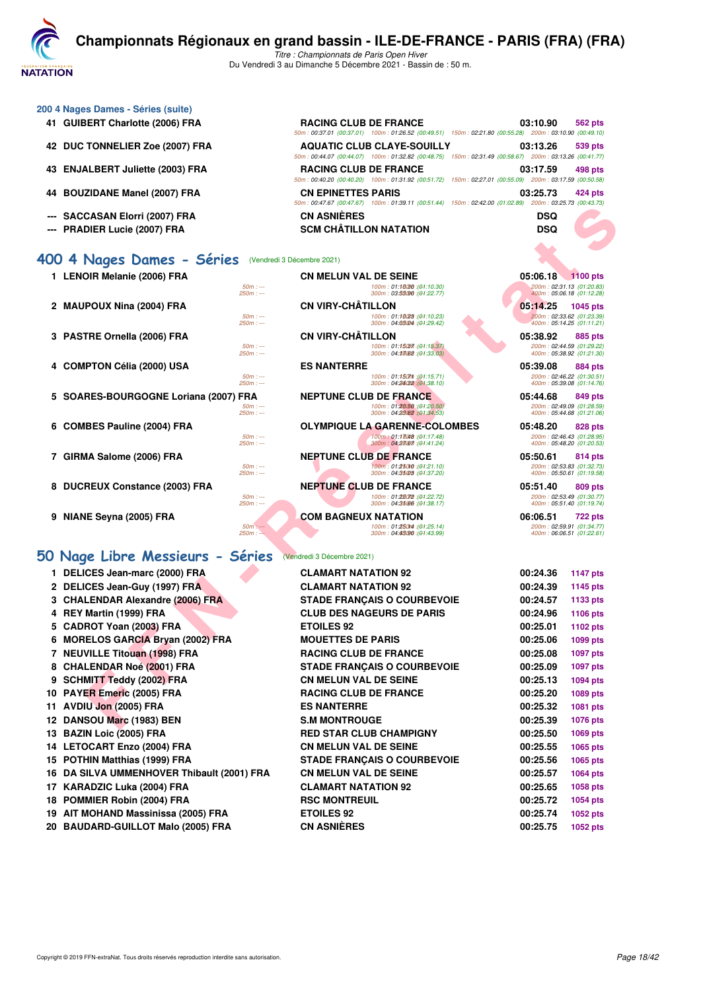

| 41 GUIBERT Charlotte (2006) FRA  |                            | <b>RACING CLUB DE FRANCE</b>  |                                                                                                                                            |  | 03:10.90                                              | <b>562 pts</b> |
|----------------------------------|----------------------------|-------------------------------|--------------------------------------------------------------------------------------------------------------------------------------------|--|-------------------------------------------------------|----------------|
|                                  |                            |                               | 50m: 00:37.01 (00:37.01) 100m: 01:26.52 (00:49.51) 150m: 02:21.80 (00:55.28) 200m: 03:10.90 (00:49.10                                      |  |                                                       |                |
| 42 DUC TONNELIER Zoe (2007) FRA  |                            |                               | <b>AQUATIC CLUB CLAYE-SOUILLY</b><br>50m: 00:44.07 (00:44.07) 100m: 01:32.82 (00:48.75) 150m: 02:31.49 (00:58.67) 200m: 03:13.26 (00:41.77 |  | 03:13.26                                              | 539 pts        |
| 43 ENJALBERT Juliette (2003) FRA |                            | <b>RACING CLUB DE FRANCE</b>  | 50m: 00:40.20 (00:40.20) 100m: 01:31.92 (00:51.72) 150m: 02:27.01 (00:55.09) 200m: 03:17.59 (00:50.58                                      |  | 03:17.59                                              | 498 pts        |
| 44 BOUZIDANE Manel (2007) FRA    |                            | <b>CN EPINETTES PARIS</b>     | 50m: 00:47.67 (00:47.67) 100m: 01:39.11 (00:51.44) 150m: 02:42.00 (01:02.89) 200m: 03:25.73 (00:43.73                                      |  | 03:25.73                                              | 424 pts        |
| --- SACCASAN Elorri (2007) FRA   |                            | <b>CN ASNIÈRES</b>            |                                                                                                                                            |  | <b>DSQ</b>                                            |                |
| --- PRADIER Lucie (2007) FRA     |                            | <b>SCM CHÂTILLON NATATION</b> |                                                                                                                                            |  | <b>DSQ</b>                                            |                |
| 400 4 Nages Dames - Séries       | (Vendredi 3 Décembre 2021) |                               |                                                                                                                                            |  |                                                       |                |
| 1 LENOIR Melanie (2006) FRA      |                            | <b>CN MELUN VAL DE SEINE</b>  |                                                                                                                                            |  | 05:06.18 1100 pts                                     |                |
|                                  | $50m: -$<br>$250m: -$      |                               | 100m: 01:10080 : (01:10.30)<br>300m: 03.53090 : (01:22.77)                                                                                 |  | 200m: 02:31.13 (01:20.83<br>400m: 05:06.18 (01:12.28) |                |
| 2 MAUPOUX Nina (2004) FRA        |                            | <b>CN VIRY-CHÂTILLON</b>      |                                                                                                                                            |  | 05:14.25                                              | 1045 pts       |
|                                  | $50m: -$<br>$250m: -$      |                               | 100m: 01:16028 : (01:10.23)<br>300m: 04:03004 : (01:29.42)                                                                                 |  | 200m: 02:33.62 (01:23.39<br>400m: 05:14.25 (01:11.21  |                |

**200 4 Nages Dames - Séries (suite)**

- 
- 
- 
- 
- 
- 

## **[50 Nage Libre Messieurs - Séries](http://www.ffnatation.fr/webffn/resultats.php?idact=nat&go=epr&idcpt=73929&idepr=51)** (Vendredi 3 Décembre 2021)

| 1.  | <b>DELICES Jean-marc (2000) FRA</b>        |
|-----|--------------------------------------------|
|     | 2 DELICES Jean-Guy (1997) FRA              |
|     | 3 CHALENDAR Alexandre (2006) FRA           |
| 4   | REY Martin (1999) FRA                      |
| 5.  | <b>CADROT Yoan (2003) FRA</b>              |
| 6   | <b>MORELOS GARCIA Bryan (2002) FRA</b>     |
|     | 7 NEUVILLE Titouan (1998) FRA              |
|     | 8 CHALENDAR Noé (2001) FRA                 |
|     | 9 SCHMITT Teddy (2002) FRA                 |
|     | 10 PAYER Emeric (2005) FRA                 |
|     | 11 AVDIU Jon (2005) FRA                    |
|     | 12 DANSOU Marc (1983) BEN                  |
|     | 13 BAZIN Loic (2005) FRA                   |
|     | 14 LETOCART Enzo (2004) FRA                |
|     | 15 POTHIN Matthias (1999) FRA              |
|     | 16 DA SILVA UMMENHOVER Thibault (2001) FRA |
|     | 17 KARADZIC Luka (2004) FRA                |
|     | 18 POMMIER Robin (2004) FRA                |
|     | 19 AIT MOHAND Massinissa (2005) FRA        |
| nn. | BAURARD GUULOT M-L- (OOOF) FRA             |

| --- SACCASAN Elorri (2007) FRA                                            | <b>CN ASNIERES</b>                                           | DSQ                                                    |
|---------------------------------------------------------------------------|--------------------------------------------------------------|--------------------------------------------------------|
| --- PRADIER Lucie (2007) FRA                                              | <b>SCM CHÂTILLON NATATION</b>                                | <b>DSQ</b>                                             |
|                                                                           |                                                              |                                                        |
| 00 4 Nages Dames - Séries                                                 | (Vendredi 3 Décembre 2021)                                   |                                                        |
| 1 LENOIR Melanie (2006) FRA                                               | <b>CN MELUN VAL DE SEINE</b>                                 | 05:06.18<br>$\sqrt{1100}$ pts                          |
| $50m: -$<br>$250m: -$                                                     | 100m: 01:10080 : (01:10.30)<br>300m: 03:53090 : (01:22.77)   | 200m: 02:31.13 (01:20.83)<br>400m: 05:06.18 (01:12.28) |
| 2 MAUPOUX Nina (2004) FRA                                                 | <b>CN VIRY-CHÂTILLON</b>                                     | 05:14.25<br>1045 pts                                   |
| $50m: -$<br>$250m: -$                                                     | 100m: 01:10028 : (01:10.23)<br>300m: 04:0304 : (01:29.42)    | 200m: 02:33.62 (01:23.39)<br>400m: 05:14.25 (01:11.21) |
| 3 PASTRE Ornella (2006) FRA                                               | <b>CN VIRY-CHATILLON</b>                                     | 05:38.92<br>885 pts                                    |
| $50m: -$<br>$250m: -$                                                     | 100m: 01:15037 : (01:15.37)                                  | 200m: 02:44.59 (01:29.22)                              |
| 4 COMPTON Célia (2000) USA                                                | 300m: 04:33.08 : (01:33.03)<br><b>ES NANTERRE</b>            | 400m: 05:38.92 (01:21.30)<br>05:39.08<br>884 pts       |
| $50m: -$                                                                  | 100m: 01:150mm : (01:15.71)                                  | 200m: 02:46.22 (01:30.51)                              |
| $250m: -$                                                                 | 300m: 04:24032 : (01:38.10)                                  | 400m: 05:39.08 (01:14.76)                              |
| 5 SOARES-BOURGOGNE Loriana (2007) FRA<br>$50m: -$                         | <b>NEPTUNE CLUB DE FRANCE</b><br>100m: 01:20150 : (01:20.50) | 05:44.68<br>849 pts<br>200m: 02:49.09 (01:28.59)       |
| $250m: -$                                                                 | 300m: 04:23.62 : (01:34.53)                                  | 400m: 05:44.68 (01:21.06)                              |
| 6 COMBES Pauline (2004) FRA                                               | <b>OLYMPIQUE LA GARENNE-COLOMBES</b>                         | 05:48.20<br>828 pts<br>200m: 02:46.43 (01:28.95)       |
| $50m: -$<br>$250m: -$                                                     | 100m: 01:13048 : (01:17.48)<br>300m: 04:23067 : (01:41.24)   | 400m: 05:48.20 (01:20.53)                              |
| 7 GIRMA Salome (2006) FRA                                                 | <b>NEPTUNE CLUB DE FRANCE</b>                                | 05:50.61<br>814 pts                                    |
| $50m: -$<br>$250m: -$                                                     | 100m: 01:250f0 : (01:21.10)<br>300m: 04:35003 : (01:37.20)   | 200m: 02:53.83 (01:32.73)<br>400m: 05:50.61 (01:19.58) |
| 8 DUCREUX Constance (2003) FRA                                            | <b>NEPTUNE CLUB DE FRANCE</b>                                | 05:51.40<br>809 pts                                    |
| $50m: -$<br>$250m: -$                                                     | 100m: 01:28078 : (01:22.72)<br>300m: 04:35.66 : (01:38.17)   | 200m: 02:53.49 (01:30.77)<br>400m: 05:51.40 (01:19.74) |
| 9 NIANE Seyna (2005) FRA                                                  | <b>COM BAGNEUX NATATION</b>                                  | 06:06.51<br>722 pts                                    |
| $50m: -$<br>$250m: -$                                                     | 100m: 01:250M : (01:25.14)<br>300m: 04:43/90 : (01:43.99)    | 200m: 02:59.91 (01:34.77)<br>400m: 06:06.51 (01:22.61) |
|                                                                           |                                                              |                                                        |
| 0 Nage Libre Messieurs - Séries                                           | (Vendredi 3 Décembre 2021)                                   |                                                        |
| DELICES Jean-marc (2000) FRA<br>1                                         | <b>CLAMART NATATION 92</b>                                   | 00:24.36<br><b>1147 pts</b>                            |
| DELICES Jean-Guy (1997) FRA<br>2                                          | <b>CLAMART NATATION 92</b>                                   | 00:24.39<br>1145 pts                                   |
| <b>CHALENDAR Alexandre (2006) FRA</b><br>3                                | <b>STADE FRANÇAIS O COURBEVOIE</b>                           | 00:24.57<br>1133 pts                                   |
| REY Martin (1999) FRA<br>4                                                | <b>CLUB DES NAGEURS DE PARIS</b>                             | 00:24.96<br><b>1106 pts</b>                            |
| CADROT Yoan (2003) FRA<br>5                                               | <b>ETOILES 92</b>                                            | 00:25.01<br><b>1102 pts</b>                            |
| <b>MORELOS GARCIA Bryan (2002) FRA</b><br>6                               | <b>MOUETTES DE PARIS</b>                                     | 00:25.06<br>1099 pts                                   |
| 7 NEUVILLE Titouan (1998) FRA                                             | <b>RACING CLUB DE FRANCE</b>                                 | 00:25.08<br><b>1097 pts</b>                            |
| <b>CHALENDAR Noé (2001) FRA</b><br>8                                      | <b>STADE FRANÇAIS O COURBEVOIE</b>                           | 00:25.09<br>1097 pts                                   |
| <b>SCHMITT Teddy (2002) FRA</b><br>9                                      | <b>CN MELUN VAL DE SEINE</b>                                 | 00:25.13<br>1094 pts                                   |
| 10 PAYER Emeric (2005) FRA                                                | <b>RACING CLUB DE FRANCE</b>                                 | 00:25.20<br>1089 pts                                   |
| 11 AVDIU Jon (2005) FRA                                                   | <b>ES NANTERRE</b>                                           | 00:25.32<br>1081 pts                                   |
| 12 DANSOU Marc (1983) BEN                                                 | <b>S.M MONTROUGE</b>                                         | 00:25.39<br><b>1076 pts</b>                            |
| 13 BAZIN Loic (2005) FRA                                                  | <b>RED STAR CLUB CHAMPIGNY</b>                               | 00:25.50<br>1069 pts                                   |
| 14 LETOCART Enzo (2004) FRA                                               | <b>CN MELUN VAL DE SEINE</b>                                 | 00:25.55<br>1065 pts                                   |
| 15 POTHIN Matthias (1999) FRA                                             | <b>STADE FRANCAIS O COURBEVOIE</b>                           | 00:25.56<br>1065 pts                                   |
| 16 DA SILVA UMMENHOVER Thibault (2001) FRA                                | <b>CN MELUN VAL DE SEINE</b>                                 | 00:25.57<br><b>1064 pts</b>                            |
| 17 KARADZIC Luka (2004) FRA                                               | <b>CLAMART NATATION 92</b>                                   | 00:25.65<br><b>1058 pts</b>                            |
| 18 POMMIER Robin (2004) FRA                                               | <b>RSC MONTREUIL</b>                                         | 00:25.72<br>1054 pts<br>00:25.74                       |
| 19 AIT MOHAND Massinissa (2005) FRA<br>20 BAUDARD-GUILLOT Malo (2005) FRA | <b>ETOILES 92</b><br><b>CN ASNIÈRES</b>                      | 1052 pts                                               |
|                                                                           |                                                              | 00:25.75<br>1052 pts                                   |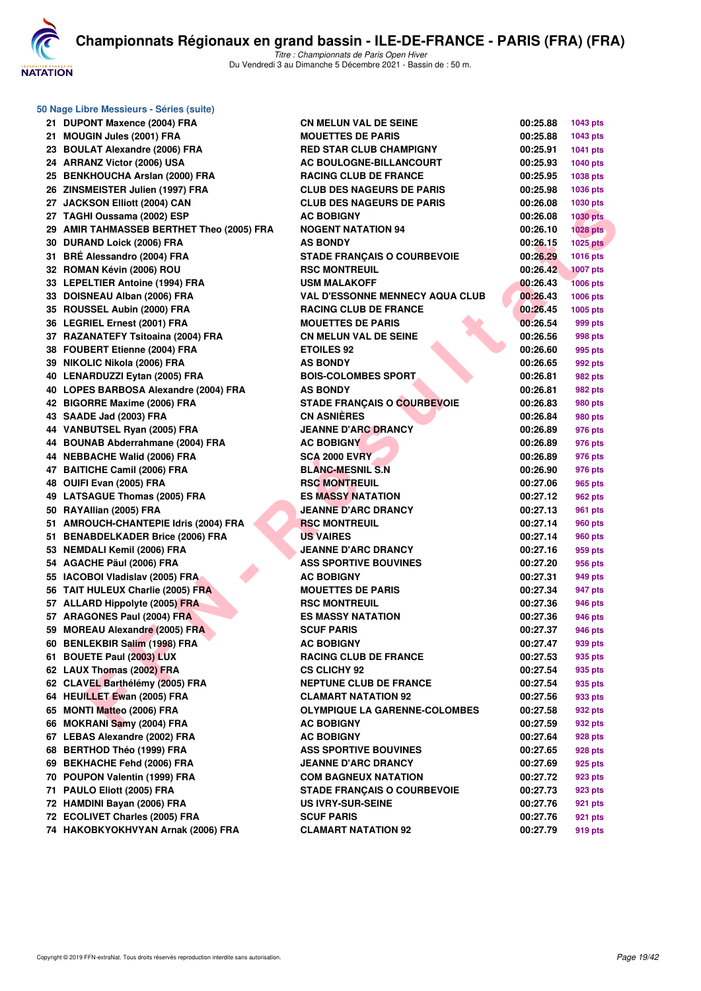

| 50 Nage Libre Messieurs - Séries (suite)  |                                        |          |                 |
|-------------------------------------------|----------------------------------------|----------|-----------------|
| 21 DUPONT Maxence (2004) FRA              | <b>CN MELUN VAL DE SEINE</b>           | 00:25.88 | 1043 pts        |
| 21 MOUGIN Jules (2001) FRA                | <b>MOUETTES DE PARIS</b>               | 00:25.88 | 1043 pts        |
| 23 BOULAT Alexandre (2006) FRA            | <b>RED STAR CLUB CHAMPIGNY</b>         | 00:25.91 | 1041 pts        |
| 24 ARRANZ Victor (2006) USA               | AC BOULOGNE-BILLANCOURT                | 00:25.93 | 1040 pts        |
| 25 BENKHOUCHA Arslan (2000) FRA           | <b>RACING CLUB DE FRANCE</b>           | 00:25.95 | 1038 pts        |
| 26 ZINSMEISTER Julien (1997) FRA          | <b>CLUB DES NAGEURS DE PARIS</b>       | 00:25.98 | 1036 pts        |
| 27 JACKSON Elliott (2004) CAN             | <b>CLUB DES NAGEURS DE PARIS</b>       | 00:26.08 | 1030 pts        |
| 27 TAGHI Oussama (2002) ESP               | <b>AC BOBIGNY</b>                      | 00:26.08 | <b>1030 pts</b> |
| 29 AMIR TAHMASSEB BERTHET Theo (2005) FRA | <b>NOGENT NATATION 94</b>              | 00:26.10 | <b>1028 pts</b> |
| 30 DURAND Loick (2006) FRA                | <b>AS BONDY</b>                        | 00:26.15 | <b>1025 pts</b> |
| 31 BRÉ Alessandro (2004) FRA              | <b>STADE FRANÇAIS O COURBEVOIE</b>     | 00:26.29 | 1016 pts        |
| 32 ROMAN Kévin (2006) ROU                 | <b>RSC MONTREUIL</b>                   | 00:26.42 | <b>1007 pts</b> |
| 33 LEPELTIER Antoine (1994) FRA           | <b>USM MALAKOFF</b>                    | 00:26.43 | <b>1006 pts</b> |
| 33 DOISNEAU Alban (2006) FRA              | <b>VAL D'ESSONNE MENNECY AQUA CLUB</b> | 00:26.43 | 1006 pts        |
| 35 ROUSSEL Aubin (2000) FRA               | <b>RACING CLUB DE FRANCE</b>           | 00:26.45 | 1005 pts        |
| 36 LEGRIEL Ernest (2001) FRA              | <b>MOUETTES DE PARIS</b>               | 00:26.54 | 999 pts         |
| 37 RAZANATEFY Tsitoaina (2004) FRA        | <b>CN MELUN VAL DE SEINE</b>           | 00:26.56 | 998 pts         |
| 38 FOUBERT Etienne (2004) FRA             | <b>ETOILES 92</b>                      | 00:26.60 | 995 pts         |
| 39 NIKOLIC Nikola (2006) FRA              | <b>AS BONDY</b>                        | 00:26.65 | 992 pts         |
| 40 LENARDUZZI Eytan (2005) FRA            | <b>BOIS-COLOMBES SPORT</b>             | 00:26.81 | 982 pts         |
| 40 LOPES BARBOSA Alexandre (2004) FRA     | <b>AS BONDY</b>                        | 00:26.81 | 982 pts         |
| 42 BIGORRE Maxime (2006) FRA              | <b>STADE FRANÇAIS O COURBEVOIE</b>     | 00:26.83 | <b>980 pts</b>  |
| 43 SAADE Jad (2003) FRA                   | <b>CN ASNIÈRES</b>                     | 00:26.84 | 980 pts         |
| 44 VANBUTSEL Ryan (2005) FRA              | <b>JEANNE D'ARC DRANCY</b>             | 00:26.89 | 976 pts         |
| 44 BOUNAB Abderrahmane (2004) FRA         | <b>AC BOBIGNY</b>                      | 00:26.89 | 976 pts         |
| 44 NEBBACHE Walid (2006) FRA              | <b>SCA 2000 EVRY</b>                   | 00:26.89 | 976 pts         |
| 47 BAITICHE Camil (2006) FRA              | <b>BLANC-MESNIL S.N</b>                | 00:26.90 | 976 pts         |
| 48 OUIFI Evan (2005) FRA                  | <b>RSC MONTREUIL</b>                   | 00:27.06 | 965 pts         |
| 49 LATSAGUE Thomas (2005) FRA             | <b>ES MASSY NATATION</b>               | 00:27.12 | 962 pts         |
| 50 RAYAllian (2005) FRA                   | <b>JEANNE D'ARC DRANCY</b>             | 00:27.13 | 961 pts         |
| 51 AMROUCH-CHANTEPIE Idris (2004) FRA     | <b>RSC MONTREUIL</b>                   | 00:27.14 | 960 pts         |
| 51 BENABDELKADER Brice (2006) FRA         | <b>US VAIRES</b>                       | 00:27.14 | 960 pts         |
| 53 NEMDALI Kemil (2006) FRA               | <b>JEANNE D'ARC DRANCY</b>             | 00:27.16 | 959 pts         |
| 54 AGACHE Päul (2006) FRA                 | <b>ASS SPORTIVE BOUVINES</b>           | 00:27.20 | 956 pts         |
| 55 IACOBOI Vladislav (2005) FRA           | <b>AC BOBIGNY</b>                      | 00:27.31 | 949 pts         |
| 56 TAIT HULEUX Charlie (2005) FRA         | <b>MOUETTES DE PARIS</b>               | 00:27.34 | 947 pts         |
| 57 ALLARD Hippolyte (2005) FRA            | <b>RSC MONTREUIL</b>                   | 00:27.36 | 946 pts         |
| 57 ARAGONES Paul (2004) FRA               | <b>ES MASSY NATATION</b>               | 00:27.36 | 946 pts         |
| 59 MOREAU Alexandre (2005) FRA            | <b>SCUF PARIS</b>                      | 00:27.37 | 946 pts         |
| 60 BENLEKBIR Salim (1998) FRA             | <b>AC BOBIGNY</b>                      | 00:27.47 | 939 pts         |
| 61 BOUETE Paul (2003) LUX                 | <b>RACING CLUB DE FRANCE</b>           | 00:27.53 | 935 pts         |
| 62 LAUX Thomas (2002) FRA                 | <b>CS CLICHY 92</b>                    | 00:27.54 | 935 pts         |
| 62 CLAVEL Barthélémy (2005) FRA           | <b>NEPTUNE CLUB DE FRANCE</b>          | 00:27.54 | 935 pts         |
| 64 HEUILLET Ewan (2005) FRA               | <b>CLAMART NATATION 92</b>             | 00:27.56 | 933 pts         |
| 65 MONTI Matteo (2006) FRA                | <b>OLYMPIQUE LA GARENNE-COLOMBES</b>   | 00:27.58 | 932 pts         |
| 66 MOKRANI Samy (2004) FRA                | <b>AC BOBIGNY</b>                      | 00:27.59 | 932 pts         |
| 67 LEBAS Alexandre (2002) FRA             | <b>AC BOBIGNY</b>                      | 00:27.64 | 928 pts         |
| 68 BERTHOD Théo (1999) FRA                | <b>ASS SPORTIVE BOUVINES</b>           | 00:27.65 | 928 pts         |
| 69 BEKHACHE Fehd (2006) FRA               | <b>JEANNE D'ARC DRANCY</b>             | 00:27.69 | 925 pts         |
| 70 POUPON Valentin (1999) FRA             | <b>COM BAGNEUX NATATION</b>            | 00:27.72 | 923 pts         |
| 71 PAULO Eliott (2005) FRA                | <b>STADE FRANÇAIS O COURBEVOIE</b>     | 00:27.73 | 923 pts         |
| 72 HAMDINI Bayan (2006) FRA               | <b>US IVRY-SUR-SEINE</b>               | 00:27.76 | 921 pts         |
| 72 ECOLIVET Charles (2005) FRA            | <b>SCUF PARIS</b>                      | 00:27.76 | 921 pts         |
| 74 HAKOBKYOKHVYAN Arnak (2006) FRA        | <b>CLAMART NATATION 92</b>             | 00:27.79 | 919 pts         |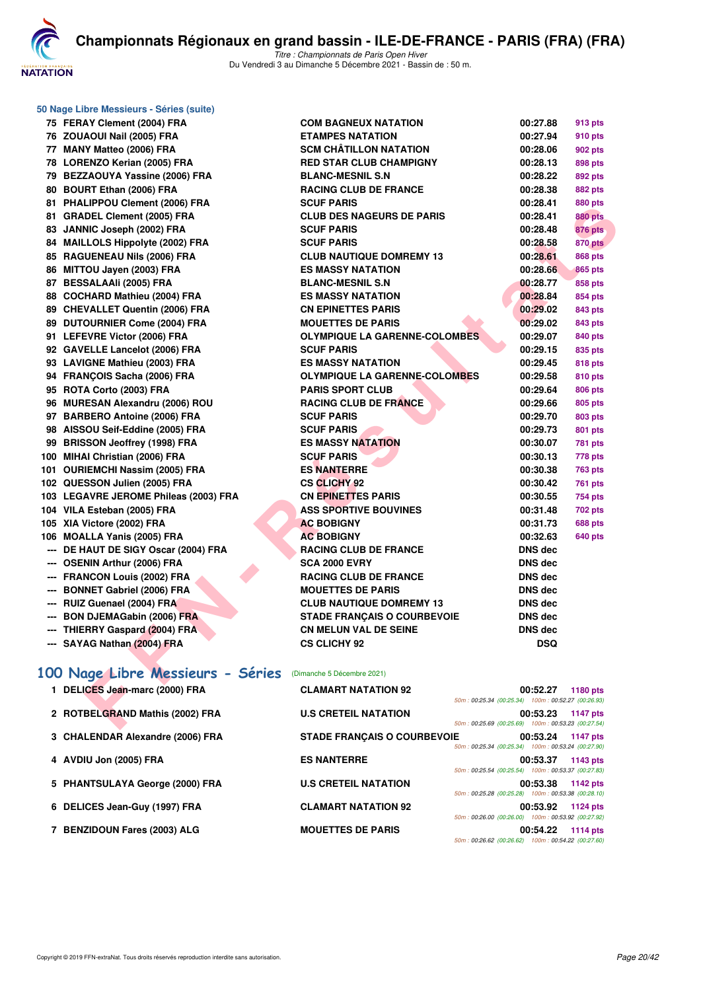

| 50 Nage Libre Messieurs - Séries (suite)                     |                                                          |                                                    |                |
|--------------------------------------------------------------|----------------------------------------------------------|----------------------------------------------------|----------------|
| 75 FERAY Clement (2004) FRA                                  | <b>COM BAGNEUX NATATION</b>                              | 00:27.88                                           | 913 pts        |
| 76 ZOUAOUI Nail (2005) FRA                                   | <b>ETAMPES NATATION</b>                                  | 00:27.94                                           | 910 pts        |
| 77 MANY Matteo (2006) FRA                                    | <b>SCM CHÂTILLON NATATION</b>                            | 00:28.06                                           | 902 pts        |
| 78 LORENZO Kerian (2005) FRA                                 | <b>RED STAR CLUB CHAMPIGNY</b>                           | 00:28.13                                           | 898 pts        |
| 79 BEZZAOUYA Yassine (2006) FRA                              | <b>BLANC-MESNIL S.N</b>                                  | 00:28.22                                           | 892 pts        |
| 80 BOURT Ethan (2006) FRA                                    | <b>RACING CLUB DE FRANCE</b>                             | 00:28.38                                           | <b>882 pts</b> |
| 81 PHALIPPOU Clement (2006) FRA                              | <b>SCUF PARIS</b>                                        | 00:28.41                                           | 880 pts        |
| 81 GRADEL Clement (2005) FRA                                 | <b>CLUB DES NAGEURS DE PARIS</b>                         | 00:28.41                                           | <b>880 pts</b> |
| 83 JANNIC Joseph (2002) FRA                                  | <b>SCUF PARIS</b>                                        | 00:28.48                                           | <b>876 pts</b> |
| 84 MAILLOLS Hippolyte (2002) FRA                             | <b>SCUF PARIS</b>                                        | 00:28.58                                           | <b>870 pts</b> |
| 85 RAGUENEAU Nils (2006) FRA                                 | <b>CLUB NAUTIQUE DOMREMY 13</b>                          | 00:28.61                                           | 868 pts        |
| 86 MITTOU Jayen (2003) FRA                                   | <b>ES MASSY NATATION</b>                                 | 00:28.66                                           | <b>865 pts</b> |
| 87 BESSALAAIi (2005) FRA                                     | <b>BLANC-MESNIL S.N</b>                                  | 00:28.77                                           | 858 pts        |
| 88 COCHARD Mathieu (2004) FRA                                | <b>ES MASSY NATATION</b>                                 | 00:28.84                                           | 854 pts        |
| 89 CHEVALLET Quentin (2006) FRA                              | <b>CN EPINETTES PARIS</b>                                | 00:29.02                                           | 843 pts        |
| 89 DUTOURNIER Come (2004) FRA                                | <b>MOUETTES DE PARIS</b>                                 | 00:29.02                                           | 843 pts        |
| 91 LEFEVRE Victor (2006) FRA                                 | <b>OLYMPIQUE LA GARENNE-COLOMBES</b>                     | 00:29.07                                           | 840 pts        |
| 92 GAVELLE Lancelot (2006) FRA                               | <b>SCUF PARIS</b>                                        | 00:29.15                                           | 835 pts        |
| 93 LAVIGNE Mathieu (2003) FRA                                | <b>ES MASSY NATATION</b>                                 | 00:29.45                                           | 818 pts        |
| 94 FRANÇOIS Sacha (2006) FRA                                 | <b>OLYMPIQUE LA GARENNE-COLOMBES</b>                     | 00:29.58                                           | 810 pts        |
| 95 ROTA Corto (2003) FRA                                     | <b>PARIS SPORT CLUB</b>                                  | 00:29.64                                           | 806 pts        |
| 96 MURESAN Alexandru (2006) ROU                              | <b>RACING CLUB DE FRANCE</b>                             | 00:29.66                                           | 805 pts        |
| 97 BARBERO Antoine (2006) FRA                                | <b>SCUF PARIS</b>                                        | 00:29.70                                           | 803 pts        |
| 98 AISSOU Seif-Eddine (2005) FRA                             | <b>SCUF PARIS</b>                                        | 00:29.73                                           | 801 pts        |
| 99 BRISSON Jeoffrey (1998) FRA                               | <b>ES MASSY NATATION</b>                                 | 00:30.07                                           | 781 pts        |
| 100 MIHAI Christian (2006) FRA                               | <b>SCUF PARIS</b>                                        | 00:30.13                                           | 778 pts        |
| 101 OURIEMCHI Nassim (2005) FRA                              | <b>ES NANTERRE</b>                                       | 00:30.38                                           | <b>763 pts</b> |
| 102 QUESSON Julien (2005) FRA                                | <b>CS CLICHY 92</b>                                      | 00:30.42                                           | 761 pts        |
| 103 LEGAVRE JEROME Phileas (2003) FRA                        | <b>CN EPINETTES PARIS</b>                                | 00:30.55                                           | 754 pts        |
| 104 VILA Esteban (2005) FRA                                  | <b>ASS SPORTIVE BOUVINES</b>                             | 00:31.48                                           | 702 pts        |
| 105 XIA Victore (2002) FRA                                   | <b>AC BOBIGNY</b>                                        | 00:31.73                                           | <b>688 pts</b> |
| 106 MOALLA Yanis (2005) FRA                                  | <b>AC BOBIGNY</b>                                        | 00:32.63                                           | 640 pts        |
| --- DE HAUT DE SIGY Oscar (2004) FRA                         | <b>RACING CLUB DE FRANCE</b>                             | <b>DNS</b> dec                                     |                |
| --- OSENIN Arthur (2006) FRA<br>--- FRANCON Louis (2002) FRA | <b>SCA 2000 EVRY</b>                                     | DNS dec                                            |                |
| --- BONNET Gabriel (2006) FRA                                | <b>RACING CLUB DE FRANCE</b><br><b>MOUETTES DE PARIS</b> | DNS dec                                            |                |
| --- RUIZ Guenael (2004) FRA                                  | <b>CLUB NAUTIQUE DOMREMY 13</b>                          | DNS dec<br>DNS dec                                 |                |
| --- BON DJEMAGabin (2006) FRA                                | <b>STADE FRANCAIS O COURBEVOIE</b>                       | DNS dec                                            |                |
| --- THIERRY Gaspard (2004) FRA                               | <b>CN MELUN VAL DE SEINE</b>                             | <b>DNS</b> dec                                     |                |
| --- SAYAG Nathan (2004) FRA                                  | <b>CS CLICHY 92</b>                                      | <b>DSQ</b>                                         |                |
|                                                              |                                                          |                                                    |                |
| 100 Nage Libre Messieurs - Séries                            | (Dimanche 5 Décembre 2021)                               |                                                    |                |
| 1 DELICES Jean-marc (2000) FRA                               | <b>CLAMART NATATION 92</b>                               | 00:52.27 1180 pts                                  |                |
|                                                              |                                                          | 50m: 00:25.34 (00:25.34) 100m: 00:52.27 (00:26.93) |                |
| 2 ROTBELGRAND Mathis (2002) FRA                              | <b>U.S CRETEIL NATATION</b>                              | 00:53.23                                           | 1147 pts       |
|                                                              |                                                          | 50m: 00:25.69 (00:25.69) 100m: 00:53.23 (00:27.54) |                |

| 1 DELICES Jean-marc (2000) FRA   | <b>CLAMART NATATION 92</b>         | 50m: 00:25.34 (00:25.34) 100m: 00:52.27 (00:26.93) | 00:52.27 | 1180 pts        |
|----------------------------------|------------------------------------|----------------------------------------------------|----------|-----------------|
| 2 ROTBELGRAND Mathis (2002) FRA  | <b>U.S CRETEIL NATATION</b>        | 50m: 00:25.69 (00:25.69) 100m: 00:53.23 (00:27.54) | 00:53.23 | 1147 pts        |
| 3 CHALENDAR Alexandre (2006) FRA | <b>STADE FRANCAIS O COURBEVOIE</b> | 50m: 00:25.34 (00:25.34) 100m: 00:53.24 (00:27.90) | 00:53.24 | 1147 pts        |
| 4 AVDIU Jon (2005) FRA           | <b>ES NANTERRE</b>                 | 50m: 00:25.54 (00:25.54) 100m: 00:53.37 (00:27.83) | 00:53.37 | 1143 pts        |
| 5 PHANTSULAYA George (2000) FRA  | <b>U.S CRETEIL NATATION</b>        | 50m: 00:25.28 (00:25.28) 100m: 00:53.38 (00:28.10) | 00:53.38 | 1142 pts        |
| 6 DELICES Jean-Guy (1997) FRA    | <b>CLAMART NATATION 92</b>         | 50m: 00:26.00 (00:26.00) 100m: 00:53.92 (00:27.92) | 00:53.92 | 1124 pts        |
| 7 BENZIDOUN Fares (2003) ALG     | <b>MOUETTES DE PARIS</b>           | 50m: 00:26.62 (00:26.62) 100m: 00:54.22 (00:27.60) | 00:54.22 | <b>1114 pts</b> |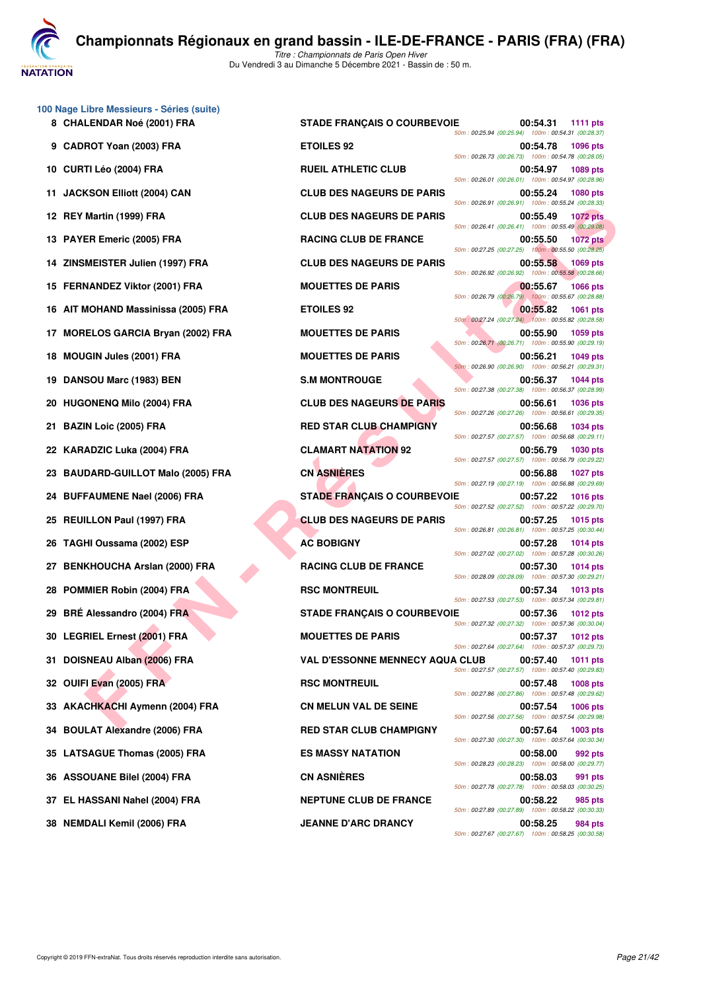**JATATION** 

**100 Nage Libre Messieurs - Séries (suite)**

Martin (1996) FRA CLUB DES NAGEURS DE PARIS<br>
ER Emeric (2005) FRA ROCHO CUB DE FRANCE<br>
MADINER JURIN (1997) FRA MOULTETES DE PARIS<br>
MADINER JURIN (1997) FRA MOULTETES DE PARIS<br>
MADINER JURIN (1997) FRA MOULTETES DE PARIS<br> **10 CURTI Léo (2004) FRA RUEIL ATHLETIC CLUB 00:54.97 1089 pts 11 JACKSON Elliott (2004) CAN CLUB DES NAGEURS DE PARIS 00:55.24 1080 pts 12 REY Martin (1999) FRA CLUB DES NAGEURS DE PARIS 00:55.49 1072 pts 13 PAYER Emeric (2005) FRA RACING CLUB DE FRANCE 00:55.50 1072 pts 14 ZINSMEISTER Julien (1997) FRA CLUB DES NAGEURS DE PARIS 00:55.58 1069 pts 15 FERNANDEZ Viktor (2001) FRA MOUETTES DE PARIS 00:55.67 1066 pts 16 AIT MOHAND Massinissa (2005) FRA ETOILES 92 00:55.82 1061 pts 17 MORELOS GARCIA Brvan (2002) FRA MOUETTES DE PARIS 100:55.90 1059 pts 18 MOUGIN Jules (2001) FRA MOUETTES DE PARIS 00:56.21 1049 pts 19 DANSOU Marc (1983) BEN S.M MONTROUGE 00:56.37 1044 pts 20 HUGONENQ Milo (2004) FRA CLUB DES NAGEURS DE PARIS 00:56.61 1036 pts 21 BAZIN Loic (2005) FRA RED STAR CLUB CHAMPIGNY 00:56.68 1034 pts 22 KARADZIC Luka (2004) FRA CLAMART NATATION 92 00:56.79 1030 pts 23 BAUDARD-GUILLOT Malo (2005) FRA CN ASNIÈRES 00:56.88 1027 pts 24 BUFFAUMENE Nael (2006) FRA STADE FRANÇAIS O COURBEVOIE 00:57.22 1016 pts 25 REUILLON Paul (1997) FRA CLUB DES NAGEURS DE PARIS 00:57.25 1015 pts 26 TAGHI Oussama (2002) ESP <b>AC BOBIGNY AC BOBIGNY 10:57.28 1014 pts 27 BENKHOUCHA Arslan (2000) FRA RACING CLUB DE FRANCE 00:57.30 1014 pts 28 POMMIER Robin (2004) FRA RSC MONTREUIL 128 POMMIER Robin (2004) FRA RSC MONTREUIL 29 BRÉ Alessandro (2004) FRA STADE FRANÇAIS O COURBEVOIE 00:57.36 1012 pts 30 LEGRIEL Ernest (2001) FRA MOUETTES DE PARIS 00:57.37 1012 pts 31 DOISNEAU Alban (2006) FRA VAL D'ESSONNE MENNECY AQUA CLUB 00:57.40 1011 pts 32 OUIFI Evan (2005) FRA RSC MONTREUIL CONSTRANT CONSTRANT OUIFI Evan (2005) FRA RSC MONTREUIL 33 AKACHKACHI Aymenn (2004) FRA CN MELUN VAL DE SEINE 00:57.54 1006 pts 34 BOULAT Alexandre (2006) FRA RED STAR CLUB CHAMPIGNY 00:57.64 1003 pts 35 LATSAGUE Thomas (2005) FRA ES MASSY NATATION 00:58.00 992 pts 36 ASSOUANE Bilel (2004) FRA CN ASNIÈRES 00:58.03 991 pts**

**8 CHALENDAR Noé (2001) FRA STADE FRANÇAIS O COURBEVOIE 00:54.31 1111 pts** *50m : 00:25.94 (00:25.94) 100m : 00:54.31 (00:28.37)* **9 CADROT Yoan (2003) FRA ETOILES 92 00:54.78 1096 pts** *50m : 00:26.73 (00:26.73) 100m : 00:54.78 (00:28.05) 50m : 00:26.01 (00:26.01) 100m : 00:54.97 (00:28.96) 50m : 00:26.91 (00:26.91) 100m : 00:55.24 (00:28.33) 50m : 00:26.41 (00:26.41) 100m : 00:55.49 (00:29.08) 50m : 00:27.25 (00:27.25) 100m : 00:55.50 (00:28.25) 50m : 00:26.92 (00:26.92) 100m : 00:55.58 (00:28.66) 50m : 00:26.79 (00:26.79) 100m : 00:55.67 (00:28.88) 50m : 00:27.24 (00:27.24) 100m : 00:55.82 (00:28.58) 50m : 00:26.71 (00:26.71) 100m : 00:55.90 (00:29.19) 50m : 00:26.90 (00:26.90) 100m : 00:56.21 (00:29.31) 50m : 00:27.38 (00:27.38) 100m : 00:56.37 (00:28.99) 50m : 00:27.26 (00:27.26) 100m : 00:56.61 (00:29.35) 50m : 00:27.57 (00:27.57) 100m : 00:56.68 (00:29.11) 50m : 00:27.57 (00:27.57) 100m : 00:56.79 (00:29.22) 50m : 00:27.19 (00:27.19) 100m : 00:56.88 (00:29.69) 50m : 00:27.52 (00:27.52) 100m : 00:57.22 (00:29.70) 50m : 00:26.81 (00:26.81) 100m : 00:57.25 (00:30.44) 50m : 00:27.02 (00:27.02) 100m : 00:57.28 (00:30.26) 50m : 00:28.09 (00:28.09) 100m : 00:57.30 (00:29.21) 50m : 00:27.53 (00:27.53) 100m : 00:57.34 (00:29.81) 50m : 00:27.32 (00:27.32) 100m : 00:57.36 (00:30.04) 50m : 00:27.64 (00:27.64) 100m : 00:57.37 (00:29.73) 50m : 00:27.57 (00:27.57) 100m : 00:57.40 (00:29.83) 50m : 00:27.86 (00:27.86) 100m : 00:57.48 (00:29.62) 50m : 00:27.56 (00:27.56) 100m : 00:57.54 (00:29.98) 50m : 00:27.30 (00:27.30) 100m : 00:57.64 (00:30.34) 50m : 00:28.23 (00:28.23) 100m : 00:58.00 (00:29.77) 50m : 00:27.78 (00:27.78) 100m : 00:58.03 (00:30.25)* **37 EL HASSANI Nahel (2004) FRA NEPTUNE CLUB DE FRANCE 00:58.22 985 pts** *50m : 00:27.89 (00:27.89) 100m : 00:58.22 (00:30.33)* **38 NEMDALI Kemil (2006) FRA JEANNE D'ARC DRANCY 00:58.25 984 pts** *50m : 00:27.67 (00:27.67) 100m : 00:58.25 (00:30.58)*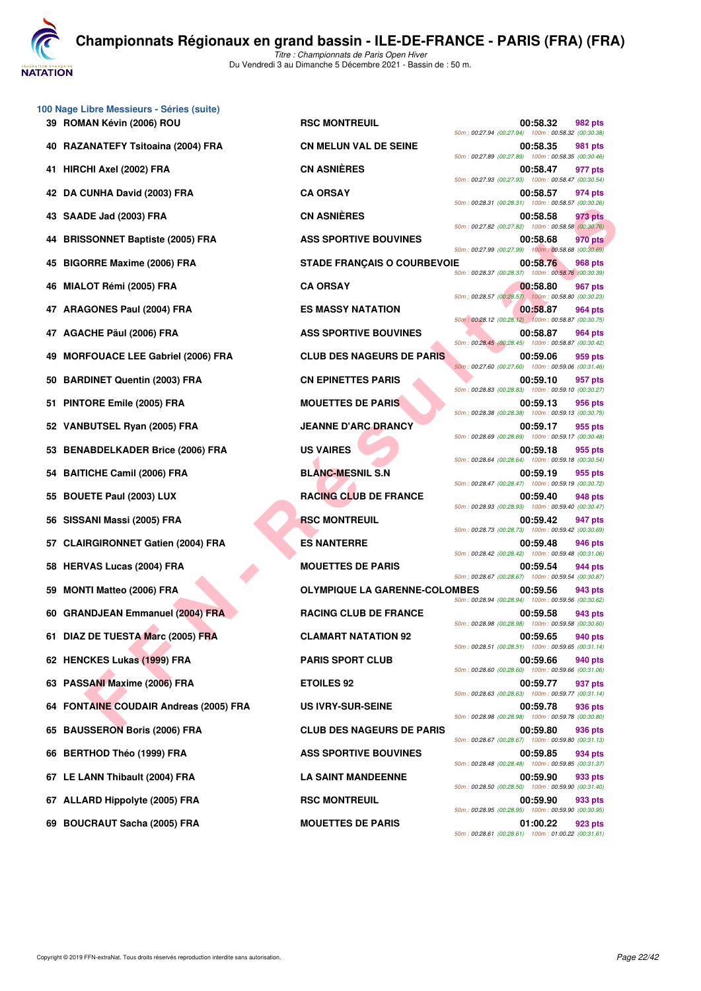**VATATION** 

*Titre : Championnats de Paris Open Hiver* Du Vendredi 3 au Dimanche 5 Décembre 2021 - Bassin de : 50 m.

|    | 100 Nage Libre Messieurs - Séries (suite)<br>39 ROMAN Kévin (2006) ROU | <b>RSC MONTREUIL</b>                 | 00:58.32<br>982 pts                                                       |
|----|------------------------------------------------------------------------|--------------------------------------|---------------------------------------------------------------------------|
| 40 | RAZANATEFY Tsitoaina (2004) FRA                                        | <b>CN MELUN VAL DE SEINE</b>         | 50m: 00:27.94 (00:27.94) 100m: 00:58.32 (00:30.38)<br>00:58.35<br>981 pts |
|    | 41 HIRCHI Axel (2002) FRA                                              | <b>CN ASNIÈRES</b>                   | 50m: 00:27.89 (00:27.89) 100m: 00:58.35 (00:30.46)<br>00:58.47<br>977 pts |
| 42 | DA CUNHA David (2003) FRA                                              | <b>CA ORSAY</b>                      | 50m: 00:27.93 (00:27.93) 100m: 00:58.47 (00:30.54)<br>00:58.57<br>974 pts |
| 43 | SAADE Jad (2003) FRA                                                   | <b>CN ASNIÈRES</b>                   | 50m: 00:28.31 (00:28.31) 100m: 00:58.57 (00:30.26)<br>00:58.58<br>973 pts |
|    | <b>BRISSONNET Baptiste (2005) FRA</b>                                  | <b>ASS SPORTIVE BOUVINES</b>         | 50m: 00:27.82 (00:27.82) 100m: 00:58.58 (00:30.76)<br>00:58.68<br>970 pts |
| 45 | <b>BIGORRE Maxime (2006) FRA</b>                                       | <b>STADE FRANÇAIS O COURBEVOIE</b>   | 50m: 00:27.99 (00:27.99) 100m: 00:58.68 (00:30.69)<br>00:58.76<br>968 pts |
| 46 | MIALOT Rémi (2005) FRA                                                 | <b>CA ORSAY</b>                      | 50m: 00:28.37 (00:28.37) 100m: 00:58.76 (00:30.39)<br>00:58.80<br>967 pts |
|    | <b>ARAGONES Paul (2004) FRA</b>                                        | <b>ES MASSY NATATION</b>             | 50m: 00:28.57 (00:28.57) 100m: 00:58.80 (00:30.23)<br>00:58.87<br>964 pts |
| 47 | AGACHE Päul (2006) FRA                                                 | <b>ASS SPORTIVE BOUVINES</b>         | 50m: 00:28.12 (00:28.12) 100m: 00:58.87 (00:30.75)<br>00:58.87<br>964 pts |
| 49 | <b>MORFOUACE LEE Gabriel (2006) FRA</b>                                | <b>CLUB DES NAGEURS DE PARIS</b>     | 50m: 00:28.45 (00:28.45) 100m: 00:58.87 (00:30.42)<br>00:59.06<br>959 pts |
| 50 | <b>BARDINET Quentin (2003) FRA</b>                                     | <b>CN EPINETTES PARIS</b>            | 50m: 00:27.60 (00:27.60) 100m: 00:59.06 (00:31.46)<br>00:59.10<br>957 pts |
| 51 | PINTORE Emile (2005) FRA                                               | <b>MOUETTES DE PARIS</b>             | 50m: 00:28.83 (00:28.83) 100m: 00:59.10 (00:30.27)<br>00:59.13<br>956 pts |
| 52 | VANBUTSEL Ryan (2005) FRA                                              | <b>JEANNE D'ARC DRANCY</b>           | 50m: 00:28.38 (00:28.38) 100m: 00:59.13 (00:30.75)<br>00:59.17<br>955 pts |
| 53 | <b>BENABDELKADER Brice (2006) FRA</b>                                  | <b>US VAIRES</b>                     | 50m: 00:28.69 (00:28.69) 100m: 00:59.17 (00:30.48)<br>00:59.18<br>955 pts |
| 54 | <b>BAITICHE Camil (2006) FRA</b>                                       | <b>BLANC-MESNIL S.N</b>              | 50m: 00:28.64 (00:28.64) 100m: 00:59.18 (00:30.54)<br>00:59.19<br>955 pts |
| 55 | <b>BOUETE Paul (2003) LUX</b>                                          | <b>RACING CLUB DE FRANCE</b>         | 50m: 00:28.47 (00:28.47) 100m: 00:59.19 (00:30.72)<br>00:59.40<br>948 pts |
| 56 | SISSANI Massi (2005) FRA                                               | <b>RSC MONTREUIL</b>                 | 50m: 00:28.93 (00:28.93) 100m: 00:59.40 (00:30.47)<br>00:59.42<br>947 pts |
| 57 | <b>CLAIRGIRONNET Gatien (2004) FRA</b>                                 | <b>ES NANTERRE</b>                   | 50m: 00:28.73 (00:28.73) 100m: 00:59.42 (00:30.69)<br>00:59.48<br>946 pts |
| 58 | <b>HERVAS Lucas (2004) FRA</b>                                         | <b>MOUETTES DE PARIS</b>             | 50m: 00:28.42 (00:28.42) 100m: 00:59.48 (00:31.06)<br>00:59.54<br>944 pts |
| 59 | <b>MONTI Matteo (2006) FRA</b>                                         | <b>OLYMPIQUE LA GARENNE-COLOMBES</b> | 50m: 00:28.67 (00:28.67) 100m: 00:59.54 (00:30.87)<br>00:59.56<br>943 pts |
|    | 60 GRANDJEAN Emmanuel (2004) FRA                                       | <b>RACING CLUB DE FRANCE</b>         | 50m: 00:28.94 (00:28.94) 100m: 00:59.56 (00:30.62)<br>00:59.58<br>943 pts |
|    | 61 DIAZ DE TUESTA Marc (2005) FRA                                      | <b>CLAMART NATATION 92</b>           | 50m: 00:28.98 (00:28.98) 100m: 00:59.58 (00:30.60)<br>00:59.65<br>940 pts |
|    | 62 HENCKES Lukas (1999) FRA                                            | <b>PARIS SPORT CLUB</b>              | 50m: 00:28.51 (00:28.51) 100m: 00:59.65 (00:31.14)<br>00:59.66<br>940 pts |
|    | 63 PASSANI Maxime (2006) FRA                                           | <b>ETOILES 92</b>                    | 50m: 00:28.60 (00:28.60) 100m: 00:59.66 (00:31.06)<br>00:59.77<br>937 pts |
|    | 64 FONTAINE COUDAIR Andreas (2005) FRA                                 | <b>US IVRY-SUR-SEINE</b>             | 50m: 00:28.63 (00:28.63) 100m: 00:59.77 (00:31.14)<br>00:59.78<br>936 pts |
| 65 | <b>BAUSSERON Boris (2006) FRA</b>                                      | <b>CLUB DES NAGEURS DE PARIS</b>     | 50m: 00:28.98 (00:28.98) 100m: 00:59.78 (00:30.80)<br>00:59.80<br>936 pts |
|    | 66 BERTHOD Théo (1999) FRA                                             | <b>ASS SPORTIVE BOUVINES</b>         | 50m: 00:28.67 (00:28.67) 100m: 00:59.80 (00:31.13)<br>00:59.85<br>934 pts |
|    | 67 LE LANN Thibault (2004) FRA                                         | <b>LA SAINT MANDEENNE</b>            | 50m: 00:28.48 (00:28.48) 100m: 00:59.85 (00:31.37)<br>00:59.90<br>933 pts |
|    | 67 ALLARD Hippolyte (2005) FRA                                         | <b>RSC MONTREUIL</b>                 | 50m: 00:28.50 (00:28.50) 100m: 00:59.90 (00:31.40)<br>00:59.90<br>933 pts |
|    |                                                                        |                                      | 50m: 00:28.95 (00:28.95) 100m: 00:59.90 (00:30.95)                        |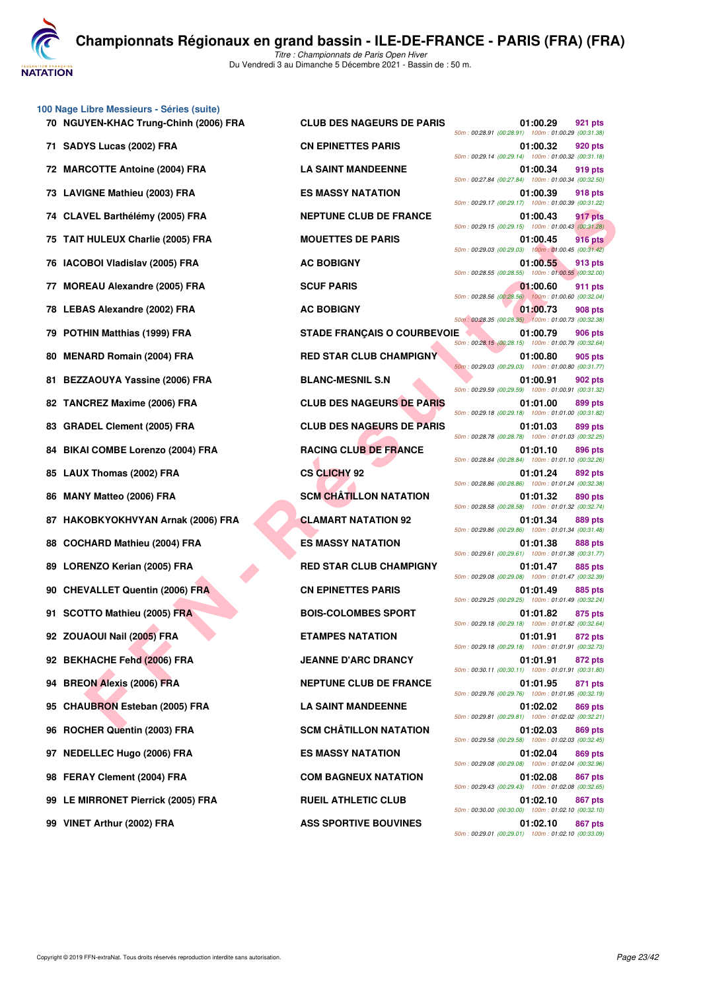

*Titre : Championnats de Paris Open Hiver* Du Vendredi 3 au Dimanche 5 Décembre 2021 - Bassin de : 50 m.

|                                    |                                    | 50m: 00:29.14 (00:29.14) 100m: 01:00.32 (00:31.18  |          |                |
|------------------------------------|------------------------------------|----------------------------------------------------|----------|----------------|
| 72 MARCOTTE Antoine (2004) FRA     | <b>LA SAINT MANDEENNE</b>          | 50m: 00:27.84 (00:27.84) 100m: 01:00.34 (00:32.50  | 01:00.34 | 919 pts        |
| 73 LAVIGNE Mathieu (2003) FRA      | <b>ES MASSY NATATION</b>           | 50m: 00:29.17 (00:29.17) 100m: 01:00.39 (00:31.22) | 01:00.39 | 918 pts        |
| 74 CLAVEL Barthélémy (2005) FRA    | <b>NEPTUNE CLUB DE FRANCE</b>      | 50m: 00:29.15 (00:29.15) 100m: 01:00.43 (00:31.28) | 01:00.43 | 917 pts        |
| 75 TAIT HULEUX Charlie (2005) FRA  | <b>MOUETTES DE PARIS</b>           | 50m: 00:29.03 (00:29.03) 100m: 01:00.45 (00:31.42) | 01:00.45 | <b>916 pts</b> |
| 76 IACOBOI Vladislav (2005) FRA    | <b>AC BOBIGNY</b>                  | 50m: 00:28.55 (00:28.55) 100m: 01:00.55 (00:32.00  | 01:00.55 | 913 pts        |
| 77 MOREAU Alexandre (2005) FRA     | <b>SCUF PARIS</b>                  | 50m: 00:28.56 (00:28.56) 100m: 01:00.60 (00:32.04) | 01:00.60 | 911 pts        |
| 78 LEBAS Alexandre (2002) FRA      | <b>AC BOBIGNY</b>                  | 50m: 00:28.35 (00:28.35) 100m: 01:00.73 (00:32.38) | 01:00.73 | 908 pts        |
| 79 POTHIN Matthias (1999) FRA      | <b>STADE FRANÇAIS O COURBEVOIE</b> | 50m: 00:28.15 (00:28.15) 100m: 01:00.79 (00:32.64) | 01:00.79 | 906 pts        |
| 80 MENARD Romain (2004) FRA        | <b>RED STAR CLUB CHAMPIGNY</b>     | 50m: 00:29.03 (00:29.03) 100m: 01:00.80 (00:31.77) | 01:00.80 | 905 pts        |
| 81 BEZZAOUYA Yassine (2006) FRA    | <b>BLANC-MESNIL S.N</b>            | 50m: 00:29.59 (00:29.59) 100m: 01:00.91 (00:31.32) | 01:00.91 | 902 pts        |
| 82 TANCREZ Maxime (2006) FRA       | <b>CLUB DES NAGEURS DE PARIS</b>   | 50m: 00:29.18 (00:29.18) 100m: 01:01.00 (00:31.82) | 01:01.00 | 899 pts        |
| 83 GRADEL Clement (2005) FRA       | <b>CLUB DES NAGEURS DE PARIS</b>   | 50m: 00:28.78 (00:28.78) 100m: 01:01.03 (00:32.25  | 01:01.03 | 899 pts        |
| 84 BIKAI COMBE Lorenzo (2004) FRA  | <b>RACING CLUB DE FRANCE</b>       | 50m: 00:28.84 (00:28.84) 100m: 01:01.10 (00:32.26  | 01:01.10 | 896 pts        |
| 85 LAUX Thomas (2002) FRA          | <b>CS CLICHY 92</b>                | 50m: 00:28.86 (00:28.86) 100m: 01:01.24 (00:32.38  | 01:01.24 | 892 pts        |
| 86 MANY Matteo (2006) FRA          | <b>SCM CHATILLON NATATION</b>      | 50m: 00:28.58 (00:28.58) 100m: 01:01.32 (00:32.74  | 01:01.32 | 890 pts        |
| 87 HAKOBKYOKHVYAN Arnak (2006) FRA | <b>CLAMART NATATION 92</b>         | 50m: 00:29.86 (00:29.86) 100m: 01:01.34 (00:31.48) | 01:01.34 | 889 pts        |
| 88 COCHARD Mathieu (2004) FRA      | <b>ES MASSY NATATION</b>           | 50m: 00:29.61 (00:29.61) 100m: 01:01.38 (00:31.77) | 01:01.38 | <b>888 pts</b> |
| 89 LORENZO Kerian (2005) FRA       | <b>RED STAR CLUB CHAMPIGNY</b>     | 50m: 00:29.08 (00:29.08) 100m: 01:01.47 (00:32.39  | 01:01.47 | 885 pts        |
| 90 CHEVALLET Quentin (2006) FRA    | <b>CN EPINETTES PARIS</b>          | 50m: 00:29.25 (00:29.25) 100m: 01:01.49 (00:32.24) | 01:01.49 | 885 pts        |
| 91 SCOTTO Mathieu (2005) FRA       | <b>BOIS-COLOMBES SPORT</b>         | 50m: 00:29.18 (00:29.18) 100m: 01:01.82 (00:32.64) | 01:01.82 | 875 pts        |
| 92 ZOUAOUI Nail (2005) FRA         | <b>ETAMPES NATATION</b>            | 50m: 00:29.18 (00:29.18) 100m: 01:01.91 (00:32.73) | 01:01.91 | 872 pts        |
| 92 BEKHACHE Fehd (2006) FRA        | <b>JEANNE D'ARC DRANCY</b>         | 50m: 00:30.11 (00:30.11) 100m: 01:01.91 (00:31.80  | 01:01.91 | 872 pts        |
| 94 BREON Alexis (2006) FRA         | <b>NEPTUNE CLUB DE FRANCE</b>      | 50m: 00:29.76 (00:29.76) 100m: 01:01.95 (00:32.19  | 01:01.95 | 871 pts        |
| 95 CHAUBRON Esteban (2005) FRA     | <b>LA SAINT MANDEENNE</b>          | 50m: 00:29.81 (00:29.81) 100m: 01:02.02 (00:32.21  | 01:02.02 | 869 pts        |
| 96 ROCHER Quentin (2003) FRA       | <b>SCM CHÂTILLON NATATION</b>      | 50m: 00:29.58 (00:29.58) 100m: 01:02.03 (00:32.45  | 01:02.03 | 869 pts        |
| 97 NEDELLEC Hugo (2006) FRA        | <b>ES MASSY NATATION</b>           | 50m: 00:29.08 (00:29.08) 100m: 01:02.04 (00:32.96  | 01:02.04 | 869 pts        |
| 98 FERAY Clement (2004) FRA        | <b>COM BAGNEUX NATATION</b>        | 50m: 00:29.43 (00:29.43) 100m: 01:02.08 (00:32.65  | 01:02.08 | 867 pts        |
| 99 LE MIRRONET Pierrick (2005) FRA | <b>RUEIL ATHLETIC CLUB</b>         | 50m: 00:30.00 (00:30.00) 100m: 01:02.10 (00:32.10  | 01:02.10 | 867 pts        |
|                                    |                                    |                                                    |          |                |

**100 Nage Libre Messieurs - Séries (suite)**

**FELOUX CHANNER (2005) FRA**<br> **FINALLEY Channel (2005) FRA**<br> **FINALLEY CHANNER (2006) FRA**<br> **FINALLEY CHANNER (2006) FRA**<br> **FINALLEY CHANNER (2006) FRA**<br> **FINALLEY CHANNER (2009) FRA**<br> **FINALLEY CHANNER (2009) FRA**<br> **FINAL 70 NGUYEN-KHAC Trung-Chinh (2006) FRA CLUB DES NAGEURS DE PARIS 01:00.29 921 pts** *50m : 00:28.91 (00:28.91) 100m : 01:00.29 (00:31.38)* **71 SADYS Lucas (2002) FRA CN EPINETTES PARIS 01:00.32 920 pts** *50m : 00:29.14 (00:29.14) 100m : 01:00.32 (00:31.18)* **72 MARCOT ENDINE 12 MARCOTTE ANTIQUES AND LA SAINT MANDEENNE 01:00.34 919 pts** *50m : 00:27.84 (00:27.84) 100m : 01:00.34 (00:32.50)* **73 LAVIGNE Mathieu (2003) FRA ES MASSY NATATION 01:00.39 918 pts** *50m : 00:29.17 (00:29.17) 100m : 01:00.39 (00:31.22)* **74 ALACEL BARTHELEM CLUB DE FRANCE 01:00.43 917 pts** *50m : 00:29.15 (00:29.15) 100m : 01:00.43 (00:31.28)* **75 TAIL MOUETTES DE PARIS 61:00.45 916 pts** *50m : 00:29.03 (00:29.03) 100m : 01:00.45 (00:31.42) 50m : 00:28.55 (00:28.55) 100m : 01:00.55 (00:32.00) 50m : 00:28.56 (00:28.56) 100m : 01:00.60 (00:32.04)* **78 LEBAS AC BOBIGNY 1:00.73 908 pts** *50m : 00:28.35 (00:28.35) 100m : 01:00.73 (00:32.38)* **79 POTABE FRANÇAIS O COURBEVOIE 1999 PDF** 01:00.79 906 pts *50m : 00:28.15 (00:28.15) 100m : 01:00.79 (00:32.64)* **RED STAR CLUB CHAMPIGNY 01:00.80** 905 pts *50m : 00:29.03 (00:29.03) 100m : 01:00.80 (00:31.77)* **81 BLANC-MESNIL S.N** 01:00.91 **902 pts** *50m : 00:29.59 (00:29.59) 100m : 01:00.91 (00:31.32)* **CLUB DES NAGEURS DE PARIS 01:01.00 899 pts** *50m : 00:29.18 (00:29.18) 100m : 01:01.00 (00:31.82)* **CLUB DES NAGEURS DE PARIS 01:01.03** 899 pts *50m : 00:28.78 (00:28.78) 100m : 01:01.03 (00:32.25)* **896 BIAN BIKAI COMBE LORENZO (2014) FRACING CLUB DE FRANCE 01:01.10 896 pts** *50m : 00:28.84 (00:28.84) 100m : 01:01.10 (00:32.26) 50m : 00:28.86 (00:28.86) 100m : 01:01.24 (00:32.38)* **86 SCM CHÂTILLON NATATION 101:01.32 890 pts** *50m : 00:28.58 (00:28.58) 100m : 01:01.32 (00:32.74)* **889 pts** CLAMART NATATION 92 01:01.34 889 pts *50m : 00:29.86 (00:29.86) 100m : 01:01.34 (00:31.48)* **ES MASSY NATATION 01:01.38 888 pts** *50m : 00:29.61 (00:29.61) 100m : 01:01.38 (00:31.77)* RED STAR CLUB CHAMPIGNY 01:01.47 885 pts *50m : 00:29.08 (00:29.08) 100m : 01:01.47 (00:32.39)* **90 CHEVALLET Quentin (2006) FRA CN EPINETTES PARIS 01:01.49 885 pts** *50m : 00:29.25 (00:29.25) 100m : 01:01.49 (00:32.24)* **91 SCOTTO Mathieu (2005) FRA BOIS-COLOMBES SPORT 01:01.82 875 pts** *50m : 00:29.18 (00:29.18) 100m : 01:01.82 (00:32.64)* **92 BY ADDRES NATATION 01:01.91 872 pts** *50m : 00:29.18 (00:29.18) 100m : 01:01.91 (00:32.73)* **92 BEANNE D'ARC DRANCY 91:01.91 872 pts** *50m : 00:30.11 (00:30.11) 100m : 01:01.91 (00:31.80)* **91:01.95 BREON BREON BREAD BREAD ALEXAN CONTROL BREAD BREAD BREAD BREAD BREAD BREAD BREAD BREAD BREAD BREAD BREAD BREAD BREAD BREAD BREAD BREAD BREAD BREAD BREAD BREAD BREAD BREAD BREAD BREAD BREAD BREAD BREAD BREAD BRE** *50m : 00:29.76 (00:29.76) 100m : 01:01.95 (00:32.19)* **95 CAUSE CHAUBRON ESTED SOLUTION CONTRACT ON SOLUTION CONTRACT ON SOLUTION OF SAINT MANDEENNE** *50m : 00:29.81 (00:29.81) 100m : 01:02.02 (00:32.21)* **969 BUENTIM BUENTIN CONTRA SCM CHÂTILLON NATATION 01:02.03** 869 pts *50m : 00:29.58 (00:29.58) 100m : 01:02.03 (00:32.45)* **97 NES MASSY NATATION 61:02.04 869 pts** *50m : 00:29.08 (00:29.08) 100m : 01:02.04 (00:32.96)* **98 FERAY COM BAGNEUX NATATION 61:02.08** 867 pts *50m : 00:29.43 (00:29.43) 100m : 01:02.08 (00:32.65)* **PRUEIL ATHLETIC CLUB** 01:02.10 **867 pts** *50m : 00:30.00 (00:30.00) 100m : 01:02.10 (00:32.10)* **99 VINET Arthur (2002) FRA ASS SPORTIVE BOUVINES 01:02.10 867 pts** *50m : 00:29.01 (00:29.01) 100m : 01:02.10 (00:33.09)*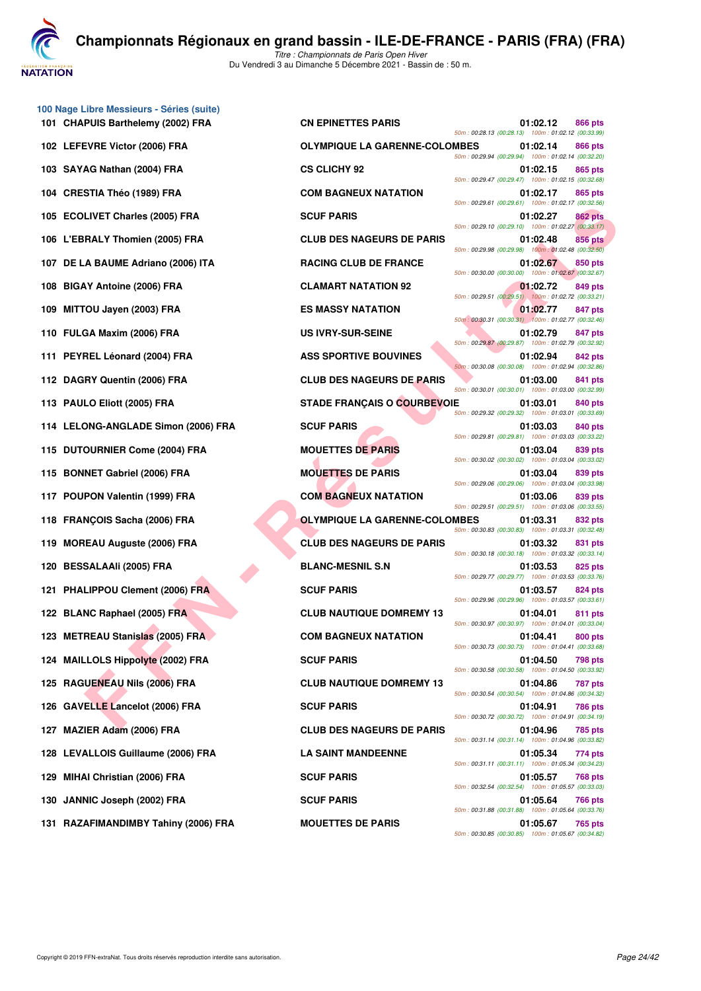

*Titre : Championnats de Paris Open Hiver* Du Vendredi 3 au Dimanche 5 Décembre 2021 - Bassin de : 50 m.

| 101 CHAPUIS Barthelemy (2002) FRA   | <b>CN EPINETTES PARIS</b>            |  | 01:02.12<br>50m: 00:28.13 (00:28.13) 100m: 01:02.12 (00:33.99)                                                      | 866 pts |
|-------------------------------------|--------------------------------------|--|---------------------------------------------------------------------------------------------------------------------|---------|
| 102 LEFEVRE Victor (2006) FRA       | <b>OLYMPIQUE LA GARENNE-COLOMBES</b> |  | 01:02.14<br>50m: 00:29.94 (00:29.94) 100m: 01:02.14 (00:32.20                                                       | 866 pts |
| 103 SAYAG Nathan (2004) FRA         | <b>CS CLICHY 92</b>                  |  | 01:02.15<br>50m: 00:29.47 (00:29.47) 100m: 01:02.15 (00:32.68                                                       | 865 pts |
| 104 CRESTIA Théo (1989) FRA         | <b>COM BAGNEUX NATATION</b>          |  | 01:02.17<br>50m: 00:29.61 (00:29.61) 100m: 01:02.17 (00:32.56)                                                      | 865 pts |
| 105 ECOLIVET Charles (2005) FRA     | <b>SCUF PARIS</b>                    |  | 01:02.27                                                                                                            | 862 pts |
| 106 L'EBRALY Thomien (2005) FRA     | <b>CLUB DES NAGEURS DE PARIS</b>     |  | 50m: 00:29.10 (00:29.10) 100m: 01:02.27 (00:33.17<br>01:02.48<br>50m: 00:29.98 (00:29.98) 100m: 01:02.48 (00:32.50  | 856 pts |
| 107 DE LA BAUME Adriano (2006) ITA  | <b>RACING CLUB DE FRANCE</b>         |  | 01:02.67                                                                                                            | 850 pts |
| 108 BIGAY Antoine (2006) FRA        | <b>CLAMART NATATION 92</b>           |  | 50m: 00:30.00 (00:30.00) 100m: 01:02.67 (00:32.67<br>01:02.72                                                       | 849 pts |
| 109 MITTOU Jayen (2003) FRA         | <b>ES MASSY NATATION</b>             |  | 50m: 00:29.51 (00:29.51) 100m: 01:02.72 (00:33.21)<br>01:02.77                                                      | 847 pts |
| 110 FULGA Maxim (2006) FRA          | <b>US IVRY-SUR-SEINE</b>             |  | 50m: 00:30.31 (00:30.31) 100m: 01:02.77 (00:32.46<br>01:02.79                                                       | 847 pts |
| 111 PEYREL Léonard (2004) FRA       | <b>ASS SPORTIVE BOUVINES</b>         |  | 50m: 00:29.87 (00:29.87) 100m: 01:02.79 (00:32.92)<br>01:02.94                                                      | 842 pts |
| 112 DAGRY Quentin (2006) FRA        | <b>CLUB DES NAGEURS DE PARIS</b>     |  | 50m: 00:30.08 (00:30.08) 100m: 01:02.94 (00:32.86)<br>01:03.00<br>50m: 00:30.01 (00:30.01) 100m: 01:03.00 (00:32.99 | 841 pts |
| 113 PAULO Eliott (2005) FRA         | <b>STADE FRANÇAIS O COURBEVOIE</b>   |  | 01:03.01<br>50m: 00:29.32 (00:29.32) 100m: 01:03.01 (00:33.69                                                       | 840 pts |
| 114 LELONG-ANGLADE Simon (2006) FRA | <b>SCUF PARIS</b>                    |  | 01:03.03<br>50m: 00:29.81 (00:29.81) 100m: 01:03.03 (00:33.22                                                       | 840 pts |
| 115 DUTOURNIER Come (2004) FRA      | <b>MOUETTES DE PARIS</b>             |  | 01:03.04<br>50m: 00:30.02 (00:30.02) 100m: 01:03.04 (00:33.02)                                                      | 839 pts |
| 115 BONNET Gabriel (2006) FRA       | <b>MOUETTES DE PARIS</b>             |  | 01:03.04<br>50m: 00:29.06 (00:29.06) 100m: 01:03.04 (00:33.98                                                       | 839 pts |
| 117 POUPON Valentin (1999) FRA      | <b>COM BAGNEUX NATATION</b>          |  | 01:03.06<br>50m: 00:29.51 (00:29.51) 100m: 01:03.06 (00:33.55                                                       | 839 pts |
| 118 FRANÇOIS Sacha (2006) FRA       | <b>OLYMPIQUE LA GARENNE-COLOMBES</b> |  | 01:03.31<br>50m: 00:30.83 (00:30.83) 100m: 01:03.31 (00:32.48)                                                      | 832 pts |
| 119 MOREAU Auguste (2006) FRA       | <b>CLUB DES NAGEURS DE PARIS</b>     |  | 01:03.32<br>50m: 00:30.18 (00:30.18) 100m: 01:03.32 (00:33.14)                                                      | 831 pts |
| 120 BESSALAAIi (2005) FRA           | <b>BLANC-MESNIL S.N</b>              |  | 01:03.53<br>50m: 00:29.77 (00:29.77) 100m: 01:03.53 (00:33.76)                                                      | 825 pts |
| 121 PHALIPPOU Clement (2006) FRA    | <b>SCUF PARIS</b>                    |  | 01:03.57<br>50m: 00:29.96 (00:29.96) 100m: 01:03.57 (00:33.61)                                                      | 824 pts |
| 122 BLANC Raphael (2005) FRA        | <b>CLUB NAUTIQUE DOMREMY 13</b>      |  | 01:04.01<br>50m: 00:30.97 (00:30.97) 100m: 01:04.01 (00:33.04)                                                      | 811 pts |
| 123 METREAU Stanislas (2005) FRA    | <b>COM BAGNEUX NATATION</b>          |  | 01:04.41<br>50m: 00:30.73 (00:30.73) 100m: 01:04.41 (00:33.68)                                                      | 800 pts |
| 124 MAILLOLS Hippolyte (2002) FRA   | <b>SCUF PARIS</b>                    |  | 01:04.50<br>50m: 00:30.58 (00:30.58) 100m: 01:04.50 (00:33.92)                                                      | 798 pts |
| 125 RAGUENEAU Nils (2006) FRA       | <b>CLUB NAUTIQUE DOMREMY 13</b>      |  | 01:04.86<br>50m: 00:30.54 (00:30.54) 100m: 01:04.86 (00:34.32)                                                      | 787 pts |
| 126 GAVELLE Lancelot (2006) FRA     | <b>SCUF PARIS</b>                    |  | 01:04.91<br>50m: 00:30.72 (00:30.72) 100m: 01:04.91 (00:34.19                                                       | 786 pts |
| 127 MAZIER Adam (2006) FRA          | <b>CLUB DES NAGEURS DE PARIS</b>     |  | 01:04.96<br>50m: 00:31.14 (00:31.14) 100m: 01:04.96 (00:33.82)                                                      | 785 pts |
| 128 LEVALLOIS Guillaume (2006) FRA  | <b>LA SAINT MANDEENNE</b>            |  | 01:05.34<br>50m: 00:31.11 (00:31.11) 100m: 01:05.34 (00:34.23                                                       | 774 pts |
| 129 MIHAI Christian (2006) FRA      | <b>SCUF PARIS</b>                    |  | 01:05.57<br>50m: 00:32.54 (00:32.54) 100m: 01:05.57 (00:33.03)                                                      | 768 pts |
| 130 JANNIC Joseph (2002) FRA        | <b>SCUF PARIS</b>                    |  | 01:05.64<br>50m: 00:31.88 (00:31.88) 100m: 01:05.64 (00:33.76                                                       | 766 pts |
|                                     |                                      |  |                                                                                                                     |         |

**100 Nage Libre Messieurs - Séries (suite)**

| PUIS Barthelemy (2002) FRA          | <b>CN EPINETTES PARIS</b>            | 50m: 00:28.13 (00:28.13) 100m: 01:02.12 (00:33.99) | 01:02.12 | 866 pts        |
|-------------------------------------|--------------------------------------|----------------------------------------------------|----------|----------------|
| EVRE Victor (2006) FRA              | <b>OLYMPIQUE LA GARENNE-COLOMBES</b> | 50m: 00:29.94 (00:29.94) 100m: 01:02.14 (00:32.20) | 01:02.14 | 866 pts        |
| AG Nathan (2004) FRA                | <b>CS CLICHY 92</b>                  | 50m: 00:29.47 (00:29.47) 100m: 01:02.15 (00:32.68) | 01:02.15 | 865 pts        |
| STIA Théo (1989) FRA                | <b>COM BAGNEUX NATATION</b>          | 50m: 00:29.61 (00:29.61) 100m: 01:02.17 (00:32.56) | 01:02.17 | 865 pts        |
| LIVET Charles (2005) FRA            | <b>SCUF PARIS</b>                    | 50m: 00:29.10 (00:29.10) 100m: 01:02.27 (00:33.17) | 01:02.27 | 862 pts        |
| RALY Thomien (2005) FRA             | <b>CLUB DES NAGEURS DE PARIS</b>     | 50m: 00:29.98 (00:29.98) 100m: 01:02.48 (00:32.50) | 01:02.48 | 856 pts        |
| A BAUME Adriano (2006) ITA.         | <b>RACING CLUB DE FRANCE</b>         | 50m: 00:30.00 (00:30.00) 100m: 01:02.67 (00:32.67) | 01:02.67 | 850 pts        |
| <b>\Y Antoine (2006) FRA</b>        | <b>CLAMART NATATION 92</b>           | 50m: 00:29.51 (00:29.51) 100m: 01:02.72 (00:33.21) | 01:02.72 | 849 pts        |
| <b>OU Jayen (2003) FRA</b>          | <b>ES MASSY NATATION</b>             | 50m: 00:30.31 (00:30.31) 100m: 01:02.77 (00:32.46) | 01:02.77 | 847 pts        |
| GA Maxim (2006) FRA                 | <b>US IVRY-SUR-SEINE</b>             | 50m: 00:29.87 (00:29.87) 100m: 01:02.79 (00:32.92) | 01:02.79 | 847 pts        |
| REL Léonard (2004) FRA              | <b>ASS SPORTIVE BOUVINES</b>         | 50m: 00:30.08 (00:30.08) 100m: 01:02.94 (00:32.86) | 01:02.94 | 842 pts        |
| RY Quentin (2006) FRA               | <b>CLUB DES NAGEURS DE PARIS</b>     | 50m: 00:30.01 (00:30.01) 100m: 01:03.00 (00:32.99) | 01:03.00 | 841 pts        |
| LO Eliott (2005) FRA                | STADE FRANÇAIS O COURBEVOIE          | 50m: 00:29.32 (00:29.32) 100m: 01:03.01 (00:33.69) | 01:03.01 | 840 pts        |
| <b>DNG-ANGLADE Simon (2006) FRA</b> | <b>SCUF PARIS</b>                    | 50m: 00:29.81 (00:29.81) 100m: 01:03.03 (00:33.22) | 01:03.03 | 840 pts        |
| OURNIER Come (2004) FRA             | <b>MOUETTES DE PARIS</b>             | 50m: 00:30.02 (00:30.02) 100m: 01:03.04 (00:33.02) | 01:03.04 | 839 pts        |
| NET Gabriel (2006) FRA              | <b>MOUETTES DE PARIS</b>             | 50m: 00:29.06 (00:29.06) 100m: 01:03.04 (00:33.98) | 01:03.04 | 839 pts        |
| PON Valentin (1999) FRA             | <b>COM BAGNEUX NATATION</b>          | 50m: 00:29.51 (00:29.51) 100m: 01:03.06 (00:33.55) | 01:03.06 | 839 pts        |
| NÇOIS Sacha (2006) FRA              | <b>OLYMPIQUE LA GARENNE-COLOMBES</b> | 50m: 00:30.83 (00:30.83) 100m: 01:03.31 (00:32.48) | 01:03.31 | 832 pts        |
| <b>EAU Auguste (2006) FRA</b>       | <b>CLUB DES NAGEURS DE PARIS</b>     | 50m: 00:30.18 (00:30.18) 100m: 01:03.32 (00:33.14) | 01:03.32 | 831 pts        |
| SALAAIi (2005) FRA                  | <b>BLANC-MESNIL S.N</b>              | 50m: 00:29.77 (00:29.77) 100m: 01:03.53 (00:33.76) | 01:03.53 | 825 pts        |
| LIPPOU Clement (2006) FRA           | <b>SCUF PARIS</b>                    | 50m: 00:29.96 (00:29.96) 100m: 01:03.57 (00:33.61) | 01:03.57 | 824 pts        |
| NC Raphael (2005) FRA               | <b>CLUB NAUTIQUE DOMREMY 13</b>      | 50m: 00:30.97 (00:30.97) 100m: 01:04.01 (00:33.04) | 01:04.01 | 811 pts        |
| REAU Stanislas (2005) FRA           | <b>COM BAGNEUX NATATION</b>          | 50m: 00:30.73 (00:30.73) 100m: 01:04.41 (00:33.68) | 01:04.41 | 800 pts        |
| <b>LOLS Hippolyte (2002) FRA</b>    | <b>SCUF PARIS</b>                    |                                                    | 01:04.50 | <b>798 pts</b> |
| <b>UENEAU Nils (2006) FRA</b>       | <b>CLUB NAUTIQUE DOMREMY 13</b>      | 50m: 00:30.58 (00:30.58) 100m: 01:04.50 (00:33.92) | 01:04.86 | 787 pts        |
| ELLE Lancelot (2006) FRA            | <b>SCUF PARIS</b>                    | 50m: 00:30.54 (00:30.54) 100m: 01:04.86 (00:34.32) | 01:04.91 | 786 pts        |
| IER Adam (2006) FRA                 | <b>CLUB DES NAGEURS DE PARIS</b>     | 50m: 00:30.72 (00:30.72) 100m: 01:04.91 (00:34.19) | 01:04.96 | 785 pts        |
| <b>ALLOIS Guillaume (2006) FRA</b>  | <b>LA SAINT MANDEENNE</b>            | 50m: 00:31.14 (00:31.14) 100m: 01:04.96 (00:33.82) | 01:05.34 | 774 pts        |
| <b>AI Christian (2006) FRA</b>      | <b>SCUF PARIS</b>                    | 50m: 00:31.11 (00:31.11) 100m: 01:05.34 (00:34.23) | 01:05.57 | <b>768 pts</b> |
| NIC Joseph (2002) FRA               | <b>SCUF PARIS</b>                    | 50m: 00:32.54 (00:32.54) 100m: 01:05.57 (00:33.03) | 01:05.64 | 766 pts        |
| AFIMANDIMBY Tahiny (2006) FRA       | <b>MOUETTES DE PARIS</b>             | 50m: 00:31.88 (00:31.88) 100m: 01:05.64 (00:33.76) | 01:05.67 | 765 pts        |
|                                     |                                      | 50m: 00:30.85 (00:30.85) 100m: 01:05.67 (00:34.82) |          |                |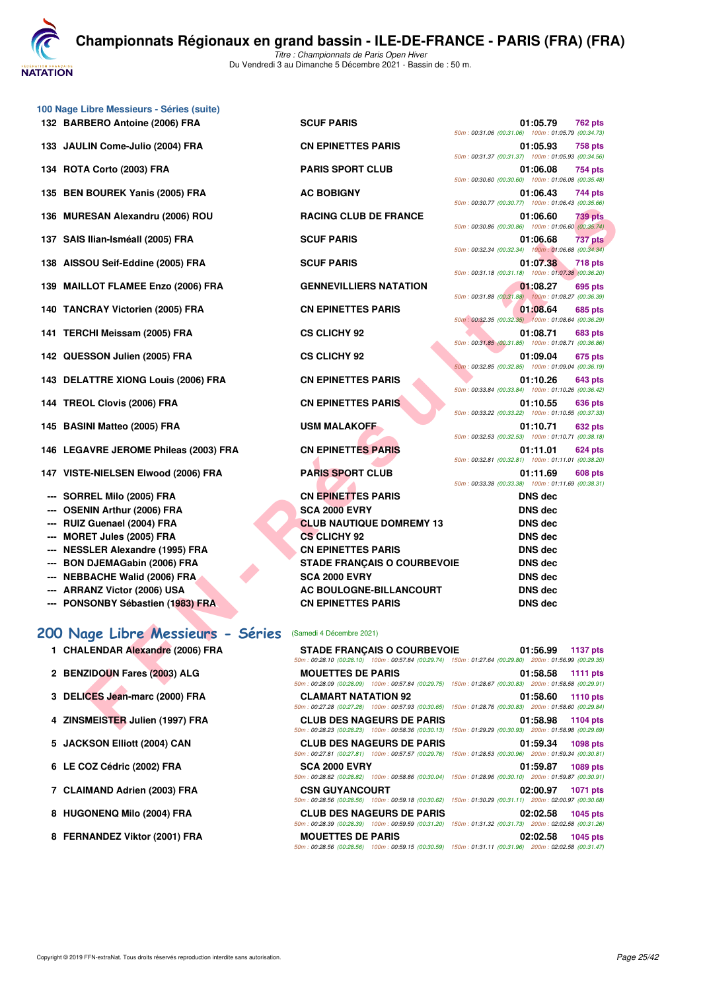**JATATION** 

Du Vendredi 3 au Dimanche 5 Décembre 2021 - Bassin de : 50 m.

|     | 100 Nage Libre Messieurs - Séries (suite)                  |                                                                                                                                              |                                                                                  |
|-----|------------------------------------------------------------|----------------------------------------------------------------------------------------------------------------------------------------------|----------------------------------------------------------------------------------|
|     | 132 BARBERO Antoine (2006) FRA                             | <b>SCUF PARIS</b>                                                                                                                            | 01:05.79<br>762 pts<br>50m: 00:31.06 (00:31.06) 100m: 01:05.79 (00:34.73)        |
|     | 133 JAULIN Come-Julio (2004) FRA                           | <b>CN EPINETTES PARIS</b>                                                                                                                    | 01:05.93<br>758 pts<br>50m: 00:31.37 (00:31.37) 100m: 01:05.93 (00:34.56)        |
|     | 134 ROTA Corto (2003) FRA                                  | <b>PARIS SPORT CLUB</b>                                                                                                                      | 01:06.08<br>754 pts<br>50m: 00:30.60 (00:30.60) 100m: 01:06.08 (00:35.48)        |
|     | 135 BEN BOUREK Yanis (2005) FRA                            | <b>AC BOBIGNY</b>                                                                                                                            | 01:06.43<br>744 pts<br>50m: 00:30.77 (00:30.77) 100m: 01:06.43 (00:35.66)        |
|     | 136 MURESAN Alexandru (2006) ROU                           | <b>RACING CLUB DE FRANCE</b>                                                                                                                 | 01:06.60<br>739 pts<br>50m: 00:30.86 (00:30.86) 100m: 01:06.60 (00:35.74)        |
|     | 137 SAIS Ilian-Isméall (2005) FRA                          | <b>SCUF PARIS</b>                                                                                                                            | 01:06.68<br>737 pts<br>50m: 00:32.34 (00:32.34) 100m: 01:06.68 (00:34.34)        |
|     | 138 AISSOU Seif-Eddine (2005) FRA                          | <b>SCUF PARIS</b>                                                                                                                            | 01:07.38<br><b>718 pts</b><br>50m: 00:31.18 (00:31.18) 100m: 01:07.38 (00:36.20) |
| 139 | <b>MAILLOT FLAMEE Enzo (2006) FRA</b>                      | <b>GENNEVILLIERS NATATION</b>                                                                                                                | 01:08.27<br>695 pts<br>50m: 00:31.88 (00:31.88) 100m: 01:08.27 (00:36.39)        |
|     | 140 TANCRAY Victorien (2005) FRA                           | <b>CN EPINETTES PARIS</b>                                                                                                                    | 01:08.64<br>685 pts<br>50m: 00:32.35 (00:32.35) 100m: 01:08.64 (00:36.29)        |
|     | 141 TERCHI Meissam (2005) FRA                              | <b>CS CLICHY 92</b>                                                                                                                          | 01:08.71<br>683 pts<br>50m: 00:31.85 (00:31.85) 100m: 01:08.71 (00:36.86)        |
|     | 142 QUESSON Julien (2005) FRA                              | <b>CS CLICHY 92</b>                                                                                                                          | 01:09.04<br><b>675 pts</b><br>50m: 00:32.85 (00:32.85) 100m: 01:09.04 (00:36.19) |
|     | 143 DELATTRE XIONG Louis (2006) FRA                        | <b>CN EPINETTES PARIS</b>                                                                                                                    | 01:10.26<br>643 pts<br>50m: 00:33.84 (00:33.84) 100m: 01:10.26 (00:36.42)        |
|     | 144 TREOL Clovis (2006) FRA                                | <b>CN EPINETTES PARIS</b>                                                                                                                    | 01:10.55<br>636 pts<br>50m: 00:33.22 (00:33.22) 100m: 01:10.55 (00:37.33)        |
|     | 145 BASINI Matteo (2005) FRA                               | <b>USM MALAKOFF</b>                                                                                                                          | 01:10.71<br>632 pts<br>50m: 00:32.53 (00:32.53) 100m: 01:10.71 (00:38.18)        |
|     | 146 LEGAVRE JEROME Phileas (2003) FRA                      | <b>CN EPINETTES PARIS</b>                                                                                                                    | 01:11.01<br>624 pts<br>50m: 00:32.81 (00:32.81) 100m: 01:11.01 (00:38.20)        |
|     | 147 VISTE-NIELSEN Elwood (2006) FRA                        | <b>PARIS SPORT CLUB</b>                                                                                                                      | 01:11.69<br>608 pts<br>50m: 00:33.38 (00:33.38) 100m: 01:11.69 (00:38.31)        |
|     | SORREL Milo (2005) FRA                                     | <b>CN EPINETTES PARIS</b>                                                                                                                    | <b>DNS</b> dec                                                                   |
|     | <b>OSENIN Arthur (2006) FRA</b>                            | <b>SCA 2000 EVRY</b>                                                                                                                         | <b>DNS dec</b>                                                                   |
|     | <b>RUIZ Guenael (2004) FRA</b>                             | <b>CLUB NAUTIQUE DOMREMY 13</b>                                                                                                              | <b>DNS dec</b>                                                                   |
|     | <b>MORET Jules (2005) FRA</b>                              | <b>CS CLICHY 92</b>                                                                                                                          | <b>DNS dec</b>                                                                   |
| --- | <b>NESSLER Alexandre (1995) FRA</b>                        | <b>CN EPINETTES PARIS</b>                                                                                                                    | <b>DNS dec</b>                                                                   |
|     | <b>BON DJEMAGabin (2006) FRA</b>                           | <b>STADE FRANÇAIS O COURBEVOIE</b>                                                                                                           | <b>DNS dec</b>                                                                   |
| --- | <b>NEBBACHE Walid (2006) FRA</b>                           | <b>SCA 2000 EVRY</b>                                                                                                                         | <b>DNS dec</b>                                                                   |
|     | <b>ARRANZ Victor (2006) USA</b>                            | <b>AC BOULOGNE-BILLANCOURT</b>                                                                                                               | <b>DNS</b> dec                                                                   |
| --- | <b>PONSONBY Sébastien (1983) FRA</b>                       | <b>CN EPINETTES PARIS</b>                                                                                                                    | DNS dec                                                                          |
|     | 200 Nage Libre Messieurs - Séries (Samedi 4 Décembre 2021) |                                                                                                                                              |                                                                                  |
|     | 1 CHALENDAR Alexandre (2006) FRA                           | <b>STADE FRANÇAIS O COURBEVOIE</b><br>50m: 00:28.10 (00:28.10) 100m: 00:57.84 (00:29.74) 150m: 01:27.64 (00:29.80) 200m: 01:56.99 (00:29.35) | 01:56.99<br><b>1137 pts</b>                                                      |
|     | 2 BENZIDOUN Fares (2003) ALG                               | <b>MOUETTES DE PARIS</b><br>$50m$ : 00:28.09 (00:28.09) 100m: 00:57.84 (00:29.75) 150m: 01:28.67 (00:30.83) 200m: 01:58.58 (00:29.91)        | 01:58.58<br><b>1111 pts</b>                                                      |
|     | 3 DELICES Jean-marc (2000) FRA                             | <b>CLAMART NATATION 92</b><br>50m : 00:27.28 (00:27.28) 100m : 00:57.93 (00:30.65) 150m : 01:28.76 (00:30.83) 200m : 01:58.60 (00:29.84)     | 01:58.60<br><b>1110 pts</b>                                                      |
|     | 4 ZINSMEISTER Julien (1997) FRA                            | <b>CLUB DES NAGEURS DE PARIS</b>                                                                                                             | 01:58.98<br>1104 pts                                                             |

# *50m : 00:31.06 (00:31.06) 100m : 01:05.79 (00:34.73)* **133 INETTES PARIS 132 IDENTIFY** 01:05.93 758 pts *50m : 00:31.37 (00:31.37) 100m : 01:05.93 (00:34.56) 50m : 00:30.60 (00:30.60) 100m : 01:06.08 (00:35.48) 50m : 00:30.77 (00:30.77) 100m : 01:06.43 (00:35.66)* **136 CLUB DE FRANCE 139 pts** *50m : 00:30.86 (00:30.86) 100m : 01:06.60 (00:35.74) 50m : 00:32.34 (00:32.34) 100m : 01:06.68 (00:34.34) 50m : 00:31.18 (00:31.18) 100m : 01:07.38 (00:36.20)* **139 EVILLIERS NATATION 695 pts** *50m : 00:31.88 (00:31.88) 100m : 01:08.27 (00:36.39)* **140 TANCRAY VICTORIES PARIS 140 TANCRAY 12005) FRA CONSUMINENT ES PARIS 01:08.64** 685 pts *50m : 00:32.35 (00:32.35) 100m : 01:08.64 (00:36.29) 50m : 00:31.85 (00:31.85) 100m : 01:08.71 (00:36.86) 50m : 00:32.85 (00:32.85) 100m : 01:09.04 (00:36.19)* **143 DELATTRE XIONG LOUIS CONGRESS PARIS 43 pts** *50m : 00:33.84 (00:33.84) 100m : 01:10.26 (00:36.42)* **144 TREOR CLOVIS CONSUMERTES PARIS 144 TREOL CONSUMING CONSUMING CONSUMING CONSUMING CONSUMING CONSUMING CONSUMING CONSUMING CONSUMING CONSUMING CONSUMING CONSUMING CONSUMING CONSUMING CONSUMING CONSUMING CONSUMING CONSUM** *50m : 00:33.22 (00:33.22) 100m : 01:10.55 (00:37.33) 50m : 00:32.53 (00:32.53) 100m : 01:10.71 (00:38.18)* **146 INETTES PARIS 146 24 pts** *50m : 00:32.81 (00:32.81) 100m : 01:11.01 (00:38.20) 50m : 00:33.38 (00:33.38) 100m : 01:11.69 (00:38.31)* **INETTES PARIS DNS dec --- RUIZ Guenael (2004) FRA CLUB NAUTIQUE DOMREMY 13 DNS dec INETTES PARIS EXAMPLE ALGO PARIS DNS dec E FRANÇAIS O COURBEVOIE DNS dec --- ARRANZ Victor (2006) USA AC BOULOGNE-BILLANCOURT DNS dec**

## **[200 Nage Libre Messieurs - Séries](http://www.ffnatation.fr/webffn/resultats.php?idact=nat&go=epr&idcpt=73929&idepr=53)** (Samedi 4 Décembre 2021)

| <u>response that a mession specifies</u> (campa recomplexed) |                                                                                                                                                         |  |                   |                 |
|--------------------------------------------------------------|---------------------------------------------------------------------------------------------------------------------------------------------------------|--|-------------------|-----------------|
| 1 CHALENDAR Alexandre (2006) FRA                             | STADE FRANCAIS O COURBEVOIE 01:56.99 1137 pts<br>50m: 00:28.10 (00:28.10) 100m: 00:57.84 (00:29.74) 150m: 01:27.64 (00:29.80) 200m: 01:56.99 (00:29.35) |  |                   |                 |
| 2 BENZIDOUN Fares (2003) ALG                                 | <b>MOUETTES DE PARIS</b><br>50m: 00:28.09 (00:28.09) 100m: 00:57.84 (00:29.75) 150m: 01:28.67 (00:30.83) 200m: 01:58.58 (00:29.91)                      |  | 01:58.58 1111 pts |                 |
| 3 DELICES Jean-marc (2000) FRA                               | <b>CLAMART NATATION 92</b><br>50m: 00:27.28 (00:27.28) 100m: 00:57.93 (00:30.65) 150m: 01:28.76 (00:30.83) 200m: 01:58.60 (00:29.84)                    |  | 01:58.60 1110 pts |                 |
| 4 ZINSMEISTER Julien (1997) FRA                              | <b>CLUB DES NAGEURS DE PARIS</b><br>50m: 00:28.23 (00:28.23) 100m: 00:58.36 (00:30.13) 150m: 01:29.29 (00:30.93) 200m: 01:58.98 (00:29.69)              |  | 01:58.98          | 1104 pts        |
| 5 JACKSON Elliott (2004) CAN                                 | CLUB DES NAGEURS DE PARIS<br>50m: 00:27.81 (00:27.81) 100m: 00:57.57 (00:29.76) 150m: 01:28.53 (00:30.96) 200m: 01:59.34 (00:30.81)                     |  | 01:59.34          | <b>1098 pts</b> |
| 6 LE COZ Cédric (2002) FRA                                   | <b>SCA 2000 EVRY</b><br>50m: 00:28.82 (00:28.82) 100m: 00:58.86 (00:30.04) 150m: 01:28.96 (00:30.10) 200m: 01:59.87 (00:30.91)                          |  | 01:59.87 1089 pts |                 |
| 7 CLAIMAND Adrien (2003) FRA                                 | <b>CSN GUYANCOURT</b><br>50m: 00:28.56 (00:28.56) 100m: 00:59.18 (00:30.62) 150m: 01:30.29 (00:31.11) 200m: 02:00.97 (00:30.68)                         |  | 02:00.97          | <b>1071 pts</b> |
| 8 HUGONENQ Milo (2004) FRA                                   | <b>CLUB DES NAGEURS DE PARIS</b><br>50m: 00:28.39 (00:28.39) 100m: 00:59.59 (00:31.20) 150m: 01:31.32 (00:31.73) 200m: 02:02.58 (00:31.26)              |  | 02:02.58          | 1045 pts        |
| 8 FERNANDEZ Viktor (2001) FRA                                | <b>MOUETTES DE PARIS</b><br>50m: 00:28.56 (00:28.56) 100m: 00:59.15 (00:30.59) 150m: 01:31.11 (00:31.96) 200m: 02:02.58 (00:31.47)                      |  | 02:02.58 1045 pts |                 |
|                                                              |                                                                                                                                                         |  |                   |                 |

- 
- 
- 
- 
- 
- 
- 
-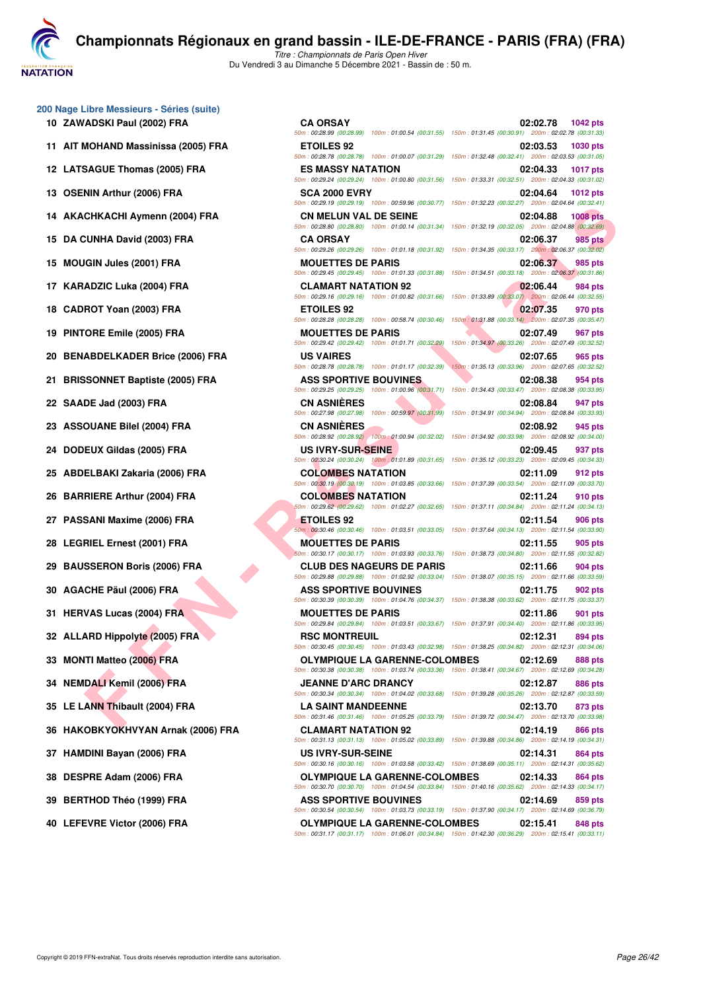**NATATION** 

**[C](http://www.ffnatation.fr/webffn/index.php)hampionnats Régionaux en grand bassin - ILE-DE-FRANCE - PARIS (FRA) (FRA)**

*Titre : Championnats de Paris Open Hiver* Du Vendredi 3 au Dimanche 5 Décembre 2021 - Bassin de : 50 m.

**200 Nage Libre Messieurs - Séries (suite)**

- **10 ZAWADSKI Paul (2002) FRA**
- 11 AIT MOHAND Massinissa (2005) FRA
- 12 LATSAGUE Thomas (2005) FRA
- 13 OSENIN Arthur (2006) FRA
- 14 AKACHKACHI Aymenn (2004) FRA
- **15 DA CUNHA David (2003) FRA**
- **15 MOUGIN Jules (2001) FRA**
- 17 KARADZIC Luka (2004) FRA
- **18 CADROT Yoan (2003) FRA**
- **19 PINTORE Emile (2005) FRA**
- 20 BENABDELKADER Brice (2006) FRA
- **21 BRISSONNET Baptiste (2005) FRA**
- **22 SAADE Jad (2003) FRA CN ASNIÈRES 02:08.84 947 pts**
- 23 ASSOUANE Bilel (2004) FRA
- 24 DODEUX Gildas (2005) FRA
- 25 ABDELBAKI Zakaria (2006) FRA
- 26 BARRIERE Arthur (2004) FRA
- 27 PASSANI Maxime (2006) FRA
- 28 LEGRIEL Ernest (2001) FRA
- 29 BAUSSERON Boris (2006) FRA
- 30 AGACHE Päul (2006) FRA
- **31 HERVAS Lucas (2004) FRA**
- **32 ALLARD Hippolyte (2005) FRA**
- **33 MONTI Matteo (2006) FRA**
- 34 NEMDALI Kemil (2006) FRA
- **35 LE LANN Thibault (2004) FRA**
- **36 HAKOBKYOKHVYAN Arnak (2006) FRA**
- 37 HAMDINI Bayan (2006) FRA
- **38 DESPRE Adam (2006) FRA**
- 39 BERTHOD Théo (1999) FRA
- **40 LEFEVRE Victor (2006) FRA**

| .ibre Messieurs - Séries (suite)<br>ADSKI Paul (2002) FRA | <b>CA ORSAY</b>                                                                                                              | 02:02.78<br><b>1042 pts</b>                                                                                                                                                                                                                   |
|-----------------------------------------------------------|------------------------------------------------------------------------------------------------------------------------------|-----------------------------------------------------------------------------------------------------------------------------------------------------------------------------------------------------------------------------------------------|
|                                                           |                                                                                                                              | 50m: 00:28.99 (00:28.99) 100m: 01:00.54 (00:31.55) 150m: 01:31.45 (00:30.91) 200m: 02:02.78 (00:31.33)                                                                                                                                        |
| 00HAND Massinissa (2005) FRA                              | <b>ETOILES 92</b>                                                                                                            | 02:03.53<br><b>1030 pts</b><br>50m: 00:28.78 (00:28.78) 100m: 01:00.07 (00:31.29) 150m: 01:32.48 (00:32.41) 200m: 02:03.53 (00:31.05)                                                                                                         |
| <b>SAGUE Thomas (2005) FRA</b>                            | <b>ES MASSY NATATION</b>                                                                                                     | 02:04.33<br><b>1017 pts</b><br>50m: 00:29.24 (00:29.24) 100m: 01:00.80 (00:31.56) 150m: 01:33.31 (00:32.51) 200m: 02:04.33 (00:31.02)                                                                                                         |
| NIN Arthur (2006) FRA                                     | <b>SCA 2000 EVRY</b>                                                                                                         | 02:04.64<br><b>1012 pts</b><br>50m : 00:29.19 (00:29.19) 100m : 00:59.96 (00:30.77) 150m : 01:32.23 (00:32.27) 200m : 02:04.64 (00:32.41)                                                                                                     |
| CHKACHI Aymenn (2004) FRA                                 | <b>CN MELUN VAL DE SEINE</b>                                                                                                 | 02:04.88<br><b>1008 pts</b><br>50m : 00:28.80 (00:28.80) 100m : 01:00.14 (00:31.34) 150m : 01:32.19 (00:32.05) 200m : 02:04.88 (00:32.69)                                                                                                     |
| <b>:UNHA David (2003) FRA</b>                             | <b>CA ORSAY</b>                                                                                                              | 02:06.37<br>985 pts                                                                                                                                                                                                                           |
| <b>GIN Jules (2001) FRA</b>                               | <b>MOUETTES DE PARIS</b>                                                                                                     | 50m : 00:29.26 (00:29.26) 100m : 01:01.18 (00:31.92) 150m : 01:34.35 (00:33.17) 200m : 02:06.37 (00:32.02)<br>02:06.37<br>985 pts<br>50m: 00:29.45 (00:29.45) 100m: 01:01.33 (00:31.88) 150m: 01:34.51 (00:33.18) 200m: 02:06.37 (00:31.86)   |
| ADZIC Luka (2004) FRA                                     | <b>CLAMART NATATION 92</b>                                                                                                   | 02:06.44<br>984 pts                                                                                                                                                                                                                           |
| ROT Yoan (2003) FRA                                       | <b>ETOILES 92</b><br>50m: 00:28.28 (00:28.28) 100m: 00:58.74 (00:30.46)                                                      | 50m : 00:29.16 (00:29.16) 100m : 01:00.82 (00:31.66) 150m : 01:33.89 (00:33.07) 200m : 02:06.44 (00:32.55)<br>02:07.35<br>970 pts<br>150m: 01:31.88 (00:33.14) 200m: 02:07.35 (00:35.47)                                                      |
| ORE Emile (2005) FRA                                      | <b>MOUETTES DE PARIS</b>                                                                                                     | 02:07.49<br>967 pts                                                                                                                                                                                                                           |
| ABDELKADER Brice (2006) FRA                               | 50m: 00:29.42 (00:29.42) 100m: 01:01.71 (00:32.29)<br><b>US VAIRES</b><br>50m: 00:28.78 (00:28.78) 100m: 01:01.17 (00:32.39) | 150m: 01:34.97 (00:33.26) 200m: 02:07.49 (00:32.52)<br>02:07.65<br>965 pts<br>150m: 01:35.13 (00:33.96) 200m: 02:07.65 (00:32.52)                                                                                                             |
| SONNET Baptiste (2005) FRA                                | <b>ASS SPORTIVE BOUVINES</b>                                                                                                 | 02:08.38<br>954 pts                                                                                                                                                                                                                           |
| DE Jad (2003) FRA                                         | <b>CN ASNIERES</b>                                                                                                           | 50m: 00:29.25 (00:29.25) 100m: 01:00.96 (00:31.71) 150m: 01:34.43 (00:33.47) 200m: 02:08.38 (00:33.95)<br>02:08.84<br>947 pts<br>50m: 00:27.98 (00:27.98) 100m: 00:59.97 (00:31.99) 150m: 01:34.91 (00:34.94) 200m: 02:08.84 (00:33.93)       |
| <b>OUANE Bilel (2004) FRA</b>                             | <b>CN ASNIÈRES</b>                                                                                                           | 02:08.92<br>945 pts<br>50m : 00:28.92 (00:28.92) 100m : 01:00.94 (00:32.02) 150m : 01:34.92 (00:33.98) 200m : 02:08.92 (00:34.00)                                                                                                             |
| EUX Gildas (2005) FRA                                     | US IVRY-SUR-SEINE                                                                                                            | 02:09.45<br>937 pts<br>50m: 00:30.24 (00:30.24) 100m: 01:01.89 (00:31.65) 150m: 01:35.12 (00:33.23) 200m: 02:09.45 (00:34.33)                                                                                                                 |
| ELBAKI Zakaria (2006) FRA                                 | <b>COLOMBES NATATION</b>                                                                                                     | 02:11.09<br>912 pts                                                                                                                                                                                                                           |
| RIERE Arthur (2004) FRA                                   | <b>COLOMBES NATATION</b>                                                                                                     | 50m: 00:30.19 (00:30.19) 100m: 01:03.85 (00:33.66) 150m: 01:37.39 (00:33.54) 200m: 02:11.09 (00:33.70)<br>02:11.24<br>910 pts<br>50m : 00:29.62 (00:29.62) 100m : 01:02.27 (00:32.65) 150m : 01:37.11 (00:34.84) 200m : 02:11.24 (00:34.13)   |
| SANI Maxime (2006) FRA                                    | <b>ETOILES 92</b>                                                                                                            | 02:11.54<br>906 pts                                                                                                                                                                                                                           |
| <b>RIEL Ernest (2001) FRA</b>                             | <b>MOUETTES DE PARIS</b>                                                                                                     | 50m: 00:30.46 (00:30.46) 100m: 01:03.51 (00:33.05) 150m: 01:37.64 (00:34.13) 200m: 02:11.54 (00:33.90)<br>02:11.55<br>905 pts                                                                                                                 |
| SSERON Boris (2006) FRA                                   | <b>CLUB DES NAGEURS DE PARIS</b><br>50m: 00:29.88 (00:29.88) 100m: 01:02.92 (00:33.04)                                       | 50m: 00:30.17 (00:30.17) 100m: 01:03.93 (00:33.76) 150m: 01:38.73 (00:34.80) 200m: 02:11.55 (00:32.82)<br>02:11.66<br>904 pts<br>150m: 01:38.07 (00:35.15) 200m: 02:11.66 (00:33.59)                                                          |
| CHE Päul (2006) FRA                                       | <b>ASS SPORTIVE BOUVINES</b>                                                                                                 | 02:11.75<br>902 pts                                                                                                                                                                                                                           |
| VAS Lucas (2004) FRA                                      | <b>MOUETTES DE PARIS</b>                                                                                                     | 50m: 00:30.39 (00:30.39) 100m: 01:04.76 (00:34.37) 150m: 01:38.38 (00:33.62) 200m: 02:11.75 (00:33.37)<br>02:11.86<br>901 pts                                                                                                                 |
| <b>ARD Hippolyte (2005) FRA</b>                           | <b>RSC MONTREUIL</b>                                                                                                         | 50m: 00:29.84 (00:29.84) 100m: 01:03.51 (00:33.67) 150m: 01:37.91 (00:34.40) 200m: 02:11.86 (00:33.95)<br>02:12.31<br>894 pts                                                                                                                 |
| <b>ITI Matteo (2006) FRA</b>                              | <b>OLYMPIQUE LA GARENNE-COLOMBES</b>                                                                                         | 50m : 00:30.45 (00:30.45) 100m : 01:03.43 (00:32.98) 150m : 01:38.25 (00:34.82) 200m : 02:12.31 (00:34.06)<br>02:12.69<br>888 pts                                                                                                             |
| DALI Kemil (2006) FRA                                     | <b>JEANNE D'ARC DRANCY</b>                                                                                                   | 50m: 00:30.38 (00:30.38) 100m: 01:03.74 (00:33.36) 150m: 01:38.41 (00:34.67) 200m: 02:12.69 (00:34.28)<br>02:12.87<br><b>886 pts</b>                                                                                                          |
| ANN Thibault (2004) FRA                                   | <b>LA SAINT MANDEENNE</b>                                                                                                    | 50m: 00:30.34 (00:30.34) 100m: 01:04.02 (00:33.68) 150m: 01:39.28 (00:35.26) 200m: 02:12.87 (00:33.59)<br>02:13.70<br>873 pts<br>50m: 00:31.46 (00:31.46) 100m: 01:05.25 (00:33.79) 150m: 01:39.72 (00:34.47) 200m: 02:13.70 (00:33.98)       |
| OBKYOKHVYAN Arnak (2006) FRA                              | <b>CLAMART NATATION 92</b>                                                                                                   | 02:14.19<br>866 pts                                                                                                                                                                                                                           |
| DINI Bayan (2006) FRA                                     | <b>US IVRY-SUR-SEINE</b>                                                                                                     | $50m: 00:31.13$ (00:31.13) 100m: 01:05.02 (00:33.89) 150m: 01:39.88 (00:34.86) 200m: 02:14.19 (00:34.31)<br>02:14.31<br>864 pts<br>50m : 00:30.16 (00:30.16) 100m : 01:03.58 (00:33.42) 150m : 01:38.69 (00:35.11) 200m : 02:14.31 (00:35.62) |
| PRE Adam (2006) FRA                                       | <b>OLYMPIQUE LA GARENNE-COLOMBES</b>                                                                                         | 02:14.33<br>864 pts                                                                                                                                                                                                                           |
| THOD Théo (1999) FRA                                      | <b>ASS SPORTIVE BOUVINES</b>                                                                                                 | 50m: 00:30.70 (00:30.70) 100m: 01:04.54 (00:33.84) 150m: 01:40.16 (00:35.62) 200m: 02:14.33 (00:34.17)<br>02:14.69<br>859 pts                                                                                                                 |
| EVRE Victor (2006) FRA                                    | <b>OLYMPIQUE LA GARENNE-COLOMBES</b>                                                                                         | 50m: 00:30.54 (00:30.54) 100m: 01:03.73 (00:33.19) 150m: 01:37.90 (00:34.17) 200m: 02:14.69 (00:36.79)<br>02:15.41<br>848 pts                                                                                                                 |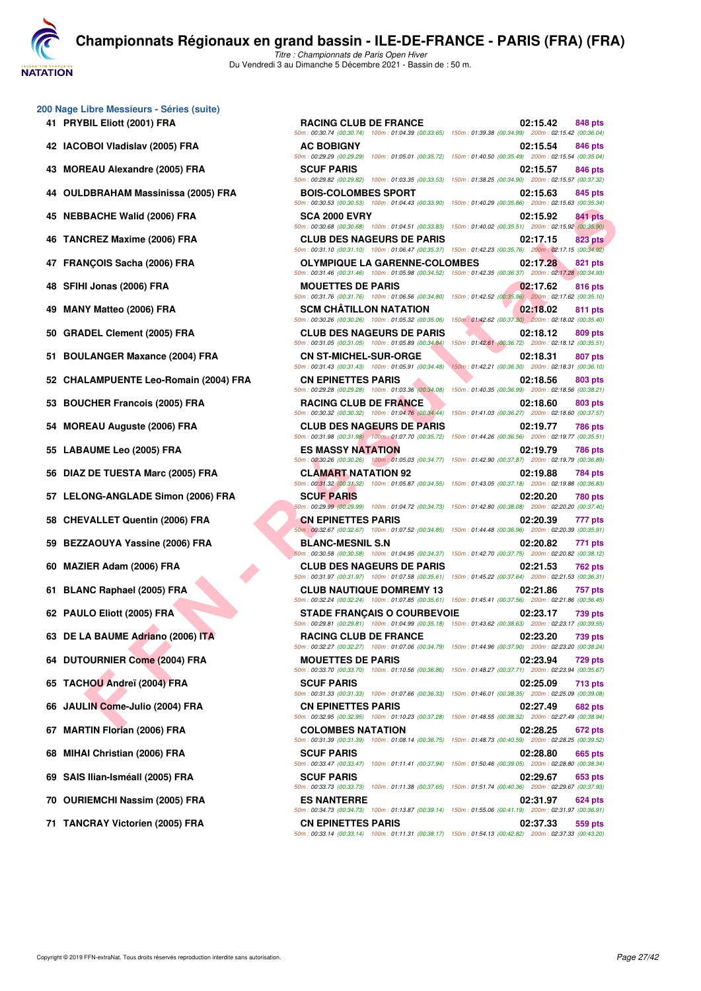**ATATION** 

**[C](http://www.ffnatation.fr/webffn/index.php)hampionnats Régionaux en grand bassin - ILE-DE-FRANCE - PARIS (FRA) (FRA)**

*Titre : Championnats de Paris Open Hiver* Du Vendredi 3 au Dimanche 5 Décembre 2021 - Bassin de : 50 m.

| 200 Nage Libre Messieurs - Séries (suite) |  |  |  |  |  |  |
|-------------------------------------------|--|--|--|--|--|--|
|-------------------------------------------|--|--|--|--|--|--|

- 
- 
- 
- 
- 
- 
- 
- 
- 
- 
- 
- 
- 
- 
- 
- 
- 
- 
- 
- 
- 
- 
- 
- 
- 
- 
- 
- 
- 
- 
- **71 TANCRAY Victorien (2005) FRA CN EPINETTES PARIS 02:37.33 559 pts**

**FACHS UNITE (2005) FRA**<br>
CREZ Maxime (2006) FRA<br>
CREZ Maxime (2006) FRA<br>
CREZ Maxime (2006) FRA<br>
CREZ Maxime (2006) FRA<br>
CREZ Maxime (2006) FRA<br>
CREZ MATHEOLOGICAL CREATIVE SERVICE COUNCES<br>
CREATIVE SERVICE COUNCES<br>
CREA **41 PRYBIL Eliott (2001) FRA RACING CLUB DE FRANCE 02:15.42 848 pts** *50m : 00:30.74 (00:30.74) 100m : 01:04.39 (00:33.65) 150m : 01:39.38 (00:34.99) 200m : 02:15.42 (00:36.04)* **42 IACOBOI Vladislav (2005) FRA AC BOBIGNY 02:15.54 846 pts** *50m : 00:29.29 (00:29.29) 100m : 01:05.01 (00:35.72) 150m : 01:40.50 (00:35.49) 200m : 02:15.54 (00:35.04)* **43 MOREAU Alexandre (2005) FRA SCUF PARIS 02:15.57 846 pts** *50m : 00:29.82 (00:29.82) 100m : 01:03.35 (00:33.53) 150m : 01:38.25 (00:34.90) 200m : 02:15.57 (00:37.32)* **44 OULDBRAHAM Massinissa (2005) FRA BOIS-COLOMBES SPORT 02:15.63 845 pts** *50m : 00:30.53 (00:30.53) 100m : 01:04.43 (00:33.90) 150m : 01:40.29 (00:35.86) 200m : 02:15.63 (00:35.34)* **45 NEBBACHE Walid (2006) FRA SCA 2000 EVRY 02:15.92 841 pts** *50m : 00:30.68 (00:30.68) 100m : 01:04.51 (00:33.83) 150m : 01:40.02 (00:35.51) 200m : 02:15.92 (00:35.90)* **46 TANCREZ Maxime (2006) FRA CLUB DES NAGEURS DE PARIS 02:17.15 823 pts** *50m : 00:31.10 (00:31.10) 100m : 01:06.47 (00:35.37) 150m : 01:42.23 (00:35.76) 200m : 02:17.15 (00:34.92)* **47 FRANÇOIS Sacha (2006) FRA OLYMPIQUE LA GARENNE-COLOMBES 02:17.28 821 pts** *50m : 00:31.46 (00:31.46) 100m : 01:05.98 (00:34.52) 150m : 01:42.35 (00:36.37) 200m : 02:17.28 (00:34.93)* **48 SFIHI Jonas (2006) FRA MOUETTES DE PARIS 02:17.62 816 pts** *50m : 00:31.76 (00:31.76) 100m : 01:06.56 (00:34.80) 150m : 01:42.52 (00:35.96) 200m : 02:17.62 (00:35.10)* **49 MANY Matteo (2006) FRA SCM CHÂTILLON NATATION 02:18.02 811 pts** *50m : 00:30.26 (00:30.26) 100m : 01:05.32 (00:35.06) 150m : 01:42.62 (00:37.30) 200m : 02:18.02 (00:35.40)* **50 GRADEL Clement (2005) FRA CLUB DES NAGEURS DE PARIS 02:18.12 809 pts** *50m : 00:31.05 (00:31.05) 100m : 01:05.89 (00:34.84) 150m : 01:42.61 (00:36.72) 200m : 02:18.12 (00:35.51)* **51 BOULANGER Maxance (2004) FRA CN ST-MICHEL-SUR-ORGE 02:18.31 02:18.31 807 pts**<br> **50m**: 00:31.43 | 00:31.43 | 00:31.43 | 00:31.43 | 00:31.43 | 00:31.43 | 100m : 01:05.91 | 00:34.48 | 150m : 01:42.21 | 00:36.30 | *50m : 00:31.43 (00:31.43) 100m : 01:05.91 (00:34.48) 150m : 01:42.21 (00:36.30) 200m : 02:18.31 (00:36.10)* **52 CHALAMPUENTE Leo-Romain (2004) FRA CN EPINETTES PARIS 02:18.56 803 pts** *50m : 00:29.28 (00:29.28) 100m : 01:03.36 (00:34.08) 150m : 01:40.35 (00:36.99) 200m : 02:18.56 (00:38.21)* **53 BOUCHER Francois (2005) FRA RACING CLUB DE FRANCE 02:18.60 803 pts** *50m : 00:30.32 (00:30.32) 100m : 01:04.76 (00:34.44) 150m : 01:41.03 (00:36.27) 200m : 02:18.60 (00:37.57)* **54 MOREAU Auguste (2006) FRA CLUB DES NAGEURS DE PARIS 02:19.77 786 pts** *50m : 00:31.98 (00:31.98) 100m : 01:07.70 (00:35.72) 150m : 01:44.26 (00:36.56) 200m : 02:19.77 (00:35.51)* **55 LABAUME Leo (2005) FRA ES MASSY NATATION 02:19.79 786 pts** *50m : 00:30.26 (00:30.26) 100m : 01:05.03 (00:34.77) 150m : 01:42.90 (00:37.87) 200m : 02:19.79 (00:36.89)* **56 DIAZ DE TUESTA Marc (2005) FRA CLAMART NATATION 92 02:19.88 784 pts** *50m : 00:31.32 (00:31.32) 100m : 01:05.87 (00:34.55) 150m : 01:43.05 (00:37.18) 200m : 02:19.88 (00:36.83)* **57 LELONG-ANGLADE Simon (2006) FRA SCUF PARIS 02:20.20 780 pts** *50m : 00:29.99 (00:29.99) 100m : 01:04.72 (00:34.73) 150m : 01:42.80 (00:38.08) 200m : 02:20.20 (00:37.40)* **58 CHEVALLET Quentin (2006) FRA CN EPINETTES PARIS 02:20.39 777 pts** *50m : 00:32.67 (00:32.67) 100m : 01:07.52 (00:34.85) 150m : 01:44.48 (00:36.96) 200m : 02:20.39 (00:35.91)* **59 BEZZAOUYA Yassine (2006) FRA BLANC-MESNIL S.N 02:20.82 771 pts** *50m : 00:30.58 (00:30.58) 100m : 01:04.95 (00:34.37) 150m : 01:42.70 (00:37.75) 200m : 02:20.82 (00:38.12)* **60 MAZIER Adam (2006) FRA CLUB DES NAGEURS DE PARIS 02:21.53 762 pts** *50m : 00:31.97 (00:31.97) 100m : 01:07.58 (00:35.61) 150m : 01:45.22 (00:37.64) 200m : 02:21.53 (00:36.31)* **61 BLANC Raphael (2005) FRA CLUB NAUTIQUE DOMREMY 13 02:21.86 757 pts** *50m : 00:32.24 (00:32.24) 100m : 01:07.85 (00:35.61) 150m : 01:45.41 (00:37.56) 200m : 02:21.86 (00:36.45)* **62 PAULO Eliott (2005) FRA STADE FRANÇAIS O COURBEVOIE 02:23.17 739 pts** *50m : 00:29.81 (00:29.81) 100m : 01:04.99 (00:35.18) 150m : 01:43.62 (00:38.63) 200m : 02:23.17 (00:39.55)* **63 DE LA BAUME Adriano (2006) ITA RACING CLUB DE FRANCE 02:23.20 739 pts** *50m : 00:32.27 (00:32.27) 100m : 01:07.06 (00:34.79) 150m : 01:44.96 (00:37.90) 200m : 02:23.20 (00:38.24)* **64 DUTOURNIER Come (2004) FRA MOUETTES DE PARIS 02:23.94 729 pts** *50m : 00:33.70 (00:33.70) 100m : 01:10.56 (00:36.86) 150m : 01:48.27 (00:37.71) 200m : 02:23.94 (00:35.67)* **65 TACHOU Andreï (2004) FRA SCUF PARIS 02:25.09 713 pts** *50m : 00:31.33 (00:31.33) 100m : 01:07.66 (00:36.33) 150m : 01:46.01 (00:38.35) 200m : 02:25.09 (00:39.08)* **66 JAULIN Come-Julio (2004) FRA CN EPINETTES PARIS 02:27.49 682 pts** *50m : 00:32.95 (00:32.95) 100m : 01:10.23 (00:37.28) 150m : 01:48.55 (00:38.32) 200m : 02:27.49 (00:38.94)* **67 MARTIN Florian (2006) FRA COLOMBES NATATION 02:28.25 672 pts** *50m : 00:31.39 (00:31.39) 100m : 01:08.14 (00:36.75) 150m : 01:48.73 (00:40.59) 200m : 02:28.25 (00:39.52)* **68 MIHAI Christian (2006) FRA SCUF PARIS 02:28.80 665 pts** *50m : 00:33.47 (00:33.47) 100m : 01:11.41 (00:37.94) 150m : 01:50.46 (00:39.05) 200m : 02:28.80 (00:38.34)* **69 SAIS Ilian-Isméall (2005) FRA SCUF PARIS 02:29.67 653 pts** *50m : 00:33.73 (00:33.73) 100m : 01:11.38 (00:37.65) 150m : 01:51.74 (00:40.36) 200m : 02:29.67 (00:37.93)* **70 OURIEMCHI Nassim (2005) FRA ES NANTERRE 02:31.97 624 pts** *50m : 00:34.73 (00:34.73) 100m : 01:13.87 (00:39.14) 150m : 01:55.06 (00:41.19) 200m : 02:31.97 (00:36.91)*

*50m : 00:33.14 (00:33.14) 100m : 01:11.31 (00:38.17) 150m : 01:54.13 (00:42.82) 200m : 02:37.33 (00:43.20)*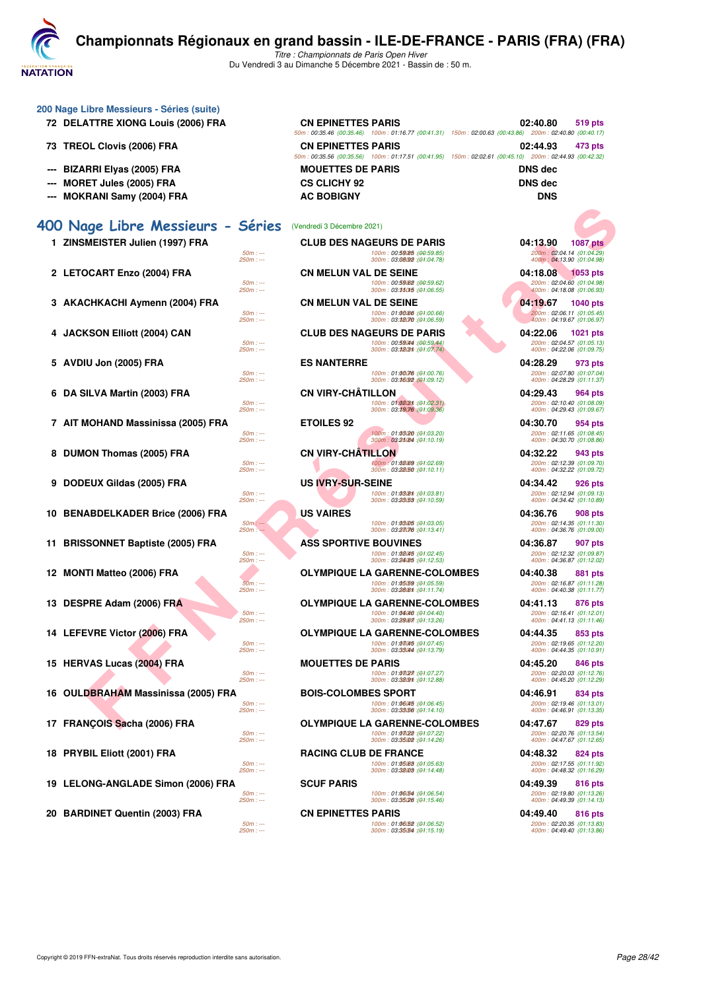**NATATION** 

**200 Nage Libre Messieurs - Séries (suite)**

## **[C](http://www.ffnatation.fr/webffn/index.php)hampionnats Régionaux en grand bassin - ILE-DE-FRANCE - PARIS (FRA) (FRA)**

|    | 72 DELATTRE XIONG Louis (2006) FRA    |                          | <b>CN EPINETTES PARIS</b>    |                                                                              | 02:40.80<br>50m: 00:35.46 (00:35.46) 100m: 01:16.77 (00:41.31) 150m: 02:00.63 (00:43.86) 200m: 02:40.80 (00:40.17) | 519 pts                                                 |
|----|---------------------------------------|--------------------------|------------------------------|------------------------------------------------------------------------------|--------------------------------------------------------------------------------------------------------------------|---------------------------------------------------------|
|    | 73 TREOL Clovis (2006) FRA            |                          | <b>CN EPINETTES PARIS</b>    |                                                                              | 02:44.93<br>50m: 00:35.56 (00:35.56) 100m: 01:17.51 (00:41.95) 150m: 02:02.61 (00:45.10) 200m: 02:44.93 (00:42.32) | 473 pts                                                 |
|    | <b>BIZARRI Elyas (2005) FRA</b>       |                          | <b>MOUETTES DE PARIS</b>     |                                                                              | <b>DNS</b> dec                                                                                                     |                                                         |
|    | MORET Jules (2005) FRA                |                          | <b>CS CLICHY 92</b>          |                                                                              | <b>DNS dec</b>                                                                                                     |                                                         |
|    | <b>MOKRANI Samy (2004) FRA</b>        |                          | <b>AC BOBIGNY</b>            |                                                                              | <b>DNS</b>                                                                                                         |                                                         |
|    |                                       |                          |                              |                                                                              |                                                                                                                    |                                                         |
|    | 400 Nage Libre Messieurs - Séries     |                          | (Vendredi 3 Décembre 2021)   |                                                                              |                                                                                                                    |                                                         |
|    | 1 ZINSMEISTER Julien (1997) FRA       |                          |                              | <b>CLUB DES NAGEURS DE PARIS</b>                                             | 04:13.90                                                                                                           | <b>1087 pts</b>                                         |
|    |                                       | $50m: -$<br>$250m: -$    |                              | 100m: 00:59085 : (00:59.85)<br>300m: 03:08/92 : (01:04.78)                   |                                                                                                                    | 200m: 02:04.14 (01:04.29)<br>400m: 04:13.90 (01:04.98)  |
|    | 2 LETOCART Enzo (2004) FRA            |                          | <b>CN MELUN VAL DE SEINE</b> |                                                                              | 04:18.08                                                                                                           | <b>1053 pts</b>                                         |
|    |                                       | $50m: -$<br>$250m: -$    |                              | 100m: 00:59 (00:59.62)<br>300m: 03:350f5 :(01:06.55)                         |                                                                                                                    | 200m: 02:04.60 (01:04.98)<br>400m: 04:18.08 (01:06.93)  |
|    | 3 AKACHKACHI Aymenn (2004) FRA        |                          | <b>CN MELUN VAL DE SEINE</b> |                                                                              | 04:19.67                                                                                                           | 1040 pts                                                |
|    |                                       | $50m: -$                 |                              | 100m: 01:00066 : (01:00.66)                                                  |                                                                                                                    | 200m: 02:06.11 (01:05.45)                               |
|    |                                       | $250m: -$                |                              | 300m: 03:32070 : (01:06.59)                                                  |                                                                                                                    | 400m: 04:19.67 (01:06.97)                               |
| 4  | <b>JACKSON Elliott (2004) CAN</b>     | $50m: -$                 |                              | <b>CLUB DES NAGEURS DE PARIS</b><br>100m: 00.59044 : (00.59.44)              | 04:22.06                                                                                                           | 1021 pts<br>200m: 02:04.57 (01:05.13)                   |
|    |                                       | $250m: -$                |                              | 300m: 03:3803m: (01:07.74)                                                   |                                                                                                                    | 400m: 04:22.06 (01:09.75)                               |
|    | 5 AVDIU Jon (2005) FRA                |                          | <b>ES NANTERRE</b>           |                                                                              | 04:28.29                                                                                                           | 973 pts                                                 |
|    |                                       | $50m: -$<br>$250m: -$    |                              | 100m: 01:00076 : (01:00.76)<br>300m: 03:36/92 (01:09.12)                     |                                                                                                                    | 200m: 02:07.80 (01:07.04)<br>400m: 04:28.29 (01:11.37)  |
|    | 6 DA SILVA Martin (2003) FRA          |                          | <b>CN VIRY-CHATILLON</b>     |                                                                              | 04:29.43                                                                                                           | 964 pts                                                 |
|    |                                       | $50m: -$                 |                              | 100m: 01:02/31 : (01:02.31)                                                  |                                                                                                                    | 200m: 02:10.40 (01:08.09)                               |
|    |                                       | $250m: -$                |                              | 300m: 03:39076 (01:09.36)                                                    |                                                                                                                    | 400m: 04:29.43 (01:09.67)                               |
|    | 7 AIT MOHAND Massinissa (2005) FRA    | $50m: -$                 | <b>ETOILES 92</b>            | 100m: 01:03/20 : (01:03.20)                                                  | 04:30.70                                                                                                           | 954 pts<br>200m: 02:11.65 (01:08.45)                    |
|    |                                       | $250m: -$                |                              | 300m: 03:25084 : (01:10.19)                                                  |                                                                                                                    | 400m: 04:30.70 (01:08.86)                               |
|    | 8 DUMON Thomas (2005) FRA             |                          | <b>CN VIRY-CHATILLON</b>     |                                                                              | 04:32.22                                                                                                           | 943 pts                                                 |
|    |                                       | $50m: -$<br>$250m: -$    |                              | 100m: 01:02.69 : (01:02.69)<br>300m: 03:22/50 : (01:10.11)                   |                                                                                                                    | 200m: 02:12.39 (01:09.70)<br>400m: 04:32.22 (01:09.72)  |
| 9  | DODEUX Gildas (2005) FRA              |                          | <b>US IVRY-SUR-SEINE</b>     |                                                                              | 04:34.42                                                                                                           | 926 pts                                                 |
|    |                                       | $50m: -$<br>$250m: -$    |                              | 100m: 01:03/8th : (01:03.81)<br>300m: 03:25/53 : (01:10.59)                  |                                                                                                                    | 200m: 02:12.94 (01:09.13)<br>400m: 04:34.42 (01:10.89)  |
|    | 10 BENABDELKADER Brice (2006) FRA     |                          | <b>US VAIRES</b>             |                                                                              | 04:36.76                                                                                                           | 908 pts                                                 |
|    |                                       | $50m$ : ---<br>$250m: -$ |                              | 100m: 01:03.05 : (01:03.05)<br>300m: 03:23076 : (01:13.41)                   |                                                                                                                    | 200m: 02:14.35 (01:11.30)                               |
|    | <b>BRISSONNET Baptiste (2005) FRA</b> |                          | <b>ASS SPORTIVE BOUVINES</b> |                                                                              | 04:36.87                                                                                                           | 400m: 04:36.76 (01:09.00)                               |
| 11 |                                       | $50m: -$                 |                              | 100m: 01:02045 : (01:02.45)                                                  |                                                                                                                    | 907 pts<br>200m: 02:12.32 (01:09.87)                    |
|    |                                       | $250m: -$                |                              | 300m: 03:24085 : (01:12.53)                                                  |                                                                                                                    | 400m: 04:36.87 (01:12.02)                               |
|    | 12 MONTI Matteo (2006) FRA            | $50m: -$                 |                              | <b>OLYMPIQUE LA GARENNE-COLOMBES</b><br>100m: 01:05:59 : (01:05.59)          | 04:40.38                                                                                                           | 881 pts<br>200m: 02:16.87 (01:11.28)                    |
|    |                                       | $250m: -$                |                              | 300m: 03:280m : (01:11.74)                                                   |                                                                                                                    | 400m: 04:40.38 (01:11.77)                               |
|    | 13 DESPRE Adam (2006) FRA             |                          |                              | <b>OLYMPIQUE LA GARENNE-COLOMBES</b>                                         | 04:41.13                                                                                                           | 876 pts                                                 |
|    |                                       | $50m: -$<br>$250m: -$    |                              | 100m: 01:04040 : (01:04.40)<br>300m: 03:29 (04:13.26)                        |                                                                                                                    | 200m: 02:16.41 (01:12.01)<br>400m: 04:41.13 (01:11.46)  |
|    | 14 LEFEVRE Victor (2006) FRA          |                          |                              | <b>OLYMPIQUE LA GARENNE-COLOMBES</b>                                         | 04:44.35                                                                                                           | 853 pts                                                 |
|    |                                       | $50m: -$<br>$250m: -$    |                              | ( <del>UI</del> :U <i>I:U8lab :(UI:U/.45)</i><br>300m: 03:33044 : (01:13.79) |                                                                                                                    | 200m : 02:19.65 (01:12.20)<br>400m: 04:44.35 (01:10.91) |
|    | 15 HERVAS Lucas (2004) FRA            |                          | <b>MOUETTES DE PARIS</b>     |                                                                              | 04:45.20                                                                                                           | 846 pts                                                 |
|    |                                       | $50m: -$                 |                              | 100m: 01:03(27): (01:07.27)                                                  |                                                                                                                    | 200m: 02:20.03 (01:12.76)                               |
|    |                                       | $250m: -$                |                              | 300m: 03:3209th : (01:12.88)                                                 |                                                                                                                    | 400m: 04:45.20 (01:12.29)                               |
|    | 16 OULDBRAHAM Massinissa (2005) FRA   | $50m: -$                 | <b>BOIS-COLOMBES SPORT</b>   | 100m: 01:06045 :(01:06.45)                                                   | 04:46.91                                                                                                           | 834 pts<br>200m: 02:19.46 (01:13.01)                    |
|    |                                       | $250m: -$                |                              | 300m: 03:33.56 : (01:14.10)                                                  |                                                                                                                    | 400m: 04:46.91 (01:13.35)                               |
|    | 17 FRANÇOIS Sacha (2006) FRA          |                          |                              | <b>OLYMPIQUE LA GARENNE-COLOMBES</b>                                         | 04:47.67                                                                                                           | 829 pts                                                 |
|    |                                       | $50m: -$<br>$250m: -$    |                              | 100m: 01:03(22): (01:07.22)<br>300m: 03:35002 : (01:14.26)                   |                                                                                                                    | 200m: 02:20.76 (01:13.54)<br>400m: 04:47.67 (01:12.65)  |
|    | 18 PRYBIL Eliott (2001) FRA           |                          | <b>RACING CLUB DE FRANCE</b> |                                                                              | 04:48.32                                                                                                           | 824 pts                                                 |
|    |                                       | $50m: -$<br>$250m: -$    |                              | 100m: 01:05:09 : (01:05.63)<br>300m: 03:32003 : (01:14.48)                   |                                                                                                                    | 200m: 02:17.55 (01:11.92)<br>400m: 04:48.32 (01:16.29)  |
|    | 19 LELONG-ANGLADE Simon (2006) FRA    |                          | <b>SCUF PARIS</b>            |                                                                              | 04:49.39                                                                                                           | 816 pts                                                 |
|    |                                       | $50m: -$                 |                              | 100m: 01:06/54 : (01:06.54)                                                  |                                                                                                                    | 200m: 02:19.80 (01:13.26)                               |
|    |                                       | $250m: -$                |                              | 300m: 03:35026 : (01:15.46)                                                  |                                                                                                                    | 400m: 04:49.39 (01:14.13)                               |
|    | 20 BARDINET Quentin (2003) FRA        | $50m: -$                 | <b>CN EPINETTES PARIS</b>    | 100m: 01:06/52 : (01:06.52)                                                  | 04:49.40                                                                                                           | 816 pts<br>200m: 02:20.35 (01:13.83)                    |
|    |                                       | $250m: -$                |                              | 300m: 03:35.54 : (01:15.19)                                                  |                                                                                                                    | 400m: 04:49.40 (01:13.86)                               |
|    |                                       |                          |                              |                                                                              |                                                                                                                    |                                                         |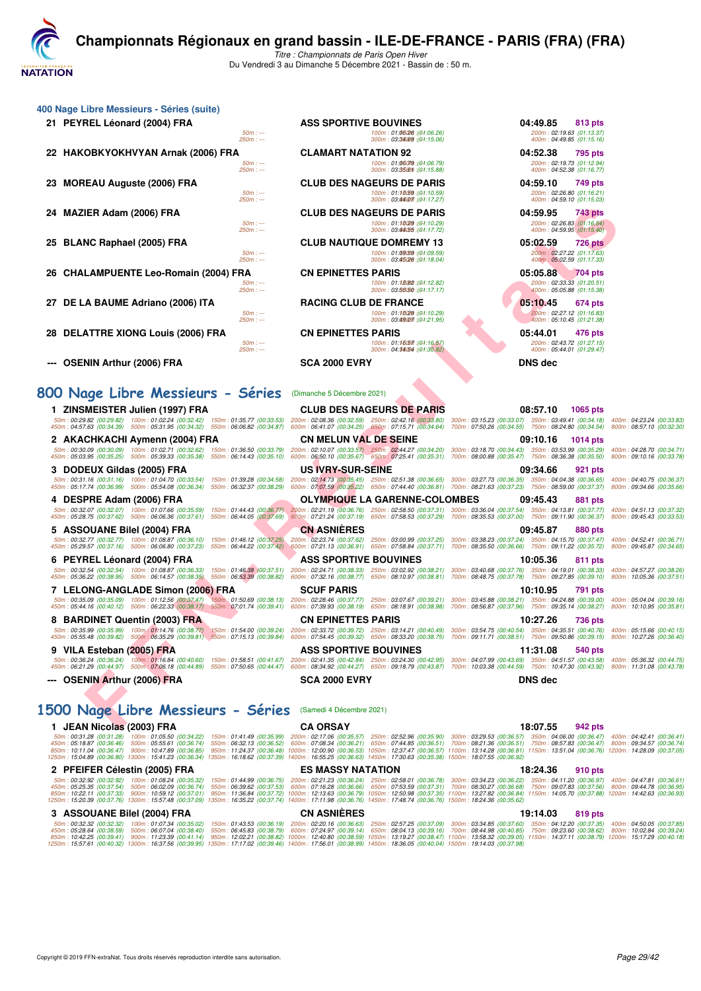**[C](http://www.ffnatation.fr/webffn/index.php)hampionnats Régionaux en grand bassin - ILE-DE-FRANCE - PARIS (FRA) (FRA)** *Titre : Championnats de Paris Open Hiver*

**VATATION** 

Du Vendredi 3 au Dimanche 5 Décembre 2021 - Bassin de : 50 m. **400 Nage Libre Messieurs - Séries (suite) 21 PEYREL Léonard (2004) FRA ASS SPORTIVE BOUVINES 100m**: 01:06268 **101:0626 10:0526 <b>04:49.85 04:49.85 04:49.85 813 pts**<br>
250m :--- 250m :--- 250m :--- 250m :--- 250m :--- 250m :--- 250m :--- 250m :--- 250m : *50m : --- 100m : 01:06.26 150m : --- 200m : (01:06.26) 02:19.63 (01:13.37) 250m : --- 300m : 03:34.6950m : --- 400m : (01:15.06) 04:49.85 (01:15.16)*

- **22 HAKOBKYOKHVYAN Arnak (2006) FRA CLAMART NATATION 92 100m: 01:0679** (04:52.38 **04:52.38 04:52.38 04:52.38 04:52.38 04:52.38 100m: 01:0679** (01:0579) **100m: 01:0679** (01:0579) **100m: 01:06.79 10:06.79 1 23 MOREAU Auguste (2006) FRA** CLUB DES NAGEURS DE PARIS 04:59.10 749 pts<br>
<sup>50m :---</sup> <sup>50m</sup> :--- **CLUB DES NAGEURS** 04:1:1859 (01:16.59)<br>
<sup>250m : ---</sub> <sup>50m</sup> :--- <sup>500m</sup> : 04:59.10 (01:15.03)</sup> **24 MAZIER Adam (2006) FRA CLUB DES NAGEURS DE PARIS 04:59.95 743 pts** *50m : --- 100m : 01:10.2950m : --- 200m : (01:10.29) 02:26.83 (01:16.54)* **25 BLANC Raphael (2005) FRA** CLUB NAUTIQUE DOMREMY 13 05:02.59 726 pts<br>
2009 12:259 2009 2222 (01:1763) *50m : --- 100m : 01:09.59 150m : --- 200m : (01:09.59) 02:27.22 (01:17.63)* **26 CHALAMPUENTE Leo-Romain (2004) FRA** CN EPINETTES PARIS 05:05.88 05:05.88 704 pts<br>
200m : 01:1808 (91:12.82)<br>
200m : 03:50:05 (91:17.17) 300m : 03:50:06 (91:17.17) 300m : 03:50:06 (91:17.17) 400m : 05:05.88 (01:15.38) **27 DE LA BAUME Adriano (2006) ITA RACING CLUB DE FRANCE 100m**: 01:10**29 10:1:0.29**<br>
260m : --- 200m : --- 200m : --- 200m : --- 200m : --- 200m : --- 200m : --- 200m : --- 200m : 03:27.12 (01:16.83) **28 DELATTRE XIONG Louis (2006) FRA** CN EPINETTES PARIS 05:44.01 **476 pts**<br>
200m : 01:16.67 (01:26.57)<br>
200m : 03:44.01 (01:27.15)<br>
200m : 05:44.01 (01:28.47) *50m : --- 100m : 01:16.5750m : --- 200m : (01:16.57) 02:43.72 (01:27.15) 250m : --- 300m : 04:14.54 350m : --- 400m : (01:30.82) 05:44.01 (01:29.47)*
- **--- OSENIN Arthur (2006) FRA SCA 2000 EVRY DNS dec**

| 24 MAZIER Adam (2006) FRA<br>$50m: -$<br>$250m: -$                                                                                                                                                                                                                                                                                                                                     | <b>CLUB DES NAGEURS DE PARIS</b><br>100m: 01:10(29 : (01:10.29)<br>300m: 03.44055 : (01:17.72)                                       | 04:59.95<br>743 pts<br>200m: 02:26.83 (01:16.54)<br>400m: 04:59.95 (01:15.40)                                                                                                                                                                                         |                                                      |
|----------------------------------------------------------------------------------------------------------------------------------------------------------------------------------------------------------------------------------------------------------------------------------------------------------------------------------------------------------------------------------------|--------------------------------------------------------------------------------------------------------------------------------------|-----------------------------------------------------------------------------------------------------------------------------------------------------------------------------------------------------------------------------------------------------------------------|------------------------------------------------------|
| 25 BLANC Raphael (2005) FRA<br>$50m: -$<br>$250m: -$                                                                                                                                                                                                                                                                                                                                   | <b>CLUB NAUTIQUE DOMREMY 13</b><br>100m: 01:09/59 : (01:09.59)                                                                       | 05:02.59<br><b>726 pts</b><br>200m: 02:27.22 (01:17.63)                                                                                                                                                                                                               |                                                      |
| 26 CHALAMPUENTE Leo-Romain (2004) FRA<br>$50m: -$<br>$250m: -$                                                                                                                                                                                                                                                                                                                         | 300m: 03:45/26 : (01:18.04)<br><b>CN EPINETTES PARIS</b><br>100m: 01:18082 : (01:12.82)<br>300m: 03.56050 : (01:17.17)               | 400m: 05:02.59 (01:17.33)<br>05:05.88<br>704 pts<br>200m: 02:33.33 (01:20.51)<br>400m: 05:05.88 (01:15.38)                                                                                                                                                            |                                                      |
| 27 DE LA BAUME Adriano (2006) ITA<br>$50m: -$<br>$250m: -$                                                                                                                                                                                                                                                                                                                             | <b>RACING CLUB DE FRANCE</b><br>100m: 01:10(29 : (01:10.29)<br>300m: 03.89007 (01:21.95)                                             | 05:10.45<br>674 pts<br>200m: 02:27.12 (01:16.83)<br>400m: 05:10.45 (01:21.38)                                                                                                                                                                                         |                                                      |
| 28 DELATTRE XIONG Louis (2006) FRA<br>$50m: -$<br>250m : ---                                                                                                                                                                                                                                                                                                                           | <b>CN EPINETTES PARIS</b><br>100m: 01:16/57 : (01:16.57)<br>300m: 04:34/54 : (01:30.82)                                              | 05:44.01<br>476 pts<br>200m: 02:43.72 (01:27.15)<br>400m: 05:44.01 (01:29.47)                                                                                                                                                                                         |                                                      |
| <b>OSENIN Arthur (2006) FRA</b>                                                                                                                                                                                                                                                                                                                                                        | <b>SCA 2000 EVRY</b>                                                                                                                 | <b>DNS dec</b>                                                                                                                                                                                                                                                        |                                                      |
| 800 Nage Libre Messieurs - Séries                                                                                                                                                                                                                                                                                                                                                      | (Dimanche 5 Décembre 2021)                                                                                                           |                                                                                                                                                                                                                                                                       |                                                      |
| 1 ZINSMEISTER Julien (1997) FRA                                                                                                                                                                                                                                                                                                                                                        | <b>CLUB DES NAGEURS DE PARIS</b>                                                                                                     | 08:57.10<br>1065 pts                                                                                                                                                                                                                                                  |                                                      |
| 50m: 00:29.82 (00:29.82) 100m: 01:02.24 (00:32.42) 150m: 01:35.77 (00:33.53)<br>450m: 04:57.63 (00:34.39) 500m: 05:31.95 (00:34.32) 550m: 06:06.82 (00:34.87)                                                                                                                                                                                                                          | 200m: 02:08.36 (00:32.59) 250m: 02:42.16 (00:33.80)<br>600m: 06:41.07 (00:34.25) 650m: 07:15.71 (00:34.64)                           | 300m: 03:15.23 (00:33.07) 350m: 03:49.41 (00:34.18)<br>700m: 07:50.26 (00:34.55) 750m: 08:24.80 (00:34.54)                                                                                                                                                            | 400m: 04:23.24 (00:33.83<br>800m: 08:57.10 (00:32.30 |
| 2 AKACHKACHI Aymenn (2004) FRA                                                                                                                                                                                                                                                                                                                                                         | <b>CN MELUN VAL DE SEINE</b>                                                                                                         | 09:10.16<br>1014 pts                                                                                                                                                                                                                                                  |                                                      |
| $50m: 00.30.09 (00.30.09) 100m: 01.02.71 (00.32.62) 150m: 01.36.50 (00.33.79) 200m: 02.10.07 (00.33.57) 250m: 02:44.27 (00.34.20) 300m: 03:18.70 (00.34.43) 350m: 03:53.99 (00.35.29)$<br>450m : 05:03.95 (00:35.25) 500m : 05:39.33 (00:35.38) 550m : 06:14.43 (00:35.10) 600m : 06:50.10 (00:35.67) 650m : 07:25.41 (00:35.31) 700m : 08:00.88 (00:35.47) 750m : 08:36.38 (00:35.50) |                                                                                                                                      |                                                                                                                                                                                                                                                                       | 400m: 04:28.70 (00:34.71<br>800m: 09:10.16 (00:33.78 |
| 3 DODEUX Gildas (2005) FRA<br>50m: 00:31.16 (00:31.16) 100m: 01:04.70 (00:33.54)<br>150m: 01:39.28 (00:34.58)<br>450m: 05:17.74 (00:36.99) 500m: 05:54.08 (00:36.34) 550m: 06:32.37 (00:38.29)                                                                                                                                                                                         | <b>US IVRY-SUR-SEINE</b>                                                                                                             | 09:34.66<br>921 pts<br>200m: 02:14.73 (00:35.45) 250m: 02:51.38 (00:36.65) 300m: 03:27.73 (00:36.35) 350m: 04:04.38 (00:36.65)<br>600m: 07:07.59 (00:35.22) 650m: 07:44.40 (00:36.81) 700m: 08:21.63 (00:37.23) 750m: 08:59.00 (00:37.37)                             | 400m: 04:40.75 (00:36.37<br>800m: 09:34.66 (00:35.66 |
| 4 DESPRE Adam (2006) FRA                                                                                                                                                                                                                                                                                                                                                               | <b>OLYMPIQUE LA GARENNE-COLOMBES</b>                                                                                                 | 09:45.43<br>881 pts                                                                                                                                                                                                                                                   |                                                      |
| 50m: 00:32.07 (00:32.07) 100m: 01:07.66 (00:35.59) 150m: 01:44.43 (00:36.77) 200m: 02:21.19 (00:36.76) 250m: 02:58.50 (00:37.31) 300m: 03:36.04 (00:37.54) 350m: 04:13.81 (00:37.77) 400m: 04:13.13 (00:37.32)<br>450m: 05:28.75 (00:37.62) 500m: 06:06.36 (00:37.61)<br>550m: 06:44.05 (00:37.69)                                                                                     |                                                                                                                                      | 6500m : 07:21.24 (00:37.19) 650m : 07:58.53 (00:37.29) 700m : 08:35.53 (00:37.00) 750m : 09:11.90 (00:36.37) 800m : 09:45.43 (00:33.53 (00:33.53 (00:39 كـ/90:38.53 (00:33.53 $\pm$                                                                                   |                                                      |
| 5 ASSOUANE Bilel (2004) FRA                                                                                                                                                                                                                                                                                                                                                            | <b>CN ASNIERES</b>                                                                                                                   | 09:45.87<br><b>880 pts</b>                                                                                                                                                                                                                                            |                                                      |
| 50m: 00:32.77 (00:32.77) 100m: 01:08.87 (00:36.10)<br>150m: 01:46.12 (00:37.25)<br>450m: 05:29.57 (00:37.16) 500m: 06:06.80 (00:37.23)                                                                                                                                                                                                                                                 |                                                                                                                                      | 200m:02:23.74 (00:37.62) 250m:03:00.99 (00:37.25) 300m:03:38.23 (00:37.24) 350m:04:15.70 (00:37.47) 400m:04:52.41 (00:36.71<br>550m: 06:44.22 (00:37.42) 600m: 07:21.13 (00:36.91) 650m: 07:58.84 (00:37.71) 700m: 08:35.50 (00:36.66) 750m: 09:11.22 (00:35.72)      | 800m: 09:45.87 (00:34.65                             |
| 6 PEYREL Léonard (2004) FRA                                                                                                                                                                                                                                                                                                                                                            | <b>ASS SPORTIVE BOUVINES</b>                                                                                                         | 10:05.36<br>811 pts                                                                                                                                                                                                                                                   |                                                      |
| 50m: 00:32.54 (00:32.54) 100m: 01:08.87 (00:36.33)<br>450m: 05:36.22 (00:38.95) 500m: 06:14.57 (00:38.35)<br>550m: 06:53.39 (00:38.82)                                                                                                                                                                                                                                                 |                                                                                                                                      | 150m: 01:46.38 (00:37.51) 200m: 02:24.71 (00:38.33) 250m: 03:02.92 (00:38.21) 300m: 03:40.68 (00:37.76) 350m: 04:19.01 (00:38.33) 400m: 04:57.27 (00:38.26<br>600m: 07:32.16 (00:38.77) 650m: 08:10.97 (00:38.81) 700m: 08:48.75 (00:37.78) 750m: 09:27.85 (00:39.10) | 800m: 10:05.36 (00:37.51                             |
| 7 LELONG-ANGLADE Simon (2006) FRA                                                                                                                                                                                                                                                                                                                                                      | <b>SCUF PARIS</b>                                                                                                                    | 10:10.95<br>791 pts                                                                                                                                                                                                                                                   |                                                      |
| 50m: 00:35.09 (00:35.09) 100m: 01:12.56 (00:37.47)<br>450m: 05:44.16 (00:40.12) 500m: 06:22.33 (00:38.17) 550m: 07:01.74 (00:39.41)                                                                                                                                                                                                                                                    | 150m; 01:50.69 (00:38.13) 200m: 02:28.46 (00:37.77) 250m: 03:07.67 (00:39.21)<br>600m: 07:39.93 (00:38.19) 650m: 08:18.91 (00:38.98) | 300m: 03:45.88 (00:38.21) 350m: 04:24.88 (00:39.00)<br>700m: 08:56.87 (00:37.96) 750m: 09:35.14 (00:38.27)                                                                                                                                                            | 400m: 05:04.04 (00:39.16<br>800m: 10:10.95 (00:35.81 |
| 8 BARDINET Quentin (2003) FRA                                                                                                                                                                                                                                                                                                                                                          | <b>CN EPINETTES PARIS</b>                                                                                                            | 10:27.26<br>736 pts                                                                                                                                                                                                                                                   |                                                      |
| 50m: 00:35.99 (00:35.99) 100m: 01:14.76 (00:38.77) 150m: 01:54.00 (00:39.24)<br>450m: 05:55.48 (00:39.82) 500m: 06:35.29 (00:39.81) 550m: 07:15.13 (00:39.84)                                                                                                                                                                                                                          | 200m: 02:33.72 (00:39.72) 250m: 03:14.21 (00:40.49)<br>600m: 07:54.45 (00:39.32) 650m: 08:33.20 (00:38.75)                           | 300m: 03:54.75 (00:40.54) 350m: 04:35.51 (00:40.76)<br>700m: 09:11.71 (00:38.51) 750m: 09:50.86 (00:39.15)                                                                                                                                                            | 400m: 05:15.66 (00:40.15<br>800m: 10:27.26 (00:36.40 |
| 9 VILA Esteban (2005) FRA                                                                                                                                                                                                                                                                                                                                                              | <b>ASS SPORTIVE BOUVINES</b>                                                                                                         | 11:31.08<br>540 pts                                                                                                                                                                                                                                                   |                                                      |
| 50m: 00:36.24 (00:36.24) 100m: 01:16.84 (00:40.60) 150m: 01:58.51 (00:41.67) 200m: 02:41.35 (00:42.84) 250m: 03:24.30 (00:42.95)<br>450m: 06:21.29 (00:44.97) 500m: 07:06.18 (00:44.89) 550m: 07:50.65 (00:44.47) 600m: 08:34.92 (00:44.27) 650m: 09:18.79 (00:43.87)                                                                                                                  |                                                                                                                                      | 300m: 04:07.99 (00:43.69) 350m: 04:51.57 (00:43.58)<br>700m: 10:03.38 (00:44.59) 750m: 10:47.30 (00:43.92)                                                                                                                                                            | 400m: 05:36.32 (00:44.75<br>800m: 11:31.08 (00:43.78 |
| --- OSENIN Arthur (2006) FRA                                                                                                                                                                                                                                                                                                                                                           | <b>SCA 2000 EVRY</b>                                                                                                                 | <b>DNS</b> dec                                                                                                                                                                                                                                                        |                                                      |
|                                                                                                                                                                                                                                                                                                                                                                                        |                                                                                                                                      |                                                                                                                                                                                                                                                                       |                                                      |
| 1500 Nage Libre Messieurs - Séries (Samedi 4 Décembre 2021)                                                                                                                                                                                                                                                                                                                            |                                                                                                                                      |                                                                                                                                                                                                                                                                       |                                                      |
| 1 JEAN Nicolas (2003) FRA                                                                                                                                                                                                                                                                                                                                                              | <b>CA ORSAY</b>                                                                                                                      | 18:07.55<br>942 pts                                                                                                                                                                                                                                                   |                                                      |

| 1 JEAN Nicolas (2003) FRA                                                            |                                                                                                                                                                                                                                                                                                                                                                                                                                                                                                                                                                                                                                                                                                                                                                                                                              | <b>CA ORSAY</b>          |  | 18:07.55 | 942 pts |  |
|--------------------------------------------------------------------------------------|------------------------------------------------------------------------------------------------------------------------------------------------------------------------------------------------------------------------------------------------------------------------------------------------------------------------------------------------------------------------------------------------------------------------------------------------------------------------------------------------------------------------------------------------------------------------------------------------------------------------------------------------------------------------------------------------------------------------------------------------------------------------------------------------------------------------------|--------------------------|--|----------|---------|--|
| 50m: 00:31.28 (00:31.28)<br>450m: 05:18.87 (00:36.46)                                | 100m:01:05.50 (00:34.22) 150m:01:41.49 (00:35.99) 200m:02:17.06 (00:35.57) 250m:02:52.96 (00:35.90) 300m:03:29.53 (00:36.57) 350m:04:06.00 (00:36.47) 400m:04:42.41 (00:36.41)<br>500m:05:55.61 (00:36.74) 550m:06:32.13 (00:36.52) 600m:07:08.34 (00:36.21) 650m:07:44.85 (00:36.51) 700m:08:21.36 (00:36.51) 750m:08:57.83 (00:36.47) 800m:09:34.57 (00:36.74)<br>850m:10:11.04 (00:36.47) 900m:10:47.89 (00:36.85) 950m:11:24.37 (00:36.48) 1000m:12:00.90 (00:36.53) 1050m:12:37.47 (00:36.57) 1100m:13:14.28 (00:36.81) 1150m:13:51.04 (00:36.87) 12:00:36.87) 12:00:36.89 (00:37.05)                                                                                                                                                                                                                                   |                          |  |          |         |  |
|                                                                                      | 1250m: 15:04.89 (00:36.80) 1300m: 15:41.23 (00:36.34) 1350m: 16:18.62 (00:37.39) 1400m: 16:55.25 (00:36.63) 1450m: 17:30.63 (00:35.38) 1500m: 18:07.55 (00:36.92)                                                                                                                                                                                                                                                                                                                                                                                                                                                                                                                                                                                                                                                            |                          |  |          |         |  |
| 2 PFEIFER Célestin (2005) FRA                                                        |                                                                                                                                                                                                                                                                                                                                                                                                                                                                                                                                                                                                                                                                                                                                                                                                                              | <b>ES MASSY NATATION</b> |  | 18:24.36 | 910 pts |  |
|                                                                                      | 50m : 00:32.92 (00:32.92) 100m : 01:08.24 (00:35.32) 150m : 01:44.99 (00:36.75) 200m : 02:21.23 (00:36.24) 250m : 02:58.01 (00:36.78) 300m : 03:34.23 (00:36.22) 350m : 04:11.20 (00:36.97) 400m : 04:47.81 (00:36.61)<br>450m:05:25.35 (00:37.54) 500m:06:02.09 (00:36.74) 550m:06:39.62 (00:37.53) 600m:07:16.28 (00:36.66) 650m:07:53.59 (00:37.31) 700m:08:30.27 (00:36.68) 750m:09:07.83 (00:37.56) 800m:09:44.78 (00:36.95)<br>850m:10:22.11 (00:37.33) 900m:10:59.12 (00:37.01) 950m:11:36.84 (00:37.72) 1000m:12:13.63 (00:36.79) 1050m:12:50.98 (00:37.35) 1100m:13:27.82 (00:36.84) 1150m:14:05.70 (00:37.88) 1200m:14:42.63 (00:36.93)<br>1250m : 15:20.39 (00:37.76) 1300m : 15:57.48 (00:37.09) 1350m : 16:35.22 (00:37.74) 1400m : 17:11.98 (00:36.76) 1450m : 17:48.74 (00:36.76) 1500m : 18:24.36 (00:35.62) |                          |  |          |         |  |
| 3 ASSOUANE Bilel (2004) FRA                                                          |                                                                                                                                                                                                                                                                                                                                                                                                                                                                                                                                                                                                                                                                                                                                                                                                                              | <b>CN ASNIÈRES</b>       |  | 19:14.03 | 819 pts |  |
| 50m: 00:32.32 (00:32.32)<br>450m : 05:28.64 (00:38.59)<br>850m : 10:42.25 (00:39.41) | 100m : 01:07.34 (00:35.02) 150m : 01:43.53 (00:36.19) 200m : 02:20.16 (00:36.63) 250m : 02:57.25 (00:37.09) 300m : 03:34.85 (00:37.60) 350m : 04:12.20 (00:37.35) 400m : 04:50.05 (00:37.85)<br>500m; 06:07.04 (00:38.40) 550m; 06:45.83 (00:38.79) 600m; 07:24.97 (00:39.14) 650m; 08:04.13 (00:39.16) 700m; 08:44.98 (00:40.85) 750m; 09:23.60 (00:38.62) 800m; 10:02.84 (00:39.24)<br>900m: 11:23.39 (00:41.14) 950m: 12:02.21 (00:38.82) 1000m: 12:40.80 (00:38.59) 1050m: 13:19.27 (00:38.47) 1100m: 13:58.32 (00:39.05) 1150m: 14:37.11 (00:38.79) 1200m: 15:17.29 (00:40.18)<br>1250m: 15:57.61 (00:40.32) 1300m: 16:37.56 (00:39.95) 1350m: 17:17.02 (00:39.46) 1400m: 17:56.01 (00:38.99) 1450m: 18:36.05 (00:40.04) 1500m: 19:14.03 (00:37.98)                                                                     |                          |  |          |         |  |

*50m : --- 100m : 01:06.79 150m : --- 200m : (01:06.79) 02:19.73 (01:12.94) 250m : --- 300m : 03:35.610m : --- 400m : (01:15.88) 04:52.38 (01:16.77)*

*50m : --- 100m : 01:10.5950m : --- 200m : (01:10.59) 02:26.80 (01:16.21) 250m : --- 300m : 03:44.07 350m : --- 400m : (01:17.27) 04:59.10 (01:15.03)*

Copyright © 2019 FFN-extraNat. Tous droits réservés reproduction interdite sans autorisation. **Page 29/42**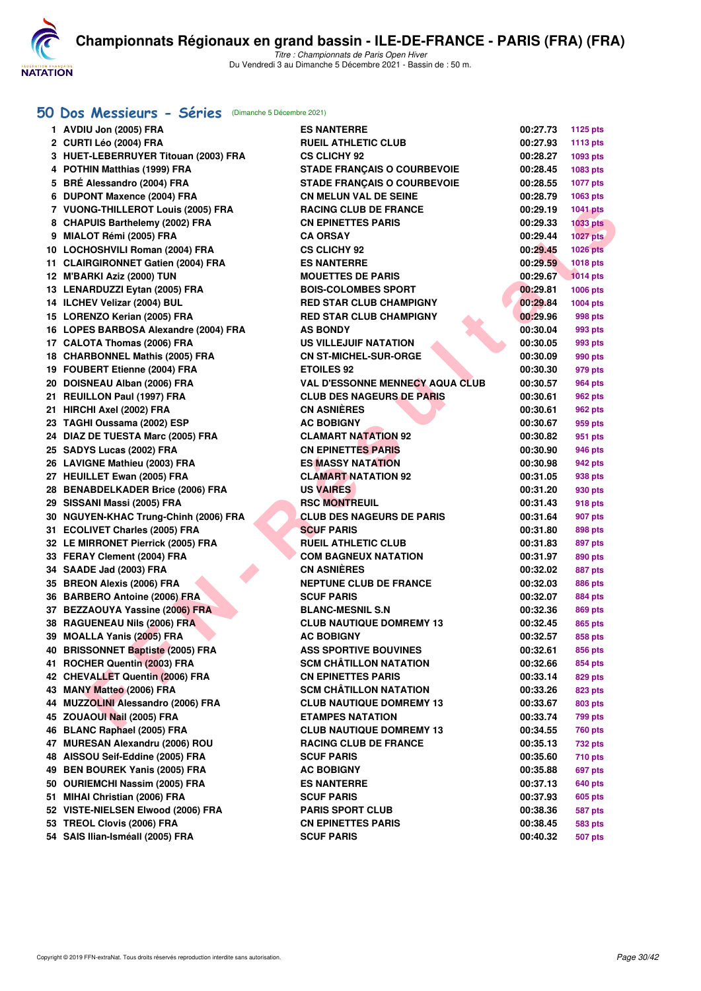

*Titre : Championnats de Paris Open Hiver* Du Vendredi 3 au Dimanche 5 Décembre 2021 - Bassin de : 50 m.

## **[50 Dos Messieurs - Séries](http://www.ffnatation.fr/webffn/resultats.php?idact=nat&go=epr&idcpt=73929&idepr=61)** (Dimanche 5 Décembre 2021)

| 1 AVDIU Jon (2005) FRA                | <b>ES NANTERRE</b>                     | 00:27.73 | <b>1125 pts</b>    |
|---------------------------------------|----------------------------------------|----------|--------------------|
| 2 CURTI Léo (2004) FRA                | <b>RUEIL ATHLETIC CLUB</b>             | 00:27.93 | <b>1113 pts</b>    |
| 3 HUET-LEBERRUYER Titouan (2003) FRA  | <b>CS CLICHY 92</b>                    | 00:28.27 | 1093 pts           |
| 4 POTHIN Matthias (1999) FRA          | <b>STADE FRANÇAIS O COURBEVOIE</b>     | 00:28.45 | 1083 pts           |
| 5 BRÉ Alessandro (2004) FRA           | <b>STADE FRANÇAIS O COURBEVOIE</b>     | 00:28.55 | <b>1077 pts</b>    |
| 6 DUPONT Maxence (2004) FRA           | <b>CN MELUN VAL DE SEINE</b>           | 00:28.79 | 1063 pts           |
| 7 VUONG-THILLEROT Louis (2005) FRA    | <b>RACING CLUB DE FRANCE</b>           | 00:29.19 | <b>1041 pts</b>    |
| 8 CHAPUIS Barthelemy (2002) FRA       | <b>CN EPINETTES PARIS</b>              | 00:29.33 | <b>1033 pts</b>    |
| 9 MIALOT Rémi (2005) FRA              | <b>CA ORSAY</b>                        | 00:29.44 | 1027 pts           |
| 10 LOCHOSHVILI Roman (2004) FRA       | <b>CS CLICHY 92</b>                    | 00:29.45 | <b>1026 pts</b>    |
| 11 CLAIRGIRONNET Gatien (2004) FRA    | <b>ES NANTERRE</b>                     | 00:29.59 | <b>1018 pts</b>    |
| 12 M'BARKI Aziz (2000) TUN            | <b>MOUETTES DE PARIS</b>               | 00:29.67 | <b>1014 pts</b>    |
| 13 LENARDUZZI Eytan (2005) FRA        | <b>BOIS-COLOMBES SPORT</b>             | 00:29.81 | 1006 pts           |
| 14 ILCHEV Velizar (2004) BUL          | <b>RED STAR CLUB CHAMPIGNY</b>         | 00:29.84 | 1004 pts           |
| 15 LORENZO Kerian (2005) FRA          | <b>RED STAR CLUB CHAMPIGNY</b>         | 00:29.96 | 998 pts            |
| 16 LOPES BARBOSA Alexandre (2004) FRA | <b>AS BONDY</b>                        | 00:30.04 | 993 pts            |
| 17 CALOTA Thomas (2006) FRA           | <b>US VILLEJUIF NATATION</b>           | 00:30.05 | 993 pts            |
| 18 CHARBONNEL Mathis (2005) FRA       | <b>CN ST-MICHEL-SUR-ORGE</b>           | 00:30.09 | 990 pts            |
| 19 FOUBERT Etienne (2004) FRA         | <b>ETOILES 92</b>                      | 00:30.30 | 979 pts            |
| 20 DOISNEAU Alban (2006) FRA          | <b>VAL D'ESSONNE MENNECY AQUA CLUB</b> | 00:30.57 | 964 pts            |
| 21 REUILLON Paul (1997) FRA           | <b>CLUB DES NAGEURS DE PARIS</b>       | 00:30.61 | 962 pts            |
| 21 HIRCHI Axel (2002) FRA             | <b>CN ASNIÈRES</b>                     | 00:30.61 | 962 pts            |
| 23 TAGHI Oussama (2002) ESP           | <b>AC BOBIGNY</b>                      | 00:30.67 | 959 pts            |
| 24 DIAZ DE TUESTA Marc (2005) FRA     | <b>CLAMART NATATION 92</b>             | 00:30.82 | 951 pts            |
| 25 SADYS Lucas (2002) FRA             | <b>CN EPINETTES PARIS</b>              | 00:30.90 | 946 pts            |
| 26 LAVIGNE Mathieu (2003) FRA         | <b>ES MASSY NATATION</b>               | 00:30.98 | 942 pts            |
| 27 HEUILLET Ewan (2005) FRA           | <b>CLAMART NATATION 92</b>             | 00:31.05 | 938 pts            |
| 28 BENABDELKADER Brice (2006) FRA     | <b>US VAIRES</b>                       | 00:31.20 | 930 pts            |
| 29 SISSANI Massi (2005) FRA           | <b>RSC MONTREUIL</b>                   | 00:31.43 | 918 pts            |
| 30 NGUYEN-KHAC Trung-Chinh (2006) FRA | <b>CLUB DES NAGEURS DE PARIS</b>       | 00:31.64 | 907 pts            |
| 31 ECOLIVET Charles (2005) FRA        | <b>SCUF PARIS</b>                      | 00:31.80 | 898 pts            |
| 32 LE MIRRONET Pierrick (2005) FRA    | <b>RUEIL ATHLETIC CLUB</b>             | 00:31.83 | 897 pts            |
| 33 FERAY Clement (2004) FRA           | <b>COM BAGNEUX NATATION</b>            | 00:31.97 | 890 pts            |
| 34 SAADE Jad (2003) FRA               | <b>CN ASNIERES</b>                     | 00:32.02 | 887 pts            |
| 35 BREON Alexis (2006) FRA            | <b>NEPTUNE CLUB DE FRANCE</b>          | 00:32.03 | <b>886 pts</b>     |
| 36 BARBERO Antoine (2006) FRA         | <b>SCUF PARIS</b>                      | 00:32.07 | 884 pts            |
| 37 BEZZAOUYA Yassine (2006) FRA       | <b>BLANC-MESNIL S.N</b>                | 00:32.36 |                    |
| 38 RAGUENEAU Nils (2006) FRA          | <b>CLUB NAUTIQUE DOMREMY 13</b>        | 00:32.45 | 869 pts<br>865 pts |
| 39 MOALLA Yanis (2005) FRA            | <b>AC BOBIGNY</b>                      | 00:32.57 | 858 pts            |
| 40 BRISSONNET Baptiste (2005) FRA     | <b>ASS SPORTIVE BOUVINES</b>           | 00:32.61 |                    |
| 41 ROCHER Quentin (2003) FRA          | <b>SCM CHATILLON NATATION</b>          | 00:32.66 | 856 pts            |
| 42 CHEVALLET Quentin (2006) FRA       | <b>CN EPINETTES PARIS</b>              |          | 854 pts<br>829 pts |
| 43 MANY Matteo (2006) FRA             | <b>SCM CHATILLON NATATION</b>          | 00:33.14 |                    |
|                                       | <b>CLUB NAUTIQUE DOMREMY 13</b>        | 00:33.26 | 823 pts            |
| 44 MUZZOLINI Alessandro (2006) FRA    |                                        | 00:33.67 | 803 pts            |
| 45 ZOUAOUI Nail (2005) FRA            | <b>ETAMPES NATATION</b>                | 00:33.74 | 799 pts            |
| 46 BLANC Raphael (2005) FRA           | <b>CLUB NAUTIQUE DOMREMY 13</b>        | 00:34.55 | 760 pts            |
| 47 MURESAN Alexandru (2006) ROU       | <b>RACING CLUB DE FRANCE</b>           | 00:35.13 | 732 pts            |
| 48 AISSOU Seif-Eddine (2005) FRA      | <b>SCUF PARIS</b>                      | 00:35.60 | 710 pts            |
| 49 BEN BOUREK Yanis (2005) FRA        | <b>AC BOBIGNY</b>                      | 00:35.88 | 697 pts            |
| 50 OURIEMCHI Nassim (2005) FRA        | <b>ES NANTERRE</b>                     | 00:37.13 | 640 pts            |
| 51 MIHAI Christian (2006) FRA         | <b>SCUF PARIS</b>                      | 00:37.93 | 605 pts            |
| 52 VISTE-NIELSEN Elwood (2006) FRA    | <b>PARIS SPORT CLUB</b>                | 00:38.36 | 587 pts            |
| 53 TREOL Clovis (2006) FRA            | <b>CN EPINETTES PARIS</b>              | 00:38.45 | 583 pts            |
| 54 SAIS Ilian-Isméall (2005) FRA      | <b>SCUF PARIS</b>                      | 00:40.32 | <b>507 pts</b>     |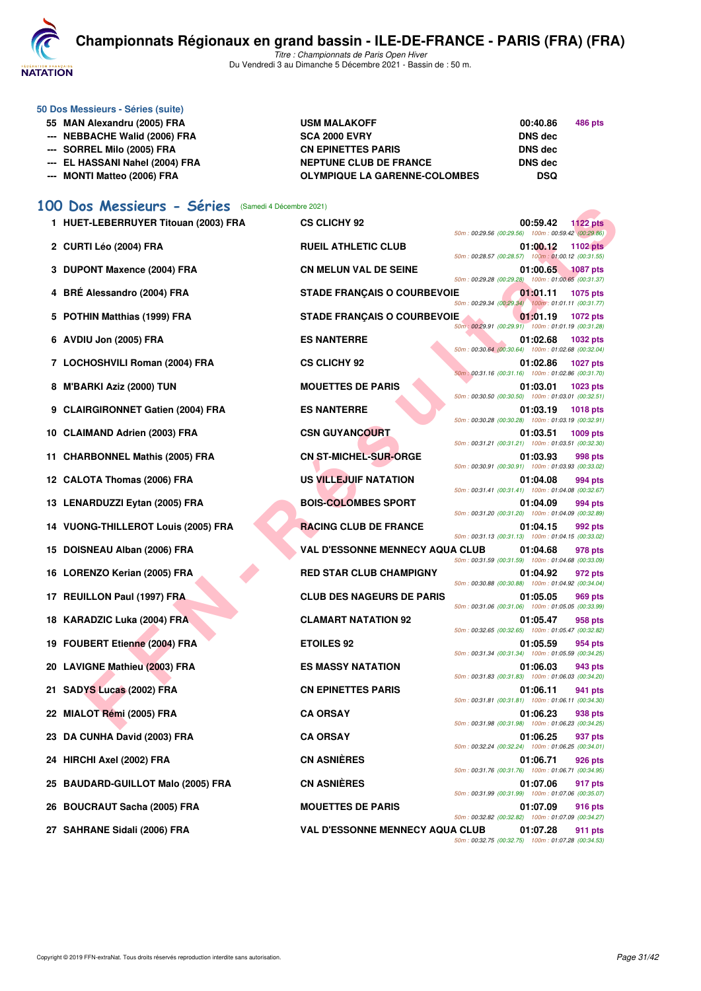

**50 Dos Messieurs - Séries (suite)**

# **[C](http://www.ffnatation.fr/webffn/index.php)hampionnats Régionaux en grand bassin - ILE-DE-FRANCE - PARIS (FRA) (FRA)**

*Titre : Championnats de Paris Open Hiver* Du Vendredi 3 au Dimanche 5 Décembre 2021 - Bassin de : 50 m.

| 55 MAN Alexandru (2005) FRA<br>--- NEBBACHE Walid (2006) FRA | <b>USM MALAKOFF</b><br><b>SCA 2000 EVRY</b> | 00:40.86<br><b>DNS</b> dec | 486 pts |
|--------------------------------------------------------------|---------------------------------------------|----------------------------|---------|
| --- SORREL Milo (2005) FRA                                   | <b>CN EPINETTES PARIS</b>                   | <b>DNS</b> dec             |         |
| --- EL HASSANI Nahel (2004) FRA                              | <b>NEPTUNE CLUB DE FRANCE</b>               | <b>DNS</b> dec             |         |
| --- MONTI Matteo (2006) FRA                                  | <b>OLYMPIQUE LA GARENNE-COLOMBES</b>        | <b>DSQ</b>                 |         |

# **[100 Dos Messieurs - Séries](http://www.ffnatation.fr/webffn/resultats.php?idact=nat&go=epr&idcpt=73929&idepr=62)** (Samedi 4 Décembre 2021)

| UU DOS Messieurs - Series            | (Samedi 4 Décembre 2021)                                                                                                                                        |
|--------------------------------------|-----------------------------------------------------------------------------------------------------------------------------------------------------------------|
| 1 HUET-LEBERRUYER Titouan (2003) FRA | <b>CS CLICHY 92</b><br>00:59.42<br><b>1122 pts</b><br>50m: 00:29.56 (00:29.56) 100m: 00:59.42 (00:29.86)                                                        |
| 2 CURTI Léo (2004) FRA               | <b>RUEIL ATHLETIC CLUB</b><br>01:00.12<br><b>1102 pts</b><br>50m: 00:28.57 (00:28.57) 100m: 01:00.12 (00:31.55)                                                 |
| 3 DUPONT Maxence (2004) FRA          | <b>CN MELUN VAL DE SEINE</b><br>01:00.65<br><b>1087 pts</b><br>50m: 00:29.28 (00:29.28) 100m: 01:00.65 (00:31.37)                                               |
| 4 BRÉ Alessandro (2004) FRA          | <b>STADE FRANÇAIS O COURBEVOIE</b><br>01:01.11<br>1075 pts<br>50m: 00:29.34 (00:29.34) 100m: 01:01.11 (00:31.77)                                                |
| 5 POTHIN Matthias (1999) FRA         | <b>STADE FRANÇAIS O COURBEVOIE</b><br>01:01.19<br>1072 pts<br>50m: 00:29.91 (00:29.91) 100m: 01:01.19 (00:31.28)                                                |
| 6 AVDIU Jon (2005) FRA               | <b>ES NANTERRE</b><br>01:02.68<br>1032 pts<br>50m: 00:30.64 (00:30.64) 100m: 01:02.68 (00:32.04)                                                                |
| 7 LOCHOSHVILI Roman (2004) FRA       | <b>CS CLICHY 92</b><br>01:02.86<br><b>1027 pts</b><br>50m: 00:31.16 (00:31.16) 100m: 01:02.86 (00:31.70)                                                        |
| 8 M'BARKI Aziz (2000) TUN            | <b>MOUETTES DE PARIS</b><br>01:03.01<br>1023 pts                                                                                                                |
| 9 CLAIRGIRONNET Gatien (2004) FRA    | 50m: 00:30.50 (00:30.50) 100m: 01:03.01 (00:32.51)<br><b>ES NANTERRE</b><br>01:03.19<br><b>1018 pts</b><br>50m: 00:30.28 (00:30.28) 100m: 01:03.19 (00:32.91)   |
| 10 CLAIMAND Adrien (2003) FRA        | <b>CSN GUYANCOURT</b><br>01:03.51<br>1009 pts                                                                                                                   |
| 11 CHARBONNEL Mathis (2005) FRA      | 50m: 00:31.21 (00:31.21) 100m: 01:03.51 (00:32.30)<br><b>CN ST-MICHEL-SUR-ORGE</b><br>01:03.93<br>998 pts<br>50m: 00:30.91 (00:30.91) 100m: 01:03.93 (00:33.02) |
| 12 CALOTA Thomas (2006) FRA          | US VILLEJUIF NATATION<br>01:04.08<br>994 pts                                                                                                                    |
| 13 LENARDUZZI Eytan (2005) FRA       | 50m: 00:31.41 (00:31.41) 100m: 01:04.08 (00:32.67)<br><b>BOIS-COLOMBES SPORT</b><br>01:04.09<br>994 pts                                                         |
| 14 VUONG-THILLEROT Louis (2005) FRA  | 50m: 00:31.20 (00:31.20) 100m: 01:04.09 (00:32.89)<br><b>RACING CLUB DE FRANCE</b><br>01:04.15<br>992 pts                                                       |
| 15 DOISNEAU Alban (2006) FRA         | 50m: 00:31.13 (00:31.13) 100m: 01:04.15 (00:33.02)<br><b>VAL D'ESSONNE MENNECY AQUA CLUB</b><br>01:04.68<br>978 pts                                             |
| 16 LORENZO Kerian (2005) FRA         | 50m: 00:31.59 (00:31.59) 100m: 01:04.68 (00:33.09)<br><b>RED STAR CLUB CHAMPIGNY</b><br>01:04.92<br>972 pts                                                     |
| 17 REUILLON Paul (1997) FRA          | 50m: 00:30.88 (00:30.88) 100m: 01:04.92 (00:34.04)<br><b>CLUB DES NAGEURS DE PARIS</b><br>01:05.05<br>969 pts                                                   |
| 18 KARADZIC Luka (2004) FRA          | 50m: 00:31.06 (00:31.06) 100m: 01:05.05 (00:33.99)<br><b>CLAMART NATATION 92</b><br>01:05.47<br>958 pts                                                         |
| 19 FOUBERT Etienne (2004) FRA        | 50m: 00:32.65 (00:32.65) 100m: 01:05.47 (00:32.82)<br><b>ETOILES 92</b><br>01:05.59<br>954 pts                                                                  |
| 20 LAVIGNE Mathieu (2003) FRA        | 50m: 00:31.34 (00:31.34) 100m: 01:05.59 (00:34.25)<br><b>ES MASSY NATATION</b><br>01:06.03<br>943 pts                                                           |
| 21 SADYS Lucas (2002) FRA            | 50m: 00:31.83 (00:31.83) 100m: 01:06.03 (00:34.20)<br><b>CN EPINETTES PARIS</b><br>01:06.11<br>941 pts                                                          |
| 22 MIALOT Rémi (2005) FRA            | 50m: 00:31.81 (00:31.81) 100m: 01:06.11 (00:34.30)<br><b>CA ORSAY</b><br>01:06.23<br>938 pts                                                                    |
| 23 DA CUNHA David (2003) FRA         | 50m: 00:31.98 (00:31.98) 100m: 01:06.23 (00:34.25)<br><b>CA ORSAY</b><br>01:06.25<br>937 pts                                                                    |
| 24 HIRCHI Axel (2002) FRA            | 50m: 00:32.24 (00:32.24) 100m: 01:06.25 (00:34.01)<br><b>CN ASNIÈRES</b><br>01:06.71<br>926 pts                                                                 |
| 25 BAUDARD-GUILLOT Malo (2005) FRA   | 50m: 00:31.76 (00:31.76) 100m: 01:06.71 (00:34.95)<br><b>CN ASNIÈRES</b><br>01:07.06<br>917 pts                                                                 |
| 26 BOUCRAUT Sacha (2005) FRA         | 50m: 00:31.99 (00:31.99) 100m: 01:07.06 (00:35.07)<br><b>MOUETTES DE PARIS</b><br>01:07.09<br>916 pts                                                           |
| 27 SAHRANE Sidali (2006) FRA         | 50m: 00:32.82 (00:32.82) 100m: 01:07.09 (00:34.27)<br><b>VAL D'ESSONNE MENNECY AQUA CLUB</b><br>01:07.28<br>911 pts                                             |
|                                      | 50m: 00:32.75 (00:32.75) 100m: 01:07.28 (00:34.53)                                                                                                              |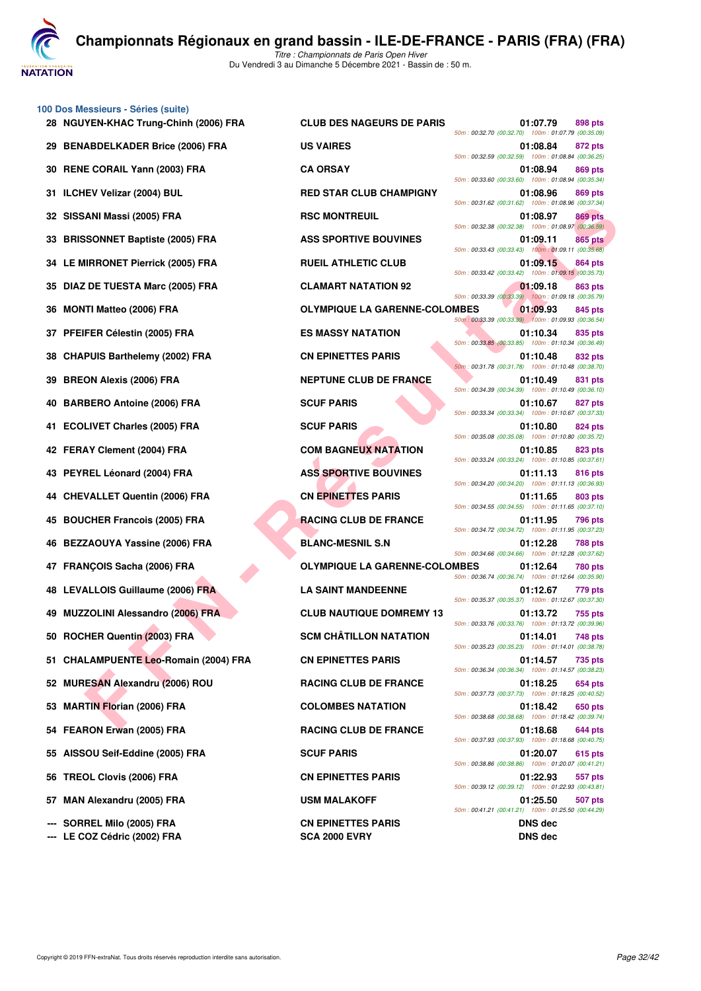**VATATION** 

**100 Dos Messieurs - Séries (suite)**

Du Vendredi 3 au Dimanche 5 Décembre 2021 - Bassin de : 50 m.

| 28 NGUYEN-KHAC Trung-Chinh (2006) FRA | <b>CLUB DES NAGEURS DE PARIS</b>     | 01:07.79<br>898 pts                                                                                                            |
|---------------------------------------|--------------------------------------|--------------------------------------------------------------------------------------------------------------------------------|
| 29 BENABDELKADER Brice (2006) FRA     | <b>US VAIRES</b>                     | 50m: 00:32.70 (00:32.70) 100m: 01:07.79 (00:35.09<br>01:08.84<br>872 pts<br>50m: 00:32.59 (00:32.59) 100m: 01:08.84 (00:36.25  |
| 30 RENE CORAIL Yann (2003) FRA        | <b>CA ORSAY</b>                      | 01:08.94<br>869 pts<br>50m: 00:33.60 (00:33.60) 100m: 01:08.94 (00:35.34)                                                      |
| 31 ILCHEV Velizar (2004) BUL          | <b>RED STAR CLUB CHAMPIGNY</b>       | 01:08.96<br>869 pts<br>50m: 00:31.62 (00:31.62) 100m: 01:08.96 (00:37.34                                                       |
| 32 SISSANI Massi (2005) FRA           | <b>RSC MONTREUIL</b>                 | 01:08.97<br>869 pts<br>50m: 00:32.38 (00:32.38) 100m: 01:08.97 (00:36.59                                                       |
| 33 BRISSONNET Baptiste (2005) FRA     | <b>ASS SPORTIVE BOUVINES</b>         | 01:09.11<br>865 pts<br>50m: 00:33.43 (00:33.43) 100m: 01:09.11 (00:35.68)                                                      |
| 34 LE MIRRONET Pierrick (2005) FRA    | <b>RUEIL ATHLETIC CLUB</b>           | 01:09.15<br>864 pts                                                                                                            |
| 35 DIAZ DE TUESTA Marc (2005) FRA     | <b>CLAMART NATATION 92</b>           | 50m: 00:33.42 (00:33.42) 100m: 01:09.15 (00:35.73)<br>01:09.18<br>863 pts                                                      |
| 36 MONTI Matteo (2006) FRA            | <b>OLYMPIQUE LA GARENNE-COLOMBES</b> | 50m: 00:33.39 (00:33.39) 100m: 01:09.18 (00:35.79<br>01:09.93<br>845 pts                                                       |
| 37 PFEIFER Célestin (2005) FRA        | <b>ES MASSY NATATION</b>             | 50m: 00:33.39 (00:33.39) 100m: 01:09.93 (00:36.54<br>01:10.34<br>835 pts                                                       |
| 38 CHAPUIS Barthelemy (2002) FRA      | <b>CN EPINETTES PARIS</b>            | 50m: 00:33.85 (00:33.85) 100m: 01:10.34 (00:36.49<br>01:10.48<br>832 pts                                                       |
| 39 BREON Alexis (2006) FRA            | <b>NEPTUNE CLUB DE FRANCE</b>        | 50m: 00:31.78 (00:31.78) 100m: 01:10.48 (00:38.70)<br>01:10.49<br>831 pts                                                      |
| 40 BARBERO Antoine (2006) FRA         | <b>SCUF PARIS</b>                    | 50m: 00:34.39 (00:34.39) 100m: 01:10.49 (00:36.10<br>01:10.67<br>827 pts                                                       |
| 41 ECOLIVET Charles (2005) FRA        | <b>SCUF PARIS</b>                    | 50m: 00:33.34 (00:33.34) 100m: 01:10.67 (00:37.33<br>01:10.80<br>824 pts<br>50m: 00:35.08 (00:35.08) 100m: 01:10.80 (00:35.72  |
| 42 FERAY Clement (2004) FRA           | <b>COM BAGNEUX NATATION</b>          | 01:10.85<br>823 pts                                                                                                            |
| 43 PEYREL Léonard (2004) FRA          | <b>ASS SPORTIVE BOUVINES</b>         | 50m: 00:33.24 (00:33.24) 100m: 01:10.85 (00:37.61)<br>816 pts<br>01:11.13                                                      |
| 44 CHEVALLET Quentin (2006) FRA       | <b>CN EPINETTES PARIS</b>            | 50m: 00:34.20 (00:34.20) 100m: 01:11.13 (00:36.93)<br>01:11.65<br>803 pts<br>50m: 00:34.55 (00:34.55) 100m: 01:11.65 (00:37.10 |
| 45 BOUCHER Francois (2005) FRA        | <b>RACING CLUB DE FRANCE</b>         | 01:11.95<br>796 pts                                                                                                            |
| 46 BEZZAOUYA Yassine (2006) FRA       | <b>BLANC-MESNIL S.N</b>              | 50m: 00:34.72 (00:34.72) 100m: 01:11.95 (00:37.23<br>01:12.28<br>788 pts<br>50m: 00:34.66 (00:34.66) 100m: 01:12.28 (00:37.62) |
| 47 FRANÇOIS Sacha (2006) FRA          | <b>OLYMPIQUE LA GARENNE-COLOMBES</b> | 01:12.64<br>780 pts<br>50m: 00:36.74 (00:36.74) 100m: 01:12.64 (00:35.90)                                                      |
| 48 LEVALLOIS Guillaume (2006) FRA     | <b>LA SAINT MANDEENNE</b>            | 01:12.67<br>779 pts<br>50m: 00:35.37 (00:35.37) 100m: 01:12.67 (00:37.30)                                                      |
| 49 MUZZOLINI Alessandro (2006) FRA    | <b>CLUB NAUTIQUE DOMREMY 13</b>      | 01:13.72<br>755 pts<br>50m: 00:33.76 (00:33.76) 100m: 01:13.72 (00:39.96                                                       |
| 50 ROCHER Quentin (2003) FRA          | <b>SCM CHÂTILLON NATATION</b>        | 01:14.01<br>748 pts<br>50m: 00:35.23 (00:35.23) 100m: 01:14.01 (00:38.78)                                                      |
| 51 CHALAMPUENTE Leo-Romain (2004) FRA | <b>CN EPINETTES PARIS</b>            | 01:14.57<br>735 pts<br>50m: 00:36.34 (00:36.34) 100m: 01:14.57 (00:38.23                                                       |
| 52 MURESAN Alexandru (2006) ROU       | <b>RACING CLUB DE FRANCE</b>         | 01:18.25<br>654 pts<br>50m: 00:37.73 (00:37.73) 100m: 01:18.25 (00:40.52)                                                      |
| 53 MARTIN Florian (2006) FRA          | <b>COLOMBES NATATION</b>             | 01:18.42<br>650 pts<br>50m: 00:38.68 (00:38.68) 100m: 01:18.42 (00:39.74                                                       |
| 54 FEARON Erwan (2005) FRA            | <b>RACING CLUB DE FRANCE</b>         | 644 pts<br>01:18.68<br>50m: 00:37.93 (00:37.93) 100m: 01:18.68 (00:40.75                                                       |
| 55 AISSOU Seif-Eddine (2005) FRA      | <b>SCUF PARIS</b>                    | 01:20.07<br>615 pts<br>50m: 00:38.86 (00:38.86) 100m: 01:20.07 (00:41.21                                                       |
| 56 TREOL Clovis (2006) FRA            | <b>CN EPINETTES PARIS</b>            | 01:22.93<br>557 pts<br>50m: 00:39.12 (00:39.12) 100m: 01:22.93 (00:43.81)                                                      |
| 57 MAN Alexandru (2005) FRA           | <b>USM MALAKOFF</b>                  | 01:25.50<br>507 pts<br>50m: 00:41.21 (00:41.21) 100m: 01:25.50 (00:44.29                                                       |
| --- SORREL Milo (2005) FRA            | <b>CN EPINETTES PARIS</b>            | <b>DNS dec</b>                                                                                                                 |

**--- LE COZ Cédric (2002) FRA SCA 2000 EVRY DNS dec**

**FAN AIR SCRIP THE RELIGIONS FRANCE SOLUTION ASS SPORTIVE BOUTFRANCE COLOMBES**<br> **FROM AIR CONSULTING AND FRANCE SOLUTION ASS SPORTIVE BOUTFRANCE COLOMBES**<br> **FROM AIR CONSULTING ATTENTION AND THE CONSULTING ATTENTION AND TH 28 NGUYEN-KHAC Trung-Chinh (2006) FRA CLUB DES NAGEURS DE PARIS 01:07.79 898 pts** *50m : 00:32.70 (00:32.70) 100m : 01:07.79 (00:35.09) 50m : 00:32.59 (00:32.59) 100m : 01:08.84 (00:36.25) 50m : 00:33.60 (00:33.60) 100m : 01:08.94 (00:35.34)* **369 PTAR CLUB CHAMPIGNY** 01:08.96 **869 pts** *50m : 00:31.62 (00:31.62) 100m : 01:08.96 (00:37.34)* **369 pts 369 pts 369 pts 201:08.97 869 pts** *50m : 00:32.38 (00:32.38) 100m : 01:08.97 (00:36.59)* **33 BRISS SPORTIVE BOUVINES 61:09.11 865 pts** *50m : 00:33.43 (00:33.43) 100m : 01:09.11 (00:35.68)* **34 BUEIL ATHLETIC CLUB CLUB 1:09.15 864 pts** *50m : 00:33.42 (00:33.42) 100m : 01:09.15 (00:35.73)* **35 DIAZ DE TUESTA MARC DE TUESTA MARC (201:09.18** 863 pts *50m : 00:33.39 (00:33.39) 100m : 01:09.18 (00:35.79)* **OLYMPIQUE LA GARENNE-COLOMBES** 01:09.93 845 pts *50m : 00:33.39 (00:33.39) 100m : 01:09.93 (00:36.54)* **27 PFEIFER CELESTIN CELESTIN CONTRACTED AT A CHARGE CELESTING CONTRACTED AT A CHARGE CELESTING CONTRACTED AT A CHARGE CELESTING CONTRACTED AT A CHARGE CHARGE CONTRACTED AT A CHARGE CHARGE CHARGE CONTRACTED AT A CHARGE CHA** *50m : 00:33.85 (00:33.85) 100m : 01:10.34 (00:36.49)* **382 pts CN EPINETTES PARIS CN EPINETTES** *50m : 00:31.78 (00:31.78) 100m : 01:10.48 (00:38.70)* **331 pts 331 pts 331 pts 331 pts** *50m : 00:34.39 (00:34.39) 100m : 01:10.49 (00:36.10)* **40 BARBERO Antonio BARBERO Antonio BARBERO Antonio BARBERO Antonio BARBERO Antonio BARBERO Antonio BARBERO Antonio BARBERO Antonio BARBERO Antonio BARBERO Antonio BARBERO Antonio BARBERO Antonio BARBERO Antonio BARBERO An** *50m : 00:33.34 (00:33.34) 100m : 01:10.67 (00:37.33) 50m : 00:35.08 (00:35.08) 100m : 01:10.80 (00:35.72)* **423 RM BAGNEUX NATATION 61:10.85 823 pts** *50m : 00:33.24 (00:33.24) 100m : 01:10.85 (00:37.61)* **43 ASS SPORTIVE BOUVINES CONSUMING ASS SPORTIVE BOUVINES** *50m : 00:34.20 (00:34.20) 100m : 01:11.13 (00:36.93)* **44 CN EPINETTES PARIS 61:11.65** 803 pts *50m : 00:34.55 (00:34.55) 100m : 01:11.65 (00:37.10)* **45 BOUCH BOUCH EXAMPLE 11.95** BOTH THE RACING CLUB DE FRANCE *50m : 00:34.72 (00:34.72) 100m : 01:11.95 (00:37.23)* **46 BLANC-MESNIL S.N 01:12.28** 788 pts *50m : 00:34.66 (00:34.66) 100m : 01:12.28 (00:37.62)* **0LYMPIQUE LA GARENNE-COLOMBES** 01:12.64 780 pts *50m : 00:36.74 (00:36.74) 100m : 01:12.64 (00:35.90)* **48 LA SAINT MANDEENNE 12.67 779 pts** *50m : 00:35.37 (00:35.37) 100m : 01:12.67 (00:37.30)* **49 CLUB NAUTIQUE DOMREMY 13** 01:13.72 755 pts *50m : 00:33.76 (00:33.76) 100m : 01:13.72 (00:39.96)* **5CM CHÂTILLON NATATION 01:14.01** 748 pts *50m : 00:35.23 (00:35.23) 100m : 01:14.01 (00:38.78)* **51 CHALAMPUE CHALAMPUE CON EPINETTES PARIS CONSUMING A CONSUMING CONSUMING CONSUMING CONSUMING CONSUMING CONSUMING CONSUMING CONSUMING CONSUMING CONSUMING CONSUMING CONSUMING CONSUMING CONSUMING CONSUMING CONSUMING CONSUM** *50m : 00:36.34 (00:36.34) 100m : 01:14.57 (00:38.23)* **FACING CLUB DE FRANCE** 01:18.25 654 pts *50m : 00:37.73 (00:37.73) 100m : 01:18.25 (00:40.52)* **COLOMBES NATATION** 01:18.42 650 pts *50m : 00:38.68 (00:38.68) 100m : 01:18.42 (00:39.74)* **544 PRACING CLUB DE FRANCE** 01:18.68 **644 pts** *50m : 00:37.93 (00:37.93) 100m : 01:18.68 (00:40.75) 50m : 00:38.86 (00:38.86) 100m : 01:20.07 (00:41.21)* **56 TREOL Clovis (2006) FRA CN EPINETTES PARIS 01:22.93 557 pts** *50m : 00:39.12 (00:39.12) 100m : 01:22.93 (00:43.81)* **USM MALAKOFF 01:25.50 507 pts** *50m : 00:41.21 (00:41.21) 100m : 01:25.50 (00:44.29)*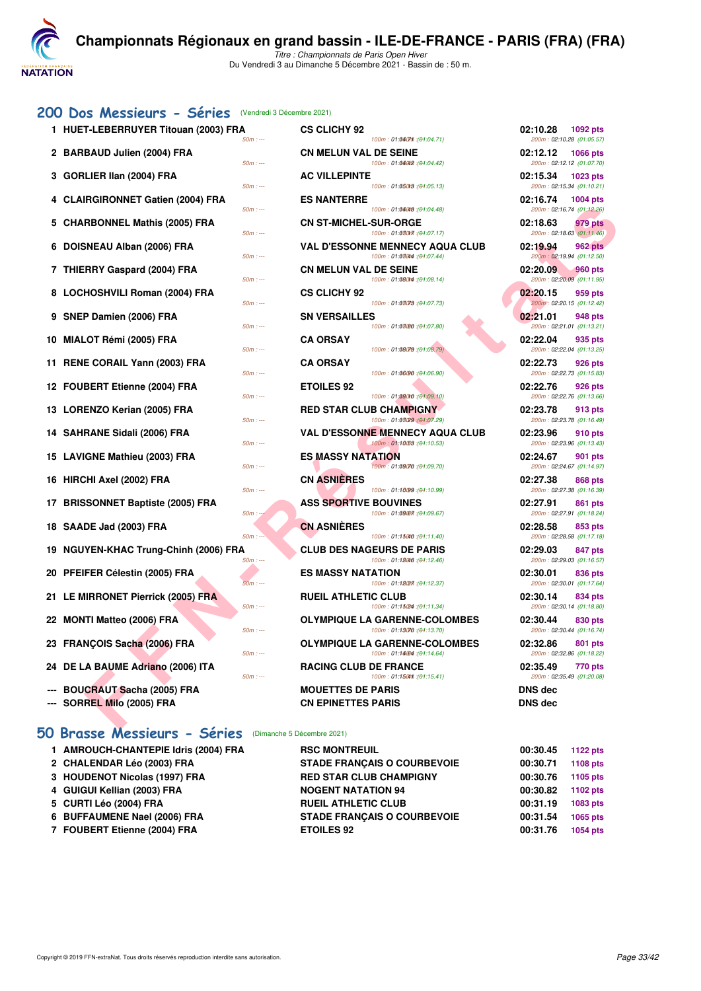

*Titre : Championnats de Paris Open Hiver* Du Vendredi 3 au Dimanche 5 Décembre 2021 - Bassin de : 50 m.

#### [200 Dos Messieurs - Séries](http://www.ffnatation.fr/webffn/resultats.php?idact=nat&go=epr&idcpt=73929&idepr=63) (Vendredi 3 Décembre 2021)

- 
- 
- 
- 
- 
- 
- 
- 
- 
- 
- 
- 
- 
- 
- 
- 
- 
- 
- 
- 
- 
- 
- 
- 
- 
- 

## **[50 Brasse Messieurs - Séries](http://www.ffnatation.fr/webffn/resultats.php?idact=nat&go=epr&idcpt=73929&idepr=71)** (Dimanche 5 Décembre 2021)

**1 AMROUCH-CHANTEPIE Idris (2004) FRA RSC MONTREUIL 120.45 1123 pts 2 CHALENDAR Léo (2003) FRA STADE FRANÇAIS O COURBEVOIE 00:30.71 1108 pts 3 HOUDENOT Nicolas (1997) FRA RED STAR CLUB CHAMPIGNY 00:30.76 PTS 4 GUIGUI Kellian (2003) FRA 1200 PTS** NOGENT NATATION 94 00:30.82 **5 CURTI Léo (2004) FRA RUEIL ATHLETIC CLUB 00:31.19 1083 pts 6 BUFFAUMENE Nael (2006) FRA STADE FRANÇAIS O COURBEVOIE 00:31.54 1065 pts 7 FOUBERT Etienne (2004) FRA ETOILES 92 00:31.76 1054 pts**

| 1 HUET-LEBERRUYER Titouan (2003) FRA<br>$50m: -$           | <b>CS CLICHY 92</b><br>100m: 01:0607m : (01:04.71)                    | 02:10.28<br>1092 pts<br>200m: 02:10.28 (01:05.57)        |
|------------------------------------------------------------|-----------------------------------------------------------------------|----------------------------------------------------------|
| 2 BARBAUD Julien (2004) FRA<br>$50m: -$                    | <b>CN MELUN VAL DE SEINE</b><br>100m: 01:04042 : (01:04.42)           | 02:12.12<br><b>1066 pts</b><br>200m: 02:12.12 (01:07.70) |
| 3 GORLIER IIan (2004) FRA<br>$50m: -$                      | <b>AC VILLEPINTE</b><br>100m: 01:05018 : (01:05.13)                   | 02:15.34<br>1023 pts<br>200m: 02:15.34 (01:10.21)        |
| 4 CLAIRGIRONNET Gatien (2004) FRA<br>$50m: -$              | <b>ES NANTERRE</b><br>100m: 01:04048 : (01:04.48)                     | 02:16.74<br><b>1004 pts</b><br>200m: 02:16.74 (01:12.26) |
| 5 CHARBONNEL Mathis (2005) FRA<br>$50m: -$                 | <b>CN ST-MICHEL-SUR-ORGE</b><br>100m: 01:080f7 : (01:07.17)           | 02:18.63<br>979 pts<br>200m: 02:18.63 (01:11.46)         |
| 6 DOISNEAU Alban (2006) FRA<br>$50m: -$                    | <b>VAL D'ESSONNE MENNECY AQUA CLUB</b><br>100m: 01:08044 : (01:07.44) | 02:19.94<br><b>962 pts</b><br>200m: 02:19.94 (01:12.50)  |
| 7 THIERRY Gaspard (2004) FRA<br>$50m: -$                   | <b>CN MELUN VAL DE SEINE</b><br>100m: 01:080r4 : (01:08.14)           | 02:20.09<br><b>960 pts</b><br>200m: 02:20.09 (01:11.95)  |
| 8 LOCHOSHVILI Roman (2004) FRA<br>$50m: -$                 | <b>CS CLICHY 92</b><br>100m: 01:03078 : (01:07.73)                    | 02:20.15<br>959 pts<br>200m: 02:20.15 (01:12.42)         |
| 9 SNEP Damien (2006) FRA<br>$50m: -$                       | <b>SN VERSAILLES</b><br>100m: 01:03/80 : (01:07.80)                   | 02:21.01<br><b>948 pts</b><br>200m: 02:21.01 (01:13.21)  |
| 10 MIALOT Rémi (2005) FRA<br>$50m: -$                      | <b>CA ORSAY</b><br>100m: 01:08079 : (01:08.79)                        | 02:22.04<br>935 pts<br>200m: 02:22.04 (01:13.25)         |
| 11 RENE CORAIL Yann (2003) FRA<br>50m : ---                | <b>CA ORSAY</b><br>100m: 01:06/90 : (01:06.90)                        | 02:22.73<br>926 pts<br>200m: 02:22.73 (01:15.83)         |
| 12 FOUBERT Etienne (2004) FRA<br>$50m: -$                  | <b>ETOILES 92</b><br>100m: 01:09010 : (01:09.10)                      | 02:22.76<br>926 pts<br>200m: 02:22.76 (01:13.66)         |
| 13 LORENZO Kerian (2005) FRA<br>$50m: -$                   | <b>RED STAR CLUB CHAMPIGNY</b><br>100m: 01:03(29 : (01:07.29)         | 02:23.78<br>913 pts<br>200m: 02:23.78 (01:16.49)         |
| 14 SAHRANE Sidali (2006) FRA<br>$50m: -$                   | <b>VAL D'ESSONNE MENNECY AQUA CLUB</b><br>100m: 01:10:53 : (01:10.53) | 02:23.96<br>910 pts<br>200m: 02:23.96 (01:13.43)         |
| 15 LAVIGNE Mathieu (2003) FRA<br>$50m: -$                  | <b>ES MASSY NATATION</b><br>100m: 01:09070 : (01:09.70)               | 02:24.67<br>901 pts<br>200m: 02:24.67 (01:14.97)         |
| 16 HIRCHI Axel (2002) FRA<br>$50m: -$                      | <b>CN ASNIERES</b><br>100m: 01:10099 : (01:10.99)                     | 02:27.38<br><b>868 pts</b><br>200m: 02:27.38 (01:16.39)  |
| 17 BRISSONNET Baptiste (2005) FRA<br>$50m$ :               | <b>ASS SPORTIVE BOUVINES</b><br>100m: 01:09.67): 100m: 01:09.67       | 02:27.91<br>861 pts<br>200m: 02:27.91 (01:18.24)         |
| 18 SAADE Jad (2003) FRA<br>$50m: -$                        | <b>CN ASNIERES</b><br>100m: 01:15040 : (01:11.40)                     | 02:28.58<br>853 pts<br>200m: 02:28.58 (01:17.18)         |
| 19 NGUYEN-KHAC Trung-Chinh (2006) FRA<br>$50m: -$          | <b>CLUB DES NAGEURS DE PARIS</b><br>100m: 01:18046 : (01:12.46)       | 02:29.03<br>847 pts<br>200m: 02:29.03 (01:16.57)         |
| 20 PFEIFER Célestin (2005) FRA<br>$50m: -$                 | <b>ES MASSY NATATION</b><br>100m: 01:18(37): (01:12.37)               | 02:30.01<br>836 pts<br>200m: 02:30.01 (01:17.64)         |
| 21 LE MIRRONET Pierrick (2005) FRA<br>$50m: -$             | <b>RUEIL ATHLETIC CLUB</b><br>100m: 01:15(34 : (01:11.34)             | 02:30.14<br>834 pts<br>200m: 02:30.14 (01:18.80)         |
| 22 MONTI Matteo (2006) FRA<br>$50m: -$                     | <b>OLYMPIQUE LA GARENNE-COLOMBES</b><br>100m: 01:13070 : (01:13.70)   | 02:30.44<br>830 pts<br>200m: 02:30.44 (01:16.74)         |
| 23 FRANÇOIS Sacha (2006) FRA<br>$50m: -$                   | <b>OLYMPIQUE LA GARENNE-COLOMBES</b><br>100m: 01:14.64 : (01:14.64)   | 02:32.86<br>801 pts<br>200m: 02:32.86 (01:18.22)         |
| 24 DE LA BAUME Adriano (2006) ITA<br>$50m: -$              | <b>RACING CLUB DE FRANCE</b><br>100m: 01:150m : (01:15.41)            | 02:35.49<br>770 pts<br>200m: 02:35.49 (01:20.08)         |
| <b>BOUCRAUT Sacha (2005) FRA</b><br>SORREL Milo (2005) FRA | <b>MOUETTES DE PARIS</b><br><b>CN EPINETTES PARIS</b>                 | <b>DNS dec</b><br><b>DNS</b> dec                         |
|                                                            |                                                                       |                                                          |

| ٠<br>200m: 02:23.78 (01:16.49)               |                           |
|----------------------------------------------|---------------------------|
| 2:23.96<br>200m: 02:23.96 (01:13.43)         | 910 pts                   |
| 12:24.67                                     | 901 pts                   |
|                                              | 200m: 02:24.67 (01:14.97) |
| 2:27.38                                      | 868 pts                   |
| 200m: 02:27.38 (01:16.39)                    |                           |
| 2:27.91 861 pts                              | 200m: 02:27.91 (01:18.24) |
| 2:28.58 853 pts                              |                           |
| 200m: 02:28.58 (01:17.18)                    |                           |
| 2:29.03 847 pts                              |                           |
| 200m: 02:29.03 (01:16.57)                    |                           |
| 2:30.01 836 pts<br>200m: 02:30.01 (01:17.64) |                           |
| 12:30.14                                     | 834 pts                   |
| 200m: 02:30.14 (01:18.80)                    |                           |
| 12:30.44                                     | 830 pts                   |
|                                              | 200m: 02:30.44 (01:16.74) |
| 2:32.86                                      | 801 pts                   |
| 200m: 02:32.86 (01:18.22)                    |                           |
| 2:35.49 770 pts<br>200m: 02:35.49 (01:20.08) |                           |
| <b>NS</b> dec                                |                           |
| <b>NS dec</b>                                |                           |
|                                              |                           |
|                                              |                           |
|                                              |                           |
| 0:30.45                                      | <b>1122 pts</b>           |
| 0:30.71                                      | 1108 pts                  |
| 0:30.76                                      | 1105 pts                  |
| 0:30.82                                      | 1102 pts                  |
| 0:31.19                                      | 1083 pts                  |
| 0:31.54                                      | 1065 pts                  |
| 0.04, 70                                     |                           |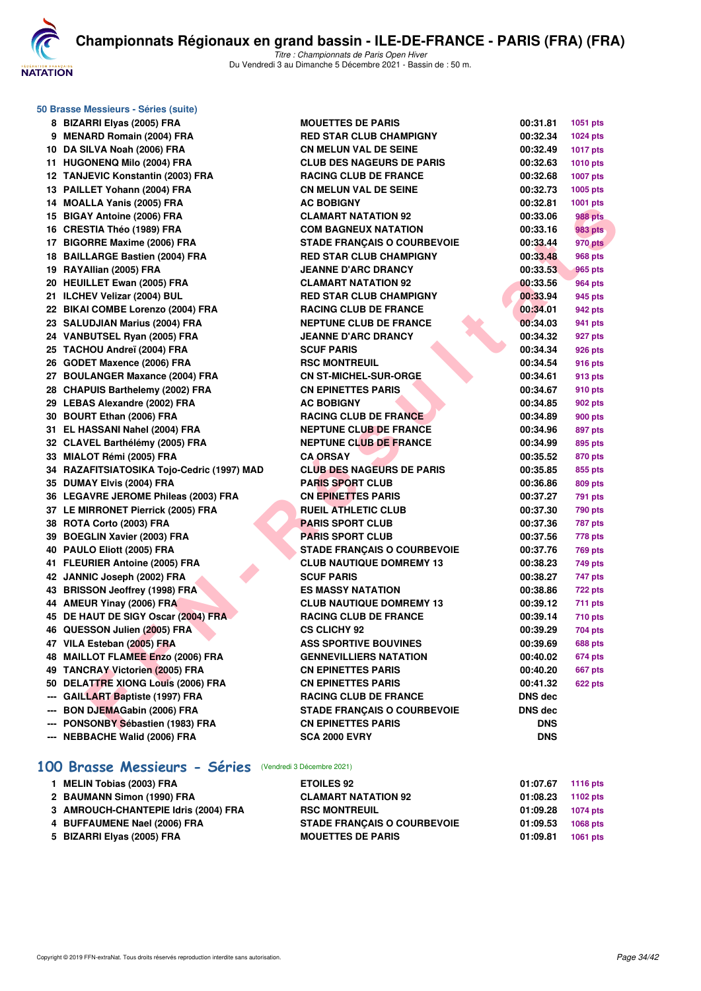

*Titre : Championnats de Paris Open Hiver* Du Vendredi 3 au Dimanche 5 Décembre 2021 - Bassin de : 50 m.

| 50 Brasse Messieurs - Séries (suite)       |                                    |            |                 |  |  |  |
|--------------------------------------------|------------------------------------|------------|-----------------|--|--|--|
| 8 BIZARRI Elyas (2005) FRA                 | <b>MOUETTES DE PARIS</b>           | 00:31.81   | 1051 pts        |  |  |  |
| 9 MENARD Romain (2004) FRA                 | <b>RED STAR CLUB CHAMPIGNY</b>     | 00:32.34   | 1024 pts        |  |  |  |
| 10 DA SILVA Noah (2006) FRA                | <b>CN MELUN VAL DE SEINE</b>       | 00:32.49   | <b>1017 pts</b> |  |  |  |
| 11 HUGONENQ Milo (2004) FRA                | <b>CLUB DES NAGEURS DE PARIS</b>   | 00:32.63   | <b>1010 pts</b> |  |  |  |
| 12 TANJEVIC Konstantin (2003) FRA          | <b>RACING CLUB DE FRANCE</b>       | 00:32.68   | 1007 pts        |  |  |  |
| 13 PAILLET Yohann (2004) FRA               | <b>CN MELUN VAL DE SEINE</b>       | 00:32.73   | 1005 pts        |  |  |  |
| 14 MOALLA Yanis (2005) FRA                 | <b>AC BOBIGNY</b>                  | 00:32.81   | 1001 pts        |  |  |  |
| 15 BIGAY Antoine (2006) FRA                | <b>CLAMART NATATION 92</b>         | 00:33.06   | 988 pts         |  |  |  |
| 16 CRESTIA Théo (1989) FRA                 | <b>COM BAGNEUX NATATION</b>        | 00:33.16   | 983 pts         |  |  |  |
| 17 BIGORRE Maxime (2006) FRA               | <b>STADE FRANÇAIS O COURBEVOIE</b> | 00:33.44   | <b>970 pts</b>  |  |  |  |
| 18 BAILLARGE Bastien (2004) FRA            | <b>RED STAR CLUB CHAMPIGNY</b>     | 00:33.48   | 968 pts         |  |  |  |
| 19 RAYAllian (2005) FRA                    | <b>JEANNE D'ARC DRANCY</b>         | 00:33.53   | 965 pts         |  |  |  |
| 20 HEUILLET Ewan (2005) FRA                | <b>CLAMART NATATION 92</b>         | 00:33.56   | 964 pts         |  |  |  |
| 21 ILCHEV Velizar (2004) BUL               | <b>RED STAR CLUB CHAMPIGNY</b>     | 00:33.94   | 945 pts         |  |  |  |
| 22 BIKAI COMBE Lorenzo (2004) FRA          | <b>RACING CLUB DE FRANCE</b>       | 00:34.01   | 942 pts         |  |  |  |
| 23 SALUDJIAN Marius (2004) FRA             | <b>NEPTUNE CLUB DE FRANCE</b>      | 00:34.03   | 941 pts         |  |  |  |
| 24 VANBUTSEL Ryan (2005) FRA               | <b>JEANNE D'ARC DRANCY</b>         | 00:34.32   | 927 pts         |  |  |  |
| 25 TACHOU Andreï (2004) FRA                | <b>SCUF PARIS</b>                  | 00:34.34   | 926 pts         |  |  |  |
| 26 GODET Maxence (2006) FRA                | <b>RSC MONTREUIL</b>               | 00:34.54   | 916 pts         |  |  |  |
| 27 BOULANGER Maxance (2004) FRA            | <b>CN ST-MICHEL-SUR-ORGE</b>       | 00:34.61   | 913 pts         |  |  |  |
| 28 CHAPUIS Barthelemy (2002) FRA           | <b>CN EPINETTES PARIS</b>          | 00:34.67   | 910 pts         |  |  |  |
| 29 LEBAS Alexandre (2002) FRA              | <b>AC BOBIGNY</b>                  | 00:34.85   | 902 pts         |  |  |  |
| 30 BOURT Ethan (2006) FRA                  | <b>RACING CLUB DE FRANCE</b>       | 00:34.89   | 900 pts         |  |  |  |
| 31 EL HASSANI Nahel (2004) FRA             | <b>NEPTUNE CLUB DE FRANCE</b>      | 00:34.96   | 897 pts         |  |  |  |
| 32 CLAVEL Barthélémy (2005) FRA            | <b>NEPTUNE CLUB DE FRANCE</b>      | 00:34.99   | 895 pts         |  |  |  |
| 33 MIALOT Rémi (2005) FRA                  | <b>CA ORSAY</b>                    | 00:35.52   | 870 pts         |  |  |  |
| 34 RAZAFITSIATOSIKA Tojo-Cedric (1997) MAD | <b>CLUB DES NAGEURS DE PARIS</b>   | 00:35.85   | 855 pts         |  |  |  |
| 35 DUMAY Elvis (2004) FRA                  | <b>PARIS SPORT CLUB</b>            | 00:36.86   | 809 pts         |  |  |  |
| 36 LEGAVRE JEROME Phileas (2003) FRA       | <b>CN EPINETTES PARIS</b>          | 00:37.27   | <b>791 pts</b>  |  |  |  |
| 37 LE MIRRONET Pierrick (2005) FRA         | <b>RUEIL ATHLETIC CLUB</b>         | 00:37.30   | <b>790 pts</b>  |  |  |  |
| 38 ROTA Corto (2003) FRA                   | <b>PARIS SPORT CLUB</b>            | 00:37.36   | <b>787 pts</b>  |  |  |  |
| 39 BOEGLIN Xavier (2003) FRA               | <b>PARIS SPORT CLUB</b>            | 00:37.56   | 778 pts         |  |  |  |
| 40 PAULO Eliott (2005) FRA                 | <b>STADE FRANÇAIS O COURBEVOIE</b> | 00:37.76   | <b>769 pts</b>  |  |  |  |
| 41 FLEURIER Antoine (2005) FRA             | <b>CLUB NAUTIQUE DOMREMY 13</b>    | 00:38.23   | 749 pts         |  |  |  |
| 42 JANNIC Joseph (2002) FRA                | <b>SCUF PARIS</b>                  | 00:38.27   | 747 pts         |  |  |  |
| 43 BRISSON Jeoffrey (1998) FRA             | <b>ES MASSY NATATION</b>           | 00:38.86   | <b>722 pts</b>  |  |  |  |
| 44 AMEUR Yinay (2006) FRA                  | <b>CLUB NAUTIQUE DOMREMY 13</b>    | 00:39.12   | 711 pts         |  |  |  |
| 45 DE HAUT DE SIGY Oscar (2004) FRA        | <b>RACING CLUB DE FRANCE</b>       | 00:39.14   | <b>710 pts</b>  |  |  |  |
| 46 QUESSON Julien (2005) FRA               | <b>CS CLICHY 92</b>                | 00:39.29   | 704 pts         |  |  |  |
| 47 VILA Esteban (2005) FRA                 | <b>ASS SPORTIVE BOUVINES</b>       | 00:39.69   | <b>688 pts</b>  |  |  |  |
| 48 MAILLOT FLAMEE Enzo (2006) FRA          | <b>GENNEVILLIERS NATATION</b>      | 00:40.02   | 674 pts         |  |  |  |
| 49 TANCRAY Victorien (2005) FRA            | <b>CN EPINETTES PARIS</b>          | 00:40.20   | <b>667 pts</b>  |  |  |  |
| 50 DELATTRE XIONG Louis (2006) FRA         | <b>CN EPINETTES PARIS</b>          | 00:41.32   | 622 pts         |  |  |  |
| --- GAILLART Baptiste (1997) FRA           | <b>RACING CLUB DE FRANCE</b>       | DNS dec    |                 |  |  |  |
| <b>BON DJEMAGabin (2006) FRA</b>           | <b>STADE FRANCAIS O COURBEVOIE</b> | DNS dec    |                 |  |  |  |
| --- PONSONBY Sébastien (1983) FRA          | <b>CN EPINETTES PARIS</b>          | <b>DNS</b> |                 |  |  |  |
| --- NEBBACHE Walid (2006) FRA              | <b>SCA 2000 EVRY</b>               | <b>DNS</b> |                 |  |  |  |
|                                            |                                    |            |                 |  |  |  |

## **[100 Brasse Messieurs - Séries](http://www.ffnatation.fr/webffn/resultats.php?idact=nat&go=epr&idcpt=73929&idepr=72)** (Vendredi 3 Décembre 2021)

| 1 MELIN Tobias (2003) FRA            | <b>ETOILES 92</b>                  | 01:07.67 | 1116 pts |
|--------------------------------------|------------------------------------|----------|----------|
| 2 BAUMANN Simon (1990) FRA           | <b>CLAMART NATATION 92</b>         | 01:08.23 | 1102 pts |
| 3 AMROUCH-CHANTEPIE Idris (2004) FRA | <b>RSC MONTREUIL</b>               | 01:09.28 | 1074 pts |
| 4 BUFFAUMENE Nael (2006) FRA         | <b>STADE FRANCAIS O COURBEVOIE</b> | 01:09.53 | 1068 pts |
| 5 BIZARRI Elyas (2005) FRA           | <b>MOUETTES DE PARIS</b>           | 01:09.81 | 1061 pts |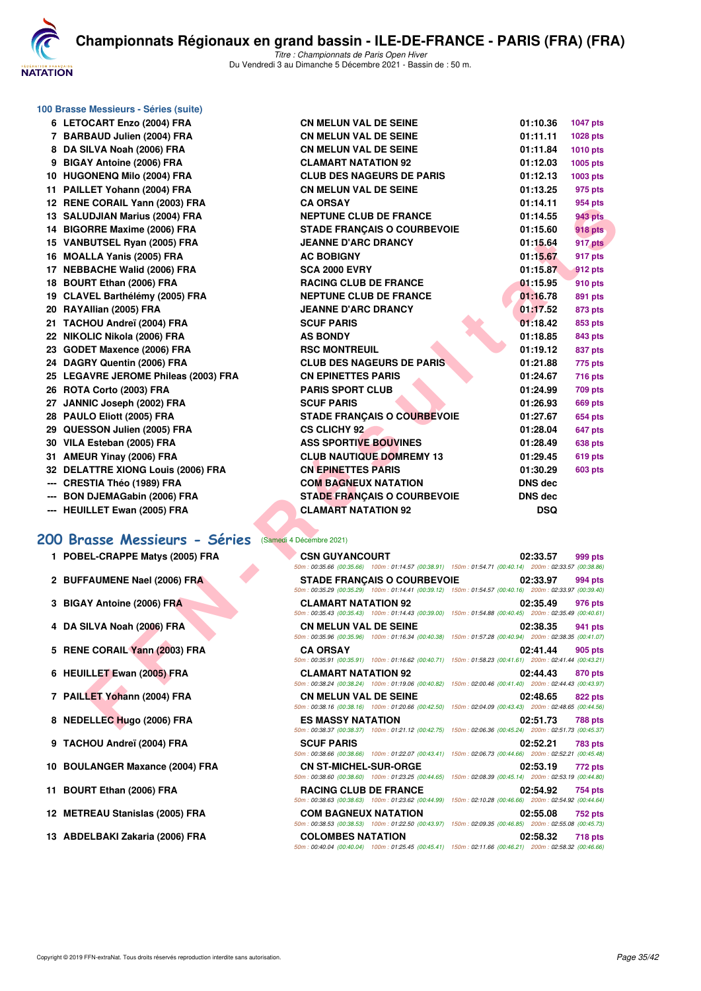

| 100 Brasse Messieurs - Séries (suite) |                                                                                                                                         |            |                 |
|---------------------------------------|-----------------------------------------------------------------------------------------------------------------------------------------|------------|-----------------|
| 6 LETOCART Enzo (2004) FRA            | <b>CN MELUN VAL DE SEINE</b>                                                                                                            | 01:10.36   | <b>1047 pts</b> |
| 7 BARBAUD Julien (2004) FRA           | <b>CN MELUN VAL DE SEINE</b>                                                                                                            | 01:11.11   | 1028 pts        |
| 8 DA SILVA Noah (2006) FRA            | <b>CN MELUN VAL DE SEINE</b>                                                                                                            | 01:11.84   | <b>1010 pts</b> |
| 9 BIGAY Antoine (2006) FRA            | <b>CLAMART NATATION 92</b>                                                                                                              | 01:12.03   | 1005 pts        |
| 10 HUGONENQ Milo (2004) FRA           | <b>CLUB DES NAGEURS DE PARIS</b>                                                                                                        | 01:12.13   | 1003 pts        |
| 11 PAILLET Yohann (2004) FRA          | <b>CN MELUN VAL DE SEINE</b>                                                                                                            | 01:13.25   | 975 pts         |
| 12 RENE CORAIL Yann (2003) FRA        | <b>CA ORSAY</b>                                                                                                                         | 01:14.11   | 954 pts         |
| 13 SALUDJIAN Marius (2004) FRA        | <b>NEPTUNE CLUB DE FRANCE</b>                                                                                                           | 01:14.55   | 943 pts         |
| 14 BIGORRE Maxime (2006) FRA          | <b>STADE FRANCAIS O COURBEVOIE</b>                                                                                                      | 01:15.60   | <b>918 pts</b>  |
| 15 VANBUTSEL Ryan (2005) FRA          | <b>JEANNE D'ARC DRANCY</b>                                                                                                              | 01:15.64   | 917 pts         |
| 16 MOALLA Yanis (2005) FRA            | <b>AC BOBIGNY</b>                                                                                                                       | 01:15.67   | 917 pts         |
| 17 NEBBACHE Walid (2006) FRA          | <b>SCA 2000 EVRY</b>                                                                                                                    | 01:15.87   | 912 pts         |
| 18 BOURT Ethan (2006) FRA             | <b>RACING CLUB DE FRANCE</b>                                                                                                            | 01:15.95   | 910 pts         |
| 19 CLAVEL Barthélémy (2005) FRA       | <b>NEPTUNE CLUB DE FRANCE</b>                                                                                                           | 01:16.78   | 891 pts         |
| 20 RAYAllian (2005) FRA               | <b>JEANNE D'ARC DRANCY</b>                                                                                                              | 01:17.52   | 873 pts         |
| 21 TACHOU Andreï (2004) FRA           | <b>SCUF PARIS</b>                                                                                                                       | 01:18.42   | 853 pts         |
| 22 NIKOLIC Nikola (2006) FRA          | <b>AS BONDY</b>                                                                                                                         | 01:18.85   | 843 pts         |
| 23 GODET Maxence (2006) FRA           | <b>RSC MONTREUIL</b>                                                                                                                    | 01:19.12   | 837 pts         |
| 24 DAGRY Quentin (2006) FRA           | <b>CLUB DES NAGEURS DE PARIS</b>                                                                                                        | 01:21.88   | 775 pts         |
| 25 LEGAVRE JEROME Phileas (2003) FRA  | <b>CN EPINETTES PARIS</b>                                                                                                               | 01:24.67   | 716 pts         |
| 26 ROTA Corto (2003) FRA              | <b>PARIS SPORT CLUB</b>                                                                                                                 | 01:24.99   | 709 pts         |
| 27 JANNIC Joseph (2002) FRA           | <b>SCUF PARIS</b>                                                                                                                       | 01:26.93   | 669 pts         |
| 28 PAULO Eliott (2005) FRA            | <b>STADE FRANÇAIS O COURBEVOIE</b>                                                                                                      | 01:27.67   | 654 pts         |
| 29 QUESSON Julien (2005) FRA          | <b>CS CLICHY 92</b>                                                                                                                     | 01:28.04   | 647 pts         |
| 30 VILA Esteban (2005) FRA            | <b>ASS SPORTIVE BOUVINES</b>                                                                                                            | 01:28.49   | 638 pts         |
| 31 AMEUR Yinay (2006) FRA             | <b>CLUB NAUTIQUE DOMREMY 13</b>                                                                                                         | 01:29.45   | <b>619 pts</b>  |
| 32 DELATTRE XIONG Louis (2006) FRA    | <b>CN EPINETTES PARIS</b>                                                                                                               | 01:30.29   | <b>603 pts</b>  |
| --- CRESTIA Théo (1989) FRA           | <b>COM BAGNEUX NATATION</b>                                                                                                             | DNS dec    |                 |
| --- BON DJEMAGabin (2006) FRA         | <b>STADE FRANÇAIS O COURBEVOIE</b>                                                                                                      | DNS dec    |                 |
| --- HEUILLET Ewan (2005) FRA          | <b>CLAMART NATATION 92</b>                                                                                                              | <b>DSQ</b> |                 |
|                                       |                                                                                                                                         |            |                 |
| 200 Brasse Messieurs - Séries         | (Samedi 4 Décembre 2021)                                                                                                                |            |                 |
| 1 POBEL-CRAPPE Matys (2005) FRA       | <b>CSN GUYANCOURT</b>                                                                                                                   | 02:33.57   | 999 pts         |
|                                       | 50m: 00:35.66 (00:35.66) 100m: 01:14.57 (00:38.91) 150m: 01:54.71 (00:40.14) 200m: 02:33.57 (00:38.86)                                  |            |                 |
| 2 BUFFAUMENE Nael (2006) FRA          | <b>STADE FRANÇAIS O COURBEVOIE</b>                                                                                                      | 02:33.97   | 994 pts         |
|                                       | 50m: 00:35.29 (00:35.29) 100m: 01:14.41 (00:39.12) 150m: 01:54.57 (00:40.16) 200m: 02:33.97 (00:39.40)<br><b>CLAMART NATATION 92</b>    | 02:35.49   |                 |
| 3 BIGAY Antoine (2006) FRA            | 50m : 00:35.43 (00:35.43) 100m : 01:14.43 (00:39.00) 150m : 01:54.88 (00:40.45) 200m : 02:35.49 (00:40.61)                              |            | 976 pts         |
| 4 DA SILVA Noah (2006) FRA            | <b>CN MELUN VAL DE SEINE</b>                                                                                                            | 02:38.35   | 941 pts         |
|                                       | 50m: 00:35.96 (00:35.96) 100m: 01:16.34 (00:40.38) 150m: 01:57.28 (00:40.94) 200m: 02:38.35 (00:41.07)                                  |            |                 |
| 5 RENE CORAIL Yann (2003) FRA         | <b>CA ORSAY</b>                                                                                                                         | 02:41.44   | 905 pts         |
|                                       | 50m: 00:35.91 (00:35.91) 100m: 01:16.62 (00:40.71) 150m: 01:58.23 (00:41.61) 200m: 02:41.44 (00:43.21)                                  |            |                 |
| 6 HEUILLET Ewan (2005) FRA            | <b>CLAMART NATATION 92</b><br>$50m$ : 00:38.24 (00:38.24) 100m: 01:19.06 (00:40.82) 150m: 02:00.46 (00:41.40) 200m: 02:44.43 (00:43.97) | 02:44.43   | 870 pts         |
| 7 PAILLET Yohann (2004) FRA           | <b>CN MELUN VAL DE SEINE</b>                                                                                                            | 02:48.65   | 822 pts         |
|                                       | 50m: 00:38.16 (00:38.16) 100m: 01:20.66 (00:42.50) 150m: 02:04.09 (00:43.43) 200m: 02:48.65 (00:44.56)                                  |            |                 |
| 8 NEDELLEC Hugo (2006) FRA            | <b>ES MASSY NATATION</b>                                                                                                                | 02:51.73   | 788 pts         |
|                                       |                                                                                                                                         |            |                 |

- 1 POBEL-CRAPPE Matys (2005) FRA
- 2 BUFFAUMENE Nael (2006) FRA
- **3 BIGAY Antoine (2006) FRA**
- **4 DA SILVA Noah (2006) FRA**
- **5 RENE CORAIL Yann (2003) FRA**
- **6 HEUILLET Ewan (2005) FRA**
- **7 PAILLET Yohann (2004) FRA**
- 8 NEDELLEC Hugo (2006) FRA
- **9 TACHOU Andreï (2004) FRA**
- **10 BOULANGER Maxance (2004) FRA**
- **11 BOURT Ethan (2006) FRA**
- 12 **METREAU Stanislas (2005) FRA**
- 13 ABDELBAKI Zakaria (2006) FRA

| <b>UN MELUN VAL DE JE</b>          | ,,,,,,,,,,,    | $1071$ pis     |
|------------------------------------|----------------|----------------|
| <b>CN MELUN VAL DE SEINE</b>       | 01:11.11       | 1028 pts       |
| <b>CN MELUN VAL DE SEINE</b>       | 01:11.84       | 1010 pts       |
| <b>CLAMART NATATION 92</b>         | 01:12.03       | 1005 pts       |
| <b>CLUB DES NAGEURS DE PARIS</b>   | 01:12.13       | 1003 pts       |
| <b>CN MELUN VAL DE SEINE</b>       | 01:13.25       | 975 pts        |
| <b>CA ORSAY</b>                    | 01:14.11       | 954 pts        |
| <b>NEPTUNE CLUB DE FRANCE</b>      | 01:14.55       | <b>943 pts</b> |
| <b>STADE FRANCAIS O COURBEVOIE</b> | 01:15.60       | <b>918 pts</b> |
| <b>JEANNE D'ARC DRANCY</b>         | 01:15.64       | 917 pts        |
| <b>AC BOBIGNY</b>                  | 01:15.67       | 917 pts        |
| <b>SCA 2000 EVRY</b>               | 01:15.87       | 912 pts        |
| <b>RACING CLUB DE FRANCE</b>       | 01:15.95       | 910 pts        |
| <b>NEPTUNE CLUB DE FRANCE</b>      | 01:16.78       | 891 pts        |
| <b>JEANNE D'ARC DRANCY</b>         | 01:17.52       | 873 pts        |
| <b>SCUF PARIS</b>                  | 01:18.42       | 853 pts        |
| <b>AS BONDY</b>                    | 01:18.85       | 843 pts        |
| <b>RSC MONTREUIL</b>               | 01:19.12       | 837 pts        |
| <b>CLUB DES NAGEURS DE PARIS</b>   | 01:21.88       | 775 pts        |
| <b>CN EPINETTES PARIS</b>          | 01:24.67       | <b>716 pts</b> |
| <b>PARIS SPORT CLUB</b>            | 01:24.99       | 709 pts        |
| <b>SCUF PARIS</b>                  | 01:26.93       | <b>669 pts</b> |
| <b>STADE FRANÇAIS O COURBEVOIE</b> | 01:27.67       | <b>654 pts</b> |
| <b>CS CLICHY 92</b>                | 01:28.04       | 647 pts        |
| <b>ASS SPORTIVE BOUVINES</b>       | 01:28.49       | 638 pts        |
| <b>CLUB NAUTIQUE DOMREMY 13</b>    | 01:29.45       | 619 pts        |
| <b>CN EPINETTES PARIS</b>          | 01:30.29       | <b>603 pts</b> |
| <b>COM BAGNEUX NATATION</b>        | <b>DNS dec</b> |                |
| <b>STADE FRANCAIS O COURBEVOIE</b> | <b>DNS</b> dec |                |
| <b>CLAMART NATATION 92</b>         | <b>DSQ</b>     |                |
|                                    |                |                |

|  |  | medi 4 Décembre 2021) |  |
|--|--|-----------------------|--|
|  |  |                       |  |

| <b>CSN GUYANCOURT</b>        |                                                                                                        |  | 02:33.57 999 pts |                |
|------------------------------|--------------------------------------------------------------------------------------------------------|--|------------------|----------------|
|                              | 50m: 00:35.66 (00:35.66) 100m: 01:14.57 (00:38.91) 150m: 01:54.71 (00:40.14) 200m: 02:33.57 (00:38.86) |  |                  |                |
|                              | <b>STADE FRANCAIS O COURBEVOIE</b>                                                                     |  | 02:33.97 994 pts |                |
|                              | 50m: 00:35.29 (00:35.29) 100m: 01:14.41 (00:39.12) 150m: 01:54.57 (00:40.16) 200m: 02:33.97 (00:39.40) |  |                  |                |
| <b>CLAMART NATATION 92</b>   |                                                                                                        |  | 02:35.49 976 pts |                |
|                              | 50m: 00:35.43 (00:35.43) 100m: 01:14.43 (00:39.00) 150m: 01:54.88 (00:40.45) 200m: 02:35.49 (00:40.61) |  |                  |                |
| <b>CN MELUN VAL DE SEINE</b> |                                                                                                        |  | 02:38.35 941 pts |                |
|                              | 50m: 00:35.96 (00:35.96) 100m: 01:16.34 (00:40.38) 150m: 01:57.28 (00:40.94) 200m: 02:38.35 (00:41.07) |  |                  |                |
| <b>CA ORSAY</b>              |                                                                                                        |  | 02:41.44 905 pts |                |
|                              | 50m: 00:35.91 (00:35.91) 100m: 01:16.62 (00:40.71) 150m: 01:58.23 (00:41.61) 200m: 02:41.44 (00:43.21) |  |                  |                |
| <b>CLAMART NATATION 92</b>   |                                                                                                        |  | 02:44.43 870 pts |                |
|                              | 50m: 00:38.24 (00:38.24) 100m: 01:19.06 (00:40.82) 150m: 02:00.46 (00:41.40) 200m: 02:44.43 (00:43.97) |  |                  |                |
| <b>CN MELUN VAL DE SEINE</b> |                                                                                                        |  | 02:48.65 822 pts |                |
|                              | 50m: 00:38.16 (00:38.16) 100m: 01:20.66 (00:42.50) 150m: 02:04.09 (00:43.43) 200m: 02:48.65 (00:44.56) |  |                  |                |
| <b>ES MASSY NATATION</b>     |                                                                                                        |  | 02:51.73 788 pts |                |
|                              | 50m: 00:38.37 (00:38.37) 100m: 01:21.12 (00:42.75) 150m: 02:06.36 (00:45.24) 200m: 02:51.73 (00:45.37) |  |                  |                |
| <b>SCUF PARIS</b>            |                                                                                                        |  | 02:52.21 783 pts |                |
|                              | 50m: 00:38.66 (00:38.66) 100m: 01:22.07 (00:43.41) 150m: 02:06.73 (00:44.66) 200m: 02:52.21 (00:45.48) |  |                  |                |
| <b>CN ST-MICHEL-SUR-ORGE</b> |                                                                                                        |  | 02:53.19 772 pts |                |
|                              | 50m: 00:38.60 (00:38.60) 100m: 01:23.25 (00:44.65) 150m: 02:08.39 (00:45.14) 200m: 02:53.19 (00:44.80) |  |                  |                |
| <b>RACING CLUB DE FRANCE</b> |                                                                                                        |  | 02:54.92 754 pts |                |
|                              | 50m: 00:38.63 (00:38.63) 100m: 01:23.62 (00:44.99) 150m: 02:10.28 (00:46.66) 200m: 02:54.92 (00:44.64) |  |                  |                |
| <b>COM BAGNEUX NATATION</b>  |                                                                                                        |  | 02:55.08 752 pts |                |
|                              | 50m: 00:38.53 (00:38.53) 100m: 01:22.50 (00:43.97) 150m: 02:09.35 (00:46.85) 200m: 02:55.08 (00:45.73) |  |                  |                |
| <b>COLOMBES NATATION</b>     |                                                                                                        |  | 02:58.32         | <b>718 pts</b> |
|                              | 50m: 00:40.04 (00:40.04) 100m: 01:25.45 (00:45.41) 150m: 02:11.66 (00:46.21) 200m: 02:58.32 (00:46.66) |  |                  |                |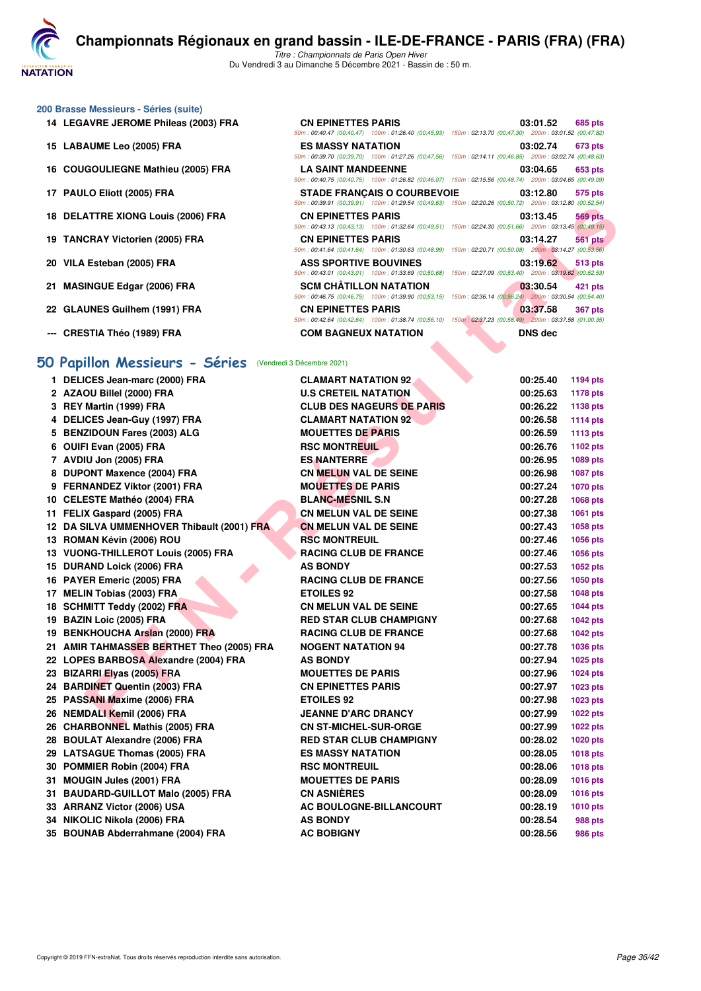**NATATION** 

*50m : 00:40.47 (00:40.47) 100m : 01:26.40 (00:45.93) 150m : 02:13.70 (00:47.30) 200m : 03:01.52 (00:47.82)*

*50m : 00:39.70 (00:39.70) 100m : 01:27.26 (00:47.56) 150m : 02:14.11 (00:46.85) 200m : 03:02.74 (00:48.63)*

*50m : 00:40.75 (00:40.75) 100m : 01:26.82 (00:46.07) 150m : 02:15.56 (00:48.74) 200m : 03:04.65 (00:49.09)*

*50m : 00:39.91 (00:39.91) 100m : 01:29.54 (00:49.63) 150m : 02:20.26 (00:50.72) 200m : 03:12.80 (00:52.54)*

*Titre : Championnats de Paris Open Hiver* Du Vendredi 3 au Dimanche 5 Décembre 2021 - Bassin de : 50 m.

#### **200 Brasse Messieurs - Séries (suite)**

- **14 LEGAVRE JEROME Phileas (2003) FRA CN EPINETTES PARIS 03:01.52 685 pts**
- **15 LABAUME Leo (2005) FRA ES MASSY NATATION 03:02.74 673 pts**
- **16 COUGOULIEGNE Mathieu (2005) FRA LA SAINT MANDEENNE 03:04.65 653 pts**
- **17 PAULO Eliott (2005) FRA STADE FRANÇAIS O COURBEVOIE 03:12.80 575 pts**
- **18 DELATTRE XIONG Louis (2006) FRA CN EPINETTES PARIS 03:13.45 569 pts**
- **19 TANCRAY Victorien (2005) FRA CN EPINETTES PARIS 03:14.27 561 pts**
- **20 VILA Esteban (2005) FRA ASS SPORTIVE BOUVINES 03:19.62 513 pts**
- **21 MASINGUE Edgar (2006) FRA SCM CHÂTILLON NATATION 03:30.54 421 pts**
- **22 GLAUNES Guilhem (1991) FRA CN EPINETTES PARIS 03:37.58 367 pts**
- **--- CRESTIA Théo (1989) FRA COM BAGNEUX NATATION DNS dec**

#### **[50 Papillon Messieurs - Séries](http://www.ffnatation.fr/webffn/resultats.php?idact=nat&go=epr&idcpt=73929&idepr=81)** (Vendredi 3 Décembre 2021)

| <b>CN EPINETTES PARIS</b>                                                                                                                                                                                                                                                                                                                                                                                                                                                                                                                                                                                                                                                                                                                                                                                                                                                                                                                                                                                                                                                                                                                                                                                                                                                                                                                                                                       | 03:13.45<br><b>569 pts</b>                                                                                                                                                                                                                                                                                                                                                                                                                                                                                                                          |
|-------------------------------------------------------------------------------------------------------------------------------------------------------------------------------------------------------------------------------------------------------------------------------------------------------------------------------------------------------------------------------------------------------------------------------------------------------------------------------------------------------------------------------------------------------------------------------------------------------------------------------------------------------------------------------------------------------------------------------------------------------------------------------------------------------------------------------------------------------------------------------------------------------------------------------------------------------------------------------------------------------------------------------------------------------------------------------------------------------------------------------------------------------------------------------------------------------------------------------------------------------------------------------------------------------------------------------------------------------------------------------------------------|-----------------------------------------------------------------------------------------------------------------------------------------------------------------------------------------------------------------------------------------------------------------------------------------------------------------------------------------------------------------------------------------------------------------------------------------------------------------------------------------------------------------------------------------------------|
| <b>CN EPINETTES PARIS</b>                                                                                                                                                                                                                                                                                                                                                                                                                                                                                                                                                                                                                                                                                                                                                                                                                                                                                                                                                                                                                                                                                                                                                                                                                                                                                                                                                                       | 03:14.27<br><b>561 pts</b>                                                                                                                                                                                                                                                                                                                                                                                                                                                                                                                          |
|                                                                                                                                                                                                                                                                                                                                                                                                                                                                                                                                                                                                                                                                                                                                                                                                                                                                                                                                                                                                                                                                                                                                                                                                                                                                                                                                                                                                 |                                                                                                                                                                                                                                                                                                                                                                                                                                                                                                                                                     |
|                                                                                                                                                                                                                                                                                                                                                                                                                                                                                                                                                                                                                                                                                                                                                                                                                                                                                                                                                                                                                                                                                                                                                                                                                                                                                                                                                                                                 | 03:19.62<br>513 pts<br>50m: 00:43.01 (00:43.01) 100m: 01:33.69 (00:50.68) 150m: 02:27.09 (00:53.40) 200m: 03:19.62 (00:52.53)                                                                                                                                                                                                                                                                                                                                                                                                                       |
| <b>SCM CHATILLON NATATION</b>                                                                                                                                                                                                                                                                                                                                                                                                                                                                                                                                                                                                                                                                                                                                                                                                                                                                                                                                                                                                                                                                                                                                                                                                                                                                                                                                                                   | 03:30.54<br>421 pts                                                                                                                                                                                                                                                                                                                                                                                                                                                                                                                                 |
|                                                                                                                                                                                                                                                                                                                                                                                                                                                                                                                                                                                                                                                                                                                                                                                                                                                                                                                                                                                                                                                                                                                                                                                                                                                                                                                                                                                                 | 03:37.58<br><b>367 pts</b>                                                                                                                                                                                                                                                                                                                                                                                                                                                                                                                          |
|                                                                                                                                                                                                                                                                                                                                                                                                                                                                                                                                                                                                                                                                                                                                                                                                                                                                                                                                                                                                                                                                                                                                                                                                                                                                                                                                                                                                 | 50m: 00:42.64 (00:42.64) 100m: 01:38.74 (00:56.10) 150m: 02:37.23 (00:58.49) 200m: 03:37.58 (01:00.35)                                                                                                                                                                                                                                                                                                                                                                                                                                              |
| <b>COM BAGNEUX NATATION</b>                                                                                                                                                                                                                                                                                                                                                                                                                                                                                                                                                                                                                                                                                                                                                                                                                                                                                                                                                                                                                                                                                                                                                                                                                                                                                                                                                                     | <b>DNS dec</b>                                                                                                                                                                                                                                                                                                                                                                                                                                                                                                                                      |
|                                                                                                                                                                                                                                                                                                                                                                                                                                                                                                                                                                                                                                                                                                                                                                                                                                                                                                                                                                                                                                                                                                                                                                                                                                                                                                                                                                                                 |                                                                                                                                                                                                                                                                                                                                                                                                                                                                                                                                                     |
| <b>CLAMART NATATION 92</b>                                                                                                                                                                                                                                                                                                                                                                                                                                                                                                                                                                                                                                                                                                                                                                                                                                                                                                                                                                                                                                                                                                                                                                                                                                                                                                                                                                      | 00:25.40<br>1194 pts                                                                                                                                                                                                                                                                                                                                                                                                                                                                                                                                |
| <b>U.S CRETEIL NATATION</b>                                                                                                                                                                                                                                                                                                                                                                                                                                                                                                                                                                                                                                                                                                                                                                                                                                                                                                                                                                                                                                                                                                                                                                                                                                                                                                                                                                     | 00:25.63<br>1178 pts                                                                                                                                                                                                                                                                                                                                                                                                                                                                                                                                |
| <b>CLUB DES NAGEURS DE PARIS</b>                                                                                                                                                                                                                                                                                                                                                                                                                                                                                                                                                                                                                                                                                                                                                                                                                                                                                                                                                                                                                                                                                                                                                                                                                                                                                                                                                                | 00:26.22<br>1138 pts                                                                                                                                                                                                                                                                                                                                                                                                                                                                                                                                |
| <b>CLAMART NATATION 92</b>                                                                                                                                                                                                                                                                                                                                                                                                                                                                                                                                                                                                                                                                                                                                                                                                                                                                                                                                                                                                                                                                                                                                                                                                                                                                                                                                                                      | 00:26.58<br><b>1114 pts</b>                                                                                                                                                                                                                                                                                                                                                                                                                                                                                                                         |
| <b>MOUETTES DE PARIS</b>                                                                                                                                                                                                                                                                                                                                                                                                                                                                                                                                                                                                                                                                                                                                                                                                                                                                                                                                                                                                                                                                                                                                                                                                                                                                                                                                                                        | 00:26.59<br><b>1113 pts</b>                                                                                                                                                                                                                                                                                                                                                                                                                                                                                                                         |
| <b>RSC MONTREUIL</b>                                                                                                                                                                                                                                                                                                                                                                                                                                                                                                                                                                                                                                                                                                                                                                                                                                                                                                                                                                                                                                                                                                                                                                                                                                                                                                                                                                            | 00:26.76<br>1102 pts                                                                                                                                                                                                                                                                                                                                                                                                                                                                                                                                |
| <b>ES NANTERRE</b>                                                                                                                                                                                                                                                                                                                                                                                                                                                                                                                                                                                                                                                                                                                                                                                                                                                                                                                                                                                                                                                                                                                                                                                                                                                                                                                                                                              | 00:26.95<br>1089 pts                                                                                                                                                                                                                                                                                                                                                                                                                                                                                                                                |
| <b>CN MELUN VAL DE SEINE</b>                                                                                                                                                                                                                                                                                                                                                                                                                                                                                                                                                                                                                                                                                                                                                                                                                                                                                                                                                                                                                                                                                                                                                                                                                                                                                                                                                                    | 00:26.98<br>1087 pts                                                                                                                                                                                                                                                                                                                                                                                                                                                                                                                                |
| <b>MOUETTES DE PARIS</b>                                                                                                                                                                                                                                                                                                                                                                                                                                                                                                                                                                                                                                                                                                                                                                                                                                                                                                                                                                                                                                                                                                                                                                                                                                                                                                                                                                        | 00:27.24<br>1070 pts                                                                                                                                                                                                                                                                                                                                                                                                                                                                                                                                |
| <b>BLANC-MESNIL S.N</b>                                                                                                                                                                                                                                                                                                                                                                                                                                                                                                                                                                                                                                                                                                                                                                                                                                                                                                                                                                                                                                                                                                                                                                                                                                                                                                                                                                         | 00:27.28<br>1068 pts                                                                                                                                                                                                                                                                                                                                                                                                                                                                                                                                |
|                                                                                                                                                                                                                                                                                                                                                                                                                                                                                                                                                                                                                                                                                                                                                                                                                                                                                                                                                                                                                                                                                                                                                                                                                                                                                                                                                                                                 | 00:27.38<br>1061 pts                                                                                                                                                                                                                                                                                                                                                                                                                                                                                                                                |
| <b>CN MELUN VAL DE SEINE</b>                                                                                                                                                                                                                                                                                                                                                                                                                                                                                                                                                                                                                                                                                                                                                                                                                                                                                                                                                                                                                                                                                                                                                                                                                                                                                                                                                                    | 00:27.43<br><b>1058 pts</b>                                                                                                                                                                                                                                                                                                                                                                                                                                                                                                                         |
| <b>RSC MONTREUIL</b>                                                                                                                                                                                                                                                                                                                                                                                                                                                                                                                                                                                                                                                                                                                                                                                                                                                                                                                                                                                                                                                                                                                                                                                                                                                                                                                                                                            | 00:27.46<br>1056 pts                                                                                                                                                                                                                                                                                                                                                                                                                                                                                                                                |
| <b>RACING CLUB DE FRANCE</b>                                                                                                                                                                                                                                                                                                                                                                                                                                                                                                                                                                                                                                                                                                                                                                                                                                                                                                                                                                                                                                                                                                                                                                                                                                                                                                                                                                    | 00:27.46<br>1056 pts                                                                                                                                                                                                                                                                                                                                                                                                                                                                                                                                |
| AS BONDY                                                                                                                                                                                                                                                                                                                                                                                                                                                                                                                                                                                                                                                                                                                                                                                                                                                                                                                                                                                                                                                                                                                                                                                                                                                                                                                                                                                        | 00:27.53<br>1052 pts                                                                                                                                                                                                                                                                                                                                                                                                                                                                                                                                |
| <b>RACING CLUB DE FRANCE</b>                                                                                                                                                                                                                                                                                                                                                                                                                                                                                                                                                                                                                                                                                                                                                                                                                                                                                                                                                                                                                                                                                                                                                                                                                                                                                                                                                                    | 00:27.56<br>1050 pts                                                                                                                                                                                                                                                                                                                                                                                                                                                                                                                                |
| <b>ETOILES 92</b>                                                                                                                                                                                                                                                                                                                                                                                                                                                                                                                                                                                                                                                                                                                                                                                                                                                                                                                                                                                                                                                                                                                                                                                                                                                                                                                                                                               | 00:27.58<br>1048 pts                                                                                                                                                                                                                                                                                                                                                                                                                                                                                                                                |
| <b>CN MELUN VAL DE SEINE</b>                                                                                                                                                                                                                                                                                                                                                                                                                                                                                                                                                                                                                                                                                                                                                                                                                                                                                                                                                                                                                                                                                                                                                                                                                                                                                                                                                                    | 00:27.65<br><b>1044 pts</b>                                                                                                                                                                                                                                                                                                                                                                                                                                                                                                                         |
| <b>RED STAR CLUB CHAMPIGNY</b>                                                                                                                                                                                                                                                                                                                                                                                                                                                                                                                                                                                                                                                                                                                                                                                                                                                                                                                                                                                                                                                                                                                                                                                                                                                                                                                                                                  | 00:27.68<br><b>1042 pts</b>                                                                                                                                                                                                                                                                                                                                                                                                                                                                                                                         |
| <b>RACING CLUB DE FRANCE</b>                                                                                                                                                                                                                                                                                                                                                                                                                                                                                                                                                                                                                                                                                                                                                                                                                                                                                                                                                                                                                                                                                                                                                                                                                                                                                                                                                                    | 00:27.68<br><b>1042 pts</b>                                                                                                                                                                                                                                                                                                                                                                                                                                                                                                                         |
| <b>NOGENT NATATION 94</b>                                                                                                                                                                                                                                                                                                                                                                                                                                                                                                                                                                                                                                                                                                                                                                                                                                                                                                                                                                                                                                                                                                                                                                                                                                                                                                                                                                       | 00:27.78<br><b>1036 pts</b>                                                                                                                                                                                                                                                                                                                                                                                                                                                                                                                         |
| <b>AS BONDY</b>                                                                                                                                                                                                                                                                                                                                                                                                                                                                                                                                                                                                                                                                                                                                                                                                                                                                                                                                                                                                                                                                                                                                                                                                                                                                                                                                                                                 | 00:27.94<br>1025 pts                                                                                                                                                                                                                                                                                                                                                                                                                                                                                                                                |
| <b>MOUETTES DE PARIS</b>                                                                                                                                                                                                                                                                                                                                                                                                                                                                                                                                                                                                                                                                                                                                                                                                                                                                                                                                                                                                                                                                                                                                                                                                                                                                                                                                                                        | 00:27.96<br>1024 pts                                                                                                                                                                                                                                                                                                                                                                                                                                                                                                                                |
| <b>CN EPINETTES PARIS</b>                                                                                                                                                                                                                                                                                                                                                                                                                                                                                                                                                                                                                                                                                                                                                                                                                                                                                                                                                                                                                                                                                                                                                                                                                                                                                                                                                                       | 00:27.97<br>1023 pts                                                                                                                                                                                                                                                                                                                                                                                                                                                                                                                                |
| <b>ETOILES 92</b>                                                                                                                                                                                                                                                                                                                                                                                                                                                                                                                                                                                                                                                                                                                                                                                                                                                                                                                                                                                                                                                                                                                                                                                                                                                                                                                                                                               | 00:27.98<br>1023 pts                                                                                                                                                                                                                                                                                                                                                                                                                                                                                                                                |
| <b>JEANNE D'ARC DRANCY</b>                                                                                                                                                                                                                                                                                                                                                                                                                                                                                                                                                                                                                                                                                                                                                                                                                                                                                                                                                                                                                                                                                                                                                                                                                                                                                                                                                                      | 00:27.99<br>1022 pts                                                                                                                                                                                                                                                                                                                                                                                                                                                                                                                                |
| <b>CN ST-MICHEL-SUR-ORGE</b>                                                                                                                                                                                                                                                                                                                                                                                                                                                                                                                                                                                                                                                                                                                                                                                                                                                                                                                                                                                                                                                                                                                                                                                                                                                                                                                                                                    | 00:27.99<br>1022 pts                                                                                                                                                                                                                                                                                                                                                                                                                                                                                                                                |
|                                                                                                                                                                                                                                                                                                                                                                                                                                                                                                                                                                                                                                                                                                                                                                                                                                                                                                                                                                                                                                                                                                                                                                                                                                                                                                                                                                                                 | 00:28.02<br>1020 pts                                                                                                                                                                                                                                                                                                                                                                                                                                                                                                                                |
| <b>ES MASSY NATATION</b>                                                                                                                                                                                                                                                                                                                                                                                                                                                                                                                                                                                                                                                                                                                                                                                                                                                                                                                                                                                                                                                                                                                                                                                                                                                                                                                                                                        | 00:28.05<br><b>1018 pts</b>                                                                                                                                                                                                                                                                                                                                                                                                                                                                                                                         |
| <b>RSC MONTREUIL</b>                                                                                                                                                                                                                                                                                                                                                                                                                                                                                                                                                                                                                                                                                                                                                                                                                                                                                                                                                                                                                                                                                                                                                                                                                                                                                                                                                                            | 00:28.06<br><b>1018 pts</b>                                                                                                                                                                                                                                                                                                                                                                                                                                                                                                                         |
| <b>MOUETTES DE PARIS</b>                                                                                                                                                                                                                                                                                                                                                                                                                                                                                                                                                                                                                                                                                                                                                                                                                                                                                                                                                                                                                                                                                                                                                                                                                                                                                                                                                                        | 00:28.09<br><b>1016 pts</b>                                                                                                                                                                                                                                                                                                                                                                                                                                                                                                                         |
| <b>CN ASNIÈRES</b>                                                                                                                                                                                                                                                                                                                                                                                                                                                                                                                                                                                                                                                                                                                                                                                                                                                                                                                                                                                                                                                                                                                                                                                                                                                                                                                                                                              | 00:28.09<br><b>1016 pts</b>                                                                                                                                                                                                                                                                                                                                                                                                                                                                                                                         |
| AC BOULOGNE-BILLANCOURT                                                                                                                                                                                                                                                                                                                                                                                                                                                                                                                                                                                                                                                                                                                                                                                                                                                                                                                                                                                                                                                                                                                                                                                                                                                                                                                                                                         | 00:28.19<br>1010 pts                                                                                                                                                                                                                                                                                                                                                                                                                                                                                                                                |
| <b>AS BONDY</b>                                                                                                                                                                                                                                                                                                                                                                                                                                                                                                                                                                                                                                                                                                                                                                                                                                                                                                                                                                                                                                                                                                                                                                                                                                                                                                                                                                                 | 00:28.54<br>988 pts                                                                                                                                                                                                                                                                                                                                                                                                                                                                                                                                 |
|                                                                                                                                                                                                                                                                                                                                                                                                                                                                                                                                                                                                                                                                                                                                                                                                                                                                                                                                                                                                                                                                                                                                                                                                                                                                                                                                                                                                 | 00:28.56<br><b>986 pts</b>                                                                                                                                                                                                                                                                                                                                                                                                                                                                                                                          |
| 18 DELATTRE XIONG Louis (2006) FRA<br>19 TANCRAY Victorien (2005) FRA<br>20 VILA Esteban (2005) FRA<br>21 MASINGUE Edgar (2006) FRA<br>22 GLAUNES Guilhem (1991) FRA<br>--- CRESTIA Théo (1989) FRA<br>1 DELICES Jean-marc (2000) FRA<br>2 AZAOU Billel (2000) FRA<br>3 REY Martin (1999) FRA<br>4 DELICES Jean-Guy (1997) FRA<br>5 BENZIDOUN Fares (2003) ALG<br>6 OUIFI Evan (2005) FRA<br>7 AVDIU Jon (2005) FRA<br>8 DUPONT Maxence (2004) FRA<br>9 FERNANDEZ Viktor (2001) FRA<br>10 CELESTE Mathéo (2004) FRA<br>11 FELIX Gaspard (2005) FRA<br>12 DA SILVA UMMENHOVER Thibault (2001) FRA<br>13 ROMAN Kévin (2006) ROU<br>13 VUONG-THILLEROT Louis (2005) FRA<br>15 DURAND Loick (2006) FRA<br>16 PAYER Emeric (2005) FRA<br>17 MELIN Tobias (2003) FRA<br>18 SCHMITT Teddy (2002) FRA<br>19 BAZIN Loic (2005) FRA<br>19 BENKHOUCHA Arslan (2000) FRA<br>21 AMIR TAHMASSEB BERTHET Theo (2005) FRA<br>22 LOPES BARBOSA Alexandre (2004) FRA<br>23 BIZARRI Elyas (2005) FRA<br>24 BARDINET Quentin (2003) FRA<br>25 PASSANI Maxime (2006) FRA<br>26 NEMDALI Kemil (2006) FRA<br>26 CHARBONNEL Mathis (2005) FRA<br>28 BOULAT Alexandre (2006) FRA<br>29 LATSAGUE Thomas (2005) FRA<br>30 POMMIER Robin (2004) FRA<br>31 MOUGIN Jules (2001) FRA<br>31 BAUDARD-GUILLOT Malo (2005) FRA<br>33 ARRANZ Victor (2006) USA<br>34 NIKOLIC Nikola (2006) FRA<br>35 BOUNAB Abderrahmane (2004) FRA | 50m : 00:43.13 (00:43.13) 100m : 01:32.64 (00:49.51) 150m : 02:24.30 (00:51.66) 200m : 03:13.45 (00:49.15)<br>50m: 00:41.64 (00:41.64) 100m: 01:30.63 (00:48.99) 150m: 02:20.71 (00:50.08) 200m: 03:14.27 (00:53.56)<br><b>ASS SPORTIVE BOUVINES</b><br>50m : 00:46.75 (00:46.75) 100m : 01:39.90 (00:53.15) 150m : 02:36.14 (00:56.24) 200m : 03:30.54 (00:54.40)<br><b>CN EPINETTES PARIS</b><br>iO Papillon Messieurs - Séries (Vendredi 3 Décembre 2021)<br><b>CN MELUN VAL DE SEINE</b><br><b>RED STAR CLUB CHAMPIGNY</b><br><b>AC BOBIGNY</b> |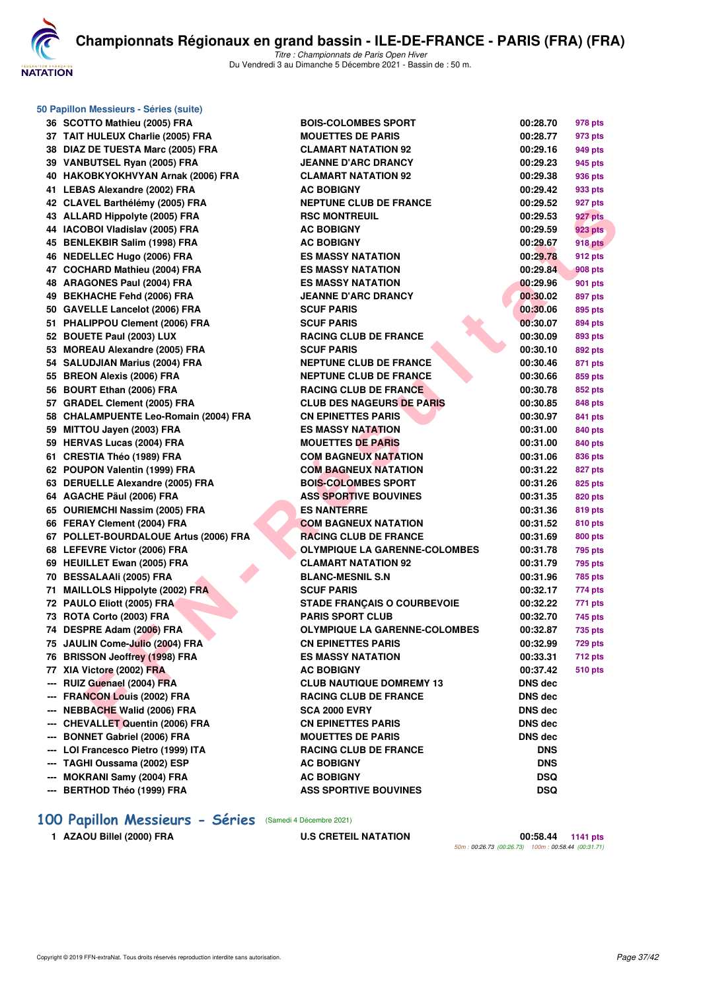

**50 Papillon Messieurs - Séries (suite)**

*Titre : Championnats de Paris Open Hiver* Du Vendredi 3 au Dimanche 5 Décembre 2021 - Bassin de : 50 m.

|     | 36 SCOTTO Mathieu (2005) FRA          | <b>BOIS-COLOMBES SPORT</b>           | 00:28.70       | 978 pts        |
|-----|---------------------------------------|--------------------------------------|----------------|----------------|
|     | 37 TAIT HULEUX Charlie (2005) FRA     | <b>MOUETTES DE PARIS</b>             | 00:28.77       | 973 pts        |
|     | 38 DIAZ DE TUESTA Marc (2005) FRA     | <b>CLAMART NATATION 92</b>           | 00:29.16       | 949 pts        |
|     | 39 VANBUTSEL Ryan (2005) FRA          | <b>JEANNE D'ARC DRANCY</b>           | 00:29.23       | 945 pts        |
|     | 40 HAKOBKYOKHVYAN Arnak (2006) FRA    | <b>CLAMART NATATION 92</b>           | 00:29.38       | 936 pts        |
|     | 41 LEBAS Alexandre (2002) FRA         | <b>AC BOBIGNY</b>                    | 00:29.42       | 933 pts        |
|     | 42 CLAVEL Barthélémy (2005) FRA       | <b>NEPTUNE CLUB DE FRANCE</b>        | 00:29.52       | 927 pts        |
|     | 43 ALLARD Hippolyte (2005) FRA        | <b>RSC MONTREUIL</b>                 | 00:29.53       | 927 pts        |
|     | 44 IACOBOI Vladislav (2005) FRA       | <b>AC BOBIGNY</b>                    | 00:29.59       | <b>923 pts</b> |
|     | 45 BENLEKBIR Salim (1998) FRA         | <b>AC BOBIGNY</b>                    | 00:29.67       | <b>918 pts</b> |
|     | 46 NEDELLEC Hugo (2006) FRA           | <b>ES MASSY NATATION</b>             | 00:29.78       | 912 pts        |
|     | 47 COCHARD Mathieu (2004) FRA         | <b>ES MASSY NATATION</b>             | 00:29.84       | 908 pts        |
|     | 48 ARAGONES Paul (2004) FRA           | <b>ES MASSY NATATION</b>             | 00:29.96       | 901 pts        |
|     | 49 BEKHACHE Fehd (2006) FRA           | <b>JEANNE D'ARC DRANCY</b>           | 00:30.02       | 897 pts        |
|     | 50 GAVELLE Lancelot (2006) FRA        | <b>SCUF PARIS</b>                    | 00:30.06       | 895 pts        |
|     | 51 PHALIPPOU Clement (2006) FRA       | <b>SCUF PARIS</b>                    | 00:30.07       | 894 pts        |
|     | 52 BOUETE Paul (2003) LUX             | <b>RACING CLUB DE FRANCE</b>         | 00:30.09       | 893 pts        |
|     | 53 MOREAU Alexandre (2005) FRA        | <b>SCUF PARIS</b>                    | 00:30.10       | 892 pts        |
|     | 54 SALUDJIAN Marius (2004) FRA        | <b>NEPTUNE CLUB DE FRANCE</b>        | 00:30.46       | 871 pts        |
|     | 55 BREON Alexis (2006) FRA            | <b>NEPTUNE CLUB DE FRANCE</b>        | 00:30.66       | 859 pts        |
|     | 56 BOURT Ethan (2006) FRA             | <b>RACING CLUB DE FRANCE</b>         | 00:30.78       | 852 pts        |
|     | 57 GRADEL Clement (2005) FRA          | <b>CLUB DES NAGEURS DE PARIS</b>     | 00:30.85       | 848 pts        |
|     | 58 CHALAMPUENTE Leo-Romain (2004) FRA | <b>CN EPINETTES PARIS</b>            | 00:30.97       | 841 pts        |
|     | 59 MITTOU Jayen (2003) FRA            | <b>ES MASSY NATATION</b>             | 00:31.00       | 840 pts        |
|     | 59 HERVAS Lucas (2004) FRA            | <b>MOUETTES DE PARIS</b>             | 00:31.00       | 840 pts        |
|     | 61 CRESTIA Théo (1989) FRA            | <b>COM BAGNEUX NATATION</b>          | 00:31.06       | 836 pts        |
|     | 62 POUPON Valentin (1999) FRA         | <b>COM BAGNEUX NATATION</b>          | 00:31.22       | 827 pts        |
|     | 63 DERUELLE Alexandre (2005) FRA      | <b>BOIS-COLOMBES SPORT</b>           | 00:31.26       | 825 pts        |
|     | 64 AGACHE Päul (2006) FRA             | <b>ASS SPORTIVE BOUVINES</b>         | 00:31.35       | 820 pts        |
|     | 65 OURIEMCHI Nassim (2005) FRA        | <b>ES NANTERRE</b>                   | 00:31.36       | 819 pts        |
|     | 66 FERAY Clement (2004) FRA           | <b>COM BAGNEUX NATATION</b>          | 00:31.52       | 810 pts        |
|     | 67 POLLET-BOURDALOUE Artus (2006) FRA | <b>RACING CLUB DE FRANCE</b>         | 00:31.69       | 800 pts        |
|     | 68 LEFEVRE Victor (2006) FRA          | OLYMPIQUE LA GARENNE-COLOMBES        | 00:31.78       | 795 pts        |
|     | 69 HEUILLET Ewan (2005) FRA           | <b>CLAMART NATATION 92</b>           | 00:31.79       | <b>795 pts</b> |
|     | 70 BESSALAAIi (2005) FRA              | <b>BLANC-MESNIL S.N</b>              | 00:31.96       | 785 pts        |
|     | 71 MAILLOLS Hippolyte (2002) FRA      | <b>SCUF PARIS</b>                    | 00:32.17       | 774 pts        |
|     | 72 PAULO Eliott (2005) FRA            | <b>STADE FRANÇAIS O COURBEVOIE</b>   | 00:32.22       | 771 pts        |
|     | 73 ROTA Corto (2003) FRA              | <b>PARIS SPORT CLUB</b>              | 00:32.70       | 745 pts        |
|     | 74 DESPRE Adam (2006) FRA             | <b>OLYMPIQUE LA GARENNE-COLOMBES</b> | 00:32.87       | 735 pts        |
|     | 75 JAULIN Come-Julio (2004) FRA       | <b>CN EPINETTES PARIS</b>            | 00:32.99       | 729 pts        |
|     | 76 BRISSON Jeoffrey (1998) FRA        | <b>ES MASSY NATATION</b>             | 00:33.31       | 712 pts        |
|     | 77 XIA Victore (2002) FRA             | <b>AC BOBIGNY</b>                    | 00:37.42       | <b>510 pts</b> |
|     | --- RUIZ Guenael (2004) FRA           | <b>CLUB NAUTIQUE DOMREMY 13</b>      | DNS dec        |                |
|     | --- FRANCON Louis (2002) FRA          | <b>RACING CLUB DE FRANCE</b>         | DNS dec        |                |
|     | --- NEBBACHE Walid (2006) FRA         | SCA 2000 EVRY                        | <b>DNS</b> dec |                |
|     | --- CHEVALLET Quentin (2006) FRA      | <b>CN EPINETTES PARIS</b>            | <b>DNS dec</b> |                |
| --- | <b>BONNET Gabriel (2006) FRA</b>      | <b>MOUETTES DE PARIS</b>             | <b>DNS dec</b> |                |
|     | LOI Francesco Pietro (1999) ITA       | <b>RACING CLUB DE FRANCE</b>         | <b>DNS</b>     |                |
| --- | TAGHI Oussama (2002) ESP              | <b>AC BOBIGNY</b>                    | <b>DNS</b>     |                |
|     | MOKRANI Samy (2004) FRA               | <b>AC BOBIGNY</b>                    | <b>DSQ</b>     |                |
|     | --- BERTHOD Théo (1999) FRA           | <b>ASS SPORTIVE BOUVINES</b>         | <b>DSQ</b>     |                |

# **[100 Papillon Messieurs - Séries](http://www.ffnatation.fr/webffn/resultats.php?idact=nat&go=epr&idcpt=73929&idepr=82)** (Samedi 4 Décembre 2021)

**1 AZAOU Billel (2000) FRA U.S CRETEIL NATATION 00:58.44 1141 pts** *50m : 00:26.73 (00:26.73) 100m : 00:58.44 (00:31.71)*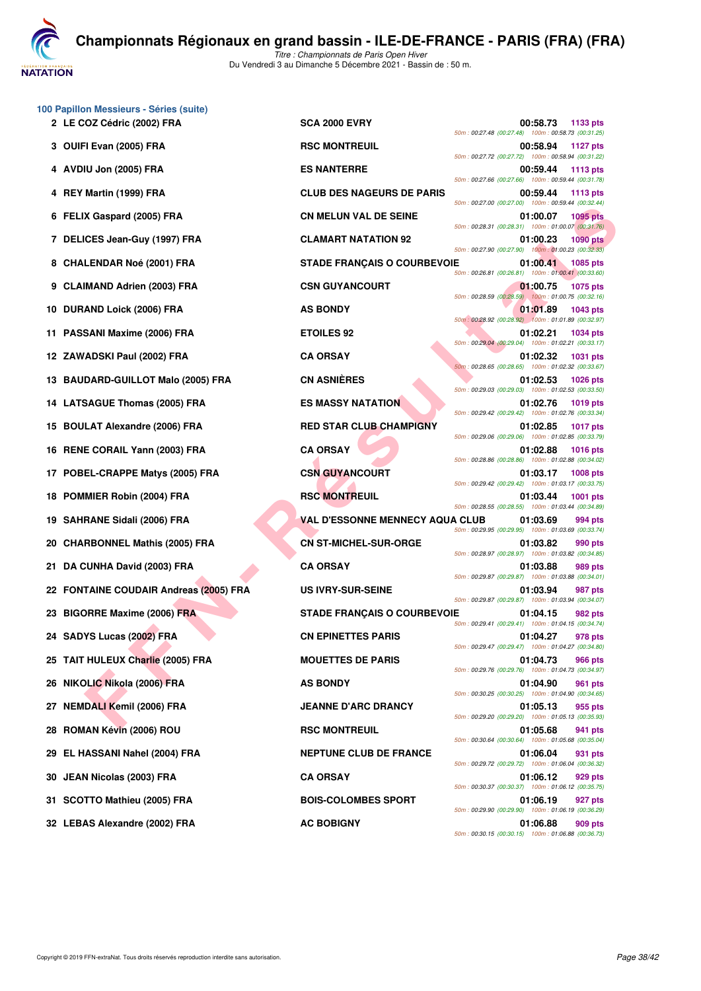**NATATION** 

*Titre : Championnats de Paris Open Hiver* Du Vendredi 3 au Dimanche 5 Décembre 2021 - Bassin de : 50 m.

| 100 Papillon Messieurs - Séries (suite)<br>2 LE COZ Cédric (2002) FRA | <b>SCA 2000 EVRY</b>                   | 00:58.73<br>1133 pts                                                                                                                    |
|-----------------------------------------------------------------------|----------------------------------------|-----------------------------------------------------------------------------------------------------------------------------------------|
| 3 OUIFI Evan (2005) FRA                                               | <b>RSC MONTREUIL</b>                   | 50m: 00:27.48 (00:27.48) 100m: 00:58.73 (00:31.25)<br>00:58.94<br>1127 pts                                                              |
| 4 AVDIU Jon (2005) FRA                                                | <b>ES NANTERRE</b>                     | 50m: 00:27.72 (00:27.72) 100m: 00:58.94 (00:31.22)<br>00:59.44<br>1113 pts                                                              |
| REY Martin (1999) FRA<br>4                                            | <b>CLUB DES NAGEURS DE PARIS</b>       | 50m: 00:27.66 (00:27.66) 100m: 00:59.44 (00:31.78)<br>00:59.44<br>1113 pts                                                              |
| 6 FELIX Gaspard (2005) FRA                                            | <b>CN MELUN VAL DE SEINE</b>           | 50m: 00:27.00 (00:27.00) 100m: 00:59.44 (00:32.44)<br>01:00.07<br><b>1095 pts</b><br>50m: 00:28.31 (00:28.31) 100m: 01:00.07 (00:31.76) |
| 7 DELICES Jean-Guy (1997) FRA                                         | <b>CLAMART NATATION 92</b>             | 01:00.23<br><b>1090 pts</b><br>50m: 00:27.90 (00:27.90) 100m: 01:00.23 (00:32.33)                                                       |
| 8 CHALENDAR Noé (2001) FRA                                            | <b>STADE FRANÇAIS O COURBEVOIE</b>     | 01:00.41<br>1085 pts<br>50m: 00:26.81 (00:26.81) 100m: 01:00.41 (00:33.60)                                                              |
| 9 CLAIMAND Adrien (2003) FRA                                          | <b>CSN GUYANCOURT</b>                  | 01:00.75<br>1075 pts                                                                                                                    |
| 10 DURAND Loick (2006) FRA                                            | <b>AS BONDY</b>                        | 50m: 00:28.59 (00:28.59) 100m: 01:00.75 (00:32.16)<br>01:01.89<br>1043 pts<br>50m: 00:28.92 (00:28.92) 100m: 01:01.89 (00:32.97)        |
| 11 PASSANI Maxime (2006) FRA                                          | <b>ETOILES 92</b>                      | 01:02.21<br><b>1034 pts</b>                                                                                                             |
| 12 ZAWADSKI Paul (2002) FRA                                           | <b>CA ORSAY</b>                        | 50m: 00:29.04 (00:29.04) 100m: 01:02.21 (00:33.17)<br>01:02.32<br><b>1031 pts</b>                                                       |
| 13 BAUDARD-GUILLOT Malo (2005) FRA                                    | <b>CN ASNIÈRES</b>                     | 50m: 00:28.65 (00:28.65) 100m: 01:02.32 (00:33.67)<br>01:02.53<br><b>1026 pts</b>                                                       |
| 14 LATSAGUE Thomas (2005) FRA                                         | <b>ES MASSY NATATION</b>               | 50m: 00:29.03 (00:29.03) 100m: 01:02.53 (00:33.50)<br>01:02.76<br><b>1019 pts</b><br>50m: 00:29.42 (00:29.42) 100m: 01:02.76 (00:33.34) |
| <b>BOULAT Alexandre (2006) FRA</b><br>15                              | <b>RED STAR CLUB CHAMPIGNY</b>         | 01:02.85<br><b>1017 pts</b><br>50m: 00:29.06 (00:29.06) 100m: 01:02.85 (00:33.79)                                                       |
| 16 RENE CORAIL Yann (2003) FRA                                        | <b>CA ORSAY</b>                        | 01:02.88<br><b>1016 pts</b><br>50m: 00:28.86 (00:28.86) 100m: 01:02.88 (00:34.02)                                                       |
| 17 POBEL-CRAPPE Matys (2005) FRA                                      | <b>CSN GUYANCOURT</b>                  | 01:03.17<br><b>1008 pts</b>                                                                                                             |
| <b>POMMIER Robin (2004) FRA</b><br>18                                 | <b>RSC MONTREUIL</b>                   | 50m: 00:29.42 (00:29.42) 100m: 01:03.17 (00:33.75)<br>01:03.44<br><b>1001 pts</b><br>50m: 00:28.55 (00:28.55) 100m: 01:03.44 (00:34.89) |
| 19 SAHRANE Sidali (2006) FRA                                          | <b>VAL D'ESSONNE MENNECY AQUA CLUB</b> | 01:03.69<br>994 pts<br>50m: 00:29.95 (00:29.95) 100m: 01:03.69 (00:33.74)                                                               |
| 20 CHARBONNEL Mathis (2005) FRA                                       | <b>CN ST-MICHEL-SUR-ORGE</b>           | 01:03.82<br>990 pts<br>50m: 00:28.97 (00:28.97) 100m: 01:03.82 (00:34.85)                                                               |
| 21 DA CUNHA David (2003) FRA                                          | <b>CA ORSAY</b>                        | 01:03.88<br>989 pts<br>50m: 00:29.87 (00:29.87) 100m: 01:03.88 (00:34.01)                                                               |
| 22 FONTAINE COUDAIR Andreas (2005) FRA                                | <b>US IVRY-SUR-SEINE</b>               | 01:03.94<br>987 pts                                                                                                                     |
| 23 BIGORRE Maxime (2006) FRA                                          | <b>STADE FRANÇAIS O COURBEVOIE</b>     | 50m: 00:29.87 (00:29.87) 100m: 01:03.94 (00:34.07)<br>01:04.15<br>982 pts                                                               |
| 24 SADYS Lucas (2002) FRA                                             | <b>CN EPINETTES PARIS</b>              | 50m: 00:29.41 (00:29.41) 100m: 01:04.15 (00:34.74)<br>01:04.27<br>978 pts<br>50m: 00:29.47 (00:29.47) 100m: 01:04.27 (00:34.80)         |
| 25 TAIT HULEUX Charlie (2005) FRA                                     | <b>MOUETTES DE PARIS</b>               | 01:04.73<br>966 pts                                                                                                                     |
| 26 NIKOLIC Nikola (2006) FRA                                          | <b>AS BONDY</b>                        | 50m: 00:29.76 (00:29.76) 100m: 01:04.73 (00:34.97)<br>01:04.90<br>961 pts                                                               |
| 27 NEMDALI Kemil (2006) FRA                                           | <b>JEANNE D'ARC DRANCY</b>             | 50m: 00:30.25 (00:30.25) 100m: 01:04.90 (00:34.65)<br>01:05.13<br>955 pts                                                               |
| ROMAN Kévin (2006) ROU<br>28                                          | <b>RSC MONTREUIL</b>                   | 50m: 00:29.20 (00:29.20) 100m: 01:05.13 (00:35.93)<br>01:05.68<br>941 pts                                                               |
| 29 EL HASSANI Nahel (2004) FRA                                        | <b>NEPTUNE CLUB DE FRANCE</b>          | 50m: 00:30.64 (00:30.64) 100m: 01:05.68 (00:35.04)<br>01:06.04<br>931 pts                                                               |
| 30 JEAN Nicolas (2003) FRA                                            | <b>CA ORSAY</b>                        | 50m: 00:29.72 (00:29.72) 100m: 01:06.04 (00:36.32)<br>01:06.12<br>929 pts                                                               |
| 31 SCOTTO Mathieu (2005) FRA                                          | <b>BOIS-COLOMBES SPORT</b>             | 50m: 00:30.37 (00:30.37) 100m: 01:06.12 (00:35.75)<br>01:06.19<br>927 pts                                                               |
|                                                                       |                                        | 50m: 00:29.90 (00:29.90) 100m: 01:06.19 (00:36.29)                                                                                      |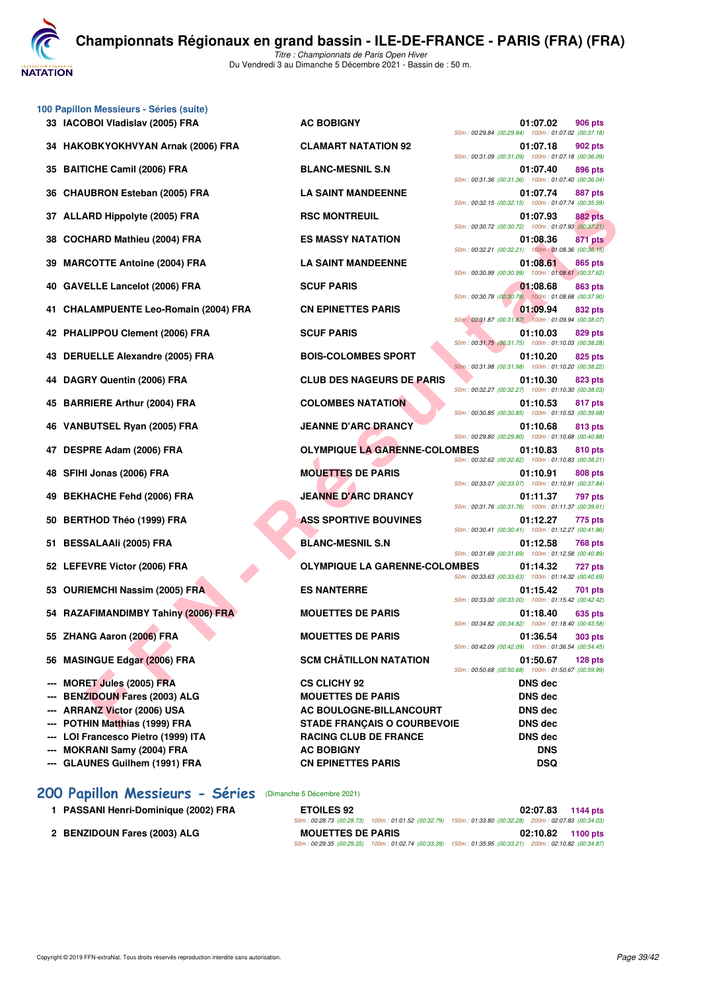

*Titre : Championnats de Paris Open Hiver* Du Vendredi 3 au Dimanche 5 Décembre 2021 - Bassin de : 50 m.

|                          | 100 Papillon Messieurs - Séries (suite)<br>33 IACOBOI Vladislav (2005) FRA | <b>AC BOBIGNY</b>                    | 01:07.02<br><b>906 pts</b>                                                                                                        |
|--------------------------|----------------------------------------------------------------------------|--------------------------------------|-----------------------------------------------------------------------------------------------------------------------------------|
|                          | 34 HAKOBKYOKHVYAN Arnak (2006) FRA                                         | <b>CLAMART NATATION 92</b>           | 50m: 00:29.84 (00:29.84) 100m: 01:07.02 (00:37.18)<br>01:07.18<br>902 pts                                                         |
|                          | 35 BAITICHE Camil (2006) FRA                                               | <b>BLANC-MESNIL S.N</b>              | 50m: 00:31.09 (00:31.09) 100m: 01:07.18 (00:36.09)<br>01:07.40<br>896 pts<br>50m: 00:31.36 (00:31.36) 100m: 01:07.40 (00:36.04)   |
|                          | 36 CHAUBRON Esteban (2005) FRA                                             | <b>LA SAINT MANDEENNE</b>            | 01:07.74<br>887 pts<br>50m: 00:32.15 (00:32.15) 100m: 01:07.74 (00:35.59)                                                         |
|                          | 37 ALLARD Hippolyte (2005) FRA                                             | <b>RSC MONTREUIL</b>                 | 01:07.93<br><b>882 pts</b><br>50m: 00:30.72 (00:30.72) 100m: 01:07.93 (00:37.21)                                                  |
| 38                       | <b>COCHARD Mathieu (2004) FRA</b>                                          | <b>ES MASSY NATATION</b>             | 01:08.36<br>871 pts<br>50m: 00:32.21 (00:32.21) 100m: 01:08.36 (00:36.15)                                                         |
| 39                       | <b>MARCOTTE Antoine (2004) FRA</b>                                         | <b>LA SAINT MANDEENNE</b>            | 01:08.61<br>865 pts<br>50m: 00:30.99 (00:30.99) 100m: 01:08.61 (00:37.62)                                                         |
|                          | 40 GAVELLE Lancelot (2006) FRA                                             | <b>SCUF PARIS</b>                    | 01:08.68<br>863 pts<br>50m: 00:30.78 (00:30.78) 100m: 01:08.68 (00:37.90)                                                         |
|                          | 41 CHALAMPUENTE Leo-Romain (2004) FRA                                      | <b>CN EPINETTES PARIS</b>            | 01:09.94<br>832 pts<br>50m: 00:31.87 (00:31.87) 100m: 01:09.94 (00:38.07)                                                         |
|                          | 42 PHALIPPOU Clement (2006) FRA                                            | <b>SCUF PARIS</b>                    | 01:10.03<br>829 pts<br>50m: 00:31.75 (00:31.75) 100m: 01:10.03 (00:38.28)                                                         |
|                          | 43 DERUELLE Alexandre (2005) FRA                                           | <b>BOIS-COLOMBES SPORT</b>           | 01:10.20<br>825 pts<br>50m: 00:31.98 (00:31.98) 100m: 01:10.20 (00:38.22)                                                         |
|                          | 44 DAGRY Quentin (2006) FRA                                                | <b>CLUB DES NAGEURS DE PARIS</b>     | 01:10.30<br>823 pts<br>50m: 00:32.27 (00:32.27) 100m: 01:10.30 (00:38.03)                                                         |
|                          | 45 BARRIERE Arthur (2004) FRA                                              | <b>COLOMBES NATATION</b>             | 01:10.53<br>817 pts<br>50m: 00:30.85 (00:30.85) 100m: 01:10.53 (00:39.68)                                                         |
|                          | 46 VANBUTSEL Ryan (2005) FRA                                               | <b>JEANNE D'ARC DRANCY</b>           | 01:10.68<br>813 pts<br>50m: 00:29.80 (00:29.80) 100m: 01:10.68 (00:40.88)                                                         |
|                          | 47 DESPRE Adam (2006) FRA                                                  | <b>OLYMPIQUE LA GARENNE-COLOMBES</b> | 01:10.83<br>810 pts<br>50m: 00:32.62 (00:32.62) 100m: 01:10.83 (00:38.21)                                                         |
| 48                       | SFIHI Jonas (2006) FRA                                                     | <b>MOUETTES DE PARIS</b>             | 01:10.91<br>808 pts<br>50m: 00:33.07 (00:33.07) 100m: 01:10.91 (00:37.84)                                                         |
| 49                       | <b>BEKHACHE Fehd (2006) FRA</b>                                            | <b>JEANNE D'ARC DRANCY</b>           | 01:11.37<br>797 pts<br>50m: 00:31.76 (00:31.76) 100m: 01:11.37 (00:39.61)                                                         |
|                          | 50 BERTHOD Théo (1999) FRA                                                 | <b>ASS SPORTIVE BOUVINES</b>         | 01:12.27<br>775 pts<br>50m: 00:30.41 (00:30.41) 100m: 01:12.27 (00:41.86)                                                         |
| 51                       | <b>BESSALAAIi (2005) FRA</b>                                               | <b>BLANC-MESNIL S.N</b>              | 01:12.58<br>768 pts<br>50m: 00:31.69 (00:31.69) 100m: 01:12.58 (00:40.89)                                                         |
|                          | 52 LEFEVRE Victor (2006) FRA                                               | <b>OLYMPIQUE LA GARENNE-COLOMBES</b> | 01:14.32<br>727 pts<br>50m: 00:33.63 (00:33.63) 100m: 01:14.32 (00:40.69)                                                         |
|                          | 53 OURIEMCHI Nassim (2005) FRA                                             | <b>ES NANTERRE</b>                   | 01:15.42<br>701 pts<br>50m: 00:33.00 (00:33.00) 100m: 01:15.42 (00:42.42)                                                         |
|                          | 54 RAZAFIMANDIMBY Tahiny (2006) FRA                                        | <b>MOUETTES DE PARIS</b>             | 01:18.40<br>635 pts<br>50m: 00:34.82 (00:34.82) 100m: 01:18.40 (00:43.58)                                                         |
|                          | 55 ZHANG Aaron (2006) FRA                                                  | <b>MOUETTES DE PARIS</b>             | 01:36.54<br><b>303 pts</b>                                                                                                        |
|                          | 56 MASINGUE Edgar (2006) FRA                                               | <b>SCM CHÂTILLON NATATION</b>        | 50m: 00:42.09 (00:42.09) 100m: 01:36.54 (00:54.45)<br>01:50.67<br>$128$ pts<br>50m: 00:50.68 (00:50.68) 100m: 01:50.67 (00:59.99) |
| $\hspace{0.05cm} \cdots$ | <b>MORET Jules (2005) FRA</b>                                              | <b>CS CLICHY 92</b>                  | <b>DNS</b> dec                                                                                                                    |
|                          | <b>BENZIDOUN Fares (2003) ALG</b>                                          | <b>MOUETTES DE PARIS</b>             | <b>DNS dec</b>                                                                                                                    |
|                          | <b>ARRANZ Victor (2006) USA</b>                                            | <b>AC BOULOGNE-BILLANCOURT</b>       | DNS dec                                                                                                                           |
| $\sim$                   | POTHIN Matthias (1999) FRA                                                 | <b>STADE FRANÇAIS O COURBEVOIE</b>   | <b>DNS</b> dec                                                                                                                    |
| ---                      | LOI Francesco Pietro (1999) ITA                                            | <b>RACING CLUB DE FRANCE</b>         | <b>DNS dec</b>                                                                                                                    |
|                          | <b>MOKRANI Samy (2004) FRA</b>                                             | <b>AC BOBIGNY</b>                    | <b>DNS</b>                                                                                                                        |
| ---                      |                                                                            |                                      |                                                                                                                                   |

## **[200 Papillon Messieurs - Séries](http://www.ffnatation.fr/webffn/resultats.php?idact=nat&go=epr&idcpt=73929&idepr=83)** (Dimanche 5 Décembre 2021)

- **1 PASSANI Henri-Dominique (2002) FRA**
- **2 BENZIDOUN Fares (2003) ALG**

| <b>ETOILES 92</b>        |                                                                                                        | 02:07.83 1144 pts |
|--------------------------|--------------------------------------------------------------------------------------------------------|-------------------|
|                          | 50m; 00:28.73 (00:28.73) 100m; 01:01.52 (00:32.79) 150m; 01:33.80 (00:32.28) 200m; 02:07.83 (00:34.03) |                   |
| <b>MOUETTES DE PARIS</b> |                                                                                                        | 02:10.82 1100 pts |
|                          | 50m: 00:29.35 (00:29.35) 100m: 01:02.74 (00:33.39)                                                     |                   |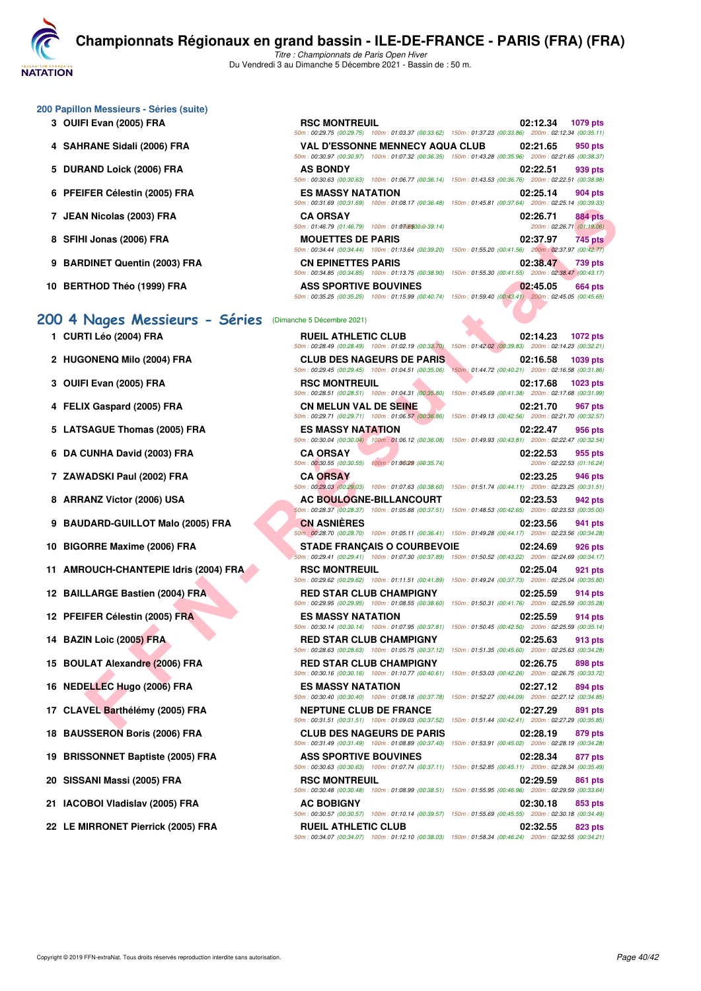

*Titre : Championnats de Paris Open Hiver* Du Vendredi 3 au Dimanche 5 Décembre 2021 - Bassin de : 50 m.

| 200 Papillon Messieurs - Séries (suite) |  |  |  |  |
|-----------------------------------------|--|--|--|--|
|-----------------------------------------|--|--|--|--|

- **3 OUIFI Evan (2005) FRA**
- **4 SAHRANE Sidali (2006) FRA**
- 5 DURAND Loick (2006) FRA
- **6 PFEIFER Célestin (2005) FRA**
- **7 JEAN Nicolas (2003) FRA**
- **8 SFIHI Jonas (2006) FRA**
- **9 BARDINET Quentin (2003) FRA**
- 10 BERTHOD Théo (1999) FRA

## 200 4 Nages Messieurs - Sé

**1 CURTI Léo (2004) FRA R** 

- **2 HUGONENQ Milo (2004) FRA** C
- **3 OUIFI Evan (2005) FRA Reducil 2005 FRA**
- **4 FELIX Gaspard (2005) FRA CONS**
- **5 LATSAGUE Thomas (2005) FRA E**
- **6 DA CUNHA David (2003) FRA CA ORSAY 02:22.53 955 pts**
- **7 ZAWADSKI Paul (2002) FRA CA ORSAY PTS**
- **8 ARRANZ Victor (2006) USA ACCESSION OF ACTION OF ACTION OF ACTION OF ACTION OF ACTION OF ACTION OF ACTION OF ACTION OF ACTION OF ACTION OF ACTION OF ACTION OF ACTION OF ACTION OF ACTION OF ACTION OF ACTION OF ACTION OF A**
- **9 BAUDARD-GUILLOT Malo (2005) FRA C**
- **10 BIGORRE Maxime (2006) FRA STADE FRAME FRA**
- **11 AMROUCH-CHANTEPIE Idris (2004) FRA RS**
- **12 BAILLARGE Bastien (2004) FRA RED STAR RED STAR RED STAR RED STAR RED STAR RED STAR RED STAR RED STAR RED STAR RED STAR RED STAR RED STAR RED STAR RED STAR RED STAR RED STAR RED STAR RED STAR RED STAR RED STAR RED STAR**
- **12 PFEIFER Célestin (2005) FRA BESTIN PTS**
- **14 BAZIN Loic (2005) FRA RED STAR RED STAR RED STAR CLUB CHAMPIGNY** 02:35
- **15 BOULAT Alexandre (2006) FRA Red States Red States Red States Box FOR**
- **16 NEDELLEC Hugo (2006) FRA E**<br>  $\frac{1}{50\pi}$
- 17 CLAVEL Barthélémy (2005) FRA
- **18 BAUSSERON Boris (2006) FRA** C
- **19 BRISSONNET Baptiste (2005) FRA ASS SPORTIVE BOUVINES 02:28.34 877 pts**
- **20 SISSANI Massi (2005) FRA Reducier Some Some properties and Some properties and Some properties and Some properties and Some properties and Some properties and Some properties and Some properties and Some properties a**
- **21 IACOBOI Vladislav (2005) FRA 853 property**
- **22 LE MIRRONET Pierrick (2005) FRA RUEIL ATHLETIC CLUB 02:32.55 823 pts**

| <b>RSC MONTREUIL</b>         |                                                                                                        | 02:12.34 1079 pts         |         |
|------------------------------|--------------------------------------------------------------------------------------------------------|---------------------------|---------|
|                              | 50m: 00:29.75 (00:29.75) 100m: 01:03.37 (00:33.62) 150m: 01:37.23 (00:33.86) 200m: 02:12.34 (00:35.11) |                           |         |
|                              | VAL D'ESSONNE MENNECY AQUA CLUB               02:21.65                                                 |                           | 950 pts |
|                              | 50m: 00:30.97 (00:30.97) 100m: 01:07.32 (00:36.35) 150m: 01:43.28 (00:35.96) 200m: 02:21.65 (00:38.37) |                           |         |
| <b>AS BONDY</b>              |                                                                                                        | 02:22.51 939 pts          |         |
|                              | 50m: 00:30.63 (00:30.63) 100m: 01:06.77 (00:36.14) 150m: 01:43.53 (00:36.76) 200m: 02:22.51 (00:38.98) |                           |         |
| <b>ES MASSY NATATION</b>     |                                                                                                        | 02:25.14 904 pts          |         |
|                              | 50m: 00:31.69 (00:31.69) 100m: 01:08.17 (00:36.48) 150m: 01:45.81 (00:37.64) 200m: 02:25.14 (00:39.33) |                           |         |
| <b>CA ORSAY</b>              |                                                                                                        | 02:26.71 884 pts          |         |
|                              | 50m: 01:46.79 (01:46.79) 100m: 01:03:0500:0-39.14)                                                     | 200m: 02:26.71 (01:19.06) |         |
| <b>MOUETTES DE PARIS</b>     |                                                                                                        | 02:37.97 745 pts          |         |
|                              | 50m: 00:34.44 (00:34.44) 100m: 01:13.64 (00:39.20) 150m: 01:55.20 (00:41.56) 200m: 02:37.97 (00:42.77) |                           |         |
| <b>CN EPINETTES PARIS</b>    |                                                                                                        | 02:38.47 739 pts          |         |
|                              | 50m: 00:34.85 (00:34.85) 100m: 01:13.75 (00:38.90) 150m: 01:55.30 (00:41.55) 200m: 02:38.47 (00:43.17) |                           |         |
| <b>ASS SPORTIVE BOUVINES</b> |                                                                                                        | 02:45.05                  | 664 pts |
|                              | 50m: 00:35.25 (00:35.25) 100m: 01:15.99 (00:40.74) 150m: 01:59.40 (00:43.41) 200m: 02:45.05 (00:45.65) |                           |         |

| eries | (Dimanche 5 Decembre 2021) |
|-------|----------------------------|
|       | <b>DUELLATULETIA AL</b>    |

|                                     | (100.00.00) +1.02.20.14 (00.00.00) 100.00.00.00 (00.00.00) 1.00.00 (100.07.00) control control control                                         |                                                                                                                                                                                                                                             |
|-------------------------------------|------------------------------------------------------------------------------------------------------------------------------------------------|---------------------------------------------------------------------------------------------------------------------------------------------------------------------------------------------------------------------------------------------|
| <b>\  Nicolas (2003) FRA</b>        | <b>CA ORSAY</b>                                                                                                                                | 02:26.71<br><b>884 pts</b><br>200m: 02:26.71 (01:19.06)                                                                                                                                                                                     |
| Il Jonas (2006) FRA                 | 50m: 01:46.79 (01:46.79) 100m: 01:0306500:0-39.14)<br><b>MOUETTES DE PARIS</b>                                                                 | 02:37.97<br>745 pts                                                                                                                                                                                                                         |
| DINET Quentin (2003) FRA            | <b>CN EPINETTES PARIS</b>                                                                                                                      | 50m: 00:34.44 (00:34.44) 100m: 01:13.64 (00:39.20) 150m: 01:55.20 (00:41.56) 200m: 02:37.97 (00:42.77)<br>02:38.47<br>739 pts                                                                                                               |
| THOD Théo (1999) FRA                | <b>ASS SPORTIVE BOUVINES</b>                                                                                                                   | 50m: 00:34.85 (00:34.85) 100m: 01:13.75 (00:38.90) 150m: 01:55.30 (00:41.55) 200m: 02:38.47 (00:43.17)<br>02:45.05<br>664 pts<br>50m : 00:35.25 (00:35.25) 100m : 01:15.99 (00:40.74) 150m : 01:59.40 (00:43.41) 200m : 02:45.05 (00:45.65) |
| Nages Messieurs - Séries            | (Dimanche 5 Décembre 2021)                                                                                                                     |                                                                                                                                                                                                                                             |
| TI Léo (2004) FRA                   | <b>RUEIL ATHLETIC CLUB</b><br>50m: 00:28.49 (00:28.49) 100m: 01:02.19 (00:33.70)                                                               | 02:14.23<br><b>1072 pts</b><br>150m: 01:42.02 (00:39.83) 200m: 02:14.23 (00:32.21)                                                                                                                                                          |
| <b>ONENQ Milo (2004) FRA</b>        | <b>CLUB DES NAGEURS DE PARIS</b><br>50m: 00:29.45 (00:29.45) 100m: 01:04.51 (00:35.06)                                                         | 02:16.58<br>1039 pts<br>150m: 01:44.72 (00:40.21) 200m: 02:16.58 (00:31.86)                                                                                                                                                                 |
| I Evan (2005) FRA                   | <b>RSC MONTREUIL</b>                                                                                                                           | 02:17.68<br>1023 pts<br>50m : 00:28.51 (00:28.51) 100m : 01:04.31 (00:35.80) 150m : 01:45.69 (00:41.38) 200m : 02:17.68 (00:31.99)                                                                                                          |
| X Gaspard (2005) FRA                | <b>CN MELUN VAL DE SEINE</b>                                                                                                                   | 02:21.70<br>967 pts<br>50m : 00:29.71 (00:29.71) 100m : 01:06.57 (00:36.86) 150m : 01:49.13 (00:42.56) 200m : 02:21.70 (00:32.57)                                                                                                           |
| <b>SAGUE Thomas (2005) FRA</b>      | <b>ES MASSY NATATION</b>                                                                                                                       | 02:22.47<br>956 pts                                                                                                                                                                                                                         |
| <b>CUNHA David (2003) FRA</b>       | 50m: 00:30.04 (00:30.04) 100m: 01:06.12 (00:36.08) 150m: 01:49.93 (00:43.81) 200m: 02:22.47 (00:32.54)<br><b>CA ORSAY</b>                      | 02:22.53<br>955 pts                                                                                                                                                                                                                         |
| 'ADSKI Paul (2002) FRA              | 50m: 00:30.55 (00:30.55) 100m: 01:06/29 : (00:35.74)<br><b>CA ORSAY</b>                                                                        | 200m: 02:22.53 (01:16.24)<br>02:23.25<br>946 pts                                                                                                                                                                                            |
| ANZ Victor (2006) USA               | AC BOULOGNE-BILLANCOURT                                                                                                                        | 50m: 00:29.03 (00:29.03) 100m: 01:07.63 (00:38.60) 150m: 01:51.74 (00:44.11) 200m: 02:23.25 (00:31.51)<br>02:23.53<br>942 pts                                                                                                               |
| DARD-GUILLOT Malo (2005) FRA        | <b>CN ASNIERES</b>                                                                                                                             | 50m: 00:28.37 (00:28.37) 100m: 01:05.88 (00:37.51) 150m: 01:48.53 (00:42.65) 200m: 02:23.53 (00:35.00)<br>02:23.56<br>941 pts                                                                                                               |
| <b>DRRE Maxime (2006) FRA</b>       | <b>STADE FRANÇAIS O COURBEVOIE</b>                                                                                                             | 50m; 00:28.70 (00:28.70) 100m: 01:05.11 (00:36.41) 150m: 01:49.28 (00:44.17) 200m: 02:23.56 (00:34.28)<br>02:24.69<br>926 pts                                                                                                               |
| OUCH-CHANTEPIE Idris (2004) FRA     | 50m: 00:29.41 (00:29.41) 100m: 01:07.30 (00:37.89) 150m: 01:50.52 (00:43.22) 200m: 02:24.69 (00:34.17)<br><b>RSC MONTREUIL</b>                 | 02:25.04<br>921 pts                                                                                                                                                                                                                         |
| LARGE Bastien (2004) FRA            | <b>RED STAR CLUB CHAMPIGNY</b>                                                                                                                 | 50m: 00:29.62 (00:29.62) 100m: 01:11.51 (00:41.89) 150m: 01:49.24 (00:37.73) 200m: 02:25.04 (00:35.80)<br>02:25.59<br>914 pts                                                                                                               |
| FER Célestin (2005) FRA             | <b>ES MASSY NATATION</b>                                                                                                                       | 50m : 00:29.95 (00:29.95) 100m : 01:08.55 (00:38.60) 150m : 01:50.31 (00:41.76) 200m : 02:25.59 (00:35.28)<br>02:25.59<br>914 pts                                                                                                           |
|                                     |                                                                                                                                                | 50m: 00:30.14 (00:30.14) 100m: 01:07.95 (00:37.81) 150m: 01:50.45 (00:42.50) 200m: 02:25.59 (00:35.14)                                                                                                                                      |
| IN Loic (2005) FRA                  | <b>RED STAR CLUB CHAMPIGNY</b><br>50m: 00:28.63 (00:28.63) 100m: 01:05.75 (00:37.12) 150m: 01:51.35 (00:45.60) 200m: 02:25.63 (00:34.28)       | 02:25.63<br>913 pts                                                                                                                                                                                                                         |
| LAT Alexandre (2006) FRA            | <b>RED STAR CLUB CHAMPIGNY</b><br>50m: 00:30.16 (00:30.16) 100m: 01:10.77 (00:40.61) 150m: 01:53.03 (00:42.26) 200m: 02:26.75 (00:33.72)       | 02:26.75<br>898 pts                                                                                                                                                                                                                         |
| ELLEC Hugo (2006) FRA               | <b>ES MASSY NATATION</b>                                                                                                                       | 02:27.12<br>894 pts<br>50m: 00:30.40 (00:30.40) 100m: 01:08.18 (00:37.78) 150m: 01:52.27 (00:44.09) 200m: 02:27.12 (00:34.85)                                                                                                               |
| VEL Barthélémy (2005) FRA           | <b>NEPTUNE CLUB DE FRANCE</b>                                                                                                                  | 02:27.29<br>891 pts<br>50m: 00:31.51 (00:31.51) 100m: 01:09.03 (00:37.52) 150m: 01:51.44 (00:42.41) 200m: 02:27.29 (00:35.85)                                                                                                               |
| SSERON Boris (2006) FRA             | <b>CLUB DES NAGEURS DE PARIS</b><br>50m : 00:31.49 (00:31.49) 100m : 01:08.89 (00:37.40) 150m : 01:53.91 (00:45.02) 200m : 02:28.19 (00:34.28) | 02:28.19<br>879 pts                                                                                                                                                                                                                         |
| <b>SONNET Baptiste (2005) FRA</b>   | <b>ASS SPORTIVE BOUVINES</b>                                                                                                                   | 02:28.34<br>877 pts<br>50m: 00:30.63 (00:30.63) 100m: 01:07.74 (00:37.11) 150m: 01:52.85 (00:45.11) 200m: 02:28.34 (00:35.49)                                                                                                               |
| ANI Massi (2005) FRA                | <b>RSC MONTREUIL</b>                                                                                                                           | 02:29.59<br>861 pts                                                                                                                                                                                                                         |
| )BOI Vladislav (2005) FRA           | <b>AC BOBIGNY</b>                                                                                                                              | 50m : 00:30.48 (00:30.48) 100m : 01:08.99 (00:38.51) 150m : 01:55.95 (00:46.96) 200m : 02:29.59 (00:33.64)<br>02:30.18<br>853 pts                                                                                                           |
| <b>IIRRONET Pierrick (2005) FRA</b> | <b>RUEIL ATHLETIC CLUB</b>                                                                                                                     | 50m: 00:30.57 (00:30.57) 100m: 01:10.14 (00:39.57) 150m: 01:55.69 (00:45.55) 200m: 02:30.18 (00:34.49)<br>02:32.55<br>823 pts                                                                                                               |
|                                     |                                                                                                                                                | 50m: 00:34.07 (00:34.07) 100m: 01:12.10 (00:38.03) 150m: 01:58.34 (00:46.24) 200m: 02:32.55 (00:34.21)                                                                                                                                      |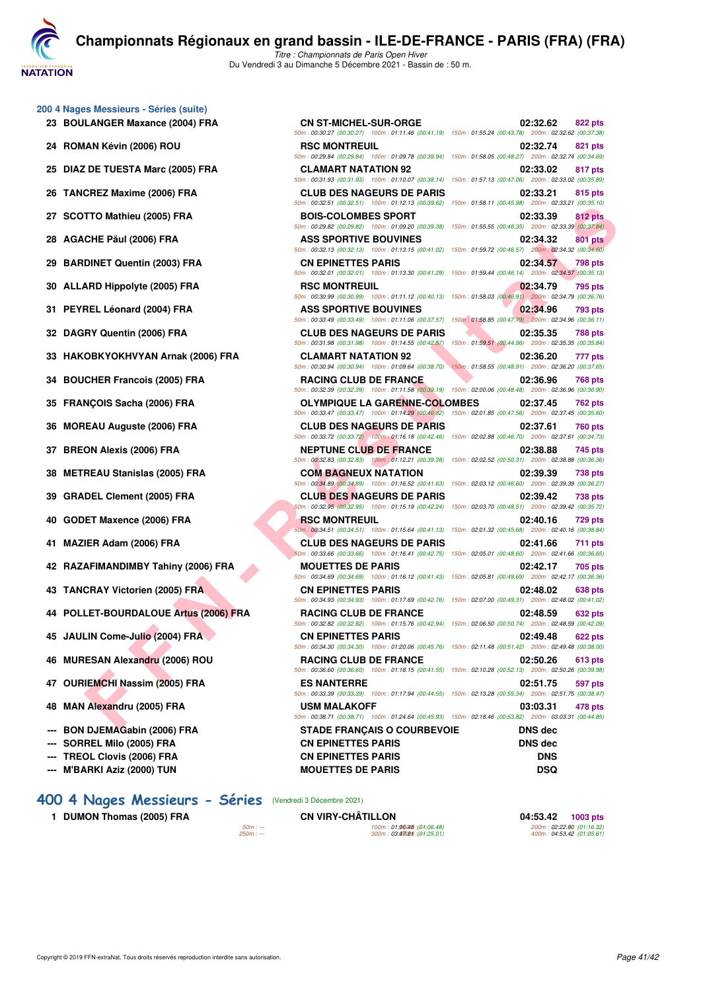**VATATION** 

**[C](http://www.ffnatation.fr/webffn/index.php)hampionnats Régionaux en grand bassin - ILE-DE-FRANCE - PARIS (FRA) (FRA)** *Titre : Championnats de Paris Open Hiver*

Du Vendredi 3 au Dimanche 5 Décembre 2021 - Bassin de : 50 m.

- **200 4 Nages Messieurs Séries (suite)**
	-
	-
	-
	-
	-
	-
	-
	-
	-
	-
	-
	-
	-
	-
	-
	-
	-
	-
	-
	-
	-
	-
	-
	-
	- **47 OURIEMCHI Nassim (2005) FRA ES NANTERRE 02:51.75 597 pts**
	-
	-
	-
	-
	- **--- M'BARKI Aziz (2000) TUN MOUETTES DE PARIS DSQ**

#### **FITO Mathieu (2005) FRA**<br> **FED AUTORITY CONTINUES SPORT TRANSPORT ASSESS ON THE SECURE SPORT TRANSPORT ASSESS ON THE CONTINUES ON THE SAME CONTINUES IN THE CONTINUES ON THE CONTINUES ON THE CONTINUES ON THE CONTINUES ON 23 BOULANGER Maxance (2004) FRA CN ST-MICHEL-SUR-ORGE 02:32.62 822 pts** *50m : 00:30.27 (00:30.27) 100m : 01:11.46 (00:41.19) 150m : 01:55.24 (00:43.78) 200m : 02:32.62 (00:37.38)* **24 ROMAN Kévin (2006) ROU RSC MONTREUIL 02:32.74 821 pts** *50m : 00:29.84 (00:29.84) 100m : 01:09.78 (00:39.94) 150m : 01:58.05 (00:48.27) 200m : 02:32.74 (00:34.69)* **25 DIAZ DE TUESTA Marc (2005) FRA CLAMART NATATION 92 02:33.02 817 pts** *50m : 00:31.93 (00:31.93) 100m : 01:10.07 (00:38.14) 150m : 01:57.13 (00:47.06) 200m : 02:33.02 (00:35.89)* **26 TANCREZ Maxime (2006) FRA CLUB DES NAGEURS DE PARIS 02:33.21 815 pts** *50m : 00:32.51 (00:32.51) 100m : 01:12.13 (00:39.62) 150m : 01:58.11 (00:45.98) 200m : 02:33.21 (00:35.10)* **27 SCOTTO Mathieu (2005) FRA BOIS-COLOMBES SPORT 02:33.39 812 pts** *50m : 00:29.82 (00:29.82) 100m : 01:09.20 (00:39.38) 150m : 01:55.55 (00:46.35) 200m : 02:33.39 (00:37.84)* **28 AGACHE Päul (2006) FRA ASS SPORTIVE BOUVINES 02:34.32 801 pts** *50m : 00:32.13 (00:32.13) 100m : 01:13.15 (00:41.02) 150m : 01:59.72 (00:46.57) 200m : 02:34.32 (00:34.60)* **29 BARDINET Quentin (2003) FRA CN EPINETTES PARIS 02:34.57 798 pts** *50m : 00:32.01 (00:32.01) 100m : 01:13.30 (00:41.29) 150m : 01:59.44 (00:46.14) 200m : 02:34.57 (00:35.13)* **30 ALLARD Hippolyte (2005) FRA RSC MONTREUIL 02:34.79 795 pts** *50m : 00:30.99 (00:30.99) 100m : 01:11.12 (00:40.13) 150m : 01:58.03 (00:46.91) 200m : 02:34.79 (00:36.76)* **31 PEYREL Léonard (2004) FRA ASS SPORTIVE BOUVINES 02:34.96 793 pts** *50m : 00:33.49 (00:33.49) 100m : 01:11.06 (00:37.57) 150m : 01:58.85 (00:47.79) 200m : 02:34.96 (00:36.11)* **32 DAGRY Quentin (2006) FRA CLUB DES NAGEURS DE PARIS 02:35.35 788 pts** *50m : 00:31.98 (00:31.98) 100m : 01:14.55 (00:42.57) 150m : 01:59.51 (00:44.96) 200m : 02:35.35 (00:35.84)* **33 HAKOBKYOKHVYAN Arnak (2006) FRA CLAMART NATATION 92 02:36.20 02:36.20 777 pts**<br> **50m**: 00:30.94 (00:30.94) **100m**: 01:09.64 (00:38.70) **150m**: 01:58.55 (00:48.91) **200m**: 02:36.20 (00:37.65) *50m : 00:30.94 (00:30.94) 100m : 01:09.64 (00:38.70) 150m : 01:58.55 (00:48.91) 200m : 02:36.20 (00:37.65)* **34 BOUCHER Francois (2005) FRA RACING CLUB DE FRANCE 02:36.96 768 pts** *50m : 00:32.39 (00:32.39) 100m : 01:11.58 (00:39.19) 150m : 02:00.06 (00:48.48) 200m : 02:36.96 (00:36.90)* **35 FRANÇOIS Sacha (2006) FRA OLYMPIQUE LA GARENNE-COLOMBES 02:37.45 762 pts** *50m : 00:33.47 (00:33.47) 100m : 01:14.29 (00:40.82) 150m : 02:01.85 (00:47.56) 200m : 02:37.45 (00:35.60)* **36 MOREAU Auguste (2006) FRA CLUB DES NAGEURS DE PARIS 02:37.61 760 pts** *50m : 00:33.72 (00:33.72) 100m : 01:16.18 (00:42.46) 150m : 02:02.88 (00:46.70) 200m : 02:37.61 (00:34.73)* **37 BREON Alexis (2006) FRA NEPTUNE CLUB DE FRANCE 02:38.88 745 pts** *50m : 00:32.83 (00:32.83) 100m : 01:12.21 (00:39.38) 150m : 02:02.52 (00:50.31) 200m : 02:38.88 (00:36.36)* **38 METREAU Stanislas (2005) FRA COM BAGNEUX NATATION 02:39.39 738 pts** *50m : 00:34.89 (00:34.89) 100m : 01:16.52 (00:41.63) 150m : 02:03.12 (00:46.60) 200m : 02:39.39 (00:36.27)* **39 GRADEL Clement (2005) FRA CLUB DES NAGEURS DE PARIS 02:39.42 738 pts** *50m : 00:32.95 (00:32.95) 100m : 01:15.19 (00:42.24) 150m : 02:03.70 (00:48.51) 200m : 02:39.42 (00:35.72)* **40 GODET Maxence (2006) FRA RSC MONTREUIL 120 and 12:40.16 and 12:40.16 and 12:40.16 and 12:40.16 and 12:40.16 and 12:40.16 and 12:40.16 and 12:40.16 and 12:40.16 and 12:40.16 and 12:40.16 and 12:40.16 and 12:40.16 and 12** *50m : 00:34.51 (00:34.51) 100m : 01:15.64 (00:41.13) 150m : 02:01.32 (00:45.68) 200m : 02:40.16 (00:38.84)* **41 MAZIER Adam (2006) FRA CLUB DES NAGEURS DE PARIS 02:41.66 711 pts** *50m : 00:33.66 (00:33.66) 100m : 01:16.41 (00:42.75) 150m : 02:05.01 (00:48.60) 200m : 02:41.66 (00:36.65)* **42 RAZAFIMANDIMBY Tahiny (2006) FRA MOUETTES DE PARIS 02:42.17 705 pts** *50m : 00:34.69 (00:34.69) 100m : 01:16.12 (00:41.43) 150m : 02:05.81 (00:49.69) 200m : 02:42.17 (00:36.36)* **43 TANCRAY Victorien (2005) FRA CN EPINETTES PARIS 02:48.02 638 pts** *50m : 00:34.93 (00:34.93) 100m : 01:17.69 (00:42.76) 150m : 02:07.00 (00:49.31) 200m : 02:48.02 (00:41.02)* **44 POLLET-BOURDALOUE Artus (2006) FRA RACING CLUB DE FRANCE 02:48.59 632 pts** *50m : 00:32.82 (00:32.82) 100m : 01:15.76 (00:42.94) 150m : 02:06.50 (00:50.74) 200m : 02:48.59 (00:42.09)* **45 JAULIN Come-Julio (2004) FRA CN EPINETTES PARIS 02:49.48 622 pts** *50m : 00:34.30 (00:34.30) 100m : 01:20.06 (00:45.76) 150m : 02:11.48 (00:51.42) 200m : 02:49.48 (00:38.00)* **46 MURESAN Alexandru (2006) ROU RACING CLUB DE FRANCE 02:50.26 613 pts** *50m : 00:36.60 (00:36.60) 100m : 01:18.15 (00:41.55) 150m : 02:10.28 (00:52.13) 200m : 02:50.26 (00:39.98)*

*50m : 00:33.39 (00:33.39) 100m : 01:17.94 (00:44.55) 150m : 02:13.28 (00:55.34) 200m : 02:51.75 (00:38.47)* **48 MAN Alexandru (2005) FRA USM MALAKOFF 03:03.31 478 pts** *50m : 00:38.71 (00:38.71) 100m : 01:24.64 (00:45.93) 150m : 02:18.46 (00:53.82) 200m : 03:03.31 (00:44.85)*

**--- BON DJEMAGabin (2006) FRA STADE FRANÇAIS O COURBEVOIE DNS dec --- SORREL Milo (2005) FRA CN EPINETTES PARIS DNS dec --- TREOL Clovis (2006) FRA CN EPINETTES PARIS DNS**

## **[400 4 Nages Messieurs - Séries](http://www.ffnatation.fr/webffn/resultats.php?idact=nat&go=epr&idcpt=73929&idepr=92)** (Vendredi 3 Décembre 2021)

**1 DUMON Thomas (2005) FRA CN VIRY-CHÂTILLON 04:53.42 1003 pts**

*50m : --- 100m : 01:06.48 150m : --- 200m : (01:06.48) 02:22.80 (01:16.32) 250m : --- 300m : 03:47.81 350m : --- 400m : (01:25.01) 04:53.42 (01:05.61)*